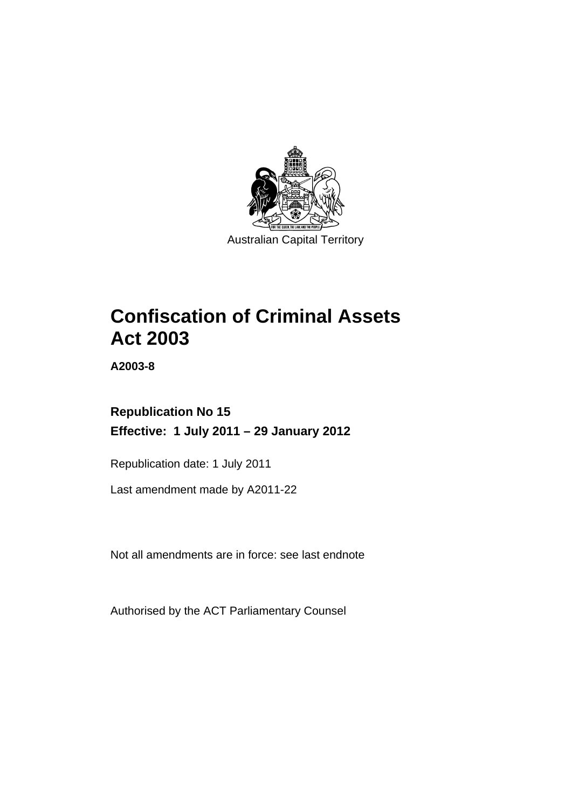

# **Confiscation of Criminal Assets Act 2003**

**A2003-8** 

# **Republication No 15 Effective: 1 July 2011 – 29 January 2012**

Republication date: 1 July 2011

Last amendment made by A2011-22

Not all amendments are in force: see last endnote

Authorised by the ACT Parliamentary Counsel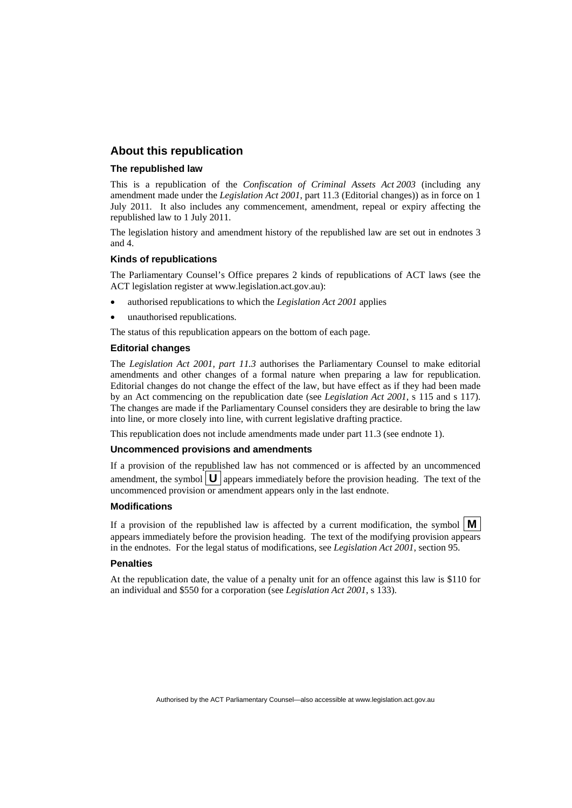## **About this republication**

#### **The republished law**

This is a republication of the *Confiscation of Criminal Assets Act 2003* (including any amendment made under the *Legislation Act 2001*, part 11.3 (Editorial changes)) as in force on 1 July 2011*.* It also includes any commencement, amendment, repeal or expiry affecting the republished law to 1 July 2011.

The legislation history and amendment history of the republished law are set out in endnotes 3 and 4.

#### **Kinds of republications**

The Parliamentary Counsel's Office prepares 2 kinds of republications of ACT laws (see the ACT legislation register at www.legislation.act.gov.au):

- authorised republications to which the *Legislation Act 2001* applies
- unauthorised republications.

The status of this republication appears on the bottom of each page.

#### **Editorial changes**

The *Legislation Act 2001, part 11.3* authorises the Parliamentary Counsel to make editorial amendments and other changes of a formal nature when preparing a law for republication. Editorial changes do not change the effect of the law, but have effect as if they had been made by an Act commencing on the republication date (see *Legislation Act 2001*, s 115 and s 117). The changes are made if the Parliamentary Counsel considers they are desirable to bring the law into line, or more closely into line, with current legislative drafting practice.

This republication does not include amendments made under part 11.3 (see endnote 1).

#### **Uncommenced provisions and amendments**

If a provision of the republished law has not commenced or is affected by an uncommenced amendment, the symbol  $\mathbf{U}$  appears immediately before the provision heading. The text of the uncommenced provision  $\overline{or}$  amendment appears only in the last endnote.

#### **Modifications**

If a provision of the republished law is affected by a current modification, the symbol  $\mathbf{M}$ appears immediately before the provision heading. The text of the modifying provision appears in the endnotes. For the legal status of modifications, see *Legislation Act 2001*, section 95.

#### **Penalties**

At the republication date, the value of a penalty unit for an offence against this law is \$110 for an individual and \$550 for a corporation (see *Legislation Act 2001*, s 133).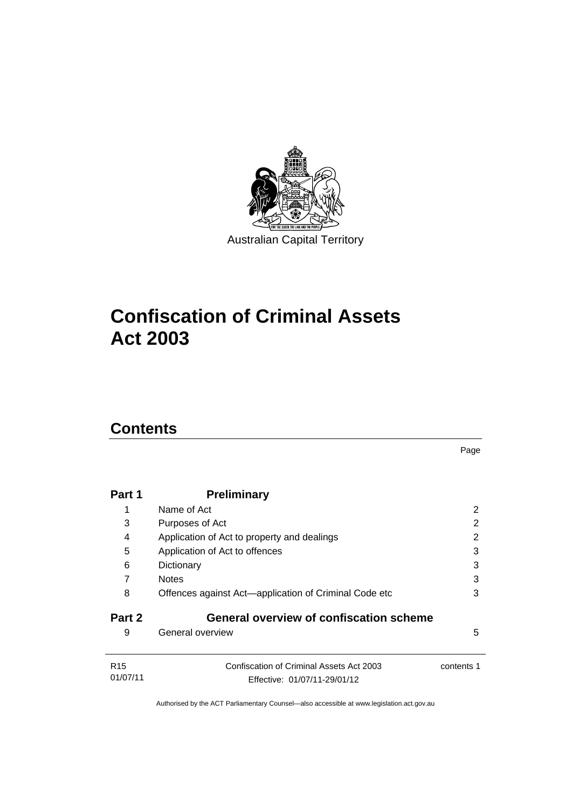

# **Confiscation of Criminal Assets Act 2003**

# **Contents**

|                             |                                                                          | Page       |
|-----------------------------|--------------------------------------------------------------------------|------------|
| Part 1                      | <b>Preliminary</b>                                                       |            |
| 1                           | Name of Act                                                              | 2          |
| 3                           | Purposes of Act                                                          | 2          |
| 4                           | Application of Act to property and dealings                              | 2          |
| 5                           | Application of Act to offences                                           | 3          |
| 6                           | Dictionary                                                               | 3          |
| 7                           | <b>Notes</b>                                                             | 3          |
| 8                           | Offences against Act-application of Criminal Code etc                    | 3          |
| Part 2                      | <b>General overview of confiscation scheme</b>                           |            |
| 9                           | General overview                                                         | 5          |
| R <sub>15</sub><br>01/07/11 | Confiscation of Criminal Assets Act 2003<br>Effective: 01/07/11-29/01/12 | contents 1 |
|                             |                                                                          |            |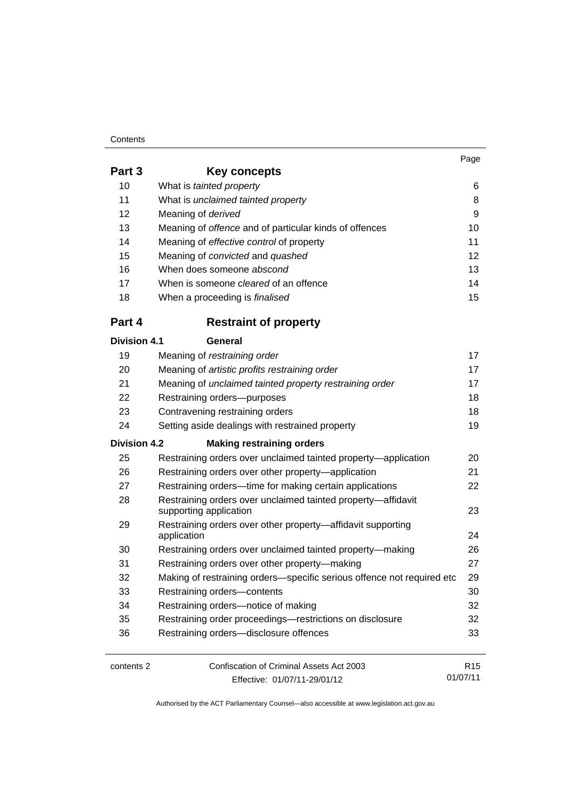#### **Contents**

| Page |
|------|
|      |

| Part 3              | <b>Key concepts</b>                                                                    |                 |
|---------------------|----------------------------------------------------------------------------------------|-----------------|
| 10                  | What is tainted property                                                               | 6               |
| 11                  | What is unclaimed tainted property                                                     | 8               |
| 12                  | Meaning of derived                                                                     | 9               |
| 13                  | Meaning of offence and of particular kinds of offences                                 | 10              |
| 14                  | Meaning of effective control of property                                               | 11              |
| 15                  | Meaning of convicted and quashed                                                       | 12              |
| 16                  | When does someone abscond                                                              | 13              |
| 17                  | When is someone <i>cleared</i> of an offence                                           | 14              |
| 18                  | When a proceeding is finalised                                                         | 15              |
| Part 4              | <b>Restraint of property</b>                                                           |                 |
| <b>Division 4.1</b> | General                                                                                |                 |
| 19                  | Meaning of restraining order                                                           | 17              |
| 20                  | Meaning of artistic profits restraining order                                          | 17              |
| 21                  | Meaning of unclaimed tainted property restraining order                                | 17              |
| 22                  | Restraining orders-purposes                                                            | 18              |
| 23                  | Contravening restraining orders                                                        | 18              |
| 24                  | Setting aside dealings with restrained property                                        | 19              |
| <b>Division 4.2</b> | <b>Making restraining orders</b>                                                       |                 |
| 25                  | Restraining orders over unclaimed tainted property—application                         | 20              |
| 26                  | Restraining orders over other property-application                                     | 21              |
| 27                  | Restraining orders—time for making certain applications                                | 22              |
| 28                  | Restraining orders over unclaimed tainted property-affidavit<br>supporting application | 23              |
| 29                  | Restraining orders over other property-affidavit supporting                            |                 |
|                     | application                                                                            | 24              |
| 30                  | Restraining orders over unclaimed tainted property-making                              | 26              |
| 31                  | Restraining orders over other property-making                                          | 27              |
| 32                  | Making of restraining orders-specific serious offence not required etc                 | 29              |
| 33                  | Restraining orders-contents                                                            | 30              |
| 34                  | Restraining orders-notice of making                                                    | 32              |
| 35                  | Restraining order proceedings-restrictions on disclosure                               | 32              |
| 36                  | Restraining orders-disclosure offences                                                 | 33              |
| contents 2          | Confiscation of Criminal Assets Act 2003                                               | R <sub>15</sub> |
|                     | Effective: 01/07/11-29/01/12                                                           | 01/07/11        |

Effective: 01/07/11-29/01/12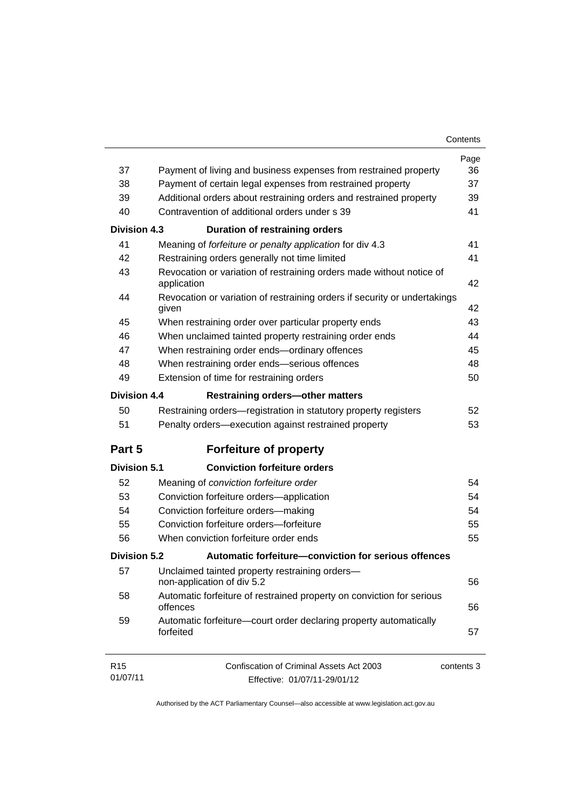| Contents |  |
|----------|--|
|----------|--|

|                     |                                                                                     | Page       |
|---------------------|-------------------------------------------------------------------------------------|------------|
| 37                  | Payment of living and business expenses from restrained property                    | 36         |
| 38                  | Payment of certain legal expenses from restrained property                          | 37         |
| 39                  | Additional orders about restraining orders and restrained property                  | 39         |
| 40                  | Contravention of additional orders under s 39                                       | 41         |
| <b>Division 4.3</b> | <b>Duration of restraining orders</b>                                               |            |
| 41                  | Meaning of forfeiture or penalty application for div 4.3                            | 41         |
| 42                  | Restraining orders generally not time limited                                       | 41         |
| 43                  | Revocation or variation of restraining orders made without notice of<br>application | 42         |
| 44                  | Revocation or variation of restraining orders if security or undertakings<br>given  | 42         |
| 45                  | When restraining order over particular property ends                                | 43         |
| 46                  | When unclaimed tainted property restraining order ends                              | 44         |
| 47                  | When restraining order ends-ordinary offences                                       | 45         |
| 48                  | When restraining order ends-serious offences                                        | 48         |
| 49                  | Extension of time for restraining orders                                            | 50         |
| <b>Division 4.4</b> | <b>Restraining orders-other matters</b>                                             |            |
| 50                  | Restraining orders—registration in statutory property registers                     | 52         |
| 51                  | Penalty orders—execution against restrained property                                | 53         |
| Part 5              | <b>Forfeiture of property</b>                                                       |            |
| <b>Division 5.1</b> | <b>Conviction forfeiture orders</b>                                                 |            |
| 52                  | Meaning of conviction forfeiture order                                              | 54         |
| 53                  | Conviction forfeiture orders-application                                            | 54         |
| 54                  | Conviction forfeiture orders-making                                                 | 54         |
| 55                  | Conviction forfeiture orders-forfeiture                                             | 55         |
| 56                  | When conviction forfeiture order ends                                               | 55         |
| <b>Division 5.2</b> | Automatic forfeiture-conviction for serious offences                                |            |
| 57                  | Unclaimed tainted property restraining orders-<br>non-application of div 5.2        | 56         |
| 58                  | Automatic forfeiture of restrained property on conviction for serious<br>offences   | 56         |
| 59                  | Automatic forfeiture-court order declaring property automatically<br>forfeited      | 57         |
| R <sub>15</sub>     | Confiscation of Criminal Assets Act 2003                                            | contents 3 |
| 01/07/11            | Effective: 01/07/11-29/01/12                                                        |            |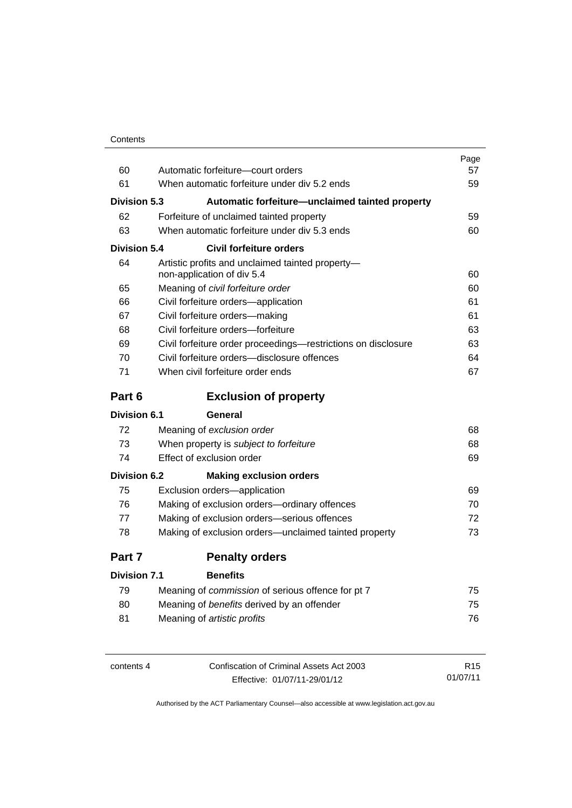| Contents |
|----------|
|----------|

| 60                  | Automatic forfeiture-court orders                                              | Page<br>57 |
|---------------------|--------------------------------------------------------------------------------|------------|
| 61                  | When automatic forfeiture under div 5.2 ends                                   | 59         |
|                     |                                                                                |            |
| Division 5.3        | Automatic forfeiture-unclaimed tainted property                                |            |
| 62                  | Forfeiture of unclaimed tainted property                                       | 59         |
| 63                  | When automatic forfeiture under div 5.3 ends                                   | 60         |
| Division 5.4        | <b>Civil forfeiture orders</b>                                                 |            |
| 64                  | Artistic profits and unclaimed tainted property-<br>non-application of div 5.4 | 60         |
| 65                  | Meaning of civil forfeiture order                                              | 60         |
| 66                  | Civil forfeiture orders-application                                            | 61         |
| 67                  | Civil forfeiture orders-making                                                 | 61         |
| 68                  | Civil forfeiture orders-forfeiture                                             | 63         |
| 69                  | Civil forfeiture order proceedings-restrictions on disclosure                  | 63         |
| 70                  | Civil forfeiture orders-disclosure offences                                    | 64         |
| 71                  | When civil forfeiture order ends                                               | 67         |
| Part 6              | <b>Exclusion of property</b>                                                   |            |
| <b>Division 6.1</b> | General                                                                        |            |
| 72                  | Meaning of exclusion order                                                     | 68         |
| 73                  | When property is subject to forfeiture                                         | 68         |
| 74                  | Effect of exclusion order                                                      | 69         |
| <b>Division 6.2</b> | <b>Making exclusion orders</b>                                                 |            |
| 75                  | Exclusion orders-application                                                   | 69         |
| 76                  | Making of exclusion orders-ordinary offences                                   | 70         |
| 77                  | Making of exclusion orders-serious offences                                    | 72         |
| 78                  | Making of exclusion orders—unclaimed tainted property                          | 73         |
| Part 7              | <b>Penalty orders</b>                                                          |            |
| <b>Division 7.1</b> | <b>Benefits</b>                                                                |            |
| 79                  | Meaning of commission of serious offence for pt 7                              | 75         |
| 80                  | Meaning of benefits derived by an offender                                     | 75         |

| contents 4 | Confiscation of Criminal Assets Act 2003 | R <sub>15</sub> |
|------------|------------------------------------------|-----------------|
|            | Effective: 01/07/11-29/01/12             | 01/07/11        |

81 Meaning of *artistic profits* [76](#page-89-0)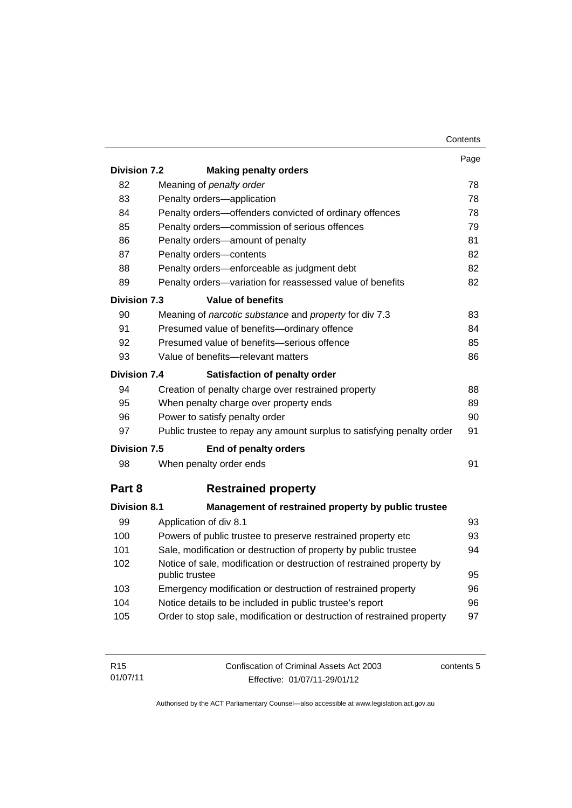|                     |                                                                                         | Contents |
|---------------------|-----------------------------------------------------------------------------------------|----------|
|                     |                                                                                         | Page     |
| <b>Division 7.2</b> | <b>Making penalty orders</b>                                                            |          |
| 82                  | Meaning of penalty order                                                                | 78       |
| 83                  | Penalty orders-application                                                              | 78       |
| 84                  | Penalty orders-offenders convicted of ordinary offences                                 | 78       |
| 85                  | Penalty orders-commission of serious offences                                           | 79       |
| 86                  | Penalty orders-amount of penalty                                                        | 81       |
| 87                  | Penalty orders-contents                                                                 | 82       |
| 88                  | Penalty orders-enforceable as judgment debt                                             | 82       |
| 89                  | Penalty orders-variation for reassessed value of benefits                               | 82       |
| <b>Division 7.3</b> | <b>Value of benefits</b>                                                                |          |
| 90                  | Meaning of narcotic substance and property for div 7.3                                  | 83       |
| 91                  | Presumed value of benefits-ordinary offence                                             | 84       |
| 92                  | Presumed value of benefits-serious offence                                              | 85       |
| 93                  | Value of benefits-relevant matters                                                      | 86       |
| Division 7.4        | Satisfaction of penalty order                                                           |          |
| 94                  | Creation of penalty charge over restrained property                                     | 88       |
| 95                  | When penalty charge over property ends                                                  | 89       |
| 96                  | Power to satisfy penalty order                                                          | 90       |
| 97                  | Public trustee to repay any amount surplus to satisfying penalty order                  | 91       |
| <b>Division 7.5</b> | End of penalty orders                                                                   |          |
| 98                  | When penalty order ends                                                                 | 91       |
| Part 8              | <b>Restrained property</b>                                                              |          |
| <b>Division 8.1</b> | Management of restrained property by public trustee                                     |          |
| 99                  | Application of div 8.1                                                                  | 93       |
| 100                 | Powers of public trustee to preserve restrained property etc                            | 93       |
| 101                 | Sale, modification or destruction of property by public trustee                         | 94       |
| 102                 | Notice of sale, modification or destruction of restrained property by<br>public trustee | 95       |
| 103                 | Emergency modification or destruction of restrained property                            | 96       |
| 104                 | Notice details to be included in public trustee's report                                | 96       |
| 105                 | Order to stop sale, modification or destruction of restrained property                  | 97       |
|                     |                                                                                         |          |

| R <sub>15</sub> | Confiscation of Criminal Assets Act 2003 | contents 5 |
|-----------------|------------------------------------------|------------|
| 01/07/11        | Effective: 01/07/11-29/01/12             |            |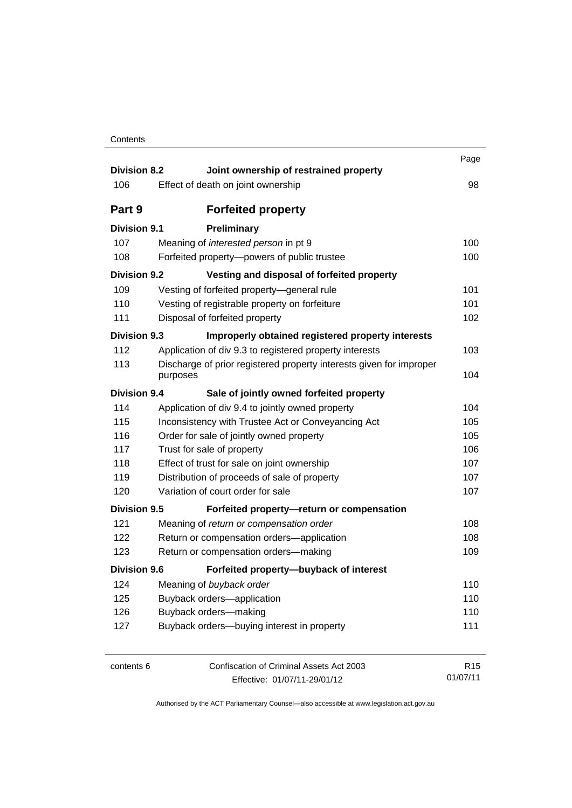| Contents |
|----------|
|----------|

| <b>Division 8.2</b> | Joint ownership of restrained property                              | Page            |
|---------------------|---------------------------------------------------------------------|-----------------|
| 106                 | Effect of death on joint ownership                                  | 98              |
| Part 9              | <b>Forfeited property</b>                                           |                 |
| <b>Division 9.1</b> | Preliminary                                                         |                 |
| 107                 | Meaning of interested person in pt 9                                | 100             |
| 108                 | Forfeited property-powers of public trustee                         | 100             |
| <b>Division 9.2</b> | Vesting and disposal of forfeited property                          |                 |
| 109                 | Vesting of forfeited property-general rule                          | 101             |
| 110                 | Vesting of registrable property on forfeiture                       | 101             |
| 111                 | Disposal of forfeited property                                      | 102             |
| <b>Division 9.3</b> | Improperly obtained registered property interests                   |                 |
| 112                 | Application of div 9.3 to registered property interests             | 103             |
| 113                 | Discharge of prior registered property interests given for improper |                 |
|                     | purposes                                                            | 104             |
| Division 9.4        | Sale of jointly owned forfeited property                            |                 |
| 114                 | Application of div 9.4 to jointly owned property                    | 104             |
| 115                 | Inconsistency with Trustee Act or Conveyancing Act                  | 105             |
| 116                 | Order for sale of jointly owned property                            | 105             |
| 117                 | Trust for sale of property                                          | 106             |
| 118                 | Effect of trust for sale on joint ownership                         | 107             |
| 119                 | Distribution of proceeds of sale of property                        | 107             |
| 120                 | Variation of court order for sale                                   | 107             |
| <b>Division 9.5</b> | Forfeited property-return or compensation                           |                 |
| 121                 | Meaning of return or compensation order                             | 108             |
| 122                 | Return or compensation orders-application                           | 108             |
| 123                 | Return or compensation orders-making                                | 109             |
| <b>Division 9.6</b> | Forfeited property-buyback of interest                              |                 |
| 124                 | Meaning of buyback order                                            | 110             |
| 125                 | Buyback orders-application                                          | 110             |
| 126                 | Buyback orders-making                                               | 110             |
| 127                 | Buyback orders-buying interest in property                          | 111             |
| contents 6          | Confiscation of Criminal Assets Act 2003                            | R <sub>15</sub> |
|                     | Effective: 01/07/11-29/01/12                                        | 01/07/11        |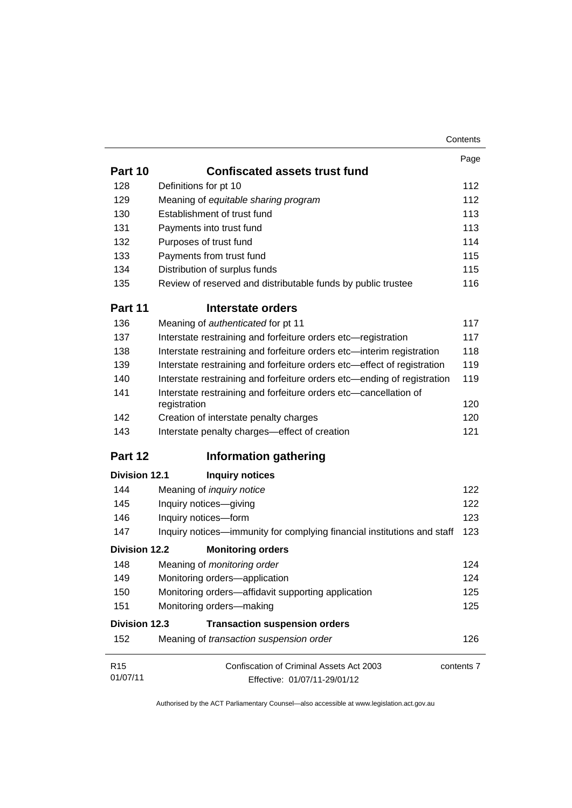|                      |                                                                                  | Contents   |
|----------------------|----------------------------------------------------------------------------------|------------|
|                      |                                                                                  | Page       |
| Part 10              | <b>Confiscated assets trust fund</b>                                             |            |
| 128                  | Definitions for pt 10                                                            | 112        |
| 129                  | Meaning of equitable sharing program                                             | 112        |
| 130                  | Establishment of trust fund                                                      | 113        |
| 131                  | Payments into trust fund                                                         | 113        |
| 132                  | Purposes of trust fund                                                           | 114        |
| 133                  | Payments from trust fund                                                         | 115        |
| 134                  | Distribution of surplus funds                                                    | 115        |
| 135                  | Review of reserved and distributable funds by public trustee                     | 116        |
| Part 11              | Interstate orders                                                                |            |
| 136                  | Meaning of authenticated for pt 11                                               | 117        |
| 137                  | Interstate restraining and forfeiture orders etc-registration                    | 117        |
| 138                  | Interstate restraining and forfeiture orders etc-interim registration            | 118        |
| 139                  | Interstate restraining and forfeiture orders etc-effect of registration          | 119        |
| 140                  | Interstate restraining and forfeiture orders etc—ending of registration          | 119        |
| 141                  | Interstate restraining and forfeiture orders etc-cancellation of<br>registration | 120        |
| 142                  | Creation of interstate penalty charges                                           | 120        |
| 143                  | Interstate penalty charges-effect of creation                                    | 121        |
| Part 12              | <b>Information gathering</b>                                                     |            |
| <b>Division 12.1</b> | <b>Inquiry notices</b>                                                           |            |
| 144                  | Meaning of <i>inquiry notice</i>                                                 | 122        |
| 145                  | Inquiry notices-giving                                                           | 122        |
| 146                  | Inquiry notices-form                                                             | 123        |
| 147                  | Inquiry notices—immunity for complying financial institutions and staff          | 123        |
| <b>Division 12.2</b> | <b>Monitoring orders</b>                                                         |            |
| 148                  | Meaning of <i>monitoring order</i>                                               | 124        |
| 149                  | Monitoring orders-application                                                    | 124        |
| 150                  | Monitoring orders-affidavit supporting application                               | 125        |
| 151                  | Monitoring orders-making                                                         | 125        |
| <b>Division 12.3</b> | <b>Transaction suspension orders</b>                                             |            |
| 152                  | Meaning of transaction suspension order                                          | 126        |
| R <sub>15</sub>      | Confiscation of Criminal Assets Act 2003                                         | contents 7 |
| 01/07/11             | Effective: 01/07/11-29/01/12                                                     |            |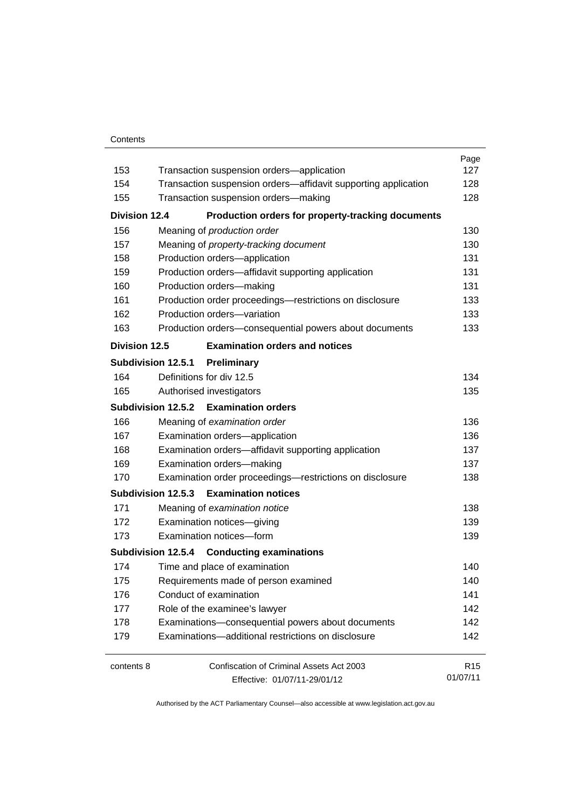#### **Contents**

| 153                  | Transaction suspension orders-application                      | Page<br>127     |  |
|----------------------|----------------------------------------------------------------|-----------------|--|
| 154                  | Transaction suspension orders-affidavit supporting application | 128             |  |
| 155                  | Transaction suspension orders-making                           |                 |  |
|                      |                                                                | 128             |  |
| <b>Division 12.4</b> | Production orders for property-tracking documents              |                 |  |
| 156                  | Meaning of production order                                    | 130             |  |
| 157                  | Meaning of property-tracking document                          | 130             |  |
| 158                  | Production orders-application                                  | 131             |  |
| 159                  | Production orders-affidavit supporting application             | 131             |  |
| 160                  | Production orders-making                                       | 131             |  |
| 161                  | Production order proceedings-restrictions on disclosure        | 133             |  |
| 162                  | Production orders-variation                                    | 133             |  |
| 163                  | Production orders-consequential powers about documents         | 133             |  |
| <b>Division 12.5</b> | <b>Examination orders and notices</b>                          |                 |  |
|                      | Subdivision 12.5.1<br>Preliminary                              |                 |  |
| 164                  | Definitions for div 12.5                                       | 134             |  |
| 165                  | Authorised investigators                                       | 135             |  |
|                      | Subdivision 12.5.2 Examination orders                          |                 |  |
| 166                  | Meaning of examination order                                   | 136             |  |
| 167                  | Examination orders-application                                 | 136             |  |
| 168                  | Examination orders-affidavit supporting application            | 137             |  |
| 169                  | Examination orders-making                                      | 137             |  |
| 170                  | Examination order proceedings-restrictions on disclosure       | 138             |  |
|                      | Subdivision 12.5.3 Examination notices                         |                 |  |
| 171                  | Meaning of examination notice                                  | 138             |  |
| 172                  | Examination notices-giving                                     | 139             |  |
| 173                  | Examination notices-form                                       |                 |  |
|                      | Subdivision 12.5.4 Conducting examinations                     |                 |  |
| 174                  | Time and place of examination                                  | 140             |  |
| 175                  | Requirements made of person examined                           | 140             |  |
| 176                  | Conduct of examination                                         |                 |  |
| 177                  | Role of the examinee's lawyer                                  |                 |  |
| 178                  | Examinations-consequential powers about documents              |                 |  |
| 179                  | Examinations-additional restrictions on disclosure             |                 |  |
| contents 8           | Confiscation of Criminal Assets Act 2003                       | R <sub>15</sub> |  |
|                      | Effective: 01/07/11-29/01/12                                   | 01/07/11        |  |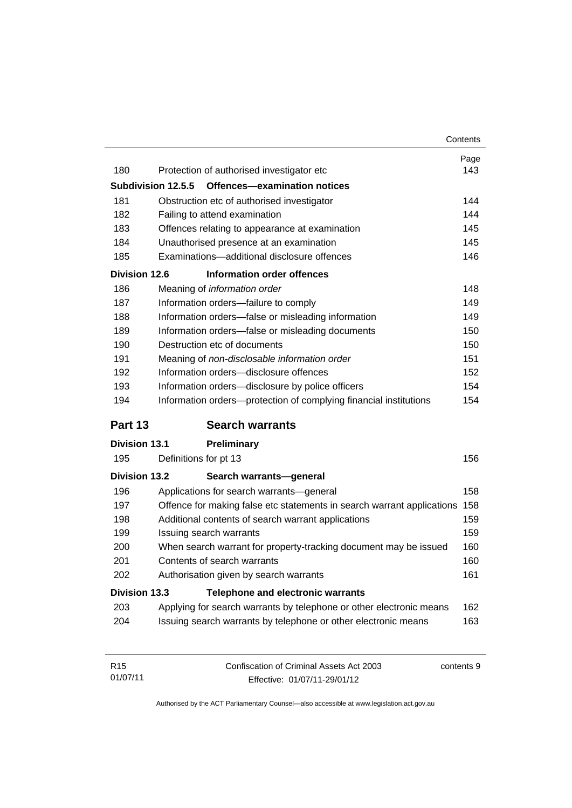|                      |                                                                        | Contents                        |
|----------------------|------------------------------------------------------------------------|---------------------------------|
|                      |                                                                        | Page                            |
| 180                  | Protection of authorised investigator etc                              | 143                             |
| Subdivision 12.5.5   | Offences-examination notices                                           |                                 |
| 181                  | Obstruction etc of authorised investigator                             | 144                             |
| 182                  | Failing to attend examination                                          | 144                             |
| 183                  | Offences relating to appearance at examination                         | 145                             |
| 184                  | Unauthorised presence at an examination                                | 145                             |
| 185                  | Examinations-additional disclosure offences                            | 146                             |
| <b>Division 12.6</b> | Information order offences                                             |                                 |
| 186                  | Meaning of information order                                           | 148                             |
| 187                  | Information orders-failure to comply                                   | 149                             |
| 188                  | Information orders-false or misleading information                     | 149                             |
| 189                  | Information orders-false or misleading documents                       | 150                             |
| 190                  | Destruction etc of documents                                           | 150                             |
| 191                  | Meaning of non-disclosable information order                           | 151                             |
| 192                  | Information orders-disclosure offences                                 | 152                             |
| 193                  | Information orders-disclosure by police officers                       | 154                             |
| 194                  | Information orders-protection of complying financial institutions      | 154                             |
| Part 13              | <b>Search warrants</b>                                                 |                                 |
| <b>Division 13.1</b> | <b>Preliminary</b>                                                     |                                 |
| 195                  | Definitions for pt 13                                                  | 156                             |
| <b>Division 13.2</b> | Search warrants-general                                                |                                 |
| 196                  | Applications for search warrants-general                               | 158                             |
| 197                  | Offence for making false etc statements in search warrant applications | 158                             |
| 198                  | Additional contents of search warrant applications                     |                                 |
|                      |                                                                        |                                 |
| 199                  | Issuing search warrants                                                |                                 |
| 200                  | When search warrant for property-tracking document may be issued       |                                 |
| 201                  | Contents of search warrants                                            |                                 |
| 202                  | Authorisation given by search warrants                                 |                                 |
| <b>Division 13.3</b> | <b>Telephone and electronic warrants</b>                               |                                 |
| 203                  | Applying for search warrants by telephone or other electronic means    | 159<br>160<br>160<br>161<br>162 |

| R <sub>15</sub> | Confiscation of Criminal Assets Act 2003 | contents 9 |
|-----------------|------------------------------------------|------------|
| 01/07/11        | Effective: 01/07/11-29/01/12             |            |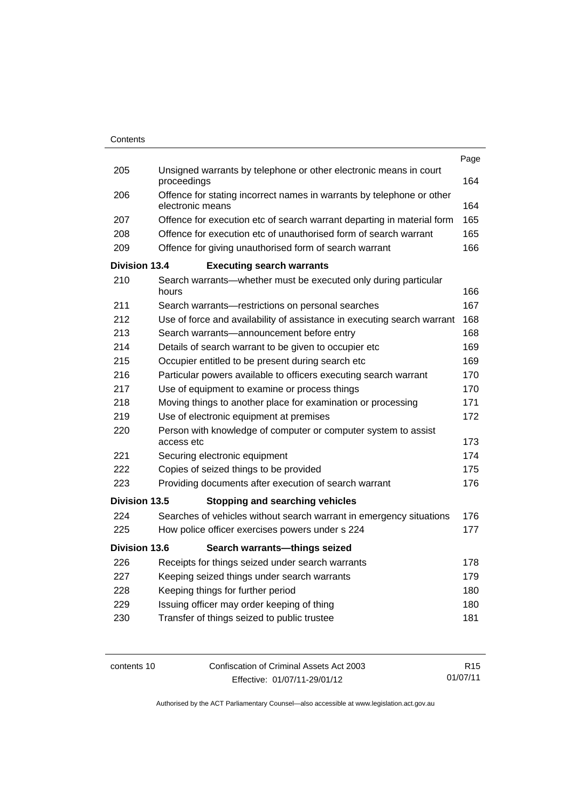|                      |                                                                                           | Page |
|----------------------|-------------------------------------------------------------------------------------------|------|
| 205                  | Unsigned warrants by telephone or other electronic means in court<br>proceedings          | 164  |
| 206                  | Offence for stating incorrect names in warrants by telephone or other<br>electronic means | 164  |
| 207                  | Offence for execution etc of search warrant departing in material form                    | 165  |
| 208                  | Offence for execution etc of unauthorised form of search warrant                          | 165  |
| 209                  | Offence for giving unauthorised form of search warrant                                    | 166  |
| <b>Division 13.4</b> | <b>Executing search warrants</b>                                                          |      |
| 210                  | Search warrants—whether must be executed only during particular<br>hours                  | 166  |
| 211                  | Search warrants-restrictions on personal searches                                         | 167  |
| 212                  | Use of force and availability of assistance in executing search warrant                   | 168  |
| 213                  | Search warrants-announcement before entry                                                 | 168  |
| 214                  | Details of search warrant to be given to occupier etc                                     | 169  |
| 215                  | Occupier entitled to be present during search etc                                         | 169  |
| 216                  | Particular powers available to officers executing search warrant                          | 170  |
| 217                  | Use of equipment to examine or process things                                             | 170  |
| 218                  | Moving things to another place for examination or processing                              | 171  |
| 219                  | Use of electronic equipment at premises                                                   | 172  |
| 220                  | Person with knowledge of computer or computer system to assist<br>access etc              | 173  |
| 221                  | Securing electronic equipment                                                             | 174  |
| 222                  | Copies of seized things to be provided                                                    | 175  |
| 223                  | Providing documents after execution of search warrant                                     | 176  |
| Division 13.5        | <b>Stopping and searching vehicles</b>                                                    |      |
| 224                  | Searches of vehicles without search warrant in emergency situations                       | 176  |
| 225                  | How police officer exercises powers under s 224                                           | 177  |
| <b>Division 13.6</b> | Search warrants-things seized                                                             |      |
| 226                  | Receipts for things seized under search warrants                                          | 178  |
| 227                  | Keeping seized things under search warrants                                               | 179  |
| 228                  | Keeping things for further period                                                         | 180  |
| 229                  | Issuing officer may order keeping of thing                                                | 180  |
| 230                  | Transfer of things seized to public trustee                                               | 181  |
|                      |                                                                                           |      |

contents 10 Confiscation of Criminal Assets Act 2003 Effective: 01/07/11-29/01/12 R15 01/07/11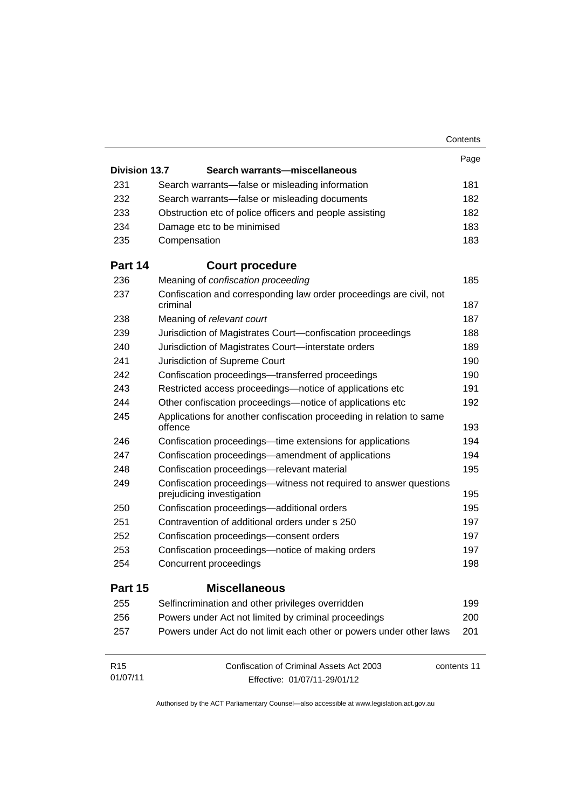|                      |                                                                                                | Contents    |
|----------------------|------------------------------------------------------------------------------------------------|-------------|
|                      |                                                                                                | Page        |
| <b>Division 13.7</b> | Search warrants-miscellaneous                                                                  |             |
| 231                  | Search warrants—false or misleading information                                                | 181         |
| 232                  | Search warrants-false or misleading documents                                                  | 182         |
| 233                  | Obstruction etc of police officers and people assisting                                        | 182         |
| 234                  | Damage etc to be minimised                                                                     | 183         |
| 235                  | Compensation                                                                                   | 183         |
| Part 14              | <b>Court procedure</b>                                                                         |             |
| 236                  | Meaning of confiscation proceeding                                                             | 185         |
| 237                  | Confiscation and corresponding law order proceedings are civil, not<br>criminal                | 187         |
| 238                  | Meaning of relevant court                                                                      | 187         |
| 239                  | Jurisdiction of Magistrates Court-confiscation proceedings                                     | 188         |
| 240                  | Jurisdiction of Magistrates Court-interstate orders                                            | 189         |
| 241                  | Jurisdiction of Supreme Court                                                                  | 190         |
| 242                  | Confiscation proceedings-transferred proceedings                                               | 190         |
| 243                  | Restricted access proceedings—notice of applications etc                                       | 191         |
| 244                  | Other confiscation proceedings—notice of applications etc                                      | 192         |
| 245                  | Applications for another confiscation proceeding in relation to same<br>offence                | 193         |
| 246                  | Confiscation proceedings—time extensions for applications                                      | 194         |
| 247                  | Confiscation proceedings—amendment of applications                                             | 194         |
| 248                  | Confiscation proceedings-relevant material                                                     | 195         |
| 249                  | Confiscation proceedings—witness not required to answer questions<br>prejudicing investigation | 195         |
| 250                  | Confiscation proceedings-additional orders                                                     | 195         |
| 251                  | Contravention of additional orders under s 250                                                 | 197         |
| 252                  | Confiscation proceedings-consent orders                                                        | 197         |
| 253                  | Confiscation proceedings—notice of making orders                                               | 197         |
| 254                  | Concurrent proceedings                                                                         | 198         |
| Part 15              | <b>Miscellaneous</b>                                                                           |             |
| 255                  | Selfincrimination and other privileges overridden                                              | 199         |
| 256                  | Powers under Act not limited by criminal proceedings                                           | 200         |
| 257                  | Powers under Act do not limit each other or powers under other laws                            | 201         |
| R <sub>15</sub>      | Confiscation of Criminal Assets Act 2003                                                       | contents 11 |
| 01/07/11             | Effective: 01/07/11-29/01/12                                                                   |             |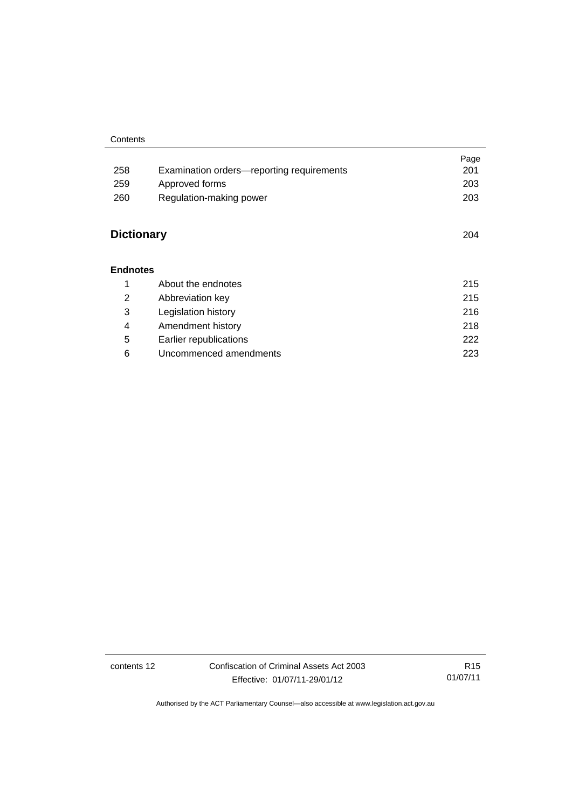|                   |                                           | Page |
|-------------------|-------------------------------------------|------|
| 258               | Examination orders-reporting requirements | 201  |
| 259               | Approved forms                            | 203  |
| 260               | Regulation-making power                   | 203  |
|                   |                                           |      |
| <b>Dictionary</b> |                                           | 204  |
|                   |                                           |      |
| <b>Endnotes</b>   |                                           |      |
| 1                 | About the endnotes                        | 215  |
| 2                 | Abbreviation key                          | 215  |
| 3                 | Legislation history                       | 216  |
| 4                 | Amendment history                         | 218  |
| 5                 | Earlier republications                    | 222  |
| 6                 | Uncommenced amendments                    | 223  |

contents 12 Confiscation of Criminal Assets Act 2003 Effective: 01/07/11-29/01/12

R15 01/07/11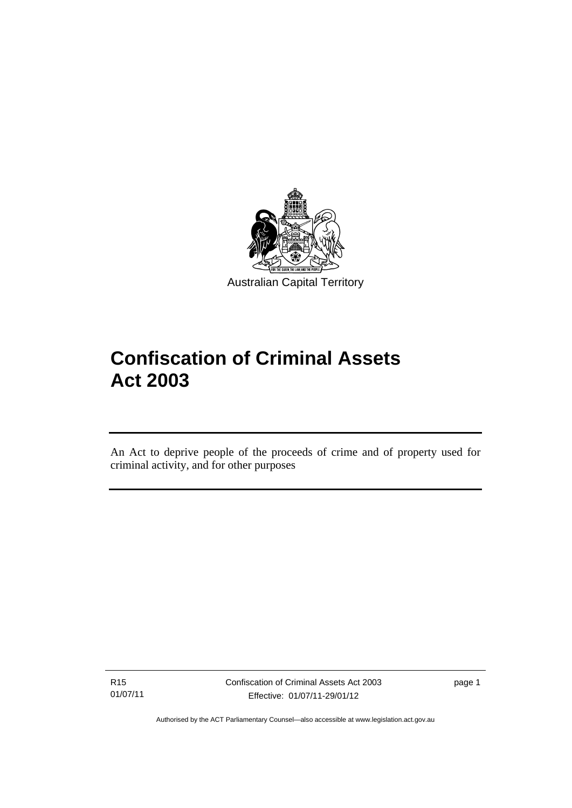

# **Confiscation of Criminal Assets Act 2003**

An Act to deprive people of the proceeds of crime and of property used for criminal activity, and for other purposes

R15 01/07/11

l

Confiscation of Criminal Assets Act 2003 Effective: 01/07/11-29/01/12

page 1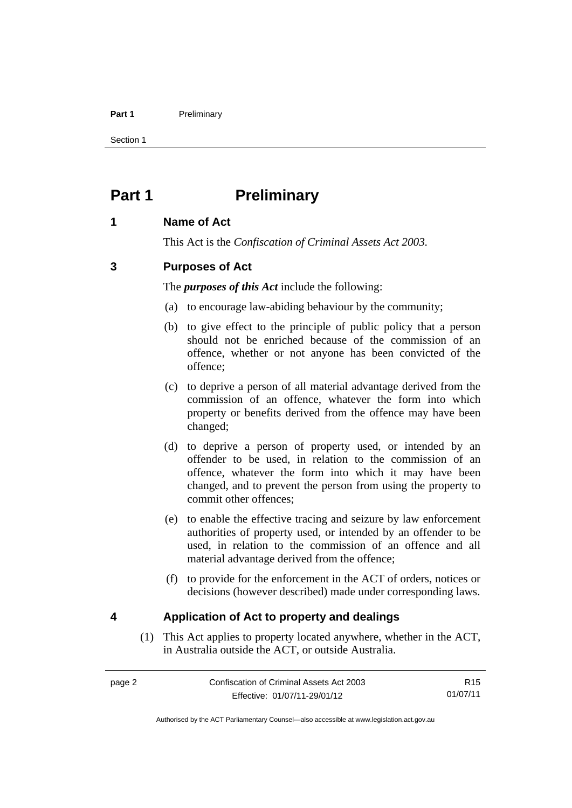#### Part 1 **Preliminary**

Section 1

# <span id="page-15-0"></span>**Part 1** Preliminary

## <span id="page-15-1"></span>**1 Name of Act**

This Act is the *Confiscation of Criminal Assets Act 2003.*

## <span id="page-15-2"></span>**3 Purposes of Act**

The *purposes of this Act* include the following:

- (a) to encourage law-abiding behaviour by the community;
- (b) to give effect to the principle of public policy that a person should not be enriched because of the commission of an offence, whether or not anyone has been convicted of the offence;
- (c) to deprive a person of all material advantage derived from the commission of an offence, whatever the form into which property or benefits derived from the offence may have been changed;
- (d) to deprive a person of property used, or intended by an offender to be used, in relation to the commission of an offence, whatever the form into which it may have been changed, and to prevent the person from using the property to commit other offences;
- (e) to enable the effective tracing and seizure by law enforcement authorities of property used, or intended by an offender to be used, in relation to the commission of an offence and all material advantage derived from the offence;
- (f) to provide for the enforcement in the ACT of orders, notices or decisions (however described) made under corresponding laws.

## <span id="page-15-3"></span>**4 Application of Act to property and dealings**

(1) This Act applies to property located anywhere, whether in the ACT, in Australia outside the ACT, or outside Australia.

R15 01/07/11

Authorised by the ACT Parliamentary Counsel—also accessible at www.legislation.act.gov.au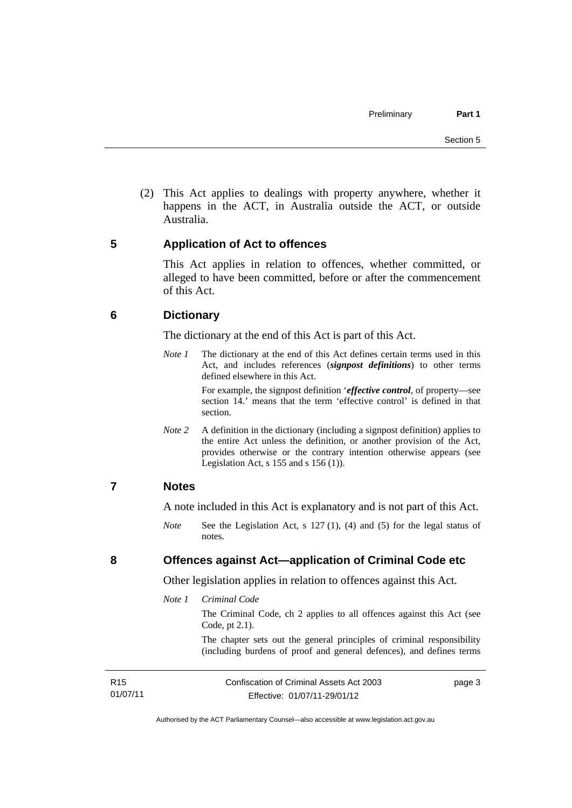(2) This Act applies to dealings with property anywhere, whether it happens in the ACT, in Australia outside the ACT, or outside Australia.

## <span id="page-16-0"></span>**5 Application of Act to offences**

This Act applies in relation to offences, whether committed, or alleged to have been committed, before or after the commencement of this Act.

## <span id="page-16-1"></span>**6 Dictionary**

The dictionary at the end of this Act is part of this Act.

*Note 1* The dictionary at the end of this Act defines certain terms used in this Act, and includes references (*signpost definitions*) to other terms defined elsewhere in this Act.

> For example, the signpost definition '*effective control*, of property—see section 14.' means that the term 'effective control' is defined in that section.

*Note* 2 A definition in the dictionary (including a signpost definition) applies to the entire Act unless the definition, or another provision of the Act, provides otherwise or the contrary intention otherwise appears (see Legislation Act,  $s$  155 and  $s$  156 (1)).

### <span id="page-16-2"></span>**7 Notes**

A note included in this Act is explanatory and is not part of this Act.

*Note* See the Legislation Act, s 127 (1), (4) and (5) for the legal status of notes.

<span id="page-16-3"></span>**8 Offences against Act—application of Criminal Code etc** 

Other legislation applies in relation to offences against this Act.

*Note 1 Criminal Code*

The Criminal Code, ch 2 applies to all offences against this Act (see Code, pt 2.1).

The chapter sets out the general principles of criminal responsibility (including burdens of proof and general defences), and defines terms

| R15      | Confiscation of Criminal Assets Act 2003 | page 3 |
|----------|------------------------------------------|--------|
| 01/07/11 | Effective: 01/07/11-29/01/12             |        |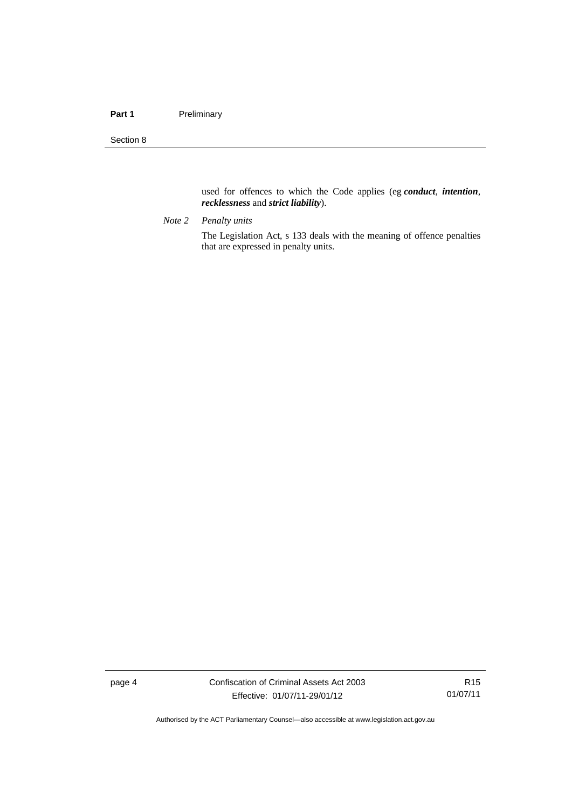#### Part 1 **Preliminary**

Section 8

used for offences to which the Code applies (eg *conduct*, *intention*, *recklessness* and *strict liability*).

*Note 2 Penalty units* 

The Legislation Act, s 133 deals with the meaning of offence penalties that are expressed in penalty units.

page 4 Confiscation of Criminal Assets Act 2003 Effective: 01/07/11-29/01/12

R15 01/07/11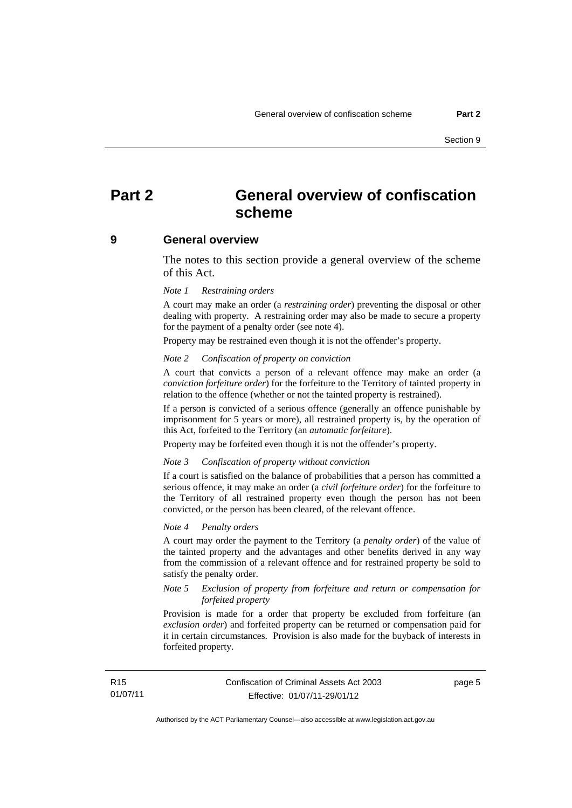## <span id="page-18-0"></span>**Part 2 General overview of confiscation scheme**

#### <span id="page-18-1"></span>**9 General overview**

The notes to this section provide a general overview of the scheme of this Act.

#### *Note 1 Restraining orders*

A court may make an order (a *restraining order*) preventing the disposal or other dealing with property. A restraining order may also be made to secure a property for the payment of a penalty order (see note 4).

Property may be restrained even though it is not the offender's property.

#### *Note 2 Confiscation of property on conviction*

A court that convicts a person of a relevant offence may make an order (a *conviction forfeiture order*) for the forfeiture to the Territory of tainted property in relation to the offence (whether or not the tainted property is restrained).

If a person is convicted of a serious offence (generally an offence punishable by imprisonment for 5 years or more), all restrained property is, by the operation of this Act, forfeited to the Territory (an *automatic forfeiture*).

Property may be forfeited even though it is not the offender's property.

#### *Note 3 Confiscation of property without conviction*

If a court is satisfied on the balance of probabilities that a person has committed a serious offence, it may make an order (a *civil forfeiture order*) for the forfeiture to the Territory of all restrained property even though the person has not been convicted, or the person has been cleared, of the relevant offence.

#### *Note 4 Penalty orders*

A court may order the payment to the Territory (a *penalty order*) of the value of the tainted property and the advantages and other benefits derived in any way from the commission of a relevant offence and for restrained property be sold to satisfy the penalty order.

#### *Note 5 Exclusion of property from forfeiture and return or compensation for forfeited property*

Provision is made for a order that property be excluded from forfeiture (an *exclusion order*) and forfeited property can be returned or compensation paid for it in certain circumstances. Provision is also made for the buyback of interests in forfeited property.

page 5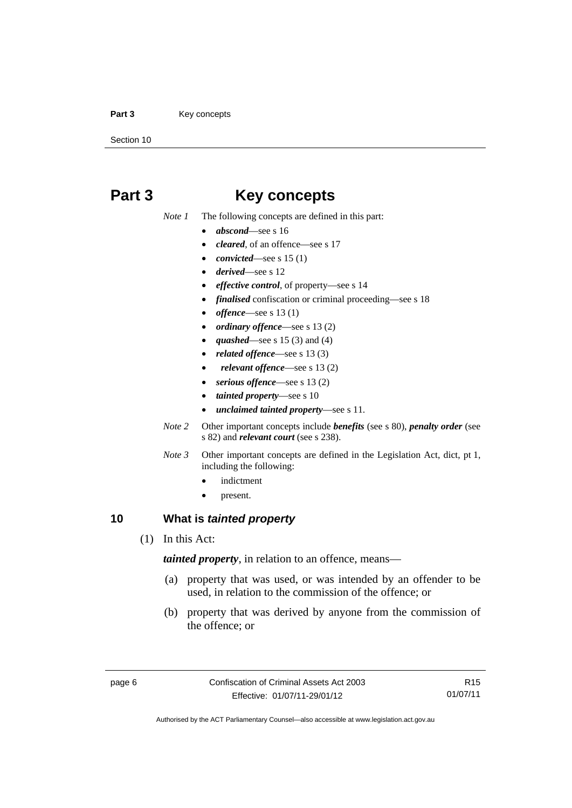#### Part 3 **Key concepts**

Section 10

## <span id="page-19-0"></span>**Part 3 Key concepts**

*Note 1* The following concepts are defined in this part:

- *abscond*—see s 16
- *cleared*, of an offence—see s 17
- *convicted*—see s 15 (1)
- *derived*—see s 12
- *effective control*, of property—see s 14
- *finalised* confiscation or criminal proceeding—see s 18
- *offence*—see s 13 (1)
- *ordinary offence*—see s 13 (2)
- *quashed*—see s 15 (3) and (4)
- *related offence*—see s 13 (3)
- *relevant offence*—see s 13 (2)
- *serious offence*—see s 13 (2)
- *tainted property*—see s 10
- *unclaimed tainted property*—see s 11.
- *Note 2* Other important concepts include *benefits* (see s 80), *penalty order* (see s 82) and *relevant court* (see s 238).
- *Note 3* Other important concepts are defined in the Legislation Act, dict, pt 1, including the following:
	- indictment
	- present.

## <span id="page-19-1"></span>**10 What is** *tainted property*

(1) In this Act:

*tainted property*, in relation to an offence, means—

- (a) property that was used, or was intended by an offender to be used, in relation to the commission of the offence; or
- (b) property that was derived by anyone from the commission of the offence; or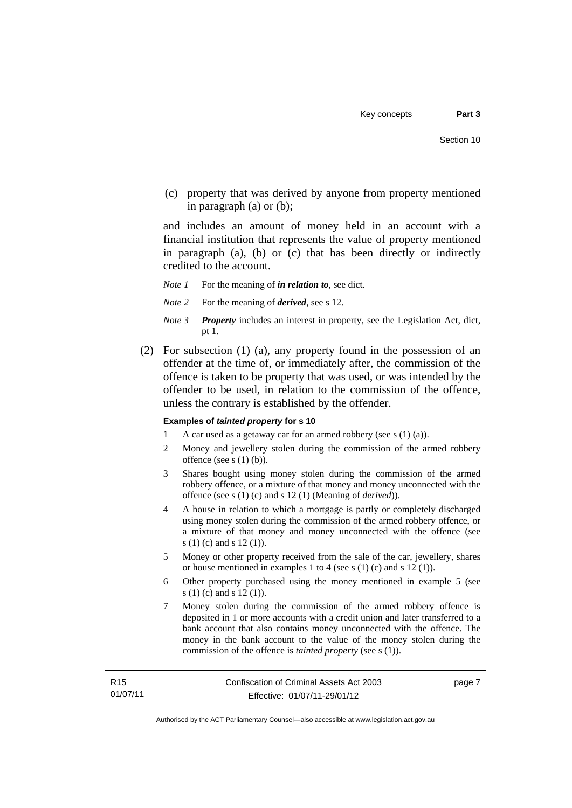(c) property that was derived by anyone from property mentioned in paragraph (a) or (b);

and includes an amount of money held in an account with a financial institution that represents the value of property mentioned in paragraph (a), (b) or (c) that has been directly or indirectly credited to the account.

- *Note 1* For the meaning of *in relation to*, see dict.
- *Note 2* For the meaning of *derived*, see s 12.
- *Note 3 Property* includes an interest in property, see the Legislation Act, dict, pt 1.
- (2) For subsection (1) (a), any property found in the possession of an offender at the time of, or immediately after, the commission of the offence is taken to be property that was used, or was intended by the offender to be used, in relation to the commission of the offence, unless the contrary is established by the offender.

#### **Examples of** *tainted property* **for s 10**

- 1 A car used as a getaway car for an armed robbery (see s (1) (a)).
- 2 Money and jewellery stolen during the commission of the armed robbery offence (see s (1) (b)).
- 3 Shares bought using money stolen during the commission of the armed robbery offence, or a mixture of that money and money unconnected with the offence (see s (1) (c) and s 12 (1) (Meaning of *derived*)).
- 4 A house in relation to which a mortgage is partly or completely discharged using money stolen during the commission of the armed robbery offence, or a mixture of that money and money unconnected with the offence (see s (1) (c) and s 12 (1)).
- 5 Money or other property received from the sale of the car, jewellery, shares or house mentioned in examples 1 to 4 (see s (1) (c) and s 12 (1)).
- 6 Other property purchased using the money mentioned in example 5 (see s (1) (c) and s 12 (1)).
- 7 Money stolen during the commission of the armed robbery offence is deposited in 1 or more accounts with a credit union and later transferred to a bank account that also contains money unconnected with the offence. The money in the bank account to the value of the money stolen during the commission of the offence is *tainted property* (see s (1)).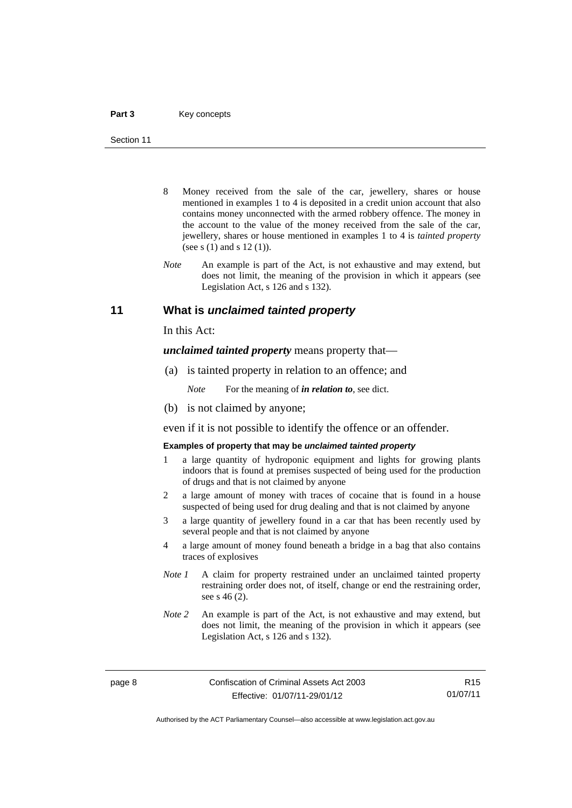- 8 Money received from the sale of the car, jewellery, shares or house mentioned in examples 1 to 4 is deposited in a credit union account that also contains money unconnected with the armed robbery offence. The money in the account to the value of the money received from the sale of the car, jewellery, shares or house mentioned in examples 1 to 4 is *tainted property* (see s (1) and s 12 (1)).
- *Note* An example is part of the Act, is not exhaustive and may extend, but does not limit, the meaning of the provision in which it appears (see Legislation Act, s 126 and s 132).

### <span id="page-21-0"></span>**11 What is** *unclaimed tainted property*

In this Act:

*unclaimed tainted property* means property that—

(a) is tainted property in relation to an offence; and

*Note* For the meaning of *in relation to*, see dict.

(b) is not claimed by anyone;

even if it is not possible to identify the offence or an offender.

#### **Examples of property that may be** *unclaimed tainted property*

- 1 a large quantity of hydroponic equipment and lights for growing plants indoors that is found at premises suspected of being used for the production of drugs and that is not claimed by anyone
- 2 a large amount of money with traces of cocaine that is found in a house suspected of being used for drug dealing and that is not claimed by anyone
- 3 a large quantity of jewellery found in a car that has been recently used by several people and that is not claimed by anyone
- 4 a large amount of money found beneath a bridge in a bag that also contains traces of explosives
- *Note 1* A claim for property restrained under an unclaimed tainted property restraining order does not, of itself, change or end the restraining order, see s 46 (2).
- *Note 2* An example is part of the Act, is not exhaustive and may extend, but does not limit, the meaning of the provision in which it appears (see Legislation Act, s 126 and s 132).

R15 01/07/11

Authorised by the ACT Parliamentary Counsel—also accessible at www.legislation.act.gov.au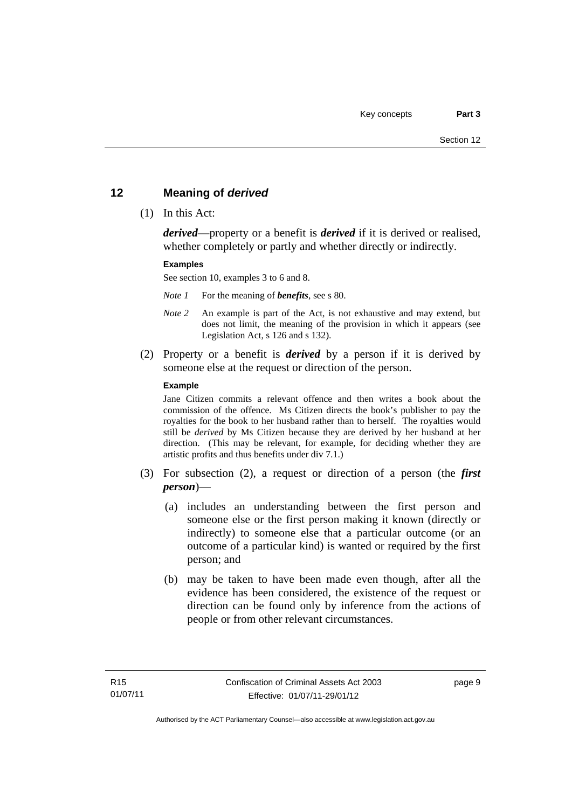## <span id="page-22-0"></span>**12 Meaning of** *derived*

(1) In this Act:

*derived*—property or a benefit is *derived* if it is derived or realised, whether completely or partly and whether directly or indirectly.

#### **Examples**

See section 10, examples 3 to 6 and 8.

*Note 1* For the meaning of *benefits*, see s 80.

- *Note 2* An example is part of the Act, is not exhaustive and may extend, but does not limit, the meaning of the provision in which it appears (see Legislation Act, s 126 and s 132).
- (2) Property or a benefit is *derived* by a person if it is derived by someone else at the request or direction of the person.

#### **Example**

Jane Citizen commits a relevant offence and then writes a book about the commission of the offence. Ms Citizen directs the book's publisher to pay the royalties for the book to her husband rather than to herself. The royalties would still be *derived* by Ms Citizen because they are derived by her husband at her direction. (This may be relevant, for example, for deciding whether they are artistic profits and thus benefits under div 7.1.)

- (3) For subsection (2), a request or direction of a person (the *first person*)—
	- (a) includes an understanding between the first person and someone else or the first person making it known (directly or indirectly) to someone else that a particular outcome (or an outcome of a particular kind) is wanted or required by the first person; and
	- (b) may be taken to have been made even though, after all the evidence has been considered, the existence of the request or direction can be found only by inference from the actions of people or from other relevant circumstances.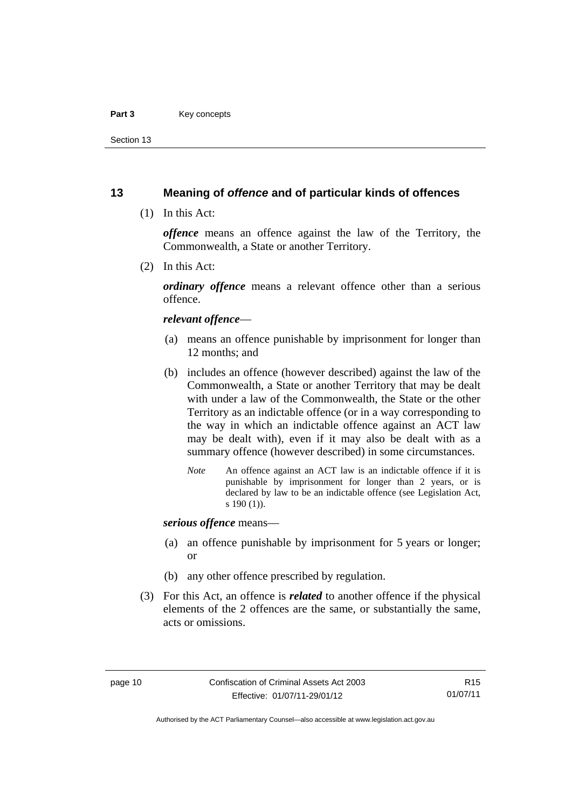#### Part 3 **Key concepts**

Section 13

## <span id="page-23-0"></span>**13 Meaning of** *offence* **and of particular kinds of offences**

(1) In this Act:

*offence* means an offence against the law of the Territory, the Commonwealth, a State or another Territory.

(2) In this Act:

*ordinary offence* means a relevant offence other than a serious offence.

#### *relevant offence*—

- (a) means an offence punishable by imprisonment for longer than 12 months; and
- (b) includes an offence (however described) against the law of the Commonwealth, a State or another Territory that may be dealt with under a law of the Commonwealth, the State or the other Territory as an indictable offence (or in a way corresponding to the way in which an indictable offence against an ACT law may be dealt with), even if it may also be dealt with as a summary offence (however described) in some circumstances.
	- *Note* An offence against an ACT law is an indictable offence if it is punishable by imprisonment for longer than 2 years, or is declared by law to be an indictable offence (see Legislation Act, s 190 (1)).

*serious offence* means—

- (a) an offence punishable by imprisonment for 5 years or longer; or
- (b) any other offence prescribed by regulation.
- (3) For this Act, an offence is *related* to another offence if the physical elements of the 2 offences are the same, or substantially the same, acts or omissions.

Authorised by the ACT Parliamentary Counsel—also accessible at www.legislation.act.gov.au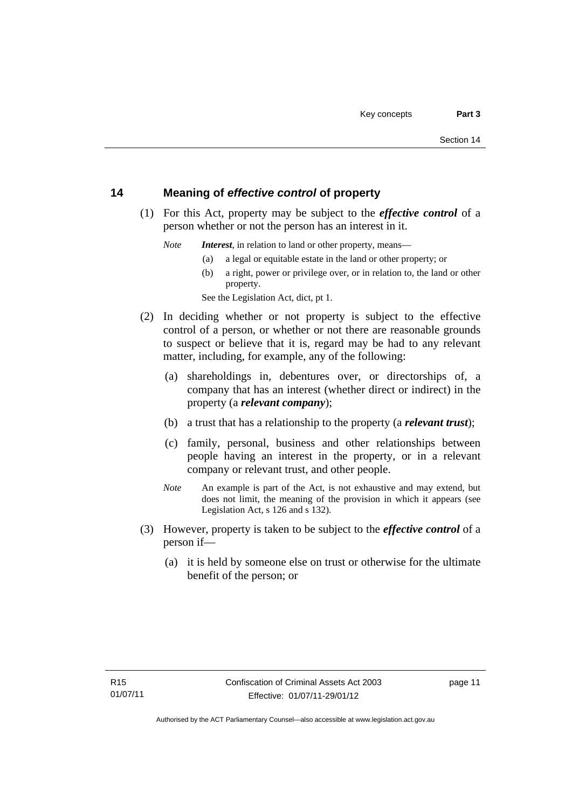## <span id="page-24-0"></span>**14 Meaning of** *effective control* **of property**

 (1) For this Act, property may be subject to the *effective control* of a person whether or not the person has an interest in it.

*Note Interest*, in relation to land or other property, means—

- (a) a legal or equitable estate in the land or other property; or
- (b) a right, power or privilege over, or in relation to, the land or other property.

See the Legislation Act, dict, pt 1.

- (2) In deciding whether or not property is subject to the effective control of a person, or whether or not there are reasonable grounds to suspect or believe that it is, regard may be had to any relevant matter, including, for example, any of the following:
	- (a) shareholdings in, debentures over, or directorships of, a company that has an interest (whether direct or indirect) in the property (a *relevant company*);
	- (b) a trust that has a relationship to the property (a *relevant trust*);
	- (c) family, personal, business and other relationships between people having an interest in the property, or in a relevant company or relevant trust, and other people.
	- *Note* An example is part of the Act, is not exhaustive and may extend, but does not limit, the meaning of the provision in which it appears (see Legislation Act, s 126 and s 132).
- (3) However, property is taken to be subject to the *effective control* of a person if—
	- (a) it is held by someone else on trust or otherwise for the ultimate benefit of the person; or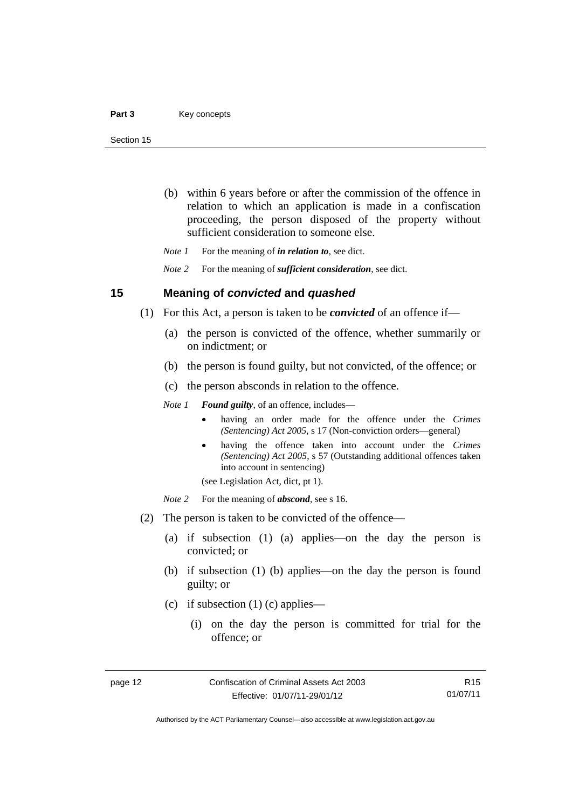- (b) within 6 years before or after the commission of the offence in relation to which an application is made in a confiscation proceeding, the person disposed of the property without sufficient consideration to someone else.
- *Note 1* For the meaning of *in relation to*, see dict.

*Note 2* For the meaning of *sufficient consideration*, see dict.

#### <span id="page-25-0"></span>**15 Meaning of** *convicted* **and** *quashed*

- (1) For this Act, a person is taken to be *convicted* of an offence if—
	- (a) the person is convicted of the offence, whether summarily or on indictment; or
	- (b) the person is found guilty, but not convicted, of the offence; or
	- (c) the person absconds in relation to the offence.

*Note 1 Found guilty*, of an offence, includes—

- having an order made for the offence under the *Crimes (Sentencing) Act 2005*, s 17 (Non-conviction orders—general)
- having the offence taken into account under the *Crimes (Sentencing) Act 2005*, s 57 (Outstanding additional offences taken into account in sentencing)

(see Legislation Act, dict, pt 1).

*Note* 2 For the meaning of *abscond*, see s 16.

- (2) The person is taken to be convicted of the offence—
	- (a) if subsection (1) (a) applies—on the day the person is convicted; or
	- (b) if subsection (1) (b) applies—on the day the person is found guilty; or
	- (c) if subsection (1) (c) applies—
		- (i) on the day the person is committed for trial for the offence; or

R15 01/07/11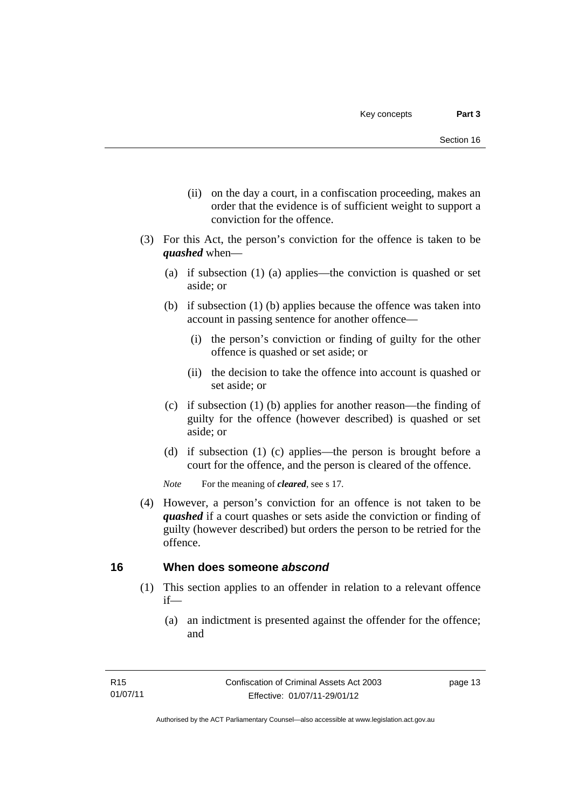- (ii) on the day a court, in a confiscation proceeding, makes an order that the evidence is of sufficient weight to support a conviction for the offence.
- (3) For this Act, the person's conviction for the offence is taken to be *quashed* when—
	- (a) if subsection (1) (a) applies—the conviction is quashed or set aside; or
	- (b) if subsection (1) (b) applies because the offence was taken into account in passing sentence for another offence—
		- (i) the person's conviction or finding of guilty for the other offence is quashed or set aside; or
		- (ii) the decision to take the offence into account is quashed or set aside; or
	- (c) if subsection (1) (b) applies for another reason—the finding of guilty for the offence (however described) is quashed or set aside; or
	- (d) if subsection (1) (c) applies—the person is brought before a court for the offence, and the person is cleared of the offence.

*Note* For the meaning of *cleared*, see s 17.

 (4) However, a person's conviction for an offence is not taken to be *quashed* if a court quashes or sets aside the conviction or finding of guilty (however described) but orders the person to be retried for the offence.

## <span id="page-26-0"></span>**16 When does someone** *abscond*

- (1) This section applies to an offender in relation to a relevant offence if—
	- (a) an indictment is presented against the offender for the offence; and

page 13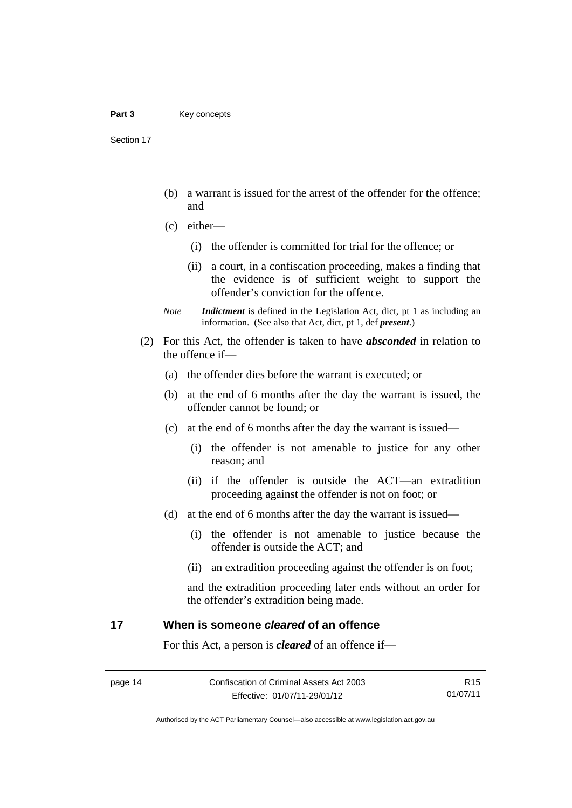Section 17

- (b) a warrant is issued for the arrest of the offender for the offence; and
- (c) either—
	- (i) the offender is committed for trial for the offence; or
	- (ii) a court, in a confiscation proceeding, makes a finding that the evidence is of sufficient weight to support the offender's conviction for the offence.
- *Note Indictment* is defined in the Legislation Act, dict, pt 1 as including an information. (See also that Act, dict, pt 1, def *present*.)
- (2) For this Act, the offender is taken to have *absconded* in relation to the offence if—
	- (a) the offender dies before the warrant is executed; or
	- (b) at the end of 6 months after the day the warrant is issued, the offender cannot be found; or
	- (c) at the end of 6 months after the day the warrant is issued—
		- (i) the offender is not amenable to justice for any other reason; and
		- (ii) if the offender is outside the ACT—an extradition proceeding against the offender is not on foot; or
	- (d) at the end of 6 months after the day the warrant is issued—
		- (i) the offender is not amenable to justice because the offender is outside the ACT; and
		- (ii) an extradition proceeding against the offender is on foot;

and the extradition proceeding later ends without an order for the offender's extradition being made.

## <span id="page-27-0"></span>**17 When is someone** *cleared* **of an offence**

For this Act, a person is *cleared* of an offence if—

R15 01/07/11

Authorised by the ACT Parliamentary Counsel—also accessible at www.legislation.act.gov.au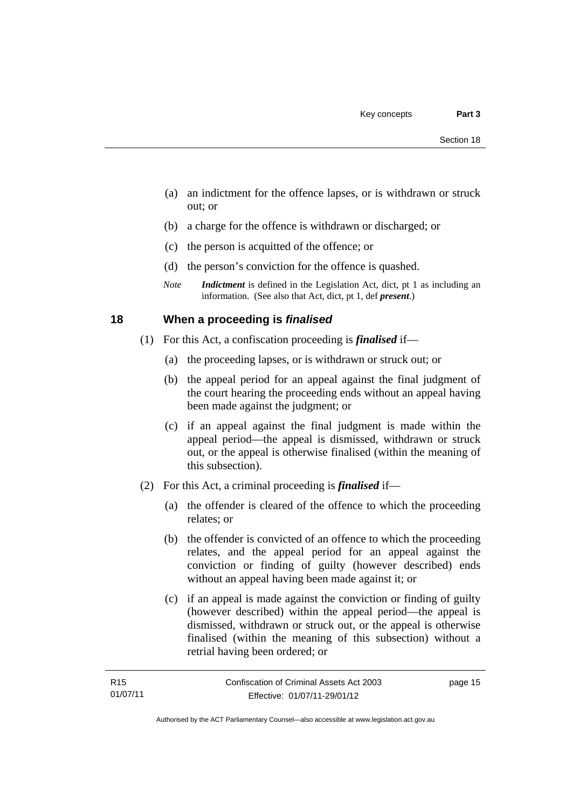- (a) an indictment for the offence lapses, or is withdrawn or struck out; or
- (b) a charge for the offence is withdrawn or discharged; or
- (c) the person is acquitted of the offence; or
- (d) the person's conviction for the offence is quashed.
- *Note Indictment* is defined in the Legislation Act, dict, pt 1 as including an information. (See also that Act, dict, pt 1, def *present*.)

## <span id="page-28-0"></span>**18 When a proceeding is** *finalised*

- (1) For this Act, a confiscation proceeding is *finalised* if—
	- (a) the proceeding lapses, or is withdrawn or struck out; or
	- (b) the appeal period for an appeal against the final judgment of the court hearing the proceeding ends without an appeal having been made against the judgment; or
	- (c) if an appeal against the final judgment is made within the appeal period—the appeal is dismissed, withdrawn or struck out, or the appeal is otherwise finalised (within the meaning of this subsection).
- (2) For this Act, a criminal proceeding is *finalised* if—
	- (a) the offender is cleared of the offence to which the proceeding relates; or
	- (b) the offender is convicted of an offence to which the proceeding relates, and the appeal period for an appeal against the conviction or finding of guilty (however described) ends without an appeal having been made against it; or
	- (c) if an appeal is made against the conviction or finding of guilty (however described) within the appeal period—the appeal is dismissed, withdrawn or struck out, or the appeal is otherwise finalised (within the meaning of this subsection) without a retrial having been ordered; or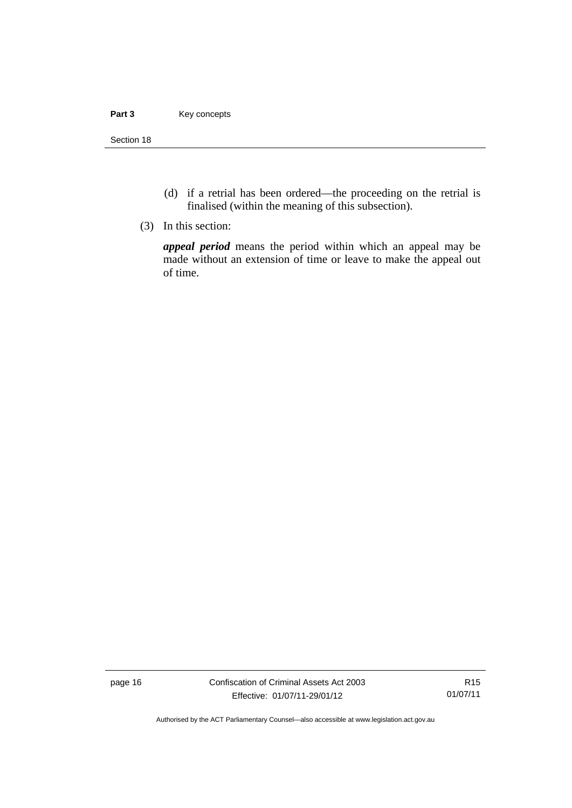#### Part 3 **Key concepts**

Section 18

- (d) if a retrial has been ordered—the proceeding on the retrial is finalised (within the meaning of this subsection).
- (3) In this section:

*appeal period* means the period within which an appeal may be made without an extension of time or leave to make the appeal out of time.

page 16 Confiscation of Criminal Assets Act 2003 Effective: 01/07/11-29/01/12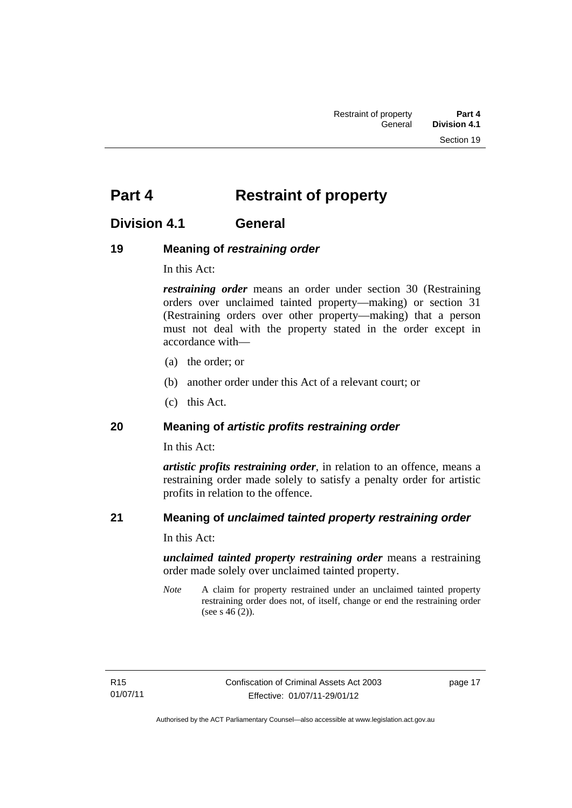# <span id="page-30-0"></span>**Part 4** Restraint of property

## <span id="page-30-1"></span>**Division 4.1 General**

## <span id="page-30-2"></span>**19 Meaning of** *restraining order*

In this Act:

*restraining order* means an order under section 30 (Restraining orders over unclaimed tainted property—making) or section 31 (Restraining orders over other property—making) that a person must not deal with the property stated in the order except in accordance with—

- (a) the order; or
- (b) another order under this Act of a relevant court; or
- (c) this Act.

## <span id="page-30-3"></span>**20 Meaning of** *artistic profits restraining order*

In this Act:

*artistic profits restraining order*, in relation to an offence, means a restraining order made solely to satisfy a penalty order for artistic profits in relation to the offence.

## <span id="page-30-4"></span>**21 Meaning of** *unclaimed tainted property restraining order*

In this Act:

*unclaimed tainted property restraining order* means a restraining order made solely over unclaimed tainted property.

*Note* A claim for property restrained under an unclaimed tainted property restraining order does not, of itself, change or end the restraining order (see s 46 (2)).

page 17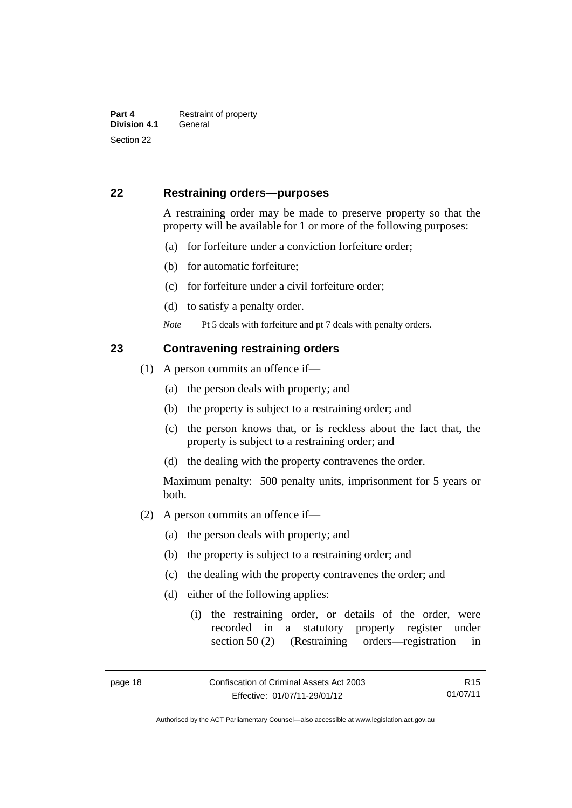## <span id="page-31-0"></span>**22 Restraining orders—purposes**

A restraining order may be made to preserve property so that the property will be available for 1 or more of the following purposes:

- (a) for forfeiture under a conviction forfeiture order;
- (b) for automatic forfeiture;
- (c) for forfeiture under a civil forfeiture order;
- (d) to satisfy a penalty order.

*Note* Pt 5 deals with forfeiture and pt 7 deals with penalty orders.

### <span id="page-31-1"></span>**23 Contravening restraining orders**

- (1) A person commits an offence if—
	- (a) the person deals with property; and
	- (b) the property is subject to a restraining order; and
	- (c) the person knows that, or is reckless about the fact that, the property is subject to a restraining order; and
	- (d) the dealing with the property contravenes the order.

Maximum penalty: 500 penalty units, imprisonment for 5 years or both.

- (2) A person commits an offence if—
	- (a) the person deals with property; and
	- (b) the property is subject to a restraining order; and
	- (c) the dealing with the property contravenes the order; and
	- (d) either of the following applies:
		- (i) the restraining order, or details of the order, were recorded in a statutory property register under section 50 (2) (Restraining orders—registration in

R15 01/07/11

Authorised by the ACT Parliamentary Counsel—also accessible at www.legislation.act.gov.au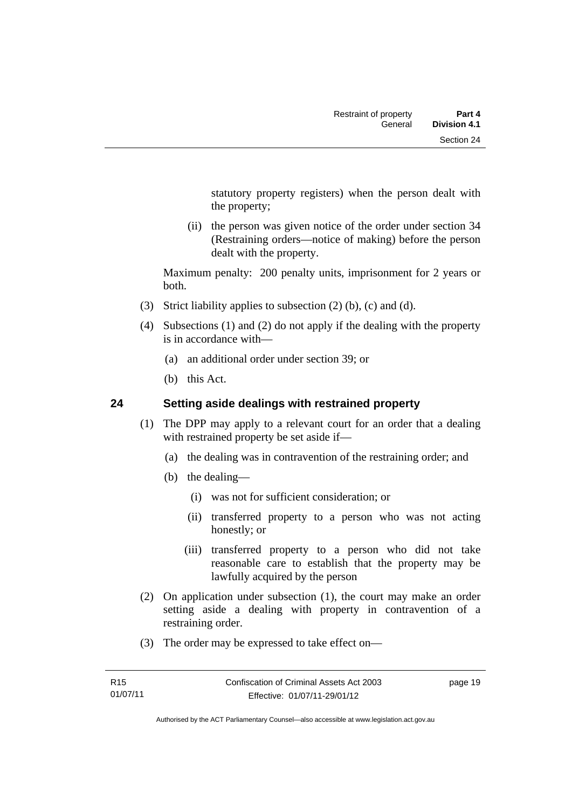statutory property registers) when the person dealt with the property;

 (ii) the person was given notice of the order under section 34 (Restraining orders—notice of making) before the person dealt with the property.

Maximum penalty: 200 penalty units, imprisonment for 2 years or both.

- (3) Strict liability applies to subsection (2) (b), (c) and (d).
- (4) Subsections (1) and (2) do not apply if the dealing with the property is in accordance with—
	- (a) an additional order under section 39; or
	- (b) this Act.

## <span id="page-32-0"></span>**24 Setting aside dealings with restrained property**

- (1) The DPP may apply to a relevant court for an order that a dealing with restrained property be set aside if—
	- (a) the dealing was in contravention of the restraining order; and
	- (b) the dealing—
		- (i) was not for sufficient consideration; or
		- (ii) transferred property to a person who was not acting honestly; or
		- (iii) transferred property to a person who did not take reasonable care to establish that the property may be lawfully acquired by the person
- (2) On application under subsection (1), the court may make an order setting aside a dealing with property in contravention of a restraining order.
- (3) The order may be expressed to take effect on—

page 19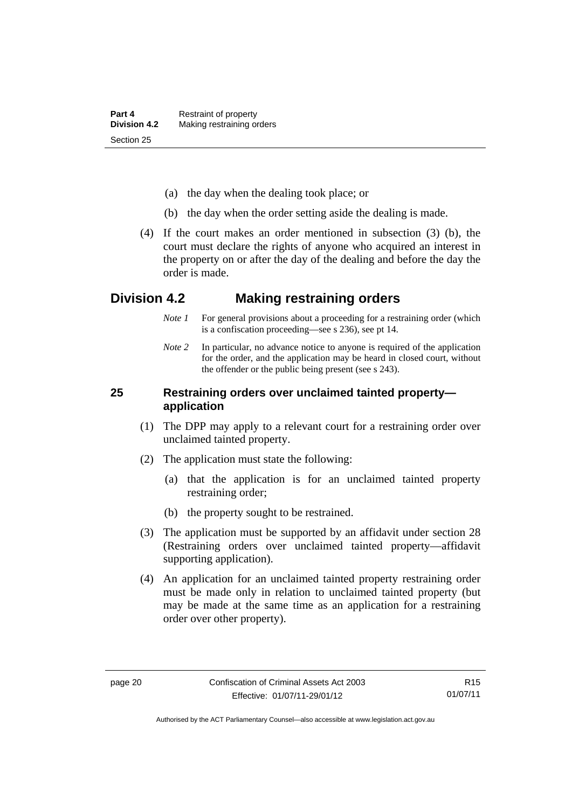- (a) the day when the dealing took place; or
- (b) the day when the order setting aside the dealing is made.
- (4) If the court makes an order mentioned in subsection (3) (b), the court must declare the rights of anyone who acquired an interest in the property on or after the day of the dealing and before the day the order is made.

## <span id="page-33-0"></span>**Division 4.2 Making restraining orders**

- *Note 1* For general provisions about a proceeding for a restraining order (which is a confiscation proceeding—see s 236), see pt 14.
- *Note* 2 In particular, no advance notice to anyone is required of the application for the order, and the application may be heard in closed court, without the offender or the public being present (see s 243).

## <span id="page-33-1"></span>**25 Restraining orders over unclaimed tainted property application**

- (1) The DPP may apply to a relevant court for a restraining order over unclaimed tainted property.
- (2) The application must state the following:
	- (a) that the application is for an unclaimed tainted property restraining order;
	- (b) the property sought to be restrained.
- (3) The application must be supported by an affidavit under section 28 (Restraining orders over unclaimed tainted property—affidavit supporting application).
- (4) An application for an unclaimed tainted property restraining order must be made only in relation to unclaimed tainted property (but may be made at the same time as an application for a restraining order over other property).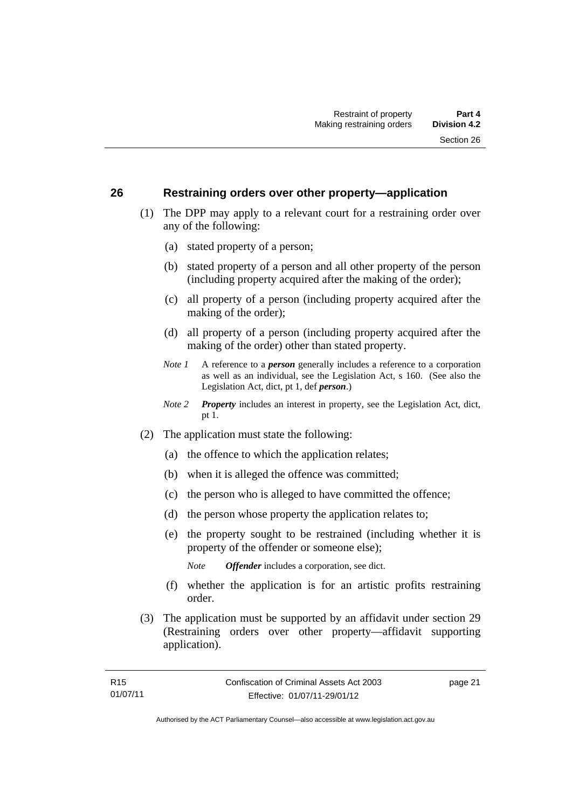## <span id="page-34-0"></span>**26 Restraining orders over other property—application**

- (1) The DPP may apply to a relevant court for a restraining order over any of the following:
	- (a) stated property of a person;
	- (b) stated property of a person and all other property of the person (including property acquired after the making of the order);
	- (c) all property of a person (including property acquired after the making of the order);
	- (d) all property of a person (including property acquired after the making of the order) other than stated property.
	- *Note 1* A reference to a *person* generally includes a reference to a corporation as well as an individual, see the Legislation Act, s 160. (See also the Legislation Act, dict, pt 1, def *person*.)
	- *Note 2 Property* includes an interest in property, see the Legislation Act, dict, pt 1.
- (2) The application must state the following:
	- (a) the offence to which the application relates;
	- (b) when it is alleged the offence was committed;
	- (c) the person who is alleged to have committed the offence;
	- (d) the person whose property the application relates to;
	- (e) the property sought to be restrained (including whether it is property of the offender or someone else);

*Note Offender* includes a corporation, see dict.

- (f) whether the application is for an artistic profits restraining order.
- (3) The application must be supported by an affidavit under section 29 (Restraining orders over other property—affidavit supporting application).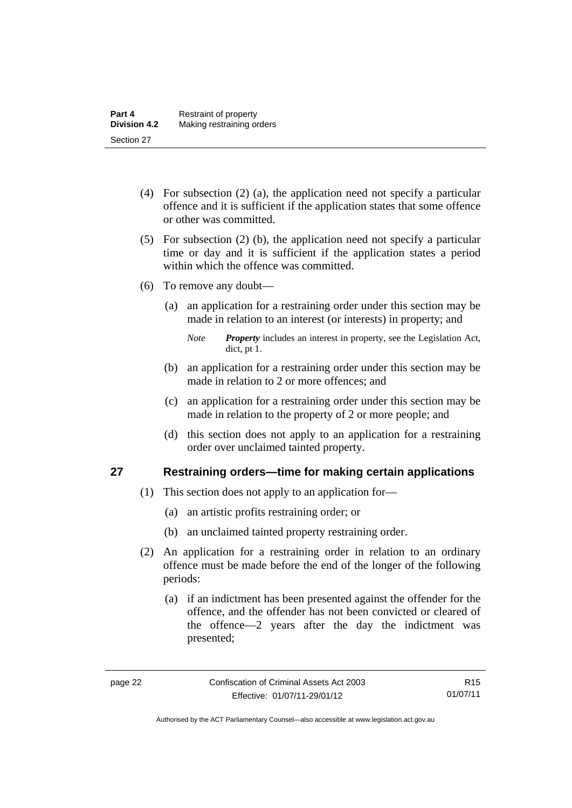- (4) For subsection (2) (a), the application need not specify a particular offence and it is sufficient if the application states that some offence or other was committed.
- (5) For subsection (2) (b), the application need not specify a particular time or day and it is sufficient if the application states a period within which the offence was committed.
- (6) To remove any doubt—
	- (a) an application for a restraining order under this section may be made in relation to an interest (or interests) in property; and
		- *Note Property* includes an interest in property, see the Legislation Act, dict, pt 1.
	- (b) an application for a restraining order under this section may be made in relation to 2 or more offences; and
	- (c) an application for a restraining order under this section may be made in relation to the property of 2 or more people; and
	- (d) this section does not apply to an application for a restraining order over unclaimed tainted property.

## <span id="page-35-0"></span>**27 Restraining orders—time for making certain applications**

- (1) This section does not apply to an application for—
	- (a) an artistic profits restraining order; or
	- (b) an unclaimed tainted property restraining order.
- (2) An application for a restraining order in relation to an ordinary offence must be made before the end of the longer of the following periods:
	- (a) if an indictment has been presented against the offender for the offence, and the offender has not been convicted or cleared of the offence—2 years after the day the indictment was presented;

R15 01/07/11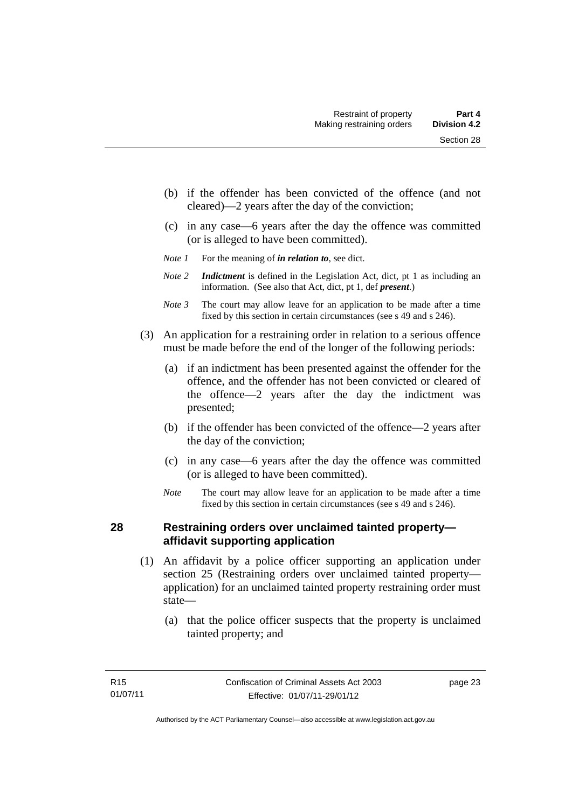- (b) if the offender has been convicted of the offence (and not cleared)—2 years after the day of the conviction;
- (c) in any case—6 years after the day the offence was committed (or is alleged to have been committed).
- *Note 1* For the meaning of *in relation to*, see dict.
- *Note 2 Indictment* is defined in the Legislation Act, dict, pt 1 as including an information. (See also that Act, dict, pt 1, def *present*.)
- *Note 3* The court may allow leave for an application to be made after a time fixed by this section in certain circumstances (see s 49 and s 246).
- (3) An application for a restraining order in relation to a serious offence must be made before the end of the longer of the following periods:
	- (a) if an indictment has been presented against the offender for the offence, and the offender has not been convicted or cleared of the offence—2 years after the day the indictment was presented;
	- (b) if the offender has been convicted of the offence—2 years after the day of the conviction;
	- (c) in any case—6 years after the day the offence was committed (or is alleged to have been committed).
	- *Note* The court may allow leave for an application to be made after a time fixed by this section in certain circumstances (see s 49 and s 246).

# **28 Restraining orders over unclaimed tainted property affidavit supporting application**

- (1) An affidavit by a police officer supporting an application under section 25 (Restraining orders over unclaimed tainted property application) for an unclaimed tainted property restraining order must state—
	- (a) that the police officer suspects that the property is unclaimed tainted property; and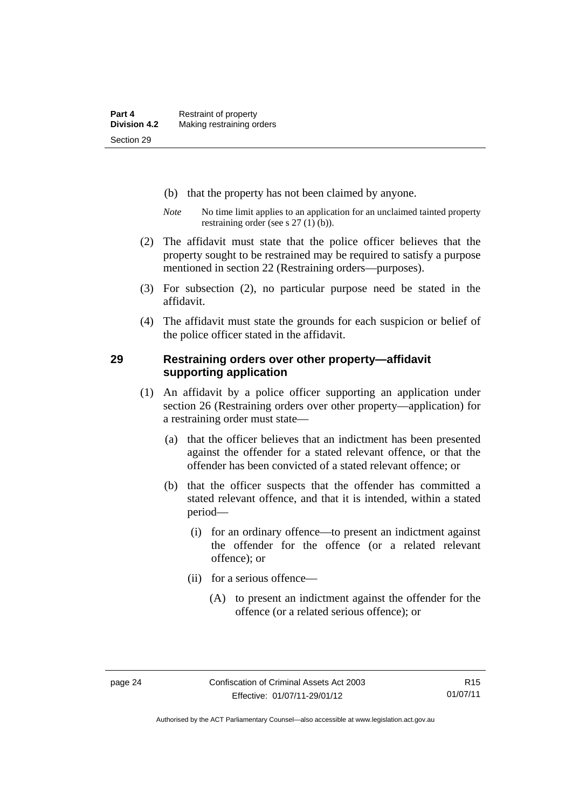- (b) that the property has not been claimed by anyone.
- *Note* No time limit applies to an application for an unclaimed tainted property restraining order (see s 27 (1) (b)).
- (2) The affidavit must state that the police officer believes that the property sought to be restrained may be required to satisfy a purpose mentioned in section 22 (Restraining orders—purposes).
- (3) For subsection (2), no particular purpose need be stated in the affidavit.
- (4) The affidavit must state the grounds for each suspicion or belief of the police officer stated in the affidavit.

### **29 Restraining orders over other property—affidavit supporting application**

- (1) An affidavit by a police officer supporting an application under section 26 (Restraining orders over other property—application) for a restraining order must state—
	- (a) that the officer believes that an indictment has been presented against the offender for a stated relevant offence, or that the offender has been convicted of a stated relevant offence; or
	- (b) that the officer suspects that the offender has committed a stated relevant offence, and that it is intended, within a stated period—
		- (i) for an ordinary offence—to present an indictment against the offender for the offence (or a related relevant offence); or
		- (ii) for a serious offence—
			- (A) to present an indictment against the offender for the offence (or a related serious offence); or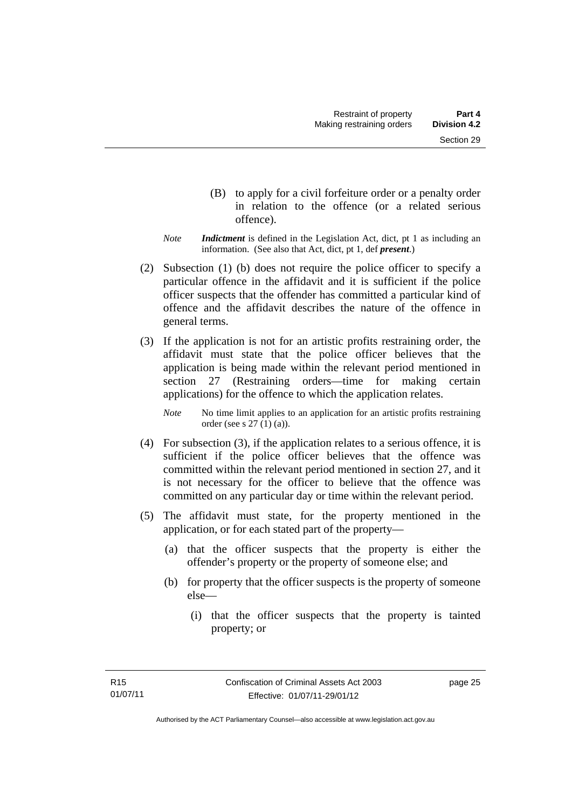- (B) to apply for a civil forfeiture order or a penalty order in relation to the offence (or a related serious offence).
- *Note Indictment* is defined in the Legislation Act, dict, pt 1 as including an information. (See also that Act, dict, pt 1, def *present*.)
- (2) Subsection (1) (b) does not require the police officer to specify a particular offence in the affidavit and it is sufficient if the police officer suspects that the offender has committed a particular kind of offence and the affidavit describes the nature of the offence in general terms.
- (3) If the application is not for an artistic profits restraining order, the affidavit must state that the police officer believes that the application is being made within the relevant period mentioned in section 27 (Restraining orders—time for making certain applications) for the offence to which the application relates.

*Note* No time limit applies to an application for an artistic profits restraining order (see s 27 (1) (a)).

- (4) For subsection (3), if the application relates to a serious offence, it is sufficient if the police officer believes that the offence was committed within the relevant period mentioned in section 27, and it is not necessary for the officer to believe that the offence was committed on any particular day or time within the relevant period.
- (5) The affidavit must state, for the property mentioned in the application, or for each stated part of the property—
	- (a) that the officer suspects that the property is either the offender's property or the property of someone else; and
	- (b) for property that the officer suspects is the property of someone else—
		- (i) that the officer suspects that the property is tainted property; or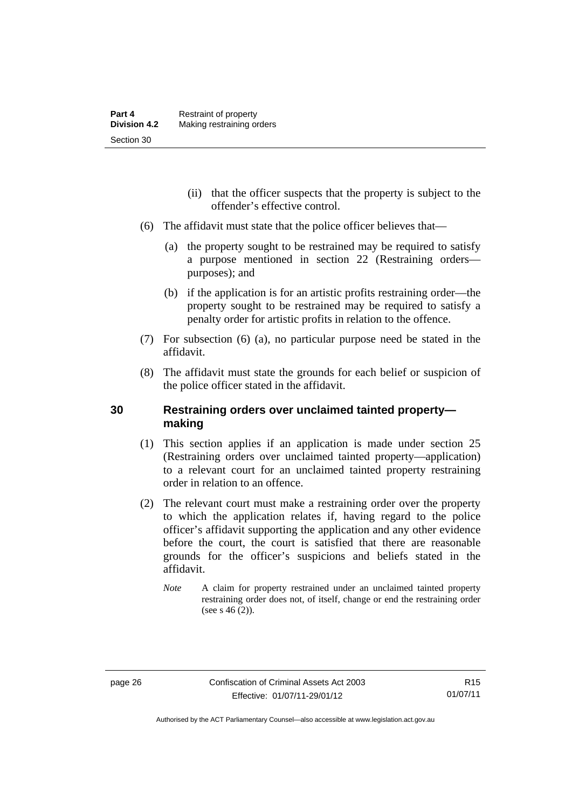- (ii) that the officer suspects that the property is subject to the offender's effective control.
- (6) The affidavit must state that the police officer believes that—
	- (a) the property sought to be restrained may be required to satisfy a purpose mentioned in section 22 (Restraining orders purposes); and
	- (b) if the application is for an artistic profits restraining order—the property sought to be restrained may be required to satisfy a penalty order for artistic profits in relation to the offence.
- (7) For subsection (6) (a), no particular purpose need be stated in the affidavit.
- (8) The affidavit must state the grounds for each belief or suspicion of the police officer stated in the affidavit.

## **30 Restraining orders over unclaimed tainted property making**

- (1) This section applies if an application is made under section 25 (Restraining orders over unclaimed tainted property—application) to a relevant court for an unclaimed tainted property restraining order in relation to an offence.
- (2) The relevant court must make a restraining order over the property to which the application relates if, having regard to the police officer's affidavit supporting the application and any other evidence before the court, the court is satisfied that there are reasonable grounds for the officer's suspicions and beliefs stated in the affidavit.
	- *Note* A claim for property restrained under an unclaimed tainted property restraining order does not, of itself, change or end the restraining order (see s  $46(2)$ ).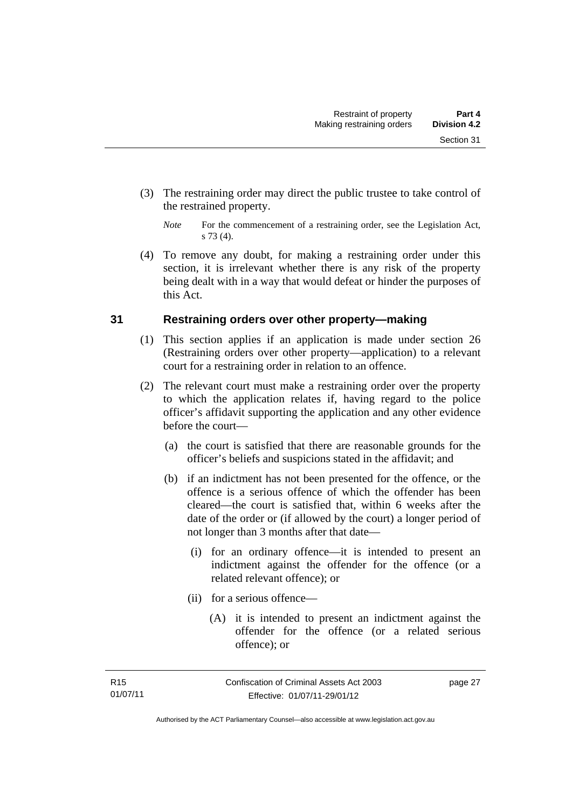- (3) The restraining order may direct the public trustee to take control of the restrained property.
	- *Note* For the commencement of a restraining order, see the Legislation Act, s 73 (4).
- (4) To remove any doubt, for making a restraining order under this section, it is irrelevant whether there is any risk of the property being dealt with in a way that would defeat or hinder the purposes of this Act.

# **31 Restraining orders over other property—making**

- (1) This section applies if an application is made under section 26 (Restraining orders over other property—application) to a relevant court for a restraining order in relation to an offence.
- (2) The relevant court must make a restraining order over the property to which the application relates if, having regard to the police officer's affidavit supporting the application and any other evidence before the court—
	- (a) the court is satisfied that there are reasonable grounds for the officer's beliefs and suspicions stated in the affidavit; and
	- (b) if an indictment has not been presented for the offence, or the offence is a serious offence of which the offender has been cleared—the court is satisfied that, within 6 weeks after the date of the order or (if allowed by the court) a longer period of not longer than 3 months after that date—
		- (i) for an ordinary offence—it is intended to present an indictment against the offender for the offence (or a related relevant offence); or
		- (ii) for a serious offence—
			- (A) it is intended to present an indictment against the offender for the offence (or a related serious offence); or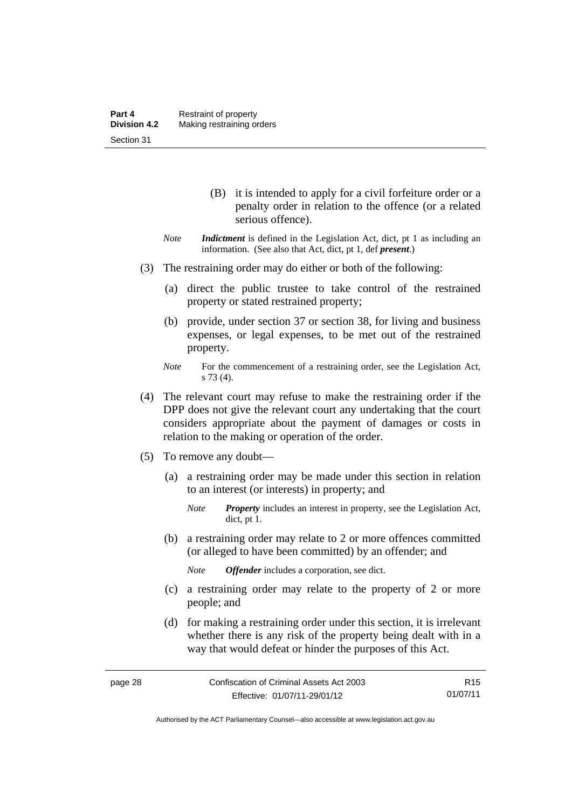- (B) it is intended to apply for a civil forfeiture order or a penalty order in relation to the offence (or a related serious offence).
- *Note Indictment* is defined in the Legislation Act, dict, pt 1 as including an information. (See also that Act, dict, pt 1, def *present*.)
- (3) The restraining order may do either or both of the following:
	- (a) direct the public trustee to take control of the restrained property or stated restrained property;
	- (b) provide, under section 37 or section 38, for living and business expenses, or legal expenses, to be met out of the restrained property.
	- *Note* For the commencement of a restraining order, see the Legislation Act, s 73 (4).
- (4) The relevant court may refuse to make the restraining order if the DPP does not give the relevant court any undertaking that the court considers appropriate about the payment of damages or costs in relation to the making or operation of the order.
- (5) To remove any doubt—
	- (a) a restraining order may be made under this section in relation to an interest (or interests) in property; and

 (b) a restraining order may relate to 2 or more offences committed (or alleged to have been committed) by an offender; and

*Note Offender* includes a corporation, see dict.

- (c) a restraining order may relate to the property of 2 or more people; and
- (d) for making a restraining order under this section, it is irrelevant whether there is any risk of the property being dealt with in a way that would defeat or hinder the purposes of this Act.

*Note Property* includes an interest in property, see the Legislation Act, dict, pt 1.

Authorised by the ACT Parliamentary Counsel—also accessible at www.legislation.act.gov.au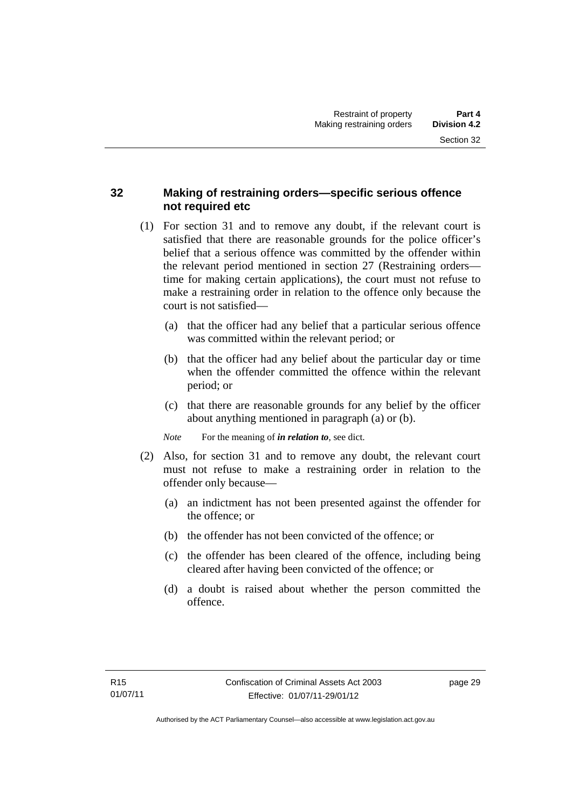# **32 Making of restraining orders—specific serious offence not required etc**

- (1) For section 31 and to remove any doubt, if the relevant court is satisfied that there are reasonable grounds for the police officer's belief that a serious offence was committed by the offender within the relevant period mentioned in section 27 (Restraining orders time for making certain applications), the court must not refuse to make a restraining order in relation to the offence only because the court is not satisfied—
	- (a) that the officer had any belief that a particular serious offence was committed within the relevant period; or
	- (b) that the officer had any belief about the particular day or time when the offender committed the offence within the relevant period; or
	- (c) that there are reasonable grounds for any belief by the officer about anything mentioned in paragraph (a) or (b).

*Note* For the meaning of *in relation to*, see dict.

- (2) Also, for section 31 and to remove any doubt, the relevant court must not refuse to make a restraining order in relation to the offender only because—
	- (a) an indictment has not been presented against the offender for the offence; or
	- (b) the offender has not been convicted of the offence; or
	- (c) the offender has been cleared of the offence, including being cleared after having been convicted of the offence; or
	- (d) a doubt is raised about whether the person committed the offence.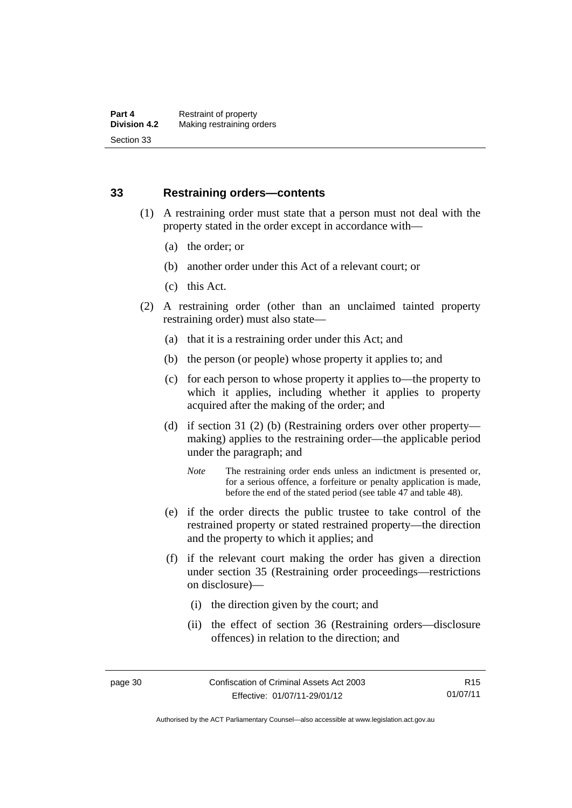## **33 Restraining orders—contents**

- (1) A restraining order must state that a person must not deal with the property stated in the order except in accordance with—
	- (a) the order; or
	- (b) another order under this Act of a relevant court; or
	- (c) this Act.
- (2) A restraining order (other than an unclaimed tainted property restraining order) must also state—
	- (a) that it is a restraining order under this Act; and
	- (b) the person (or people) whose property it applies to; and
	- (c) for each person to whose property it applies to—the property to which it applies, including whether it applies to property acquired after the making of the order; and
	- (d) if section 31 (2) (b) (Restraining orders over other property making) applies to the restraining order—the applicable period under the paragraph; and
		- *Note* The restraining order ends unless an indictment is presented or, for a serious offence, a forfeiture or penalty application is made, before the end of the stated period (see table 47 and table 48).
	- (e) if the order directs the public trustee to take control of the restrained property or stated restrained property—the direction and the property to which it applies; and
	- (f) if the relevant court making the order has given a direction under section 35 (Restraining order proceedings—restrictions on disclosure)—
		- (i) the direction given by the court; and
		- (ii) the effect of section 36 (Restraining orders—disclosure offences) in relation to the direction; and

R15 01/07/11

Authorised by the ACT Parliamentary Counsel—also accessible at www.legislation.act.gov.au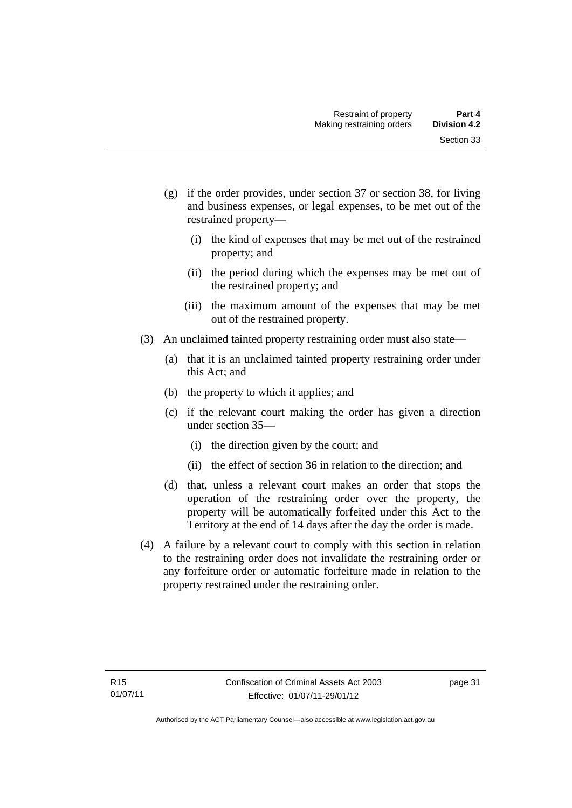- (g) if the order provides, under section 37 or section 38, for living and business expenses, or legal expenses, to be met out of the restrained property—
	- (i) the kind of expenses that may be met out of the restrained property; and
	- (ii) the period during which the expenses may be met out of the restrained property; and
	- (iii) the maximum amount of the expenses that may be met out of the restrained property.
- (3) An unclaimed tainted property restraining order must also state—
	- (a) that it is an unclaimed tainted property restraining order under this Act; and
	- (b) the property to which it applies; and
	- (c) if the relevant court making the order has given a direction under section 35—
		- (i) the direction given by the court; and
		- (ii) the effect of section 36 in relation to the direction; and
	- (d) that, unless a relevant court makes an order that stops the operation of the restraining order over the property, the property will be automatically forfeited under this Act to the Territory at the end of 14 days after the day the order is made.
- (4) A failure by a relevant court to comply with this section in relation to the restraining order does not invalidate the restraining order or any forfeiture order or automatic forfeiture made in relation to the property restrained under the restraining order.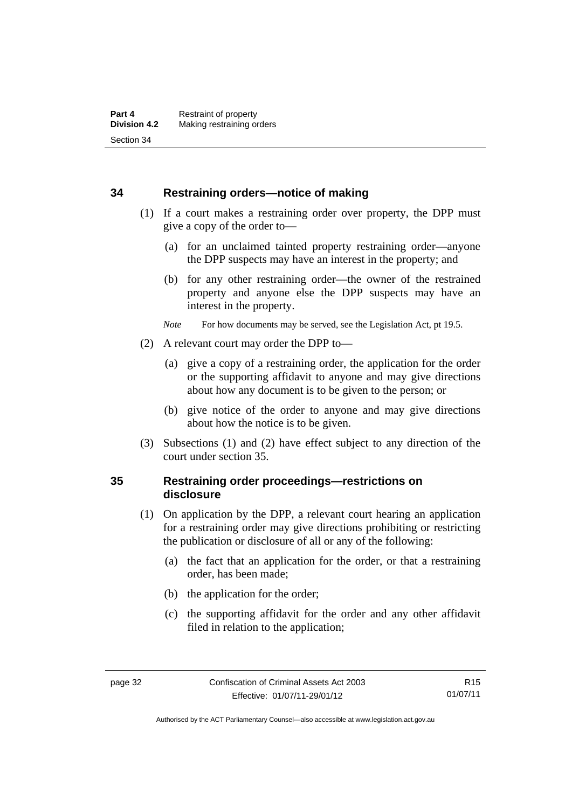#### **34 Restraining orders—notice of making**

- (1) If a court makes a restraining order over property, the DPP must give a copy of the order to—
	- (a) for an unclaimed tainted property restraining order—anyone the DPP suspects may have an interest in the property; and
	- (b) for any other restraining order—the owner of the restrained property and anyone else the DPP suspects may have an interest in the property.
	- *Note* For how documents may be served, see the Legislation Act, pt 19.5.
- (2) A relevant court may order the DPP to—
	- (a) give a copy of a restraining order, the application for the order or the supporting affidavit to anyone and may give directions about how any document is to be given to the person; or
	- (b) give notice of the order to anyone and may give directions about how the notice is to be given.
- (3) Subsections (1) and (2) have effect subject to any direction of the court under section 35.

# **35 Restraining order proceedings—restrictions on disclosure**

- (1) On application by the DPP, a relevant court hearing an application for a restraining order may give directions prohibiting or restricting the publication or disclosure of all or any of the following:
	- (a) the fact that an application for the order, or that a restraining order, has been made;
	- (b) the application for the order;
	- (c) the supporting affidavit for the order and any other affidavit filed in relation to the application;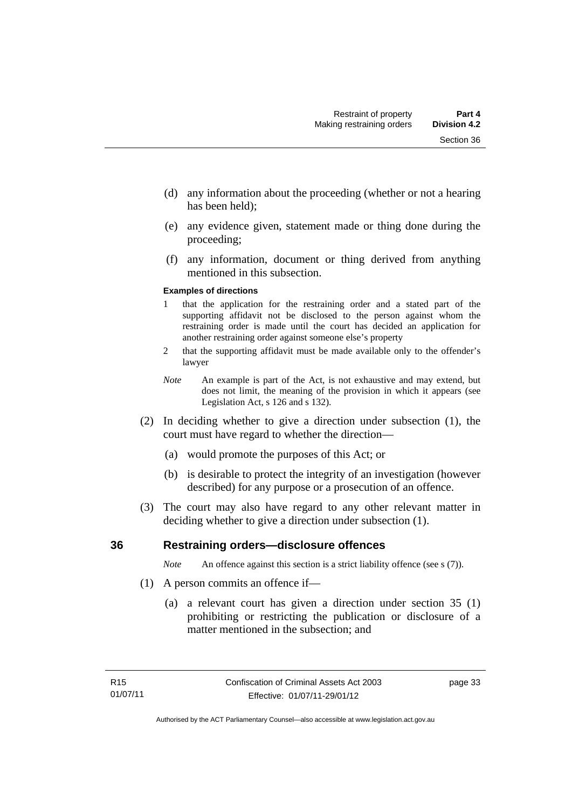- (d) any information about the proceeding (whether or not a hearing has been held);
- (e) any evidence given, statement made or thing done during the proceeding;
- (f) any information, document or thing derived from anything mentioned in this subsection.

#### **Examples of directions**

- 1 that the application for the restraining order and a stated part of the supporting affidavit not be disclosed to the person against whom the restraining order is made until the court has decided an application for another restraining order against someone else's property
- 2 that the supporting affidavit must be made available only to the offender's lawyer
- *Note* An example is part of the Act, is not exhaustive and may extend, but does not limit, the meaning of the provision in which it appears (see Legislation Act, s 126 and s 132).
- (2) In deciding whether to give a direction under subsection (1), the court must have regard to whether the direction—
	- (a) would promote the purposes of this Act; or
	- (b) is desirable to protect the integrity of an investigation (however described) for any purpose or a prosecution of an offence.
- (3) The court may also have regard to any other relevant matter in deciding whether to give a direction under subsection (1).

### **36 Restraining orders—disclosure offences**

*Note* An offence against this section is a strict liability offence (see s (7)).

- (1) A person commits an offence if—
	- (a) a relevant court has given a direction under section 35 (1) prohibiting or restricting the publication or disclosure of a matter mentioned in the subsection; and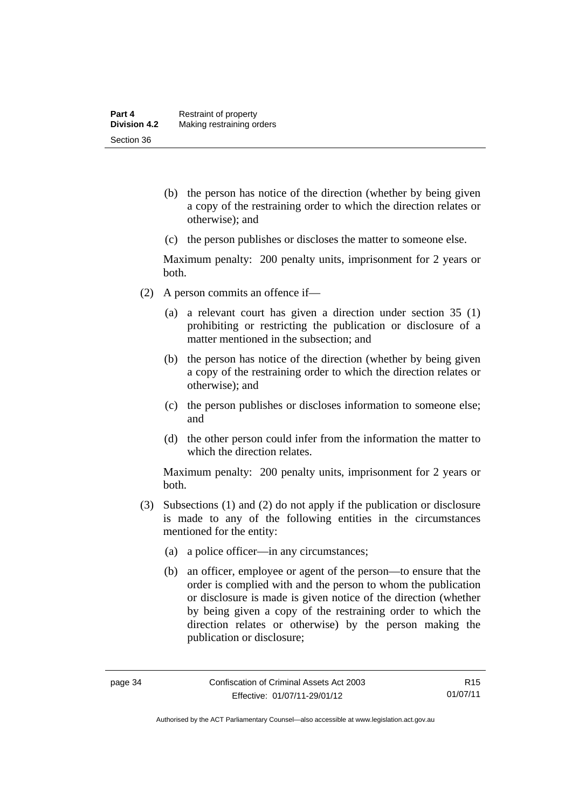- (b) the person has notice of the direction (whether by being given a copy of the restraining order to which the direction relates or otherwise); and
- (c) the person publishes or discloses the matter to someone else.

Maximum penalty: 200 penalty units, imprisonment for 2 years or both.

- (2) A person commits an offence if—
	- (a) a relevant court has given a direction under section 35 (1) prohibiting or restricting the publication or disclosure of a matter mentioned in the subsection; and
	- (b) the person has notice of the direction (whether by being given a copy of the restraining order to which the direction relates or otherwise); and
	- (c) the person publishes or discloses information to someone else; and
	- (d) the other person could infer from the information the matter to which the direction relates.

Maximum penalty: 200 penalty units, imprisonment for 2 years or both.

- (3) Subsections (1) and (2) do not apply if the publication or disclosure is made to any of the following entities in the circumstances mentioned for the entity:
	- (a) a police officer—in any circumstances;
	- (b) an officer, employee or agent of the person—to ensure that the order is complied with and the person to whom the publication or disclosure is made is given notice of the direction (whether by being given a copy of the restraining order to which the direction relates or otherwise) by the person making the publication or disclosure;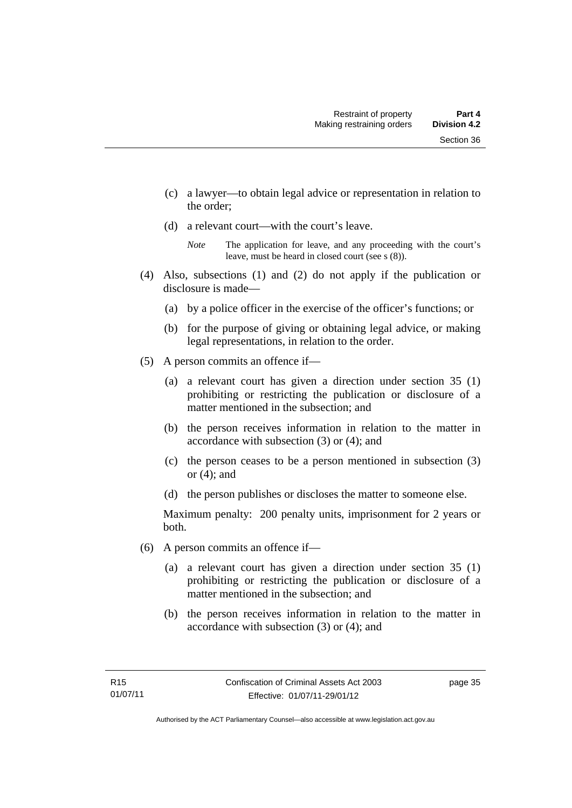- (c) a lawyer—to obtain legal advice or representation in relation to the order;
- (d) a relevant court—with the court's leave.

- (4) Also, subsections (1) and (2) do not apply if the publication or disclosure is made—
	- (a) by a police officer in the exercise of the officer's functions; or
	- (b) for the purpose of giving or obtaining legal advice, or making legal representations, in relation to the order.
- (5) A person commits an offence if—
	- (a) a relevant court has given a direction under section 35 (1) prohibiting or restricting the publication or disclosure of a matter mentioned in the subsection; and
	- (b) the person receives information in relation to the matter in accordance with subsection (3) or (4); and
	- (c) the person ceases to be a person mentioned in subsection (3) or (4); and
	- (d) the person publishes or discloses the matter to someone else.

Maximum penalty: 200 penalty units, imprisonment for 2 years or both.

- (6) A person commits an offence if—
	- (a) a relevant court has given a direction under section 35 (1) prohibiting or restricting the publication or disclosure of a matter mentioned in the subsection; and
	- (b) the person receives information in relation to the matter in accordance with subsection (3) or (4); and

*Note* The application for leave, and any proceeding with the court's leave, must be heard in closed court (see s (8)).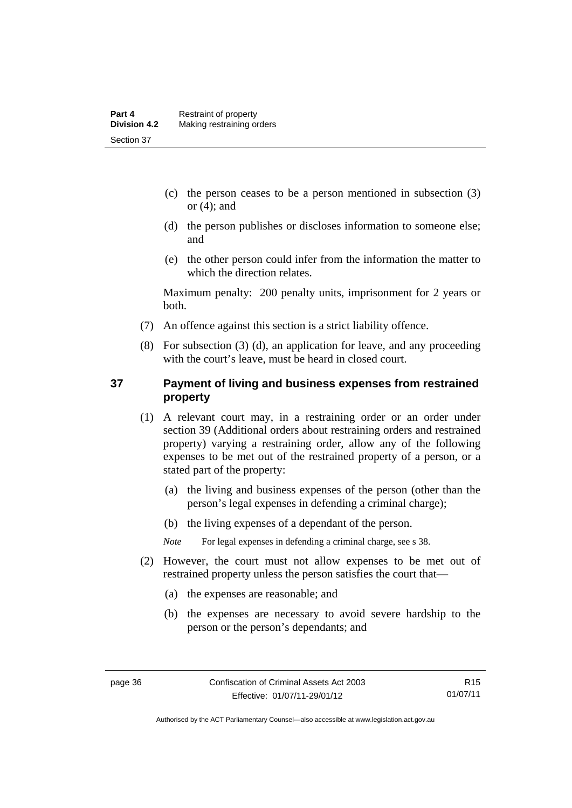- (c) the person ceases to be a person mentioned in subsection (3) or  $(4)$ ; and
- (d) the person publishes or discloses information to someone else; and
- (e) the other person could infer from the information the matter to which the direction relates.

Maximum penalty: 200 penalty units, imprisonment for 2 years or both.

- (7) An offence against this section is a strict liability offence.
- (8) For subsection (3) (d), an application for leave, and any proceeding with the court's leave, must be heard in closed court.

# **37 Payment of living and business expenses from restrained property**

- (1) A relevant court may, in a restraining order or an order under section 39 (Additional orders about restraining orders and restrained property) varying a restraining order, allow any of the following expenses to be met out of the restrained property of a person, or a stated part of the property:
	- (a) the living and business expenses of the person (other than the person's legal expenses in defending a criminal charge);
	- (b) the living expenses of a dependant of the person.

*Note* For legal expenses in defending a criminal charge, see s 38.

- (2) However, the court must not allow expenses to be met out of restrained property unless the person satisfies the court that—
	- (a) the expenses are reasonable; and
	- (b) the expenses are necessary to avoid severe hardship to the person or the person's dependants; and

Authorised by the ACT Parliamentary Counsel—also accessible at www.legislation.act.gov.au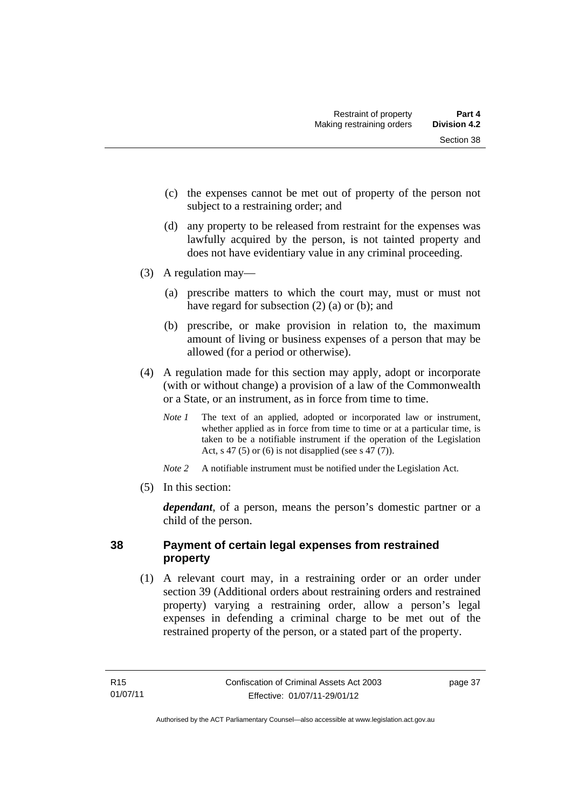- (c) the expenses cannot be met out of property of the person not subject to a restraining order; and
- (d) any property to be released from restraint for the expenses was lawfully acquired by the person, is not tainted property and does not have evidentiary value in any criminal proceeding.
- (3) A regulation may—
	- (a) prescribe matters to which the court may, must or must not have regard for subsection (2) (a) or (b); and
	- (b) prescribe, or make provision in relation to, the maximum amount of living or business expenses of a person that may be allowed (for a period or otherwise).
- (4) A regulation made for this section may apply, adopt or incorporate (with or without change) a provision of a law of the Commonwealth or a State, or an instrument, as in force from time to time.
	- *Note 1* The text of an applied, adopted or incorporated law or instrument, whether applied as in force from time to time or at a particular time, is taken to be a notifiable instrument if the operation of the Legislation Act, s 47 (5) or (6) is not disapplied (see s 47 (7)).
	- *Note 2* A notifiable instrument must be notified under the Legislation Act.
- (5) In this section:

*dependant*, of a person, means the person's domestic partner or a child of the person.

# **38 Payment of certain legal expenses from restrained property**

 (1) A relevant court may, in a restraining order or an order under section 39 (Additional orders about restraining orders and restrained property) varying a restraining order, allow a person's legal expenses in defending a criminal charge to be met out of the restrained property of the person, or a stated part of the property.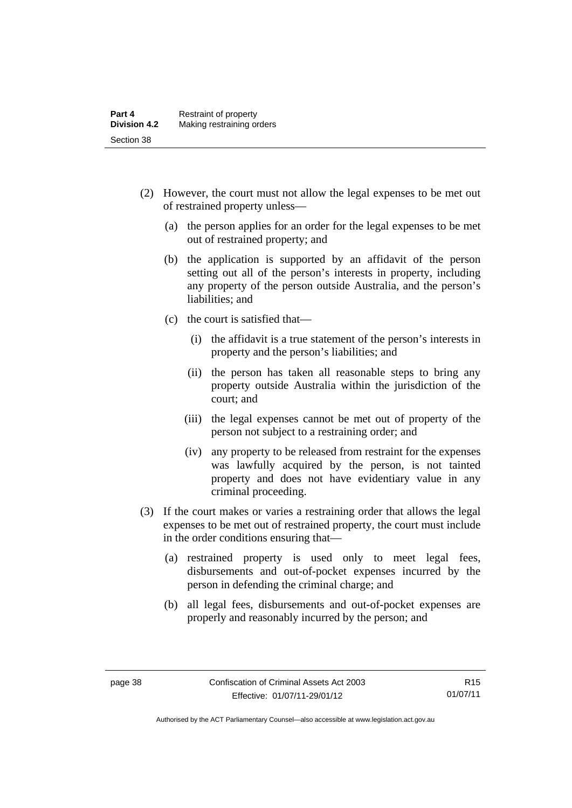- (2) However, the court must not allow the legal expenses to be met out of restrained property unless—
	- (a) the person applies for an order for the legal expenses to be met out of restrained property; and
	- (b) the application is supported by an affidavit of the person setting out all of the person's interests in property, including any property of the person outside Australia, and the person's liabilities; and
	- (c) the court is satisfied that—
		- (i) the affidavit is a true statement of the person's interests in property and the person's liabilities; and
		- (ii) the person has taken all reasonable steps to bring any property outside Australia within the jurisdiction of the court; and
		- (iii) the legal expenses cannot be met out of property of the person not subject to a restraining order; and
		- (iv) any property to be released from restraint for the expenses was lawfully acquired by the person, is not tainted property and does not have evidentiary value in any criminal proceeding.
- (3) If the court makes or varies a restraining order that allows the legal expenses to be met out of restrained property, the court must include in the order conditions ensuring that—
	- (a) restrained property is used only to meet legal fees, disbursements and out-of-pocket expenses incurred by the person in defending the criminal charge; and
	- (b) all legal fees, disbursements and out-of-pocket expenses are properly and reasonably incurred by the person; and

Authorised by the ACT Parliamentary Counsel—also accessible at www.legislation.act.gov.au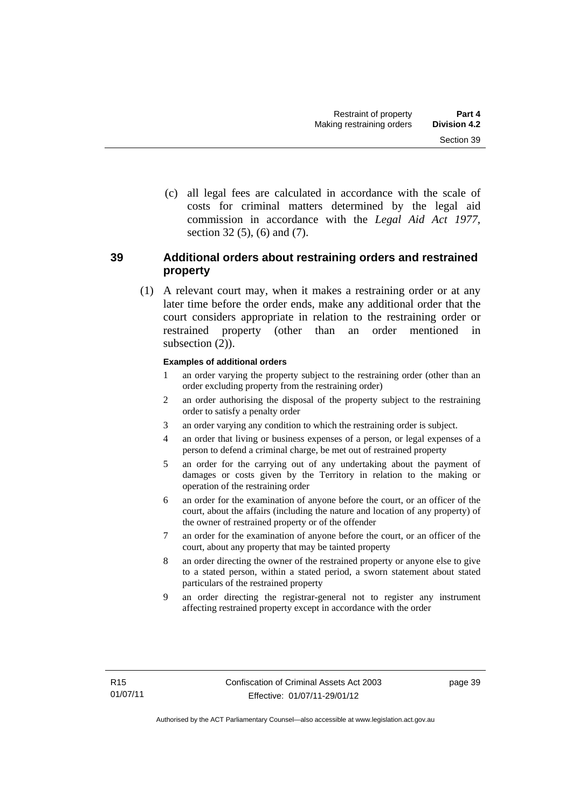(c) all legal fees are calculated in accordance with the scale of costs for criminal matters determined by the legal aid commission in accordance with the *Legal Aid Act 1977*, section 32 (5), (6) and (7).

# **39 Additional orders about restraining orders and restrained property**

 (1) A relevant court may, when it makes a restraining order or at any later time before the order ends, make any additional order that the court considers appropriate in relation to the restraining order or restrained property (other than an order mentioned in subsection  $(2)$ ).

#### **Examples of additional orders**

- 1 an order varying the property subject to the restraining order (other than an order excluding property from the restraining order)
- 2 an order authorising the disposal of the property subject to the restraining order to satisfy a penalty order
- 3 an order varying any condition to which the restraining order is subject.
- 4 an order that living or business expenses of a person, or legal expenses of a person to defend a criminal charge, be met out of restrained property
- 5 an order for the carrying out of any undertaking about the payment of damages or costs given by the Territory in relation to the making or operation of the restraining order
- 6 an order for the examination of anyone before the court, or an officer of the court, about the affairs (including the nature and location of any property) of the owner of restrained property or of the offender
- 7 an order for the examination of anyone before the court, or an officer of the court, about any property that may be tainted property
- 8 an order directing the owner of the restrained property or anyone else to give to a stated person, within a stated period, a sworn statement about stated particulars of the restrained property
- 9 an order directing the registrar-general not to register any instrument affecting restrained property except in accordance with the order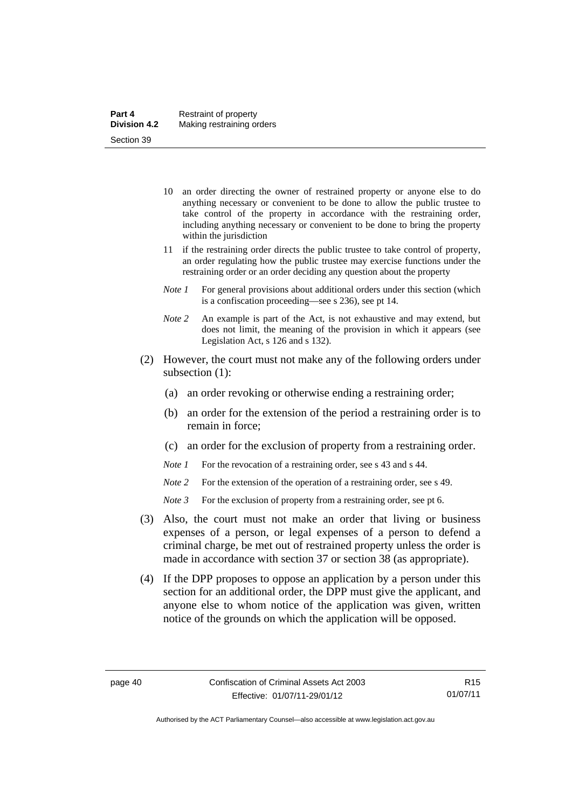- 10 an order directing the owner of restrained property or anyone else to do anything necessary or convenient to be done to allow the public trustee to take control of the property in accordance with the restraining order, including anything necessary or convenient to be done to bring the property within the jurisdiction
- 11 if the restraining order directs the public trustee to take control of property, an order regulating how the public trustee may exercise functions under the restraining order or an order deciding any question about the property
- *Note 1* For general provisions about additional orders under this section (which is a confiscation proceeding—see s 236), see pt 14.
- *Note 2* An example is part of the Act, is not exhaustive and may extend, but does not limit, the meaning of the provision in which it appears (see Legislation Act, s 126 and s 132).
- (2) However, the court must not make any of the following orders under subsection (1):
	- (a) an order revoking or otherwise ending a restraining order;
	- (b) an order for the extension of the period a restraining order is to remain in force;
	- (c) an order for the exclusion of property from a restraining order.
	- *Note 1* For the revocation of a restraining order, see s 43 and s 44.
	- *Note* 2 For the extension of the operation of a restraining order, see s 49.
	- *Note 3* For the exclusion of property from a restraining order, see pt 6.
- (3) Also, the court must not make an order that living or business expenses of a person, or legal expenses of a person to defend a criminal charge, be met out of restrained property unless the order is made in accordance with section 37 or section 38 (as appropriate).
- (4) If the DPP proposes to oppose an application by a person under this section for an additional order, the DPP must give the applicant, and anyone else to whom notice of the application was given, written notice of the grounds on which the application will be opposed.

Authorised by the ACT Parliamentary Counsel—also accessible at www.legislation.act.gov.au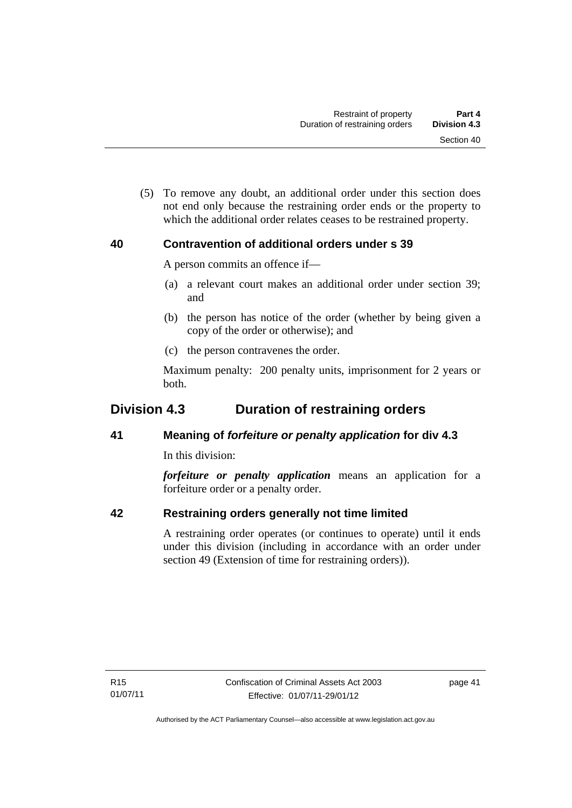(5) To remove any doubt, an additional order under this section does not end only because the restraining order ends or the property to which the additional order relates ceases to be restrained property.

# **40 Contravention of additional orders under s 39**

A person commits an offence if—

- (a) a relevant court makes an additional order under section 39; and
- (b) the person has notice of the order (whether by being given a copy of the order or otherwise); and
- (c) the person contravenes the order.

Maximum penalty: 200 penalty units, imprisonment for 2 years or both.

# **Division 4.3 Duration of restraining orders**

# **41 Meaning of** *forfeiture or penalty application* **for div 4.3**

In this division:

*forfeiture or penalty application* means an application for a forfeiture order or a penalty order.

# **42 Restraining orders generally not time limited**

A restraining order operates (or continues to operate) until it ends under this division (including in accordance with an order under section 49 (Extension of time for restraining orders)).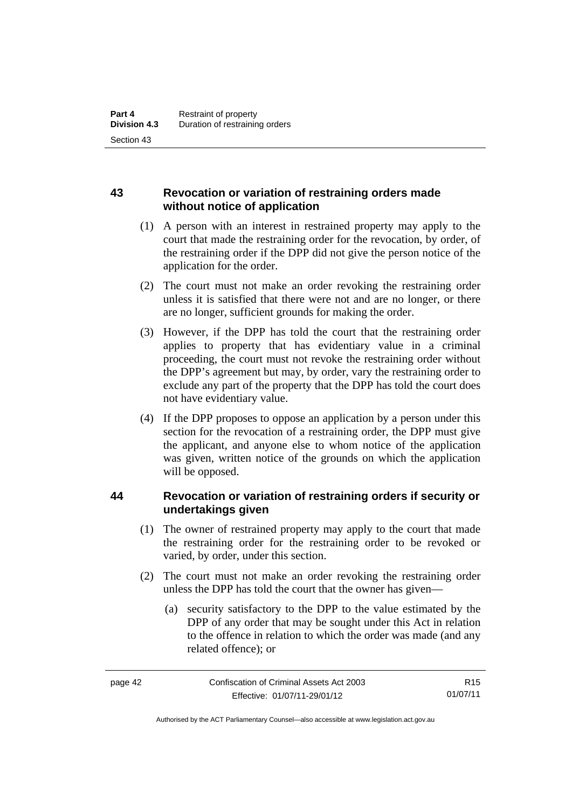# **43 Revocation or variation of restraining orders made without notice of application**

- (1) A person with an interest in restrained property may apply to the court that made the restraining order for the revocation, by order, of the restraining order if the DPP did not give the person notice of the application for the order.
- (2) The court must not make an order revoking the restraining order unless it is satisfied that there were not and are no longer, or there are no longer, sufficient grounds for making the order.
- (3) However, if the DPP has told the court that the restraining order applies to property that has evidentiary value in a criminal proceeding, the court must not revoke the restraining order without the DPP's agreement but may, by order, vary the restraining order to exclude any part of the property that the DPP has told the court does not have evidentiary value.
- (4) If the DPP proposes to oppose an application by a person under this section for the revocation of a restraining order, the DPP must give the applicant, and anyone else to whom notice of the application was given, written notice of the grounds on which the application will be opposed.

# **44 Revocation or variation of restraining orders if security or undertakings given**

- (1) The owner of restrained property may apply to the court that made the restraining order for the restraining order to be revoked or varied, by order, under this section.
- (2) The court must not make an order revoking the restraining order unless the DPP has told the court that the owner has given—
	- (a) security satisfactory to the DPP to the value estimated by the DPP of any order that may be sought under this Act in relation to the offence in relation to which the order was made (and any related offence); or

R15 01/07/11

Authorised by the ACT Parliamentary Counsel—also accessible at www.legislation.act.gov.au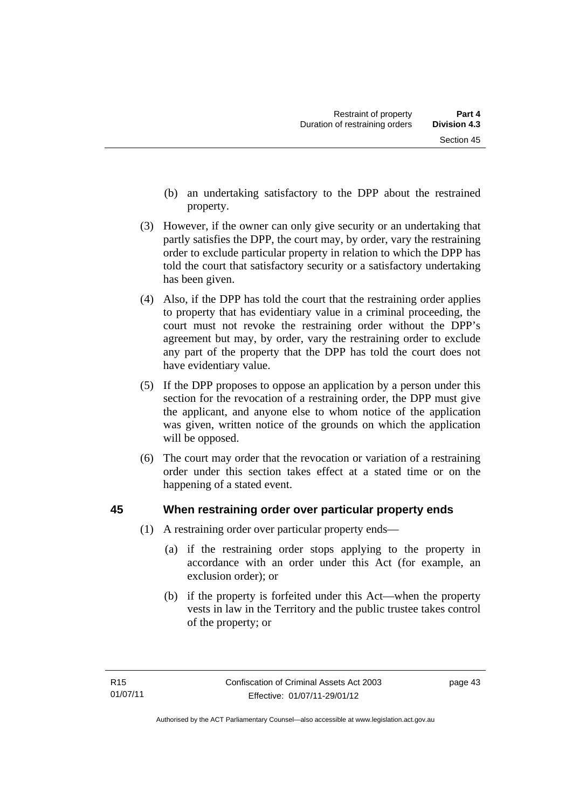- (b) an undertaking satisfactory to the DPP about the restrained property.
- (3) However, if the owner can only give security or an undertaking that partly satisfies the DPP, the court may, by order, vary the restraining order to exclude particular property in relation to which the DPP has told the court that satisfactory security or a satisfactory undertaking has been given.
- (4) Also, if the DPP has told the court that the restraining order applies to property that has evidentiary value in a criminal proceeding, the court must not revoke the restraining order without the DPP's agreement but may, by order, vary the restraining order to exclude any part of the property that the DPP has told the court does not have evidentiary value.
- (5) If the DPP proposes to oppose an application by a person under this section for the revocation of a restraining order, the DPP must give the applicant, and anyone else to whom notice of the application was given, written notice of the grounds on which the application will be opposed.
- (6) The court may order that the revocation or variation of a restraining order under this section takes effect at a stated time or on the happening of a stated event.

# **45 When restraining order over particular property ends**

- (1) A restraining order over particular property ends—
	- (a) if the restraining order stops applying to the property in accordance with an order under this Act (for example, an exclusion order); or
	- (b) if the property is forfeited under this Act—when the property vests in law in the Territory and the public trustee takes control of the property; or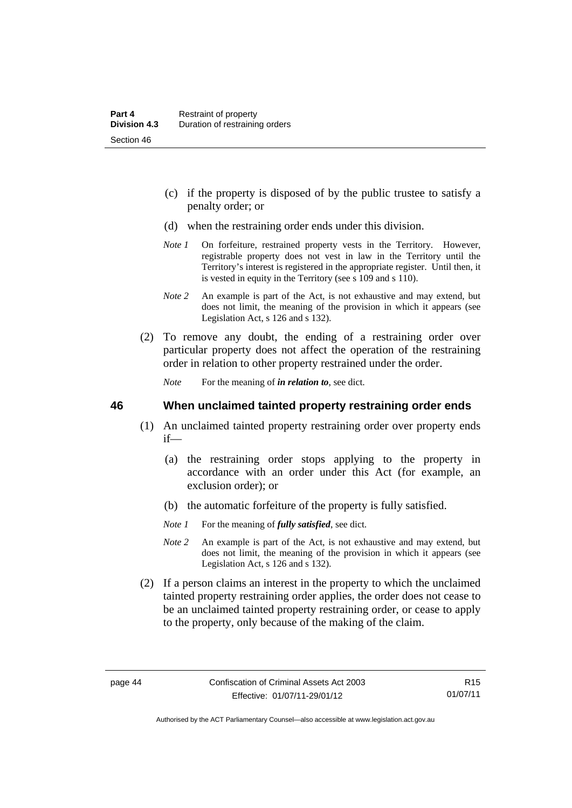- (c) if the property is disposed of by the public trustee to satisfy a penalty order; or
- (d) when the restraining order ends under this division.
- *Note 1* On forfeiture, restrained property vests in the Territory. However, registrable property does not vest in law in the Territory until the Territory's interest is registered in the appropriate register. Until then, it is vested in equity in the Territory (see s 109 and s 110).
- *Note 2* An example is part of the Act, is not exhaustive and may extend, but does not limit, the meaning of the provision in which it appears (see Legislation Act, s 126 and s 132).
- (2) To remove any doubt, the ending of a restraining order over particular property does not affect the operation of the restraining order in relation to other property restrained under the order.

*Note* For the meaning of *in relation to*, see dict.

#### **46 When unclaimed tainted property restraining order ends**

- (1) An unclaimed tainted property restraining order over property ends if—
	- (a) the restraining order stops applying to the property in accordance with an order under this Act (for example, an exclusion order); or
	- (b) the automatic forfeiture of the property is fully satisfied.
	- *Note 1* For the meaning of *fully satisfied*, see dict.
	- *Note 2* An example is part of the Act, is not exhaustive and may extend, but does not limit, the meaning of the provision in which it appears (see Legislation Act, s 126 and s 132).
- (2) If a person claims an interest in the property to which the unclaimed tainted property restraining order applies, the order does not cease to be an unclaimed tainted property restraining order, or cease to apply to the property, only because of the making of the claim.

R15 01/07/11

Authorised by the ACT Parliamentary Counsel—also accessible at www.legislation.act.gov.au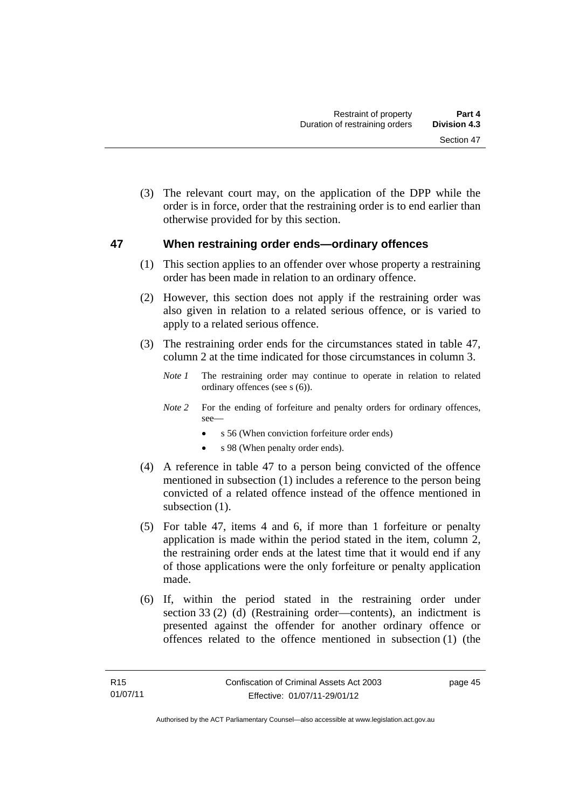(3) The relevant court may, on the application of the DPP while the order is in force, order that the restraining order is to end earlier than otherwise provided for by this section.

# **47 When restraining order ends—ordinary offences**

- (1) This section applies to an offender over whose property a restraining order has been made in relation to an ordinary offence.
- (2) However, this section does not apply if the restraining order was also given in relation to a related serious offence, or is varied to apply to a related serious offence.
- (3) The restraining order ends for the circumstances stated in table 47, column 2 at the time indicated for those circumstances in column 3.
	- *Note 1* The restraining order may continue to operate in relation to related ordinary offences (see s (6)).
	- *Note 2* For the ending of forfeiture and penalty orders for ordinary offences, see—
		- s 56 (When conviction forfeiture order ends)
		- s 98 (When penalty order ends).
- (4) A reference in table 47 to a person being convicted of the offence mentioned in subsection (1) includes a reference to the person being convicted of a related offence instead of the offence mentioned in subsection  $(1)$ .
- (5) For table 47, items 4 and 6, if more than 1 forfeiture or penalty application is made within the period stated in the item, column 2, the restraining order ends at the latest time that it would end if any of those applications were the only forfeiture or penalty application made.
- (6) If, within the period stated in the restraining order under section 33 (2) (d) (Restraining order—contents), an indictment is presented against the offender for another ordinary offence or offences related to the offence mentioned in subsection (1) (the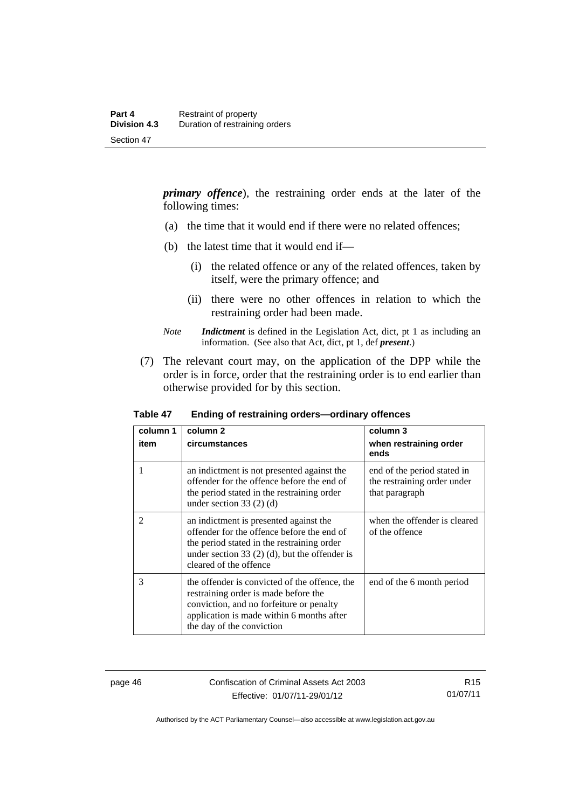*primary offence*), the restraining order ends at the later of the following times:

- (a) the time that it would end if there were no related offences;
- (b) the latest time that it would end if—
	- (i) the related offence or any of the related offences, taken by itself, were the primary offence; and
	- (ii) there were no other offences in relation to which the restraining order had been made.
- *Note Indictment* is defined in the Legislation Act, dict, pt 1 as including an information. (See also that Act, dict, pt 1, def *present*.)
- (7) The relevant court may, on the application of the DPP while the order is in force, order that the restraining order is to end earlier than otherwise provided for by this section.

| column 1<br>item | column 2<br>circumstances                                                                                                                                                                                       | column 3<br>when restraining order<br>ends                                   |
|------------------|-----------------------------------------------------------------------------------------------------------------------------------------------------------------------------------------------------------------|------------------------------------------------------------------------------|
|                  | an indictment is not presented against the<br>offender for the offence before the end of<br>the period stated in the restraining order<br>under section 33 $(2)$ $(d)$                                          | end of the period stated in<br>the restraining order under<br>that paragraph |
| $\mathfrak{D}$   | an indictment is presented against the<br>offender for the offence before the end of<br>the period stated in the restraining order<br>under section 33 $(2)$ (d), but the offender is<br>cleared of the offence | when the offender is cleared<br>of the offence                               |
| 3                | the offender is convicted of the offence, the<br>restraining order is made before the<br>conviction, and no forfeiture or penalty<br>application is made within 6 months after<br>the day of the conviction     | end of the 6 month period                                                    |

**Table 47 Ending of restraining orders—ordinary offences** 

page 46 Confiscation of Criminal Assets Act 2003 Effective: 01/07/11-29/01/12

R15 01/07/11

Authorised by the ACT Parliamentary Counsel—also accessible at www.legislation.act.gov.au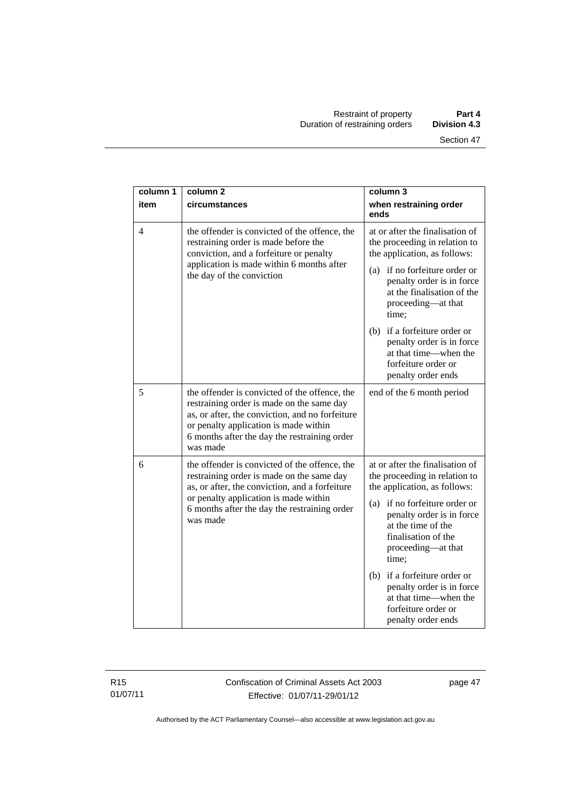| column 1       | column <sub>2</sub>                                                                                                                                                                                                                                | column 3                                                                                                                               |
|----------------|----------------------------------------------------------------------------------------------------------------------------------------------------------------------------------------------------------------------------------------------------|----------------------------------------------------------------------------------------------------------------------------------------|
| item           | circumstances                                                                                                                                                                                                                                      | when restraining order<br>ends                                                                                                         |
| $\overline{4}$ | the offender is convicted of the offence, the<br>restraining order is made before the<br>conviction, and a forfeiture or penalty<br>application is made within 6 months after<br>the day of the conviction                                         | at or after the finalisation of<br>the proceeding in relation to<br>the application, as follows:                                       |
|                |                                                                                                                                                                                                                                                    | (a) if no forfeiture order or<br>penalty order is in force<br>at the finalisation of the<br>proceeding—at that<br>time;                |
|                |                                                                                                                                                                                                                                                    | (b) if a forfeiture order or<br>penalty order is in force<br>at that time—when the<br>forfeiture order or<br>penalty order ends        |
| 5              | the offender is convicted of the offence, the<br>restraining order is made on the same day<br>as, or after, the conviction, and no forfeiture<br>or penalty application is made within<br>6 months after the day the restraining order<br>was made | end of the 6 month period                                                                                                              |
| 6              | the offender is convicted of the offence, the<br>restraining order is made on the same day<br>as, or after, the conviction, and a forfeiture<br>or penalty application is made within<br>6 months after the day the restraining order<br>was made  | at or after the finalisation of<br>the proceeding in relation to<br>the application, as follows:                                       |
|                |                                                                                                                                                                                                                                                    | (a) if no forfeiture order or<br>penalty order is in force<br>at the time of the<br>finalisation of the<br>proceeding-at that<br>time; |
|                |                                                                                                                                                                                                                                                    | (b) if a forfeiture order or<br>penalty order is in force<br>at that time—when the<br>forfeiture order or<br>penalty order ends        |

R15 01/07/11 Confiscation of Criminal Assets Act 2003 Effective: 01/07/11-29/01/12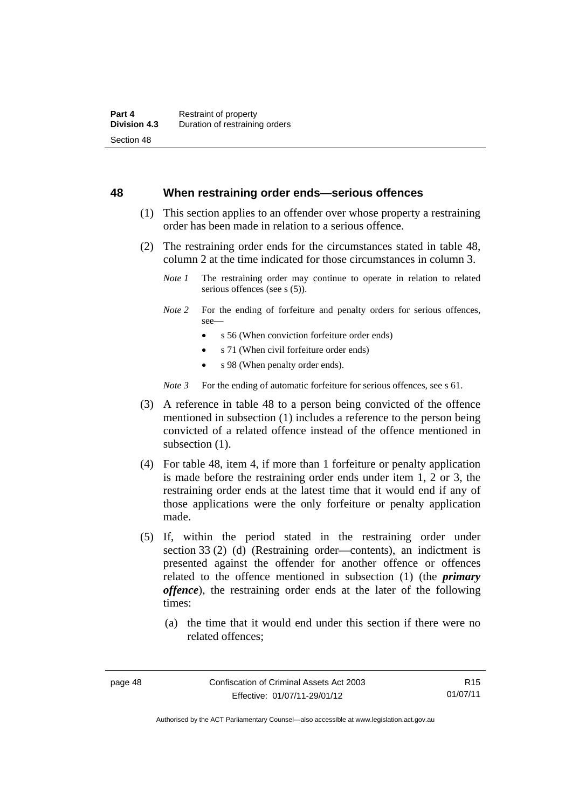#### **48 When restraining order ends—serious offences**

- (1) This section applies to an offender over whose property a restraining order has been made in relation to a serious offence.
- (2) The restraining order ends for the circumstances stated in table 48, column 2 at the time indicated for those circumstances in column 3.
	- *Note 1* The restraining order may continue to operate in relation to related serious offences (see s (5)).
	- *Note 2* For the ending of forfeiture and penalty orders for serious offences, see—
		- s 56 (When conviction forfeiture order ends)
		- s 71 (When civil forfeiture order ends)
		- s 98 (When penalty order ends).

*Note* 3 For the ending of automatic forfeiture for serious offences, see s 61.

- (3) A reference in table 48 to a person being convicted of the offence mentioned in subsection (1) includes a reference to the person being convicted of a related offence instead of the offence mentioned in subsection  $(1)$ .
- (4) For table 48, item 4, if more than 1 forfeiture or penalty application is made before the restraining order ends under item 1, 2 or 3, the restraining order ends at the latest time that it would end if any of those applications were the only forfeiture or penalty application made.
- (5) If, within the period stated in the restraining order under section 33 (2) (d) (Restraining order—contents), an indictment is presented against the offender for another offence or offences related to the offence mentioned in subsection (1) (the *primary offence*), the restraining order ends at the later of the following times:
	- (a) the time that it would end under this section if there were no related offences;

R15 01/07/11

Authorised by the ACT Parliamentary Counsel—also accessible at www.legislation.act.gov.au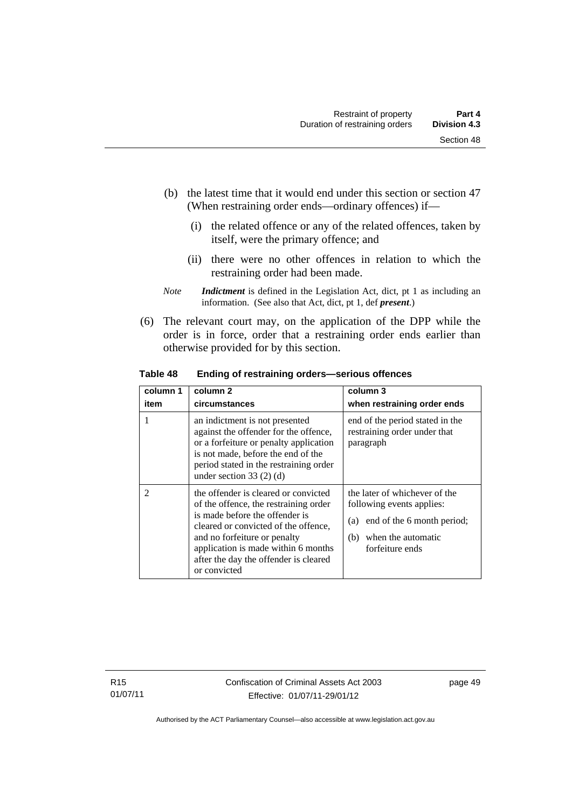- (b) the latest time that it would end under this section or section 47 (When restraining order ends—ordinary offences) if—
	- (i) the related offence or any of the related offences, taken by itself, were the primary offence; and
	- (ii) there were no other offences in relation to which the restraining order had been made.
- *Note Indictment* is defined in the Legislation Act, dict, pt 1 as including an information. (See also that Act, dict, pt 1, def *present*.)
- (6) The relevant court may, on the application of the DPP while the order is in force, order that a restraining order ends earlier than otherwise provided for by this section.

| column 1<br>item | column <sub>2</sub><br>circumstances                                                                                                                                                                                                                                                    | column 3<br>when restraining order ends                                                                                                         |
|------------------|-----------------------------------------------------------------------------------------------------------------------------------------------------------------------------------------------------------------------------------------------------------------------------------------|-------------------------------------------------------------------------------------------------------------------------------------------------|
|                  | an indictment is not presented<br>against the offender for the offence,<br>or a forfeiture or penalty application<br>is not made, before the end of the<br>period stated in the restraining order<br>under section $33(2)$ (d)                                                          | end of the period stated in the<br>restraining order under that<br>paragraph                                                                    |
| $\mathfrak{D}$   | the offender is cleared or convicted<br>of the offence, the restraining order<br>is made before the offender is<br>cleared or convicted of the offence,<br>and no forfeiture or penalty<br>application is made within 6 months<br>after the day the offender is cleared<br>or convicted | the later of whichever of the<br>following events applies:<br>end of the 6 month period;<br>(a)<br>when the automatic<br>(b)<br>forfeiture ends |

**Table 48 Ending of restraining orders—serious offences**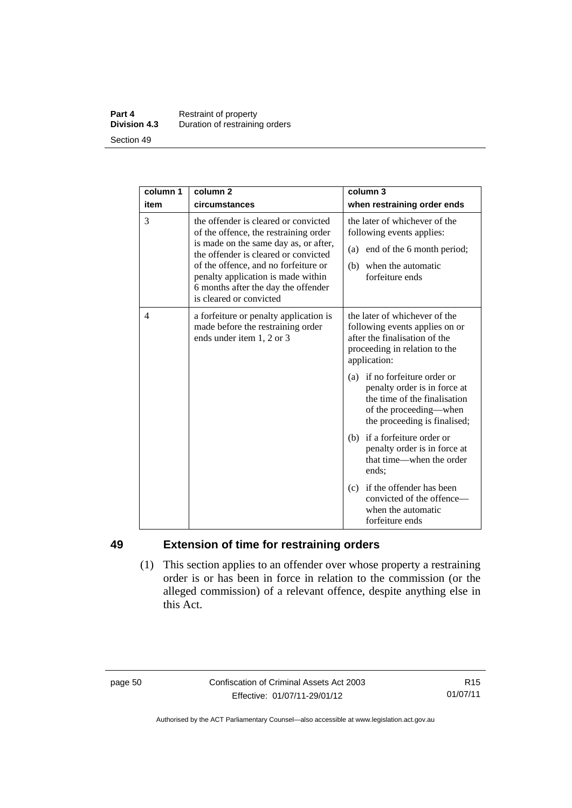#### **Part 4 Restraint of property**<br>**Division 4.3** Duration of restrainin **Division 4.3** Duration of restraining orders Section 49

| column 1 | column <sub>2</sub>                                                                                                                                                                                                                                                                                            | column 3                                                                                                                                                |
|----------|----------------------------------------------------------------------------------------------------------------------------------------------------------------------------------------------------------------------------------------------------------------------------------------------------------------|---------------------------------------------------------------------------------------------------------------------------------------------------------|
| item     | circumstances                                                                                                                                                                                                                                                                                                  | when restraining order ends                                                                                                                             |
|          |                                                                                                                                                                                                                                                                                                                |                                                                                                                                                         |
| 3        | the offender is cleared or convicted<br>of the offence, the restraining order<br>is made on the same day as, or after,<br>the offender is cleared or convicted<br>of the offence, and no forfeiture or<br>penalty application is made within<br>6 months after the day the offender<br>is cleared or convicted | the later of whichever of the<br>following events applies:<br>(a) end of the 6 month period;<br>when the automatic<br>(b)<br>forfeiture ends            |
| 4        | a forfeiture or penalty application is<br>made before the restraining order<br>ends under item 1, 2 or 3                                                                                                                                                                                                       | the later of whichever of the<br>following events applies on or<br>after the finalisation of the<br>proceeding in relation to the<br>application:       |
|          |                                                                                                                                                                                                                                                                                                                | (a) if no forfeiture order or<br>penalty order is in force at<br>the time of the finalisation<br>of the proceeding—when<br>the proceeding is finalised; |
|          |                                                                                                                                                                                                                                                                                                                | (b) if a forfeiture order or<br>penalty order is in force at<br>that time—when the order<br>ends:                                                       |
|          |                                                                                                                                                                                                                                                                                                                | (c) if the offender has been<br>convicted of the offence—<br>when the automatic<br>forfeiture ends                                                      |

# **49 Extension of time for restraining orders**

 (1) This section applies to an offender over whose property a restraining order is or has been in force in relation to the commission (or the alleged commission) of a relevant offence, despite anything else in this Act.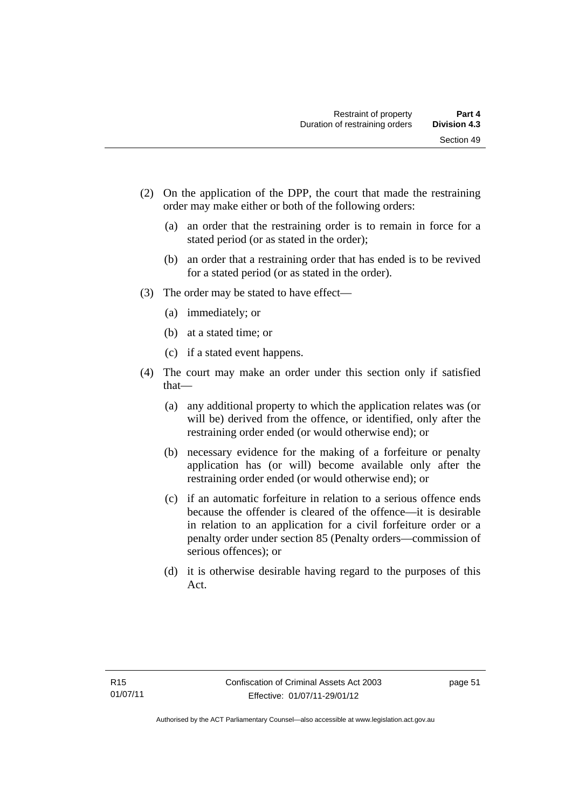- (2) On the application of the DPP, the court that made the restraining order may make either or both of the following orders:
	- (a) an order that the restraining order is to remain in force for a stated period (or as stated in the order);
	- (b) an order that a restraining order that has ended is to be revived for a stated period (or as stated in the order).
- (3) The order may be stated to have effect—
	- (a) immediately; or
	- (b) at a stated time; or
	- (c) if a stated event happens.
- (4) The court may make an order under this section only if satisfied that—
	- (a) any additional property to which the application relates was (or will be) derived from the offence, or identified, only after the restraining order ended (or would otherwise end); or
	- (b) necessary evidence for the making of a forfeiture or penalty application has (or will) become available only after the restraining order ended (or would otherwise end); or
	- (c) if an automatic forfeiture in relation to a serious offence ends because the offender is cleared of the offence—it is desirable in relation to an application for a civil forfeiture order or a penalty order under section 85 (Penalty orders—commission of serious offences); or
	- (d) it is otherwise desirable having regard to the purposes of this Act.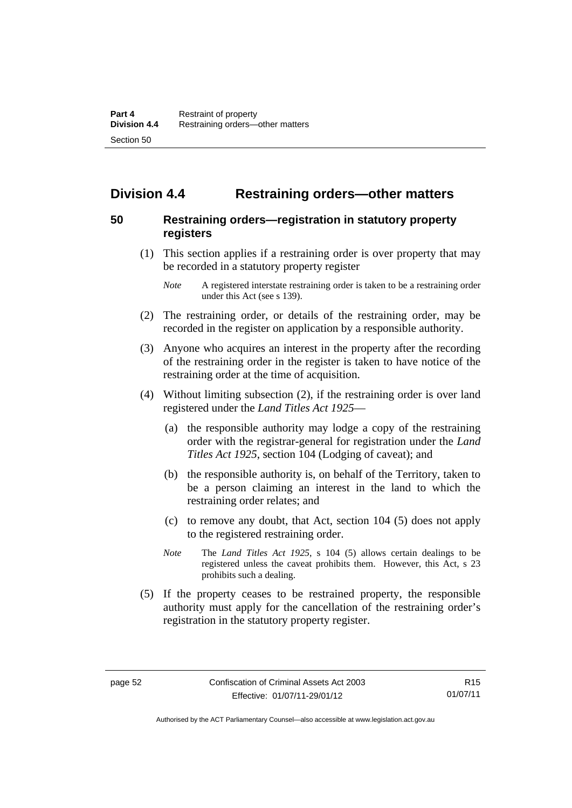# **Division 4.4 Restraining orders—other matters**

# **50 Restraining orders—registration in statutory property registers**

 (1) This section applies if a restraining order is over property that may be recorded in a statutory property register

- (2) The restraining order, or details of the restraining order, may be recorded in the register on application by a responsible authority.
- (3) Anyone who acquires an interest in the property after the recording of the restraining order in the register is taken to have notice of the restraining order at the time of acquisition.
- (4) Without limiting subsection (2), if the restraining order is over land registered under the *Land Titles Act 1925*—
	- (a) the responsible authority may lodge a copy of the restraining order with the registrar-general for registration under the *Land Titles Act 1925*, section 104 (Lodging of caveat); and
	- (b) the responsible authority is, on behalf of the Territory, taken to be a person claiming an interest in the land to which the restraining order relates; and
	- (c) to remove any doubt, that Act, section 104 (5) does not apply to the registered restraining order.
	- *Note* The *Land Titles Act 1925*, s 104 (5) allows certain dealings to be registered unless the caveat prohibits them. However, this Act, s 23 prohibits such a dealing.
- (5) If the property ceases to be restrained property, the responsible authority must apply for the cancellation of the restraining order's registration in the statutory property register.

*Note* A registered interstate restraining order is taken to be a restraining order under this Act (see s 139).

Authorised by the ACT Parliamentary Counsel—also accessible at www.legislation.act.gov.au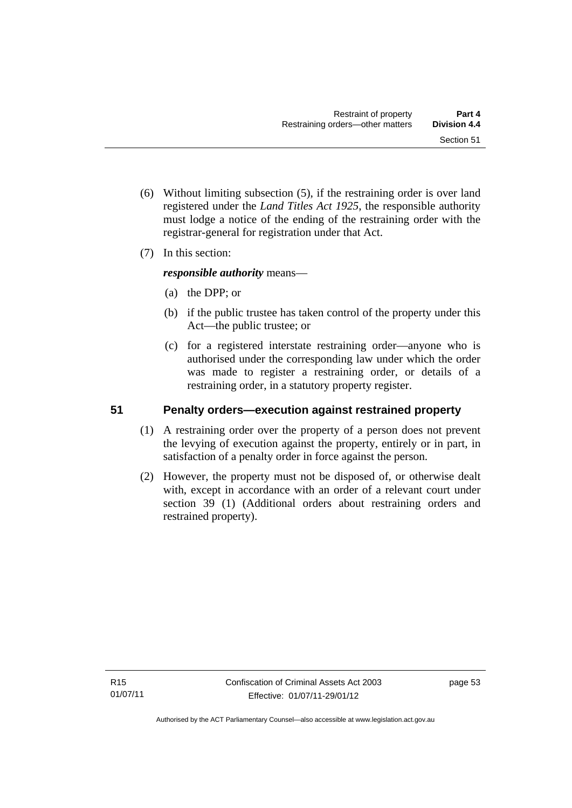- (6) Without limiting subsection (5), if the restraining order is over land registered under the *Land Titles Act 1925*, the responsible authority must lodge a notice of the ending of the restraining order with the registrar-general for registration under that Act.
- (7) In this section:

*responsible authority* means—

- (a) the DPP; or
- (b) if the public trustee has taken control of the property under this Act—the public trustee; or
- (c) for a registered interstate restraining order—anyone who is authorised under the corresponding law under which the order was made to register a restraining order, or details of a restraining order, in a statutory property register.

# **51 Penalty orders—execution against restrained property**

- (1) A restraining order over the property of a person does not prevent the levying of execution against the property, entirely or in part, in satisfaction of a penalty order in force against the person.
- (2) However, the property must not be disposed of, or otherwise dealt with, except in accordance with an order of a relevant court under section 39 (1) (Additional orders about restraining orders and restrained property).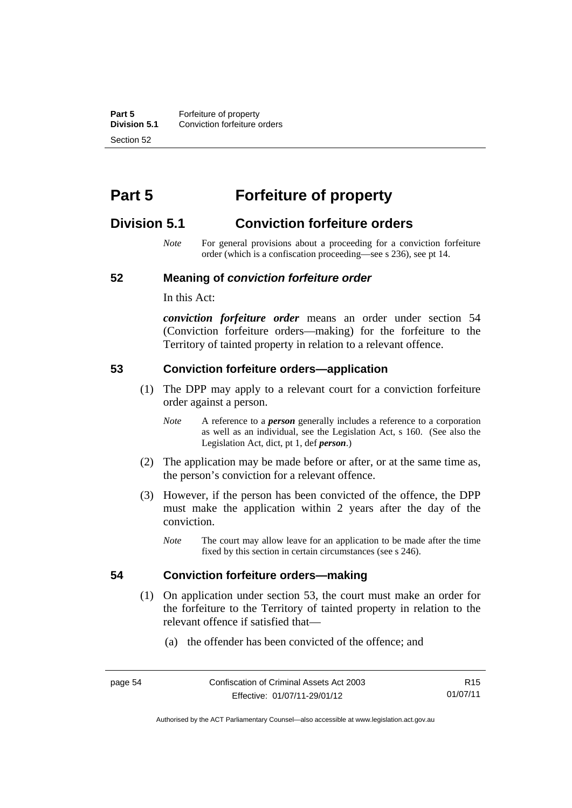**Part 5 Forfeiture of property**<br>**Division 5.1** Conviction forfeiture of **Division 5.1** Conviction forfeiture orders Section 52

# **Part 5 Forfeiture of property**

# **Division 5.1 Conviction forfeiture orders**

*Note* For general provisions about a proceeding for a conviction forfeiture order (which is a confiscation proceeding—see s 236), see pt 14.

#### **52 Meaning of** *conviction forfeiture order*

In this Act:

*conviction forfeiture order* means an order under section 54 (Conviction forfeiture orders—making) for the forfeiture to the Territory of tainted property in relation to a relevant offence.

#### **53 Conviction forfeiture orders—application**

- (1) The DPP may apply to a relevant court for a conviction forfeiture order against a person.
	- *Note* A reference to a *person* generally includes a reference to a corporation as well as an individual, see the Legislation Act, s 160. (See also the Legislation Act, dict, pt 1, def *person*.)
- (2) The application may be made before or after, or at the same time as, the person's conviction for a relevant offence.
- (3) However, if the person has been convicted of the offence, the DPP must make the application within 2 years after the day of the conviction.
	- *Note* The court may allow leave for an application to be made after the time fixed by this section in certain circumstances (see s 246).

#### **54 Conviction forfeiture orders—making**

- (1) On application under section 53, the court must make an order for the forfeiture to the Territory of tainted property in relation to the
	- (a) the offender has been convicted of the offence; and

relevant offence if satisfied that—

Authorised by the ACT Parliamentary Counsel—also accessible at www.legislation.act.gov.au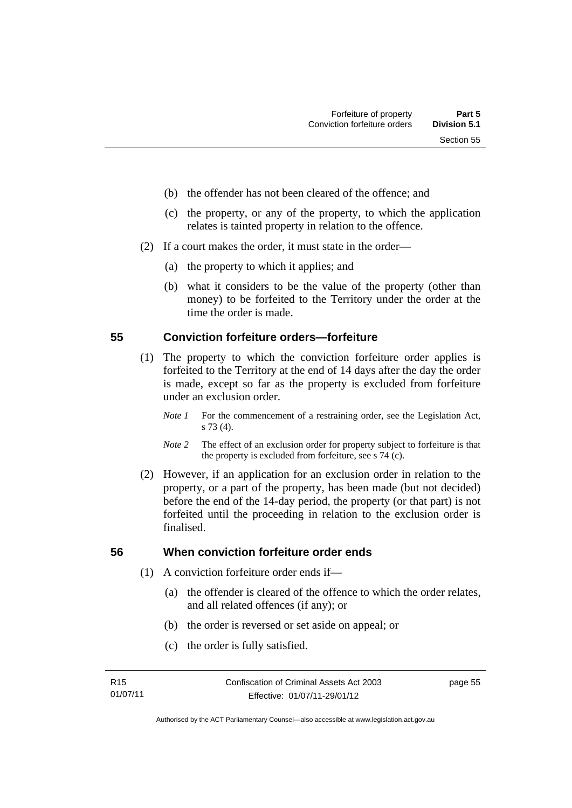- (b) the offender has not been cleared of the offence; and
- (c) the property, or any of the property, to which the application relates is tainted property in relation to the offence.
- (2) If a court makes the order, it must state in the order—
	- (a) the property to which it applies; and
	- (b) what it considers to be the value of the property (other than money) to be forfeited to the Territory under the order at the time the order is made.

### **55 Conviction forfeiture orders—forfeiture**

- (1) The property to which the conviction forfeiture order applies is forfeited to the Territory at the end of 14 days after the day the order is made, except so far as the property is excluded from forfeiture under an exclusion order.
	- *Note 1* For the commencement of a restraining order, see the Legislation Act, s 73 (4).
	- *Note 2* The effect of an exclusion order for property subject to forfeiture is that the property is excluded from forfeiture, see s 74 (c).
- (2) However, if an application for an exclusion order in relation to the property, or a part of the property, has been made (but not decided) before the end of the 14-day period, the property (or that part) is not forfeited until the proceeding in relation to the exclusion order is finalised.

# **56 When conviction forfeiture order ends**

- (1) A conviction forfeiture order ends if—
	- (a) the offender is cleared of the offence to which the order relates, and all related offences (if any); or
	- (b) the order is reversed or set aside on appeal; or
	- (c) the order is fully satisfied.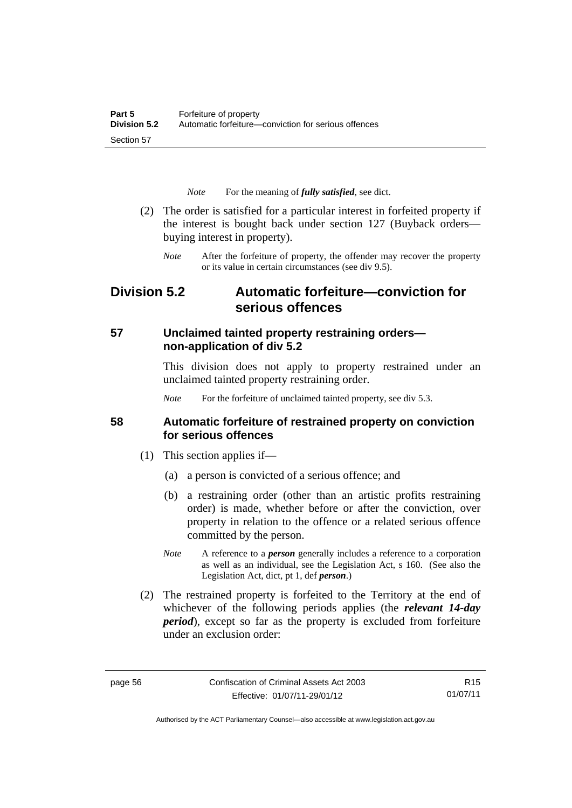*Note* For the meaning of *fully satisfied*, see dict.

- (2) The order is satisfied for a particular interest in forfeited property if the interest is bought back under section 127 (Buyback orders buying interest in property).
	- *Note* After the forfeiture of property, the offender may recover the property or its value in certain circumstances (see div 9.5).

# **Division 5.2 Automatic forfeiture—conviction for serious offences**

# **57 Unclaimed tainted property restraining orders non-application of div 5.2**

This division does not apply to property restrained under an unclaimed tainted property restraining order.

*Note* For the forfeiture of unclaimed tainted property, see div 5.3.

### **58 Automatic forfeiture of restrained property on conviction for serious offences**

- (1) This section applies if—
	- (a) a person is convicted of a serious offence; and
	- (b) a restraining order (other than an artistic profits restraining order) is made, whether before or after the conviction, over property in relation to the offence or a related serious offence committed by the person.
	- *Note* A reference to a *person* generally includes a reference to a corporation as well as an individual, see the Legislation Act, s 160. (See also the Legislation Act, dict, pt 1, def *person*.)
- (2) The restrained property is forfeited to the Territory at the end of whichever of the following periods applies (the *relevant 14-day period*), except so far as the property is excluded from forfeiture under an exclusion order:

R15 01/07/11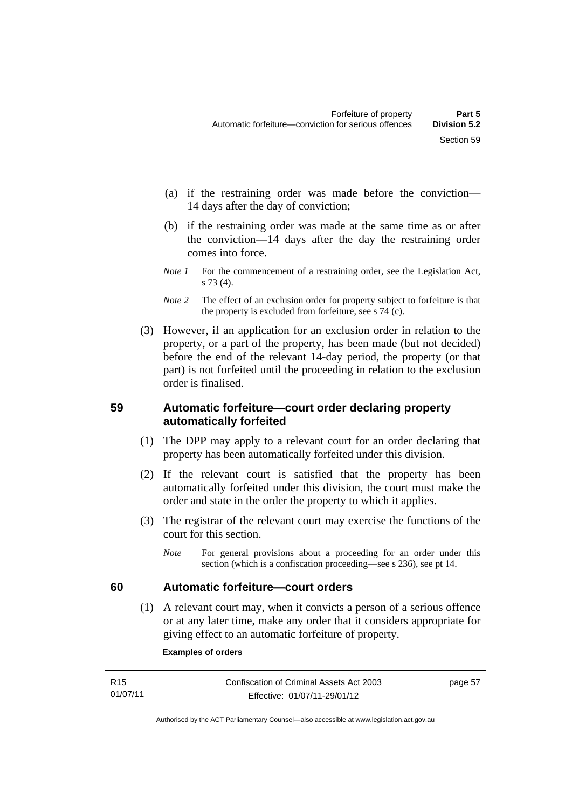- (a) if the restraining order was made before the conviction— 14 days after the day of conviction;
- (b) if the restraining order was made at the same time as or after the conviction—14 days after the day the restraining order comes into force.
- *Note 1* For the commencement of a restraining order, see the Legislation Act, s 73 (4).
- *Note* 2 The effect of an exclusion order for property subject to forfeiture is that the property is excluded from forfeiture, see s 74 (c).
- (3) However, if an application for an exclusion order in relation to the property, or a part of the property, has been made (but not decided) before the end of the relevant 14-day period, the property (or that part) is not forfeited until the proceeding in relation to the exclusion order is finalised.

# **59 Automatic forfeiture—court order declaring property automatically forfeited**

- (1) The DPP may apply to a relevant court for an order declaring that property has been automatically forfeited under this division.
- (2) If the relevant court is satisfied that the property has been automatically forfeited under this division, the court must make the order and state in the order the property to which it applies.
- (3) The registrar of the relevant court may exercise the functions of the court for this section.
	- *Note* For general provisions about a proceeding for an order under this section (which is a confiscation proceeding—see s 236), see pt 14.

# **60 Automatic forfeiture—court orders**

 (1) A relevant court may, when it convicts a person of a serious offence or at any later time, make any order that it considers appropriate for giving effect to an automatic forfeiture of property.

#### **Examples of orders**

| R <sub>15</sub> | Confiscation of Criminal Assets Act 2003 | page 57 |
|-----------------|------------------------------------------|---------|
| 01/07/11        | Effective: 01/07/11-29/01/12             |         |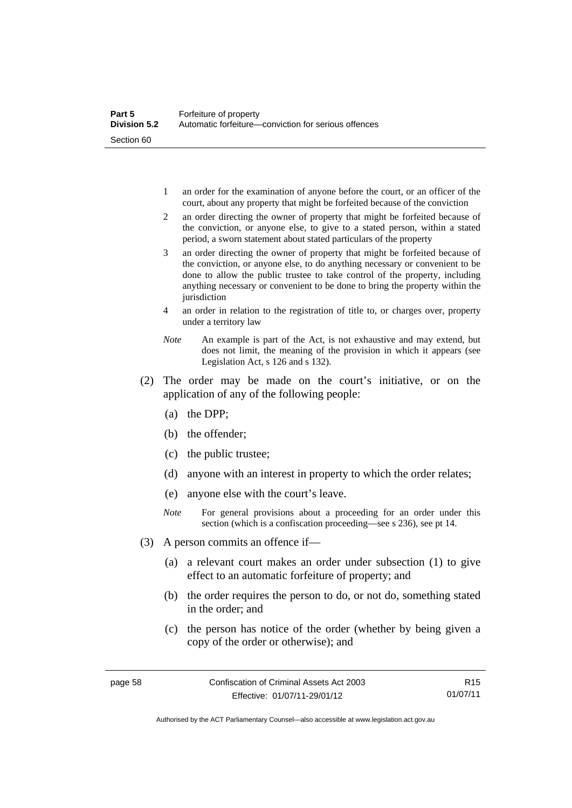- 1 an order for the examination of anyone before the court, or an officer of the court, about any property that might be forfeited because of the conviction
- 2 an order directing the owner of property that might be forfeited because of the conviction, or anyone else, to give to a stated person, within a stated period, a sworn statement about stated particulars of the property
- 3 an order directing the owner of property that might be forfeited because of the conviction, or anyone else, to do anything necessary or convenient to be done to allow the public trustee to take control of the property, including anything necessary or convenient to be done to bring the property within the jurisdiction
- 4 an order in relation to the registration of title to, or charges over, property under a territory law
- *Note* An example is part of the Act, is not exhaustive and may extend, but does not limit, the meaning of the provision in which it appears (see Legislation Act, s 126 and s 132).
- (2) The order may be made on the court's initiative, or on the application of any of the following people:
	- (a) the DPP;
	- (b) the offender;
	- (c) the public trustee;
	- (d) anyone with an interest in property to which the order relates;
	- (e) anyone else with the court's leave.
	- *Note* For general provisions about a proceeding for an order under this section (which is a confiscation proceeding—see s 236), see pt 14.
- (3) A person commits an offence if—
	- (a) a relevant court makes an order under subsection (1) to give effect to an automatic forfeiture of property; and
	- (b) the order requires the person to do, or not do, something stated in the order; and
	- (c) the person has notice of the order (whether by being given a copy of the order or otherwise); and

R15 01/07/11

Authorised by the ACT Parliamentary Counsel—also accessible at www.legislation.act.gov.au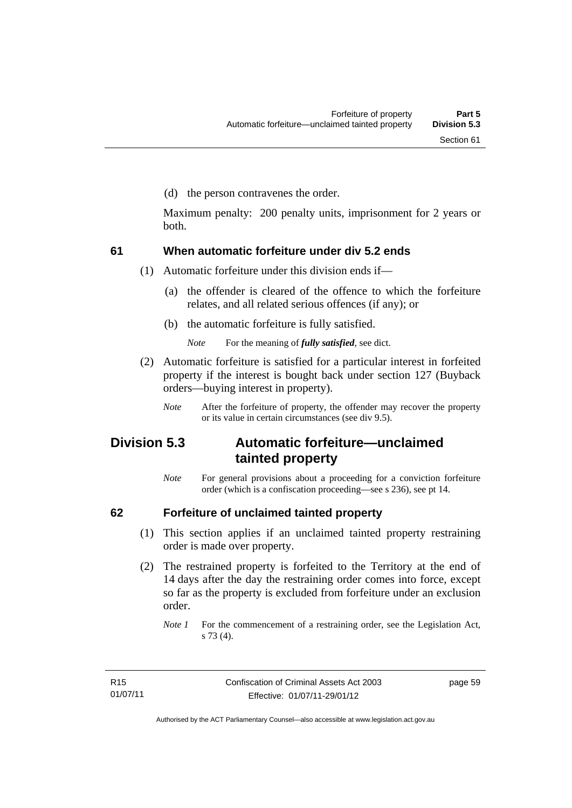(d) the person contravenes the order.

Maximum penalty: 200 penalty units, imprisonment for 2 years or both.

## **61 When automatic forfeiture under div 5.2 ends**

(1) Automatic forfeiture under this division ends if—

- (a) the offender is cleared of the offence to which the forfeiture relates, and all related serious offences (if any); or
- (b) the automatic forfeiture is fully satisfied.

*Note* For the meaning of *fully satisfied*, see dict.

- (2) Automatic forfeiture is satisfied for a particular interest in forfeited property if the interest is bought back under section 127 (Buyback orders—buying interest in property).
	- *Note* After the forfeiture of property, the offender may recover the property or its value in certain circumstances (see div 9.5).

## **Division 5.3 Automatic forfeiture—unclaimed tainted property**

*Note* For general provisions about a proceeding for a conviction forfeiture order (which is a confiscation proceeding—see s 236), see pt 14.

## **62 Forfeiture of unclaimed tainted property**

- (1) This section applies if an unclaimed tainted property restraining order is made over property.
- (2) The restrained property is forfeited to the Territory at the end of 14 days after the day the restraining order comes into force, except so far as the property is excluded from forfeiture under an exclusion order.

*Note 1* For the commencement of a restraining order, see the Legislation Act, s 73 (4).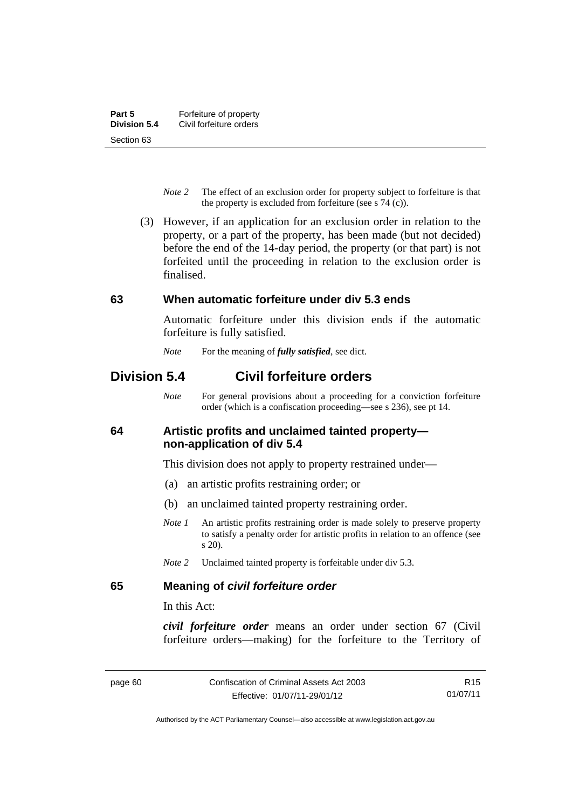- *Note 2* The effect of an exclusion order for property subject to forfeiture is that the property is excluded from forfeiture (see s 74 (c)).
- (3) However, if an application for an exclusion order in relation to the property, or a part of the property, has been made (but not decided) before the end of the 14-day period, the property (or that part) is not forfeited until the proceeding in relation to the exclusion order is finalised.

## **63 When automatic forfeiture under div 5.3 ends**

Automatic forfeiture under this division ends if the automatic forfeiture is fully satisfied.

*Note* For the meaning of *fully satisfied*, see dict.

## **Division 5.4 Civil forfeiture orders**

*Note* For general provisions about a proceeding for a conviction forfeiture order (which is a confiscation proceeding—see s 236), see pt 14.

## **64 Artistic profits and unclaimed tainted property non-application of div 5.4**

This division does not apply to property restrained under—

- (a) an artistic profits restraining order; or
- (b) an unclaimed tainted property restraining order.
- *Note 1* An artistic profits restraining order is made solely to preserve property to satisfy a penalty order for artistic profits in relation to an offence (see s 20).
- *Note 2* Unclaimed tainted property is forfeitable under div 5.3.

## **65 Meaning of** *civil forfeiture order*

In this Act:

*civil forfeiture order* means an order under section 67 (Civil forfeiture orders—making) for the forfeiture to the Territory of

R15 01/07/11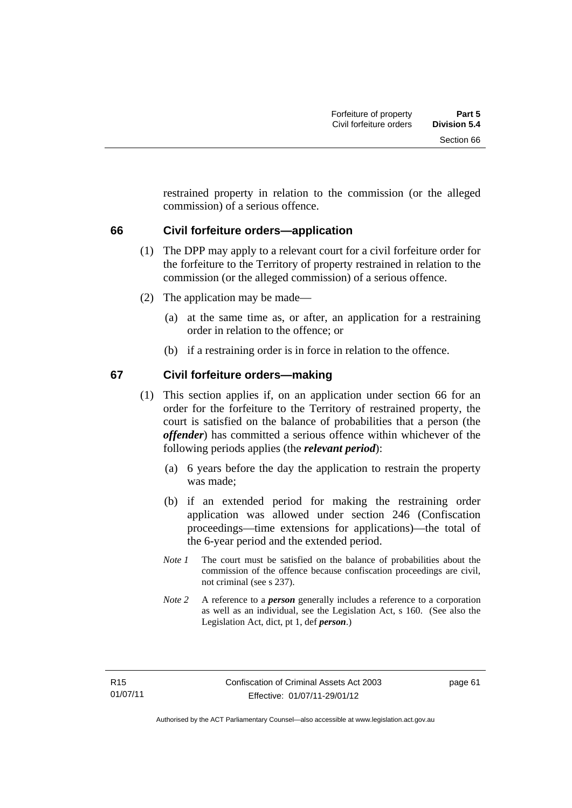restrained property in relation to the commission (or the alleged commission) of a serious offence.

## **66 Civil forfeiture orders—application**

- (1) The DPP may apply to a relevant court for a civil forfeiture order for the forfeiture to the Territory of property restrained in relation to the commission (or the alleged commission) of a serious offence.
- (2) The application may be made—
	- (a) at the same time as, or after, an application for a restraining order in relation to the offence; or
	- (b) if a restraining order is in force in relation to the offence.

## **67 Civil forfeiture orders—making**

- (1) This section applies if, on an application under section 66 for an order for the forfeiture to the Territory of restrained property, the court is satisfied on the balance of probabilities that a person (the *offender*) has committed a serious offence within whichever of the following periods applies (the *relevant period*):
	- (a) 6 years before the day the application to restrain the property was made;
	- (b) if an extended period for making the restraining order application was allowed under section 246 (Confiscation proceedings—time extensions for applications)—the total of the 6-year period and the extended period.
	- *Note 1* The court must be satisfied on the balance of probabilities about the commission of the offence because confiscation proceedings are civil, not criminal (see s 237).
	- *Note 2* A reference to a *person* generally includes a reference to a corporation as well as an individual, see the Legislation Act, s 160. (See also the Legislation Act, dict, pt 1, def *person*.)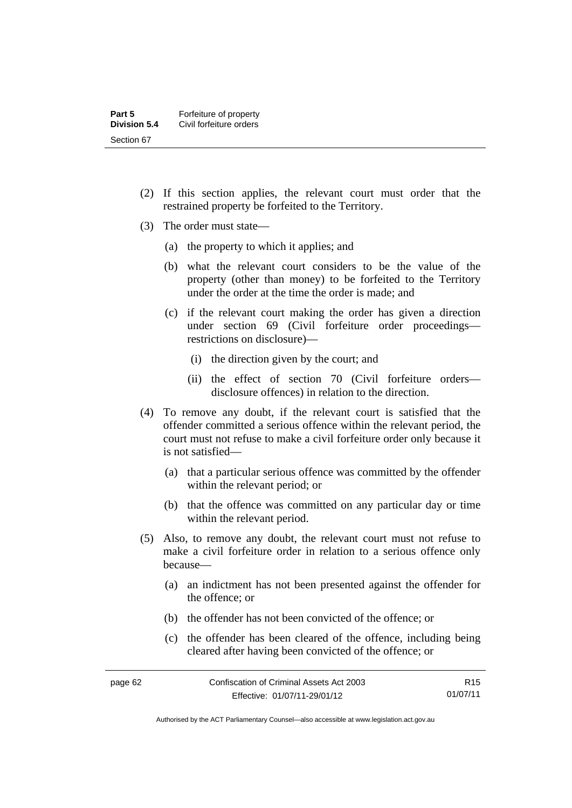- (2) If this section applies, the relevant court must order that the restrained property be forfeited to the Territory.
- (3) The order must state—
	- (a) the property to which it applies; and
	- (b) what the relevant court considers to be the value of the property (other than money) to be forfeited to the Territory under the order at the time the order is made; and
	- (c) if the relevant court making the order has given a direction under section 69 (Civil forfeiture order proceedings restrictions on disclosure)—
		- (i) the direction given by the court; and
		- (ii) the effect of section 70 (Civil forfeiture orders disclosure offences) in relation to the direction.
- (4) To remove any doubt, if the relevant court is satisfied that the offender committed a serious offence within the relevant period, the court must not refuse to make a civil forfeiture order only because it is not satisfied—
	- (a) that a particular serious offence was committed by the offender within the relevant period; or
	- (b) that the offence was committed on any particular day or time within the relevant period.
- (5) Also, to remove any doubt, the relevant court must not refuse to make a civil forfeiture order in relation to a serious offence only because—
	- (a) an indictment has not been presented against the offender for the offence; or
	- (b) the offender has not been convicted of the offence; or
	- (c) the offender has been cleared of the offence, including being cleared after having been convicted of the offence; or

| ıΑ<br>າສຕ<br>r |  |
|----------------|--|
|----------------|--|

Authorised by the ACT Parliamentary Counsel—also accessible at www.legislation.act.gov.au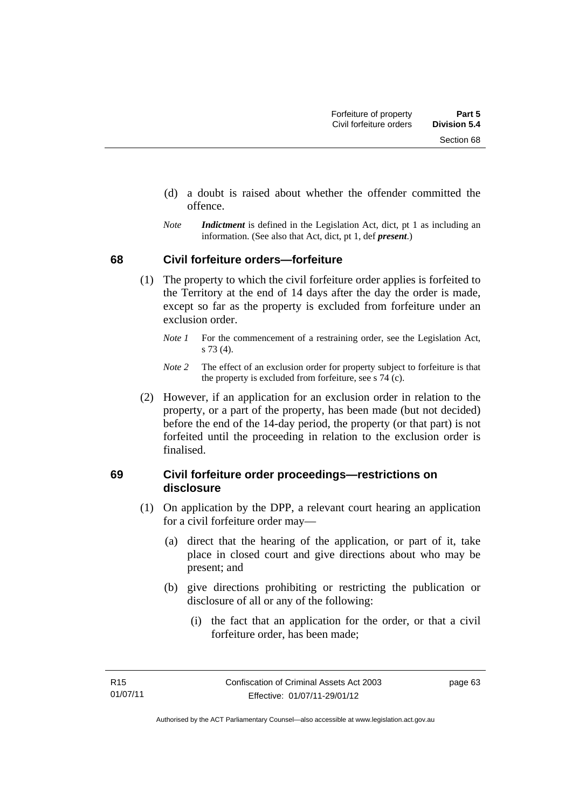- (d) a doubt is raised about whether the offender committed the offence.
- *Note Indictment* is defined in the Legislation Act, dict, pt 1 as including an information. (See also that Act, dict, pt 1, def *present*.)

## **68 Civil forfeiture orders—forfeiture**

- (1) The property to which the civil forfeiture order applies is forfeited to the Territory at the end of 14 days after the day the order is made, except so far as the property is excluded from forfeiture under an exclusion order.
	- *Note 1* For the commencement of a restraining order, see the Legislation Act, s 73 (4).
	- *Note 2* The effect of an exclusion order for property subject to forfeiture is that the property is excluded from forfeiture, see s 74 (c).
- (2) However, if an application for an exclusion order in relation to the property, or a part of the property, has been made (but not decided) before the end of the 14-day period, the property (or that part) is not forfeited until the proceeding in relation to the exclusion order is finalised.

## **69 Civil forfeiture order proceedings—restrictions on disclosure**

- (1) On application by the DPP, a relevant court hearing an application for a civil forfeiture order may—
	- (a) direct that the hearing of the application, or part of it, take place in closed court and give directions about who may be present; and
	- (b) give directions prohibiting or restricting the publication or disclosure of all or any of the following:
		- (i) the fact that an application for the order, or that a civil forfeiture order, has been made;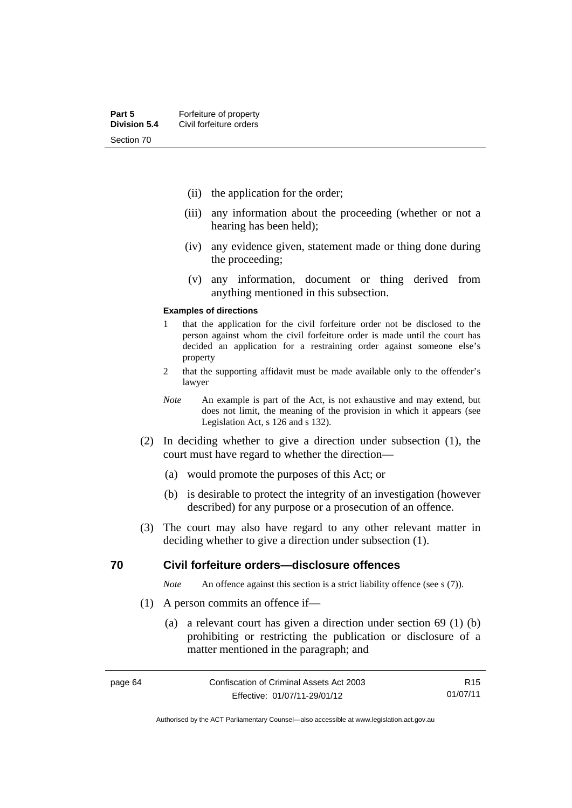- (ii) the application for the order;
- (iii) any information about the proceeding (whether or not a hearing has been held);
- (iv) any evidence given, statement made or thing done during the proceeding;
- (v) any information, document or thing derived from anything mentioned in this subsection.

#### **Examples of directions**

- 1 that the application for the civil forfeiture order not be disclosed to the person against whom the civil forfeiture order is made until the court has decided an application for a restraining order against someone else's property
- 2 that the supporting affidavit must be made available only to the offender's lawyer
- *Note* An example is part of the Act, is not exhaustive and may extend, but does not limit, the meaning of the provision in which it appears (see Legislation Act, s 126 and s 132).
- (2) In deciding whether to give a direction under subsection (1), the court must have regard to whether the direction—
	- (a) would promote the purposes of this Act; or
	- (b) is desirable to protect the integrity of an investigation (however described) for any purpose or a prosecution of an offence.
- (3) The court may also have regard to any other relevant matter in deciding whether to give a direction under subsection (1).

### **70 Civil forfeiture orders—disclosure offences**

*Note* An offence against this section is a strict liability offence (see s (7)).

- (1) A person commits an offence if—
	- (a) a relevant court has given a direction under section 69 (1) (b) prohibiting or restricting the publication or disclosure of a matter mentioned in the paragraph; and

R15 01/07/11

Authorised by the ACT Parliamentary Counsel—also accessible at www.legislation.act.gov.au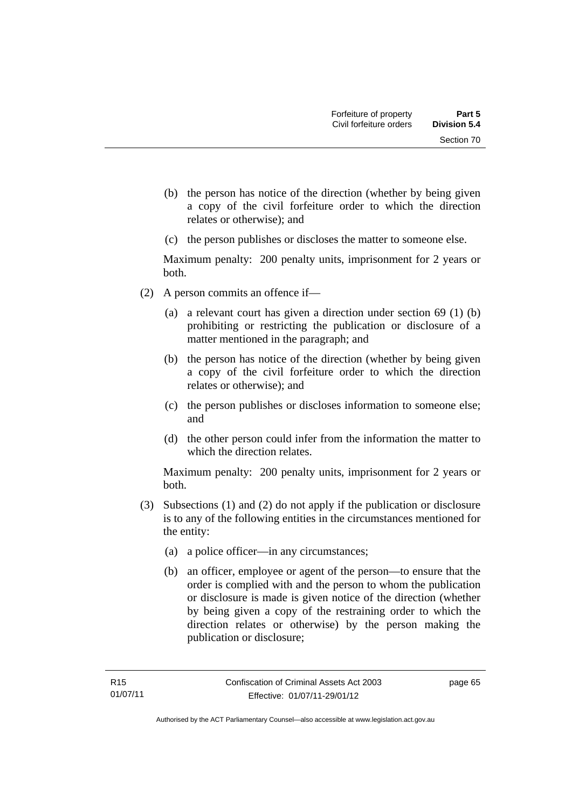- (b) the person has notice of the direction (whether by being given a copy of the civil forfeiture order to which the direction relates or otherwise); and
- (c) the person publishes or discloses the matter to someone else.

Maximum penalty: 200 penalty units, imprisonment for 2 years or both.

- (2) A person commits an offence if—
	- (a) a relevant court has given a direction under section 69 (1) (b) prohibiting or restricting the publication or disclosure of a matter mentioned in the paragraph; and
	- (b) the person has notice of the direction (whether by being given a copy of the civil forfeiture order to which the direction relates or otherwise); and
	- (c) the person publishes or discloses information to someone else; and
	- (d) the other person could infer from the information the matter to which the direction relates.

Maximum penalty: 200 penalty units, imprisonment for 2 years or both.

- (3) Subsections (1) and (2) do not apply if the publication or disclosure is to any of the following entities in the circumstances mentioned for the entity:
	- (a) a police officer—in any circumstances;
	- (b) an officer, employee or agent of the person—to ensure that the order is complied with and the person to whom the publication or disclosure is made is given notice of the direction (whether by being given a copy of the restraining order to which the direction relates or otherwise) by the person making the publication or disclosure;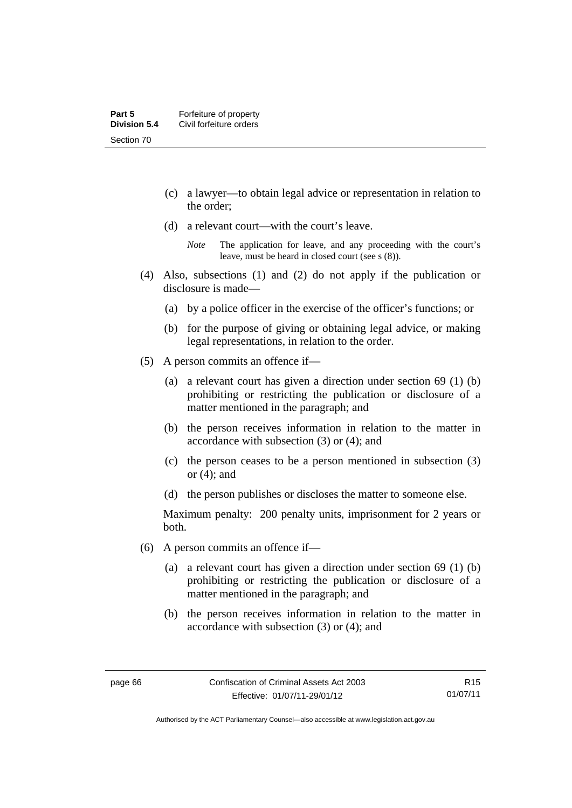- (c) a lawyer—to obtain legal advice or representation in relation to the order;
- (d) a relevant court—with the court's leave.

- (4) Also, subsections (1) and (2) do not apply if the publication or disclosure is made—
	- (a) by a police officer in the exercise of the officer's functions; or
	- (b) for the purpose of giving or obtaining legal advice, or making legal representations, in relation to the order.
- (5) A person commits an offence if—
	- (a) a relevant court has given a direction under section 69 (1) (b) prohibiting or restricting the publication or disclosure of a matter mentioned in the paragraph; and
	- (b) the person receives information in relation to the matter in accordance with subsection (3) or (4); and
	- (c) the person ceases to be a person mentioned in subsection (3) or (4); and
	- (d) the person publishes or discloses the matter to someone else.

Maximum penalty: 200 penalty units, imprisonment for 2 years or both.

- (6) A person commits an offence if—
	- (a) a relevant court has given a direction under section 69 (1) (b) prohibiting or restricting the publication or disclosure of a matter mentioned in the paragraph; and
	- (b) the person receives information in relation to the matter in accordance with subsection (3) or (4); and

*Note* The application for leave, and any proceeding with the court's leave, must be heard in closed court (see s (8)).

Authorised by the ACT Parliamentary Counsel—also accessible at www.legislation.act.gov.au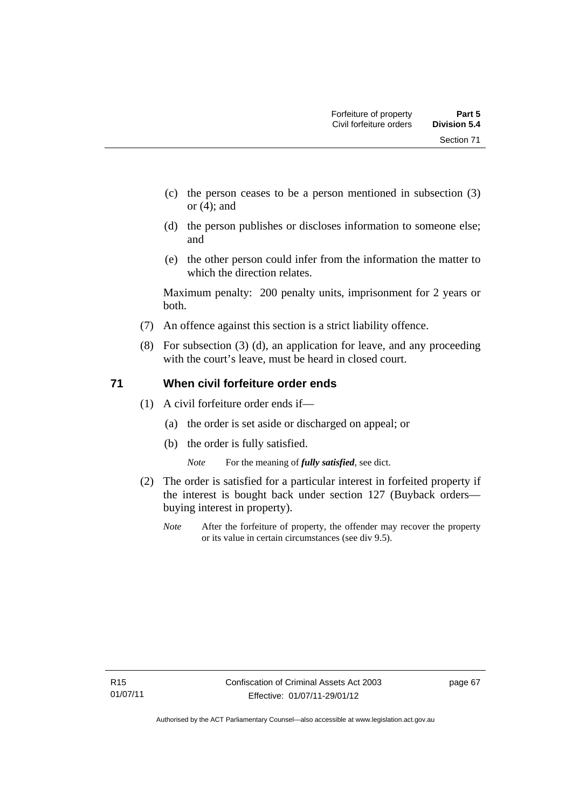Section 71

- (c) the person ceases to be a person mentioned in subsection (3) or (4); and
- (d) the person publishes or discloses information to someone else; and
- (e) the other person could infer from the information the matter to which the direction relates.

Maximum penalty: 200 penalty units, imprisonment for 2 years or both.

- (7) An offence against this section is a strict liability offence.
- (8) For subsection (3) (d), an application for leave, and any proceeding with the court's leave, must be heard in closed court.

## **71 When civil forfeiture order ends**

- (1) A civil forfeiture order ends if—
	- (a) the order is set aside or discharged on appeal; or
	- (b) the order is fully satisfied.

*Note* For the meaning of *fully satisfied*, see dict.

- (2) The order is satisfied for a particular interest in forfeited property if the interest is bought back under section 127 (Buyback orders buying interest in property).
	- *Note* After the forfeiture of property, the offender may recover the property or its value in certain circumstances (see div 9.5).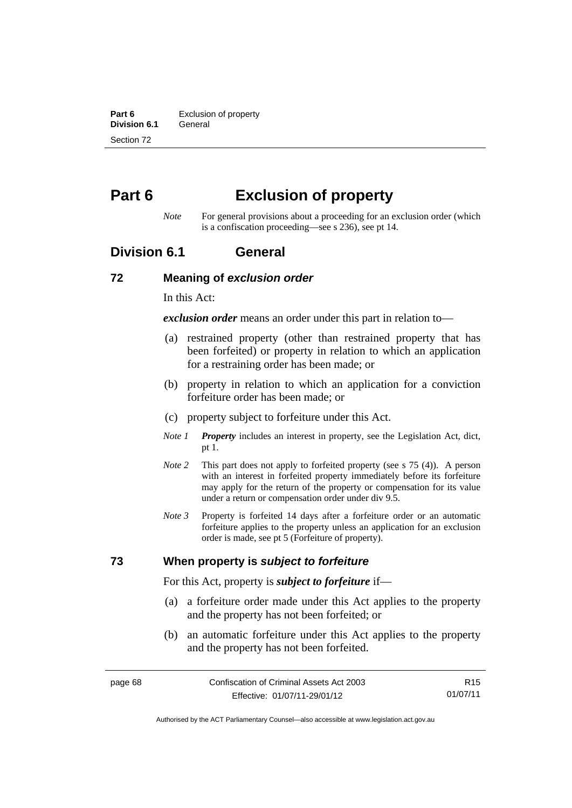**Part 6 Exclusion of property**<br>**Division 6.1 General Division 6.1** Section 72

# **Part 6 Exclusion of property**

*Note* For general provisions about a proceeding for an exclusion order (which is a confiscation proceeding—see s 236), see pt 14.

## **Division 6.1 General**

### **72 Meaning of** *exclusion order*

In this Act:

*exclusion order* means an order under this part in relation to—

- (a) restrained property (other than restrained property that has been forfeited) or property in relation to which an application for a restraining order has been made; or
- (b) property in relation to which an application for a conviction forfeiture order has been made; or
- (c) property subject to forfeiture under this Act.
- *Note 1 Property* includes an interest in property, see the Legislation Act, dict, pt 1.
- *Note 2* This part does not apply to forfeited property (see s 75 (4)). A person with an interest in forfeited property immediately before its forfeiture may apply for the return of the property or compensation for its value under a return or compensation order under div 9.5.
- *Note 3* Property is forfeited 14 days after a forfeiture order or an automatic forfeiture applies to the property unless an application for an exclusion order is made, see pt 5 (Forfeiture of property).

## **73 When property is** *subject to forfeiture*

For this Act, property is *subject to forfeiture* if—

- (a) a forfeiture order made under this Act applies to the property and the property has not been forfeited; or
- (b) an automatic forfeiture under this Act applies to the property and the property has not been forfeited.

R15 01/07/11

Authorised by the ACT Parliamentary Counsel—also accessible at www.legislation.act.gov.au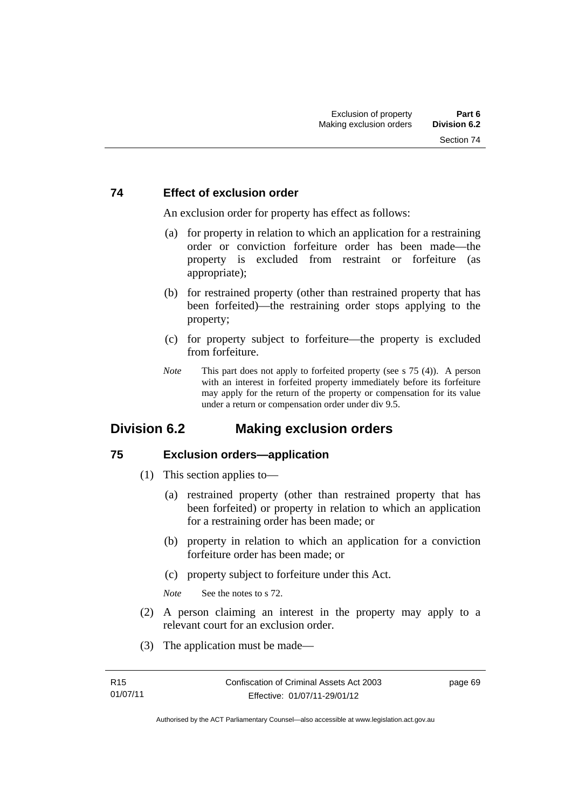## **74 Effect of exclusion order**

An exclusion order for property has effect as follows:

- (a) for property in relation to which an application for a restraining order or conviction forfeiture order has been made—the property is excluded from restraint or forfeiture (as appropriate);
- (b) for restrained property (other than restrained property that has been forfeited)—the restraining order stops applying to the property;
- (c) for property subject to forfeiture—the property is excluded from forfeiture.
- *Note* This part does not apply to forfeited property (see s 75 (4)). A person with an interest in forfeited property immediately before its forfeiture may apply for the return of the property or compensation for its value under a return or compensation order under div 9.5.

## **Division 6.2 Making exclusion orders**

## **75 Exclusion orders—application**

- (1) This section applies to—
	- (a) restrained property (other than restrained property that has been forfeited) or property in relation to which an application for a restraining order has been made; or
	- (b) property in relation to which an application for a conviction forfeiture order has been made; or
	- (c) property subject to forfeiture under this Act.

*Note* See the notes to s 72.

- (2) A person claiming an interest in the property may apply to a relevant court for an exclusion order.
- (3) The application must be made—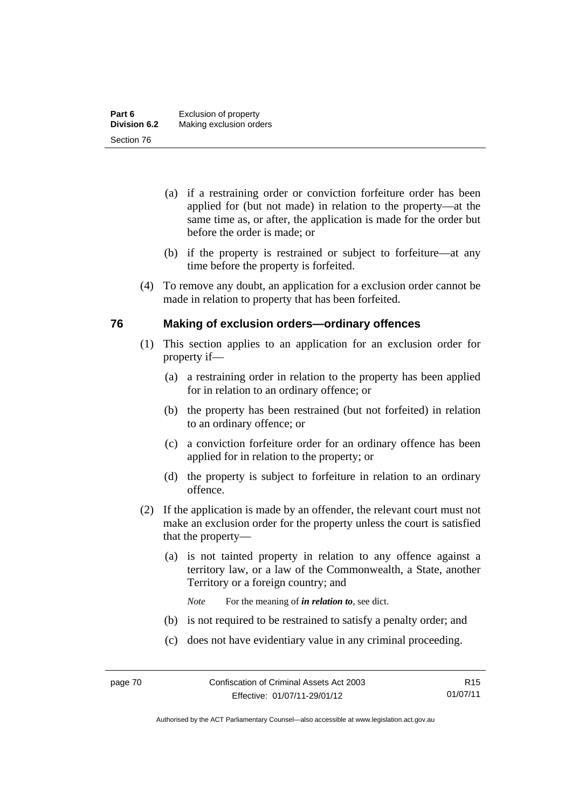- (a) if a restraining order or conviction forfeiture order has been applied for (but not made) in relation to the property—at the same time as, or after, the application is made for the order but before the order is made; or
- (b) if the property is restrained or subject to forfeiture—at any time before the property is forfeited.
- (4) To remove any doubt, an application for a exclusion order cannot be made in relation to property that has been forfeited.

## **76 Making of exclusion orders—ordinary offences**

- (1) This section applies to an application for an exclusion order for property if—
	- (a) a restraining order in relation to the property has been applied for in relation to an ordinary offence; or
	- (b) the property has been restrained (but not forfeited) in relation to an ordinary offence; or
	- (c) a conviction forfeiture order for an ordinary offence has been applied for in relation to the property; or
	- (d) the property is subject to forfeiture in relation to an ordinary offence.
- (2) If the application is made by an offender, the relevant court must not make an exclusion order for the property unless the court is satisfied that the property—
	- (a) is not tainted property in relation to any offence against a territory law, or a law of the Commonwealth, a State, another Territory or a foreign country; and
		- *Note* For the meaning of *in relation to*, see dict.
	- (b) is not required to be restrained to satisfy a penalty order; and
	- (c) does not have evidentiary value in any criminal proceeding.

Authorised by the ACT Parliamentary Counsel—also accessible at www.legislation.act.gov.au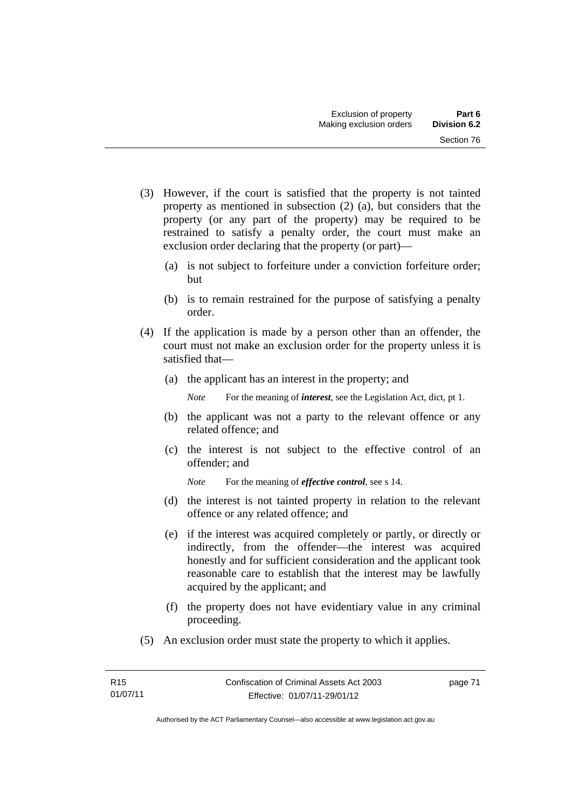- (3) However, if the court is satisfied that the property is not tainted property as mentioned in subsection (2) (a), but considers that the property (or any part of the property) may be required to be restrained to satisfy a penalty order, the court must make an exclusion order declaring that the property (or part)—
	- (a) is not subject to forfeiture under a conviction forfeiture order; but
	- (b) is to remain restrained for the purpose of satisfying a penalty order.
- (4) If the application is made by a person other than an offender, the court must not make an exclusion order for the property unless it is satisfied that—
	- (a) the applicant has an interest in the property; and

*Note* For the meaning of *interest*, see the Legislation Act, dict, pt 1.

- (b) the applicant was not a party to the relevant offence or any related offence; and
- (c) the interest is not subject to the effective control of an offender; and
	- *Note* For the meaning of *effective control*, see s 14.
- (d) the interest is not tainted property in relation to the relevant offence or any related offence; and
- (e) if the interest was acquired completely or partly, or directly or indirectly, from the offender—the interest was acquired honestly and for sufficient consideration and the applicant took reasonable care to establish that the interest may be lawfully acquired by the applicant; and
- (f) the property does not have evidentiary value in any criminal proceeding.
- (5) An exclusion order must state the property to which it applies.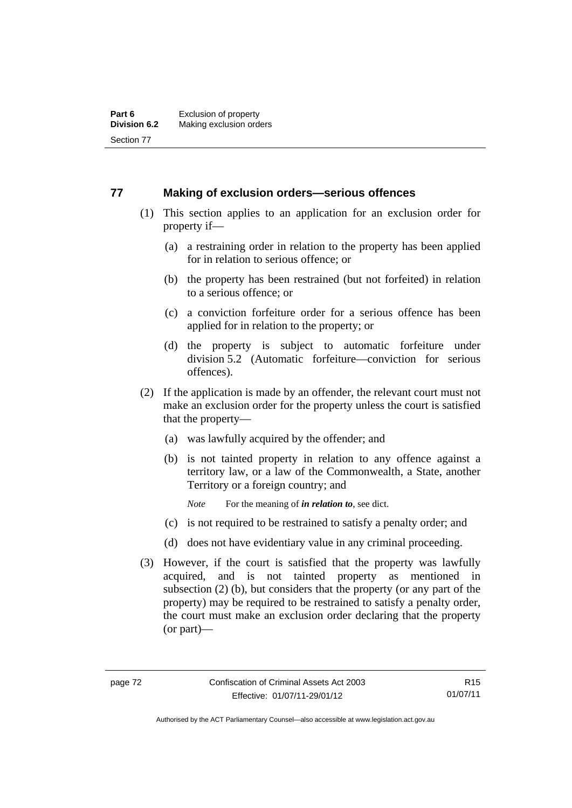## **77 Making of exclusion orders—serious offences**

- (1) This section applies to an application for an exclusion order for property if—
	- (a) a restraining order in relation to the property has been applied for in relation to serious offence; or
	- (b) the property has been restrained (but not forfeited) in relation to a serious offence; or
	- (c) a conviction forfeiture order for a serious offence has been applied for in relation to the property; or
	- (d) the property is subject to automatic forfeiture under division 5.2 (Automatic forfeiture—conviction for serious offences).
- (2) If the application is made by an offender, the relevant court must not make an exclusion order for the property unless the court is satisfied that the property—
	- (a) was lawfully acquired by the offender; and
	- (b) is not tainted property in relation to any offence against a territory law, or a law of the Commonwealth, a State, another Territory or a foreign country; and
		- *Note* For the meaning of *in relation to*, see dict.
	- (c) is not required to be restrained to satisfy a penalty order; and
	- (d) does not have evidentiary value in any criminal proceeding.
- (3) However, if the court is satisfied that the property was lawfully acquired, and is not tainted property as mentioned in subsection (2) (b), but considers that the property (or any part of the property) may be required to be restrained to satisfy a penalty order, the court must make an exclusion order declaring that the property (or part)—

R15 01/07/11

Authorised by the ACT Parliamentary Counsel—also accessible at www.legislation.act.gov.au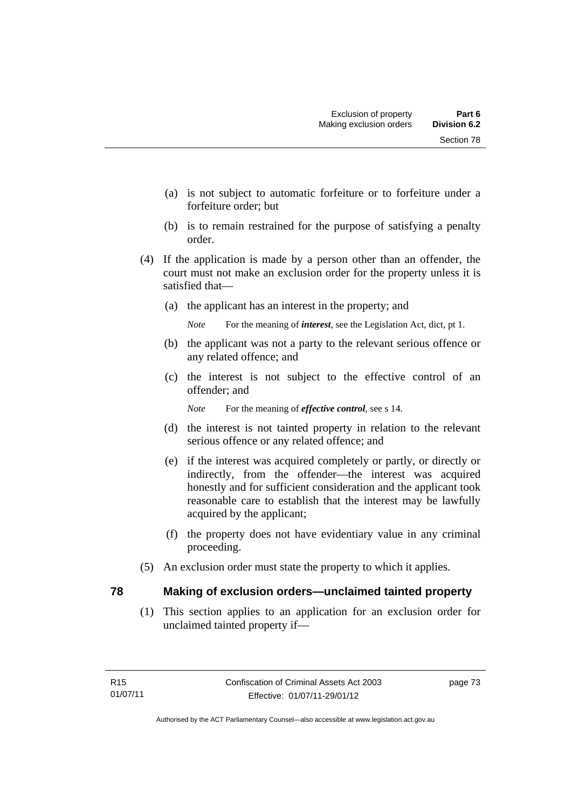- (a) is not subject to automatic forfeiture or to forfeiture under a forfeiture order; but
- (b) is to remain restrained for the purpose of satisfying a penalty order.
- (4) If the application is made by a person other than an offender, the court must not make an exclusion order for the property unless it is satisfied that—
	- (a) the applicant has an interest in the property; and

*Note* For the meaning of *interest*, see the Legislation Act, dict, pt 1.

- (b) the applicant was not a party to the relevant serious offence or any related offence; and
- (c) the interest is not subject to the effective control of an offender; and

*Note* For the meaning of *effective control*, see s 14.

- (d) the interest is not tainted property in relation to the relevant serious offence or any related offence; and
- (e) if the interest was acquired completely or partly, or directly or indirectly, from the offender—the interest was acquired honestly and for sufficient consideration and the applicant took reasonable care to establish that the interest may be lawfully acquired by the applicant;
- (f) the property does not have evidentiary value in any criminal proceeding.
- (5) An exclusion order must state the property to which it applies.

## **78 Making of exclusion orders—unclaimed tainted property**

 (1) This section applies to an application for an exclusion order for unclaimed tainted property if—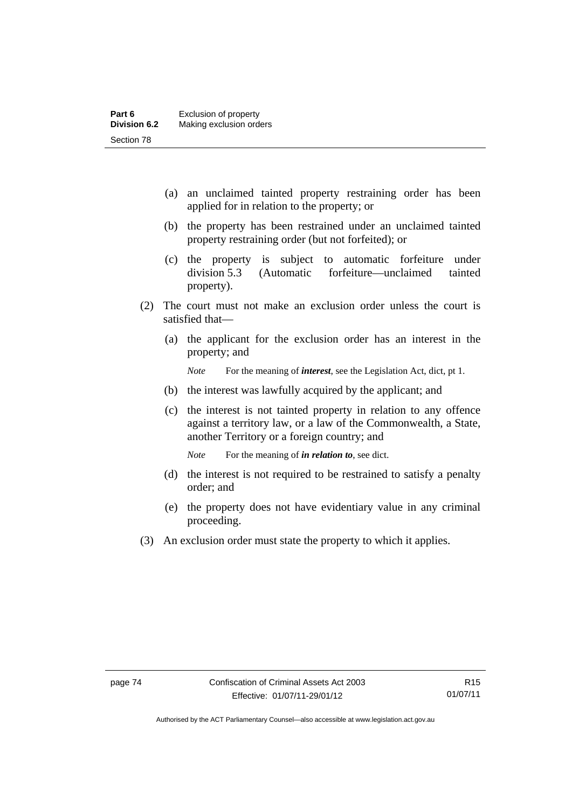- (a) an unclaimed tainted property restraining order has been applied for in relation to the property; or
- (b) the property has been restrained under an unclaimed tainted property restraining order (but not forfeited); or
- (c) the property is subject to automatic forfeiture under division 5.3 (Automatic forfeiture—unclaimed tainted property).
- (2) The court must not make an exclusion order unless the court is satisfied that—
	- (a) the applicant for the exclusion order has an interest in the property; and

*Note* For the meaning of *interest*, see the Legislation Act, dict, pt 1.

- (b) the interest was lawfully acquired by the applicant; and
- (c) the interest is not tainted property in relation to any offence against a territory law, or a law of the Commonwealth, a State, another Territory or a foreign country; and

*Note* For the meaning of *in relation to*, see dict.

- (d) the interest is not required to be restrained to satisfy a penalty order; and
- (e) the property does not have evidentiary value in any criminal proceeding.
- (3) An exclusion order must state the property to which it applies.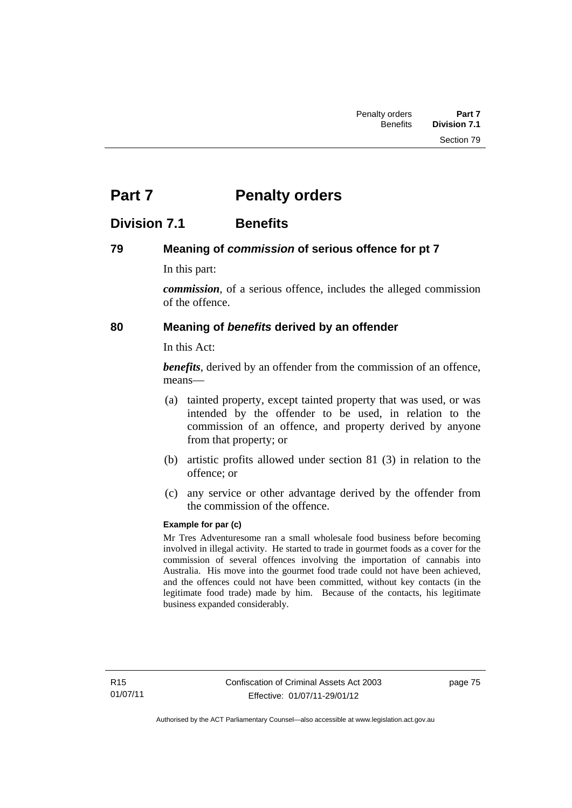# **Part 7** Penalty orders

## **Division 7.1 Benefits**

## **79 Meaning of** *commission* **of serious offence for pt 7**

In this part:

*commission*, of a serious offence, includes the alleged commission of the offence.

## **80 Meaning of** *benefits* **derived by an offender**

In this Act:

*benefits*, derived by an offender from the commission of an offence, means—

- (a) tainted property, except tainted property that was used, or was intended by the offender to be used, in relation to the commission of an offence, and property derived by anyone from that property; or
- (b) artistic profits allowed under section 81 (3) in relation to the offence; or
- (c) any service or other advantage derived by the offender from the commission of the offence.

## **Example for par (c)**

Mr Tres Adventuresome ran a small wholesale food business before becoming involved in illegal activity. He started to trade in gourmet foods as a cover for the commission of several offences involving the importation of cannabis into Australia. His move into the gourmet food trade could not have been achieved, and the offences could not have been committed, without key contacts (in the legitimate food trade) made by him. Because of the contacts, his legitimate business expanded considerably.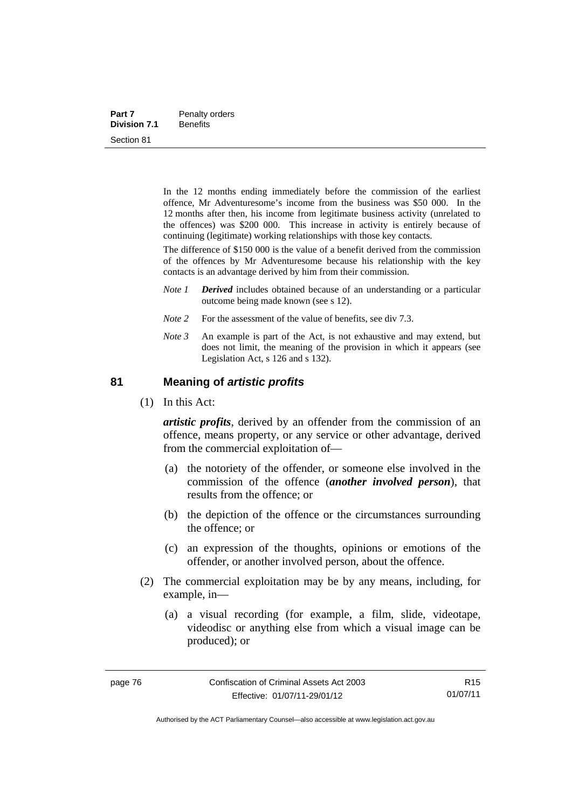| Part 7              | Penalty orders  |  |  |
|---------------------|-----------------|--|--|
| <b>Division 7.1</b> | <b>Benefits</b> |  |  |
| Section 81          |                 |  |  |

In the 12 months ending immediately before the commission of the earliest offence, Mr Adventuresome's income from the business was \$50 000. In the 12 months after then, his income from legitimate business activity (unrelated to the offences) was \$200 000. This increase in activity is entirely because of continuing (legitimate) working relationships with those key contacts.

The difference of \$150 000 is the value of a benefit derived from the commission of the offences by Mr Adventuresome because his relationship with the key contacts is an advantage derived by him from their commission.

- *Note 1 Derived* includes obtained because of an understanding or a particular outcome being made known (see s 12).
- *Note* 2 For the assessment of the value of benefits, see div 7.3.
- *Note 3* An example is part of the Act, is not exhaustive and may extend, but does not limit, the meaning of the provision in which it appears (see Legislation Act, s 126 and s 132).

### **81 Meaning of** *artistic profits*

(1) In this Act:

*artistic profits*, derived by an offender from the commission of an offence, means property, or any service or other advantage, derived from the commercial exploitation of—

- (a) the notoriety of the offender, or someone else involved in the commission of the offence (*another involved person*), that results from the offence; or
- (b) the depiction of the offence or the circumstances surrounding the offence; or
- (c) an expression of the thoughts, opinions or emotions of the offender, or another involved person, about the offence.
- (2) The commercial exploitation may be by any means, including, for example, in—
	- (a) a visual recording (for example, a film, slide, videotape, videodisc or anything else from which a visual image can be produced); or

R15 01/07/11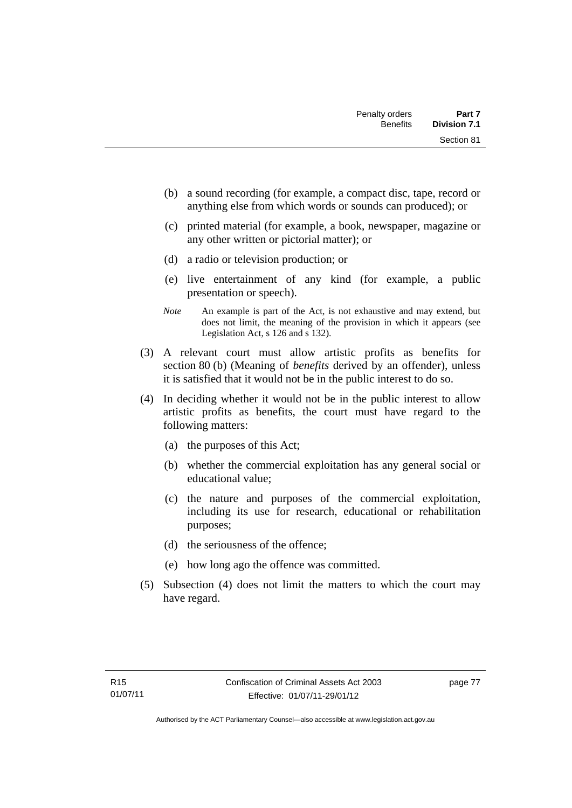- (b) a sound recording (for example, a compact disc, tape, record or anything else from which words or sounds can produced); or
- (c) printed material (for example, a book, newspaper, magazine or any other written or pictorial matter); or
- (d) a radio or television production; or
- (e) live entertainment of any kind (for example, a public presentation or speech).
- *Note* An example is part of the Act, is not exhaustive and may extend, but does not limit, the meaning of the provision in which it appears (see Legislation Act, s 126 and s 132).
- (3) A relevant court must allow artistic profits as benefits for section 80 (b) (Meaning of *benefits* derived by an offender), unless it is satisfied that it would not be in the public interest to do so.
- (4) In deciding whether it would not be in the public interest to allow artistic profits as benefits, the court must have regard to the following matters:
	- (a) the purposes of this Act;
	- (b) whether the commercial exploitation has any general social or educational value;
	- (c) the nature and purposes of the commercial exploitation, including its use for research, educational or rehabilitation purposes;
	- (d) the seriousness of the offence;
	- (e) how long ago the offence was committed.
- (5) Subsection (4) does not limit the matters to which the court may have regard.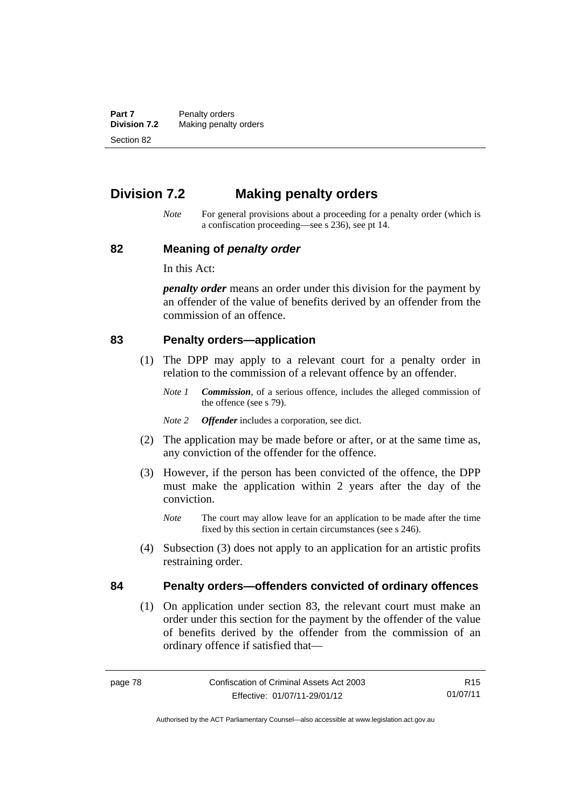**Part 7** Penalty orders<br>**Division 7.2** Making penalty **Making penalty orders** Section 82

## **Division 7.2 Making penalty orders**

*Note* For general provisions about a proceeding for a penalty order (which is a confiscation proceeding—see s 236), see pt 14.

### **82 Meaning of** *penalty order*

In this Act:

*penalty order* means an order under this division for the payment by an offender of the value of benefits derived by an offender from the commission of an offence.

#### **83 Penalty orders—application**

- (1) The DPP may apply to a relevant court for a penalty order in relation to the commission of a relevant offence by an offender.
	- *Note 1 Commission*, of a serious offence, includes the alleged commission of the offence (see s 79).
	- *Note 2 Offender* includes a corporation, see dict.
- (2) The application may be made before or after, or at the same time as, any conviction of the offender for the offence.
- (3) However, if the person has been convicted of the offence, the DPP must make the application within 2 years after the day of the conviction.
	- *Note* The court may allow leave for an application to be made after the time fixed by this section in certain circumstances (see s 246).
- (4) Subsection (3) does not apply to an application for an artistic profits restraining order.

## **84 Penalty orders—offenders convicted of ordinary offences**

(1) On application under section 83, the relevant court must make an order under this section for the payment by the offender of the value of benefits derived by the offender from the commission of an ordinary offence if satisfied that—

R15 01/07/11

Authorised by the ACT Parliamentary Counsel—also accessible at www.legislation.act.gov.au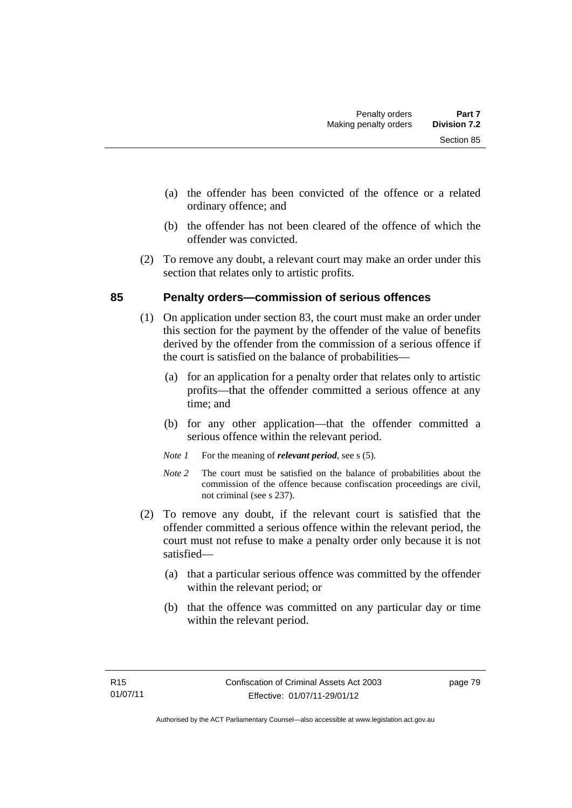- (a) the offender has been convicted of the offence or a related ordinary offence; and
- (b) the offender has not been cleared of the offence of which the offender was convicted.
- (2) To remove any doubt, a relevant court may make an order under this section that relates only to artistic profits.

## **85 Penalty orders—commission of serious offences**

- (1) On application under section 83, the court must make an order under this section for the payment by the offender of the value of benefits derived by the offender from the commission of a serious offence if the court is satisfied on the balance of probabilities—
	- (a) for an application for a penalty order that relates only to artistic profits—that the offender committed a serious offence at any time; and
	- (b) for any other application—that the offender committed a serious offence within the relevant period.
	- *Note 1* For the meaning of *relevant period*, see s (5).
	- *Note* 2 The court must be satisfied on the balance of probabilities about the commission of the offence because confiscation proceedings are civil, not criminal (see s 237).
- (2) To remove any doubt, if the relevant court is satisfied that the offender committed a serious offence within the relevant period, the court must not refuse to make a penalty order only because it is not satisfied—
	- (a) that a particular serious offence was committed by the offender within the relevant period; or
	- (b) that the offence was committed on any particular day or time within the relevant period.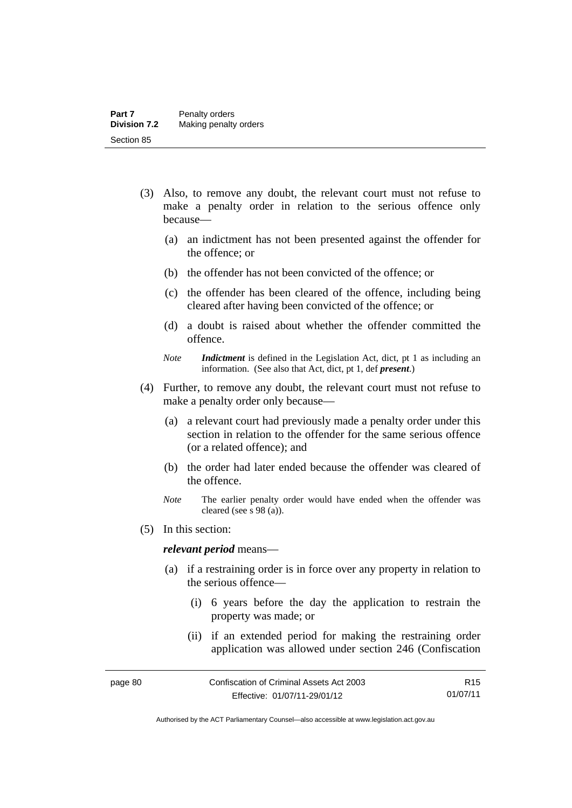- (3) Also, to remove any doubt, the relevant court must not refuse to make a penalty order in relation to the serious offence only because—
	- (a) an indictment has not been presented against the offender for the offence; or
	- (b) the offender has not been convicted of the offence; or
	- (c) the offender has been cleared of the offence, including being cleared after having been convicted of the offence; or
	- (d) a doubt is raised about whether the offender committed the offence.
	- *Note Indictment* is defined in the Legislation Act, dict, pt 1 as including an information. (See also that Act, dict, pt 1, def *present*.)
- (4) Further, to remove any doubt, the relevant court must not refuse to make a penalty order only because—
	- (a) a relevant court had previously made a penalty order under this section in relation to the offender for the same serious offence (or a related offence); and
	- (b) the order had later ended because the offender was cleared of the offence.
	- *Note* The earlier penalty order would have ended when the offender was cleared (see s 98 (a)).
- (5) In this section:

#### *relevant period* means—

- (a) if a restraining order is in force over any property in relation to the serious offence—
	- (i) 6 years before the day the application to restrain the property was made; or
	- (ii) if an extended period for making the restraining order application was allowed under section 246 (Confiscation

Authorised by the ACT Parliamentary Counsel—also accessible at www.legislation.act.gov.au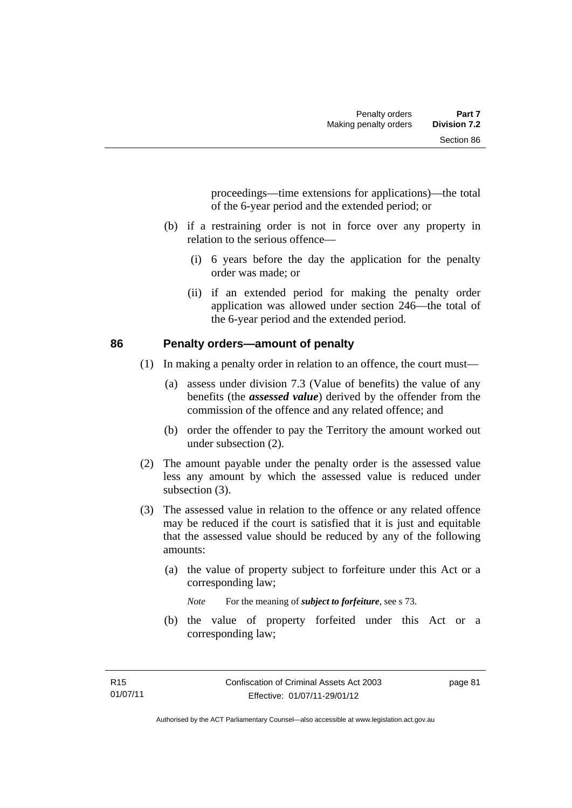proceedings—time extensions for applications)—the total of the 6-year period and the extended period; or

- (b) if a restraining order is not in force over any property in relation to the serious offence—
	- (i) 6 years before the day the application for the penalty order was made; or
	- (ii) if an extended period for making the penalty order application was allowed under section 246—the total of the 6-year period and the extended period.

## **86 Penalty orders—amount of penalty**

- (1) In making a penalty order in relation to an offence, the court must—
	- (a) assess under division 7.3 (Value of benefits) the value of any benefits (the *assessed value*) derived by the offender from the commission of the offence and any related offence; and
	- (b) order the offender to pay the Territory the amount worked out under subsection (2).
- (2) The amount payable under the penalty order is the assessed value less any amount by which the assessed value is reduced under subsection  $(3)$ .
- (3) The assessed value in relation to the offence or any related offence may be reduced if the court is satisfied that it is just and equitable that the assessed value should be reduced by any of the following amounts:
	- (a) the value of property subject to forfeiture under this Act or a corresponding law;

*Note* For the meaning of *subject to forfeiture*, see s 73.

 (b) the value of property forfeited under this Act or a corresponding law;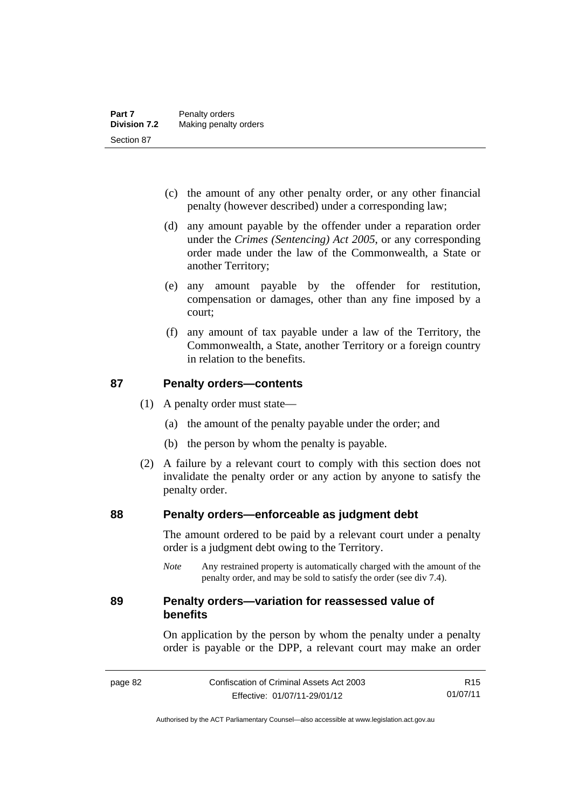- (c) the amount of any other penalty order, or any other financial penalty (however described) under a corresponding law;
- (d) any amount payable by the offender under a reparation order under the *Crimes (Sentencing) Act 2005*, or any corresponding order made under the law of the Commonwealth, a State or another Territory;
- (e) any amount payable by the offender for restitution, compensation or damages, other than any fine imposed by a court;
- (f) any amount of tax payable under a law of the Territory, the Commonwealth, a State, another Territory or a foreign country in relation to the benefits.

## **87 Penalty orders—contents**

- (1) A penalty order must state—
	- (a) the amount of the penalty payable under the order; and
	- (b) the person by whom the penalty is payable.
- (2) A failure by a relevant court to comply with this section does not invalidate the penalty order or any action by anyone to satisfy the penalty order.

## **88 Penalty orders—enforceable as judgment debt**

The amount ordered to be paid by a relevant court under a penalty order is a judgment debt owing to the Territory.

*Note* Any restrained property is automatically charged with the amount of the penalty order, and may be sold to satisfy the order (see div 7.4).

## **89 Penalty orders—variation for reassessed value of benefits**

On application by the person by whom the penalty under a penalty order is payable or the DPP, a relevant court may make an order

R15 01/07/11

Authorised by the ACT Parliamentary Counsel—also accessible at www.legislation.act.gov.au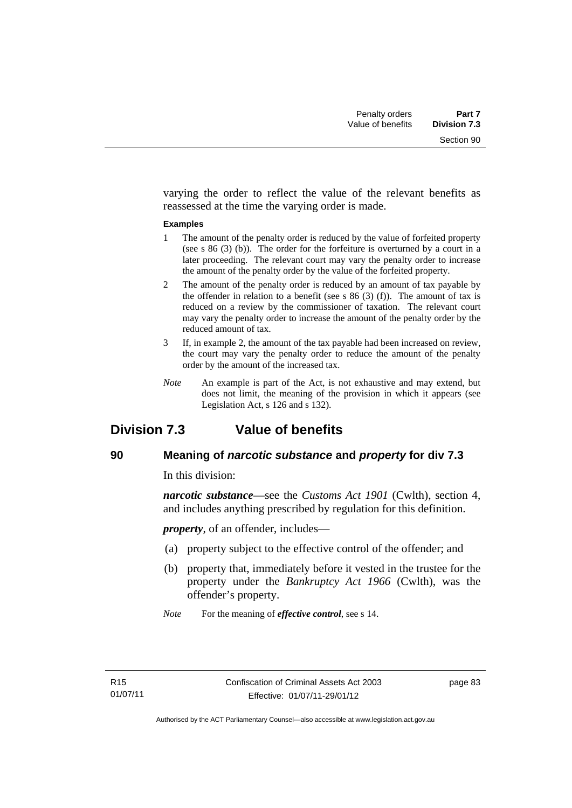varying the order to reflect the value of the relevant benefits as reassessed at the time the varying order is made.

#### **Examples**

- 1 The amount of the penalty order is reduced by the value of forfeited property (see s 86 (3) (b)). The order for the forfeiture is overturned by a court in a later proceeding. The relevant court may vary the penalty order to increase the amount of the penalty order by the value of the forfeited property.
- 2 The amount of the penalty order is reduced by an amount of tax payable by the offender in relation to a benefit (see s  $86(3)(f)$ ). The amount of tax is reduced on a review by the commissioner of taxation. The relevant court may vary the penalty order to increase the amount of the penalty order by the reduced amount of tax.
- 3 If, in example 2, the amount of the tax payable had been increased on review, the court may vary the penalty order to reduce the amount of the penalty order by the amount of the increased tax.
- *Note* An example is part of the Act, is not exhaustive and may extend, but does not limit, the meaning of the provision in which it appears (see Legislation Act, s 126 and s 132).

## **Division 7.3 Value of benefits**

## **90 Meaning of** *narcotic substance* **and** *property* **for div 7.3**

In this division:

*narcotic substance*—see the *Customs Act 1901* (Cwlth), section 4, and includes anything prescribed by regulation for this definition.

*property*, of an offender, includes—

- (a) property subject to the effective control of the offender; and
- (b) property that, immediately before it vested in the trustee for the property under the *Bankruptcy Act 1966* (Cwlth), was the offender's property.
- *Note* For the meaning of *effective control*, see s 14.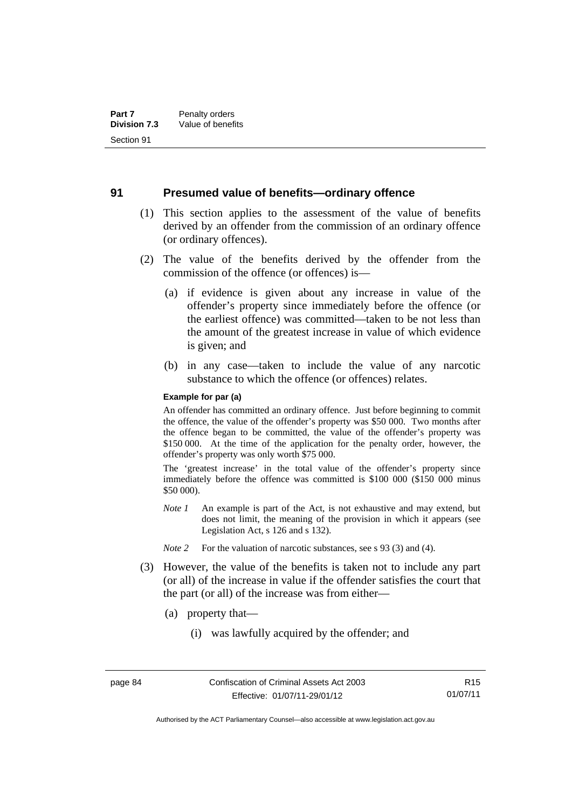### **91 Presumed value of benefits—ordinary offence**

- (1) This section applies to the assessment of the value of benefits derived by an offender from the commission of an ordinary offence (or ordinary offences).
- (2) The value of the benefits derived by the offender from the commission of the offence (or offences) is—
	- (a) if evidence is given about any increase in value of the offender's property since immediately before the offence (or the earliest offence) was committed—taken to be not less than the amount of the greatest increase in value of which evidence is given; and
	- (b) in any case—taken to include the value of any narcotic substance to which the offence (or offences) relates.

#### **Example for par (a)**

An offender has committed an ordinary offence. Just before beginning to commit the offence, the value of the offender's property was \$50 000. Two months after the offence began to be committed, the value of the offender's property was \$150 000. At the time of the application for the penalty order, however, the offender's property was only worth \$75 000.

The 'greatest increase' in the total value of the offender's property since immediately before the offence was committed is \$100 000 (\$150 000 minus \$50 000).

- *Note 1* An example is part of the Act, is not exhaustive and may extend, but does not limit, the meaning of the provision in which it appears (see Legislation Act, s 126 and s 132).
- *Note 2* For the valuation of narcotic substances, see s 93 (3) and (4).
- (3) However, the value of the benefits is taken not to include any part (or all) of the increase in value if the offender satisfies the court that the part (or all) of the increase was from either—
	- (a) property that—
		- (i) was lawfully acquired by the offender; and

R15 01/07/11

Authorised by the ACT Parliamentary Counsel—also accessible at www.legislation.act.gov.au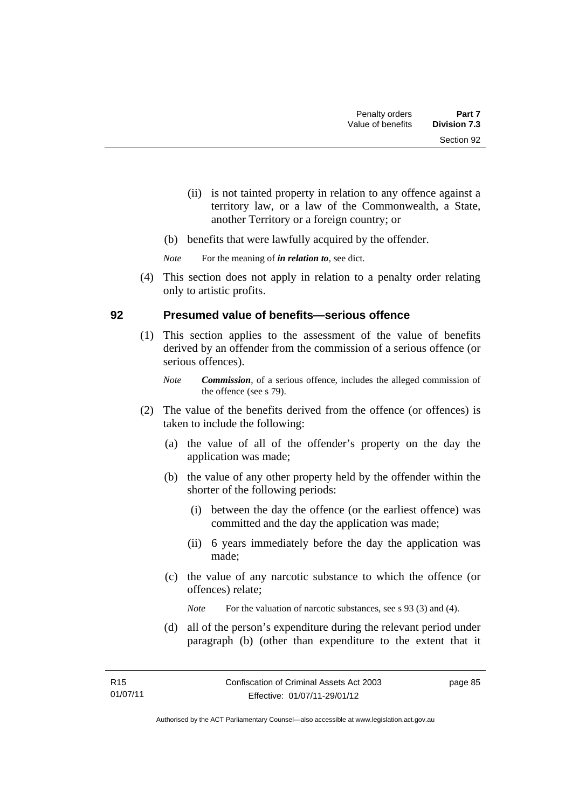- (ii) is not tainted property in relation to any offence against a territory law, or a law of the Commonwealth, a State, another Territory or a foreign country; or
- (b) benefits that were lawfully acquired by the offender.

*Note* For the meaning of *in relation to*, see dict.

 (4) This section does not apply in relation to a penalty order relating only to artistic profits.

## **92 Presumed value of benefits—serious offence**

- (1) This section applies to the assessment of the value of benefits derived by an offender from the commission of a serious offence (or serious offences).
	- *Note Commission*, of a serious offence, includes the alleged commission of the offence (see s 79).
- (2) The value of the benefits derived from the offence (or offences) is taken to include the following:
	- (a) the value of all of the offender's property on the day the application was made;
	- (b) the value of any other property held by the offender within the shorter of the following periods:
		- (i) between the day the offence (or the earliest offence) was committed and the day the application was made;
		- (ii) 6 years immediately before the day the application was made;
	- (c) the value of any narcotic substance to which the offence (or offences) relate;

*Note* For the valuation of narcotic substances, see s 93 (3) and (4).

 (d) all of the person's expenditure during the relevant period under paragraph (b) (other than expenditure to the extent that it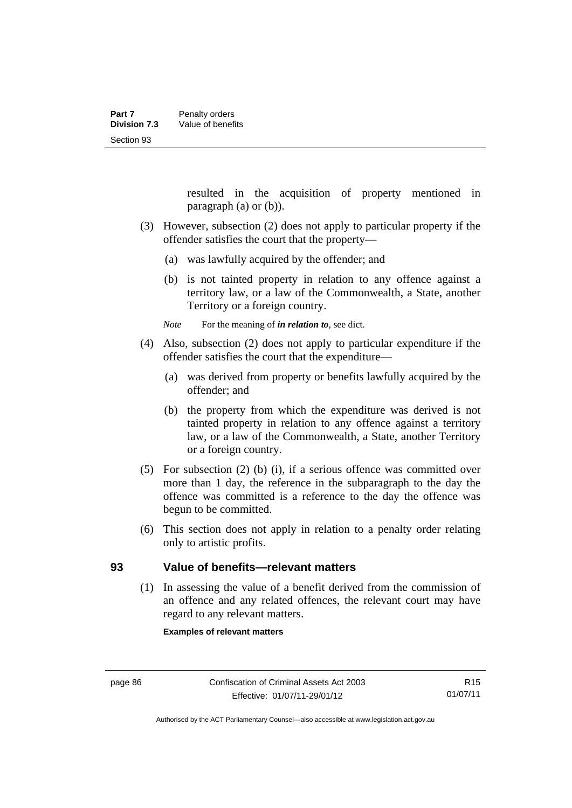resulted in the acquisition of property mentioned in paragraph (a) or (b)).

- (3) However, subsection (2) does not apply to particular property if the offender satisfies the court that the property—
	- (a) was lawfully acquired by the offender; and
	- (b) is not tainted property in relation to any offence against a territory law, or a law of the Commonwealth, a State, another Territory or a foreign country.

*Note* For the meaning of *in relation to*, see dict.

- (4) Also, subsection (2) does not apply to particular expenditure if the offender satisfies the court that the expenditure—
	- (a) was derived from property or benefits lawfully acquired by the offender; and
	- (b) the property from which the expenditure was derived is not tainted property in relation to any offence against a territory law, or a law of the Commonwealth, a State, another Territory or a foreign country.
- (5) For subsection (2) (b) (i), if a serious offence was committed over more than 1 day, the reference in the subparagraph to the day the offence was committed is a reference to the day the offence was begun to be committed.
- (6) This section does not apply in relation to a penalty order relating only to artistic profits.

## **93 Value of benefits—relevant matters**

(1) In assessing the value of a benefit derived from the commission of an offence and any related offences, the relevant court may have regard to any relevant matters.

**Examples of relevant matters**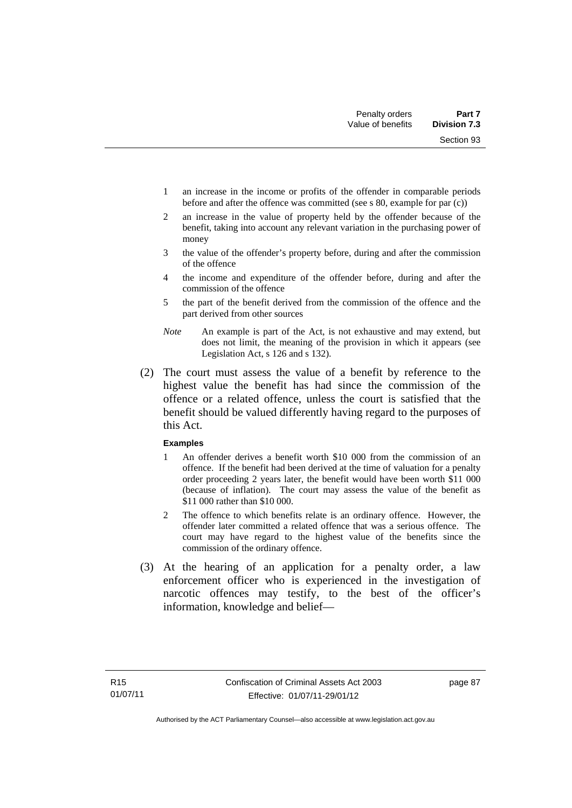Section 93

- 1 an increase in the income or profits of the offender in comparable periods before and after the offence was committed (see s 80, example for par (c))
- 2 an increase in the value of property held by the offender because of the benefit, taking into account any relevant variation in the purchasing power of money
- 3 the value of the offender's property before, during and after the commission of the offence
- 4 the income and expenditure of the offender before, during and after the commission of the offence
- 5 the part of the benefit derived from the commission of the offence and the part derived from other sources
- *Note* An example is part of the Act, is not exhaustive and may extend, but does not limit, the meaning of the provision in which it appears (see Legislation Act, s 126 and s 132).
- (2) The court must assess the value of a benefit by reference to the highest value the benefit has had since the commission of the offence or a related offence, unless the court is satisfied that the benefit should be valued differently having regard to the purposes of this Act.

### **Examples**

- 1 An offender derives a benefit worth \$10 000 from the commission of an offence. If the benefit had been derived at the time of valuation for a penalty order proceeding 2 years later, the benefit would have been worth \$11 000 (because of inflation). The court may assess the value of the benefit as \$11 000 rather than \$10 000.
- 2 The offence to which benefits relate is an ordinary offence. However, the offender later committed a related offence that was a serious offence. The court may have regard to the highest value of the benefits since the commission of the ordinary offence.
- (3) At the hearing of an application for a penalty order, a law enforcement officer who is experienced in the investigation of narcotic offences may testify, to the best of the officer's information, knowledge and belief—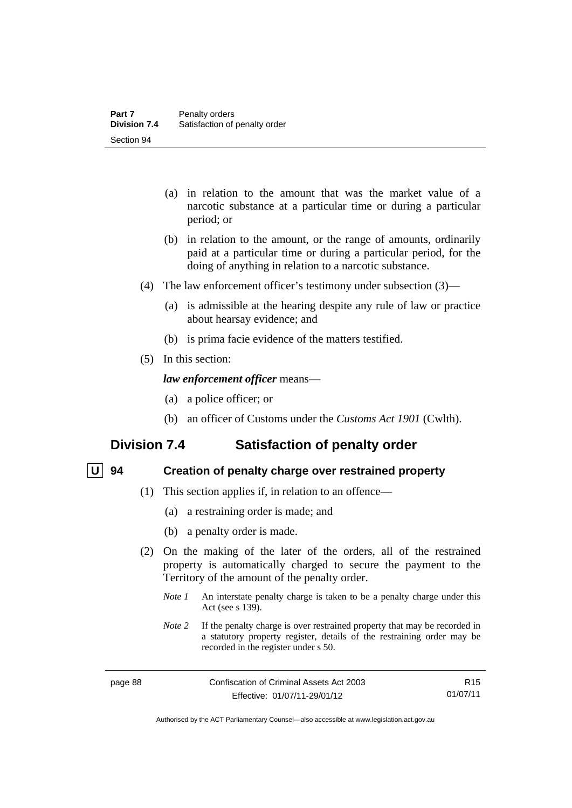- (a) in relation to the amount that was the market value of a narcotic substance at a particular time or during a particular period; or
- (b) in relation to the amount, or the range of amounts, ordinarily paid at a particular time or during a particular period, for the doing of anything in relation to a narcotic substance.
- (4) The law enforcement officer's testimony under subsection (3)—
	- (a) is admissible at the hearing despite any rule of law or practice about hearsay evidence; and
	- (b) is prima facie evidence of the matters testified.
- (5) In this section:

### *law enforcement officer* means—

- (a) a police officer; or
- (b) an officer of Customs under the *Customs Act 1901* (Cwlth).

## **Division 7.4 Satisfaction of penalty order**

## **U 94 Creation of penalty charge over restrained property**

- (1) This section applies if, in relation to an offence—
	- (a) a restraining order is made; and
	- (b) a penalty order is made.
- (2) On the making of the later of the orders, all of the restrained property is automatically charged to secure the payment to the Territory of the amount of the penalty order.
	- *Note 1* An interstate penalty charge is taken to be a penalty charge under this Act (see s 139).
	- *Note 2* If the penalty charge is over restrained property that may be recorded in a statutory property register, details of the restraining order may be recorded in the register under s 50.

R15 01/07/11

Authorised by the ACT Parliamentary Counsel—also accessible at www.legislation.act.gov.au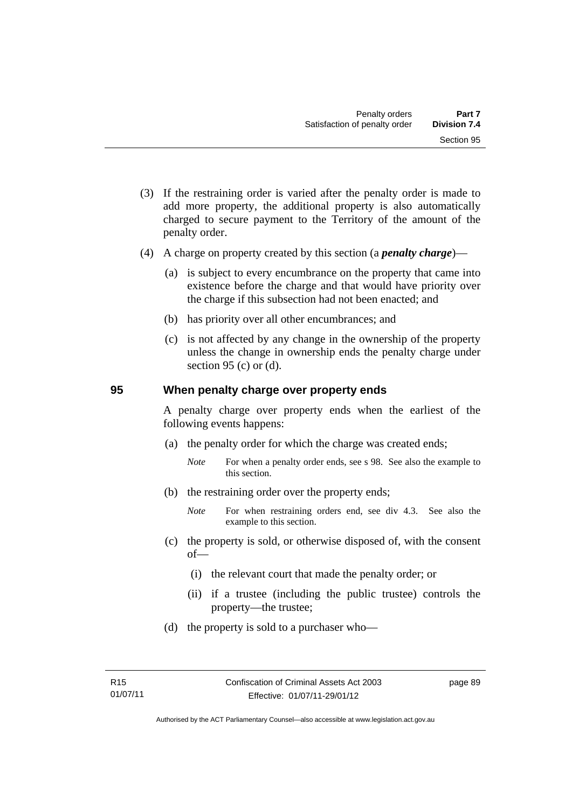- (3) If the restraining order is varied after the penalty order is made to add more property, the additional property is also automatically charged to secure payment to the Territory of the amount of the penalty order.
- (4) A charge on property created by this section (a *penalty charge*)—
	- (a) is subject to every encumbrance on the property that came into existence before the charge and that would have priority over the charge if this subsection had not been enacted; and
	- (b) has priority over all other encumbrances; and
	- (c) is not affected by any change in the ownership of the property unless the change in ownership ends the penalty charge under section 95 (c) or  $(d)$ .

### **95 When penalty charge over property ends**

A penalty charge over property ends when the earliest of the following events happens:

- (a) the penalty order for which the charge was created ends;
	- *Note* For when a penalty order ends, see s 98. See also the example to this section.
- (b) the restraining order over the property ends;
	- *Note* For when restraining orders end, see div 4.3. See also the example to this section.
- (c) the property is sold, or otherwise disposed of, with the consent of—
	- (i) the relevant court that made the penalty order; or
	- (ii) if a trustee (including the public trustee) controls the property—the trustee;
- (d) the property is sold to a purchaser who—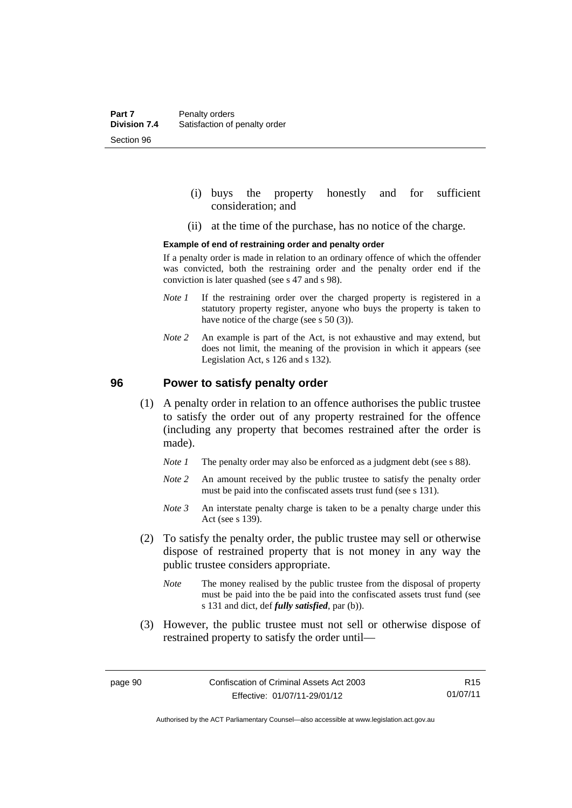- (i) buys the property honestly and for sufficient consideration; and
- (ii) at the time of the purchase, has no notice of the charge.

#### **Example of end of restraining order and penalty order**

If a penalty order is made in relation to an ordinary offence of which the offender was convicted, both the restraining order and the penalty order end if the conviction is later quashed (see s 47 and s 98).

- *Note 1* If the restraining order over the charged property is registered in a statutory property register, anyone who buys the property is taken to have notice of the charge (see s 50 (3)).
- *Note* 2 An example is part of the Act, is not exhaustive and may extend, but does not limit, the meaning of the provision in which it appears (see Legislation Act, s 126 and s 132).

### **96 Power to satisfy penalty order**

- (1) A penalty order in relation to an offence authorises the public trustee to satisfy the order out of any property restrained for the offence (including any property that becomes restrained after the order is made).
	- *Note 1* The penalty order may also be enforced as a judgment debt (see s 88).
	- *Note 2* An amount received by the public trustee to satisfy the penalty order must be paid into the confiscated assets trust fund (see s 131).
	- *Note 3* An interstate penalty charge is taken to be a penalty charge under this Act (see s 139).
- (2) To satisfy the penalty order, the public trustee may sell or otherwise dispose of restrained property that is not money in any way the public trustee considers appropriate.
	- *Note* The money realised by the public trustee from the disposal of property must be paid into the be paid into the confiscated assets trust fund (see s 131 and dict, def *fully satisfied*, par (b)).
- (3) However, the public trustee must not sell or otherwise dispose of restrained property to satisfy the order until—

R15 01/07/11

Authorised by the ACT Parliamentary Counsel—also accessible at www.legislation.act.gov.au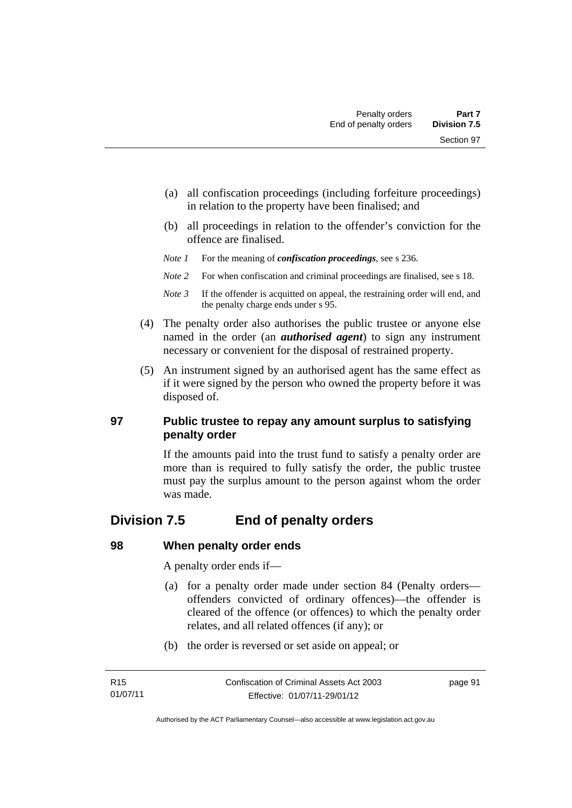- (a) all confiscation proceedings (including forfeiture proceedings) in relation to the property have been finalised; and
- (b) all proceedings in relation to the offender's conviction for the offence are finalised.
- *Note 1* For the meaning of *confiscation proceedings*, see s 236.
- *Note 2* For when confiscation and criminal proceedings are finalised, see s 18.
- *Note 3* If the offender is acquitted on appeal, the restraining order will end, and the penalty charge ends under s 95.
- (4) The penalty order also authorises the public trustee or anyone else named in the order (an *authorised agent*) to sign any instrument necessary or convenient for the disposal of restrained property.
- (5) An instrument signed by an authorised agent has the same effect as if it were signed by the person who owned the property before it was disposed of.

## **97 Public trustee to repay any amount surplus to satisfying penalty order**

If the amounts paid into the trust fund to satisfy a penalty order are more than is required to fully satisfy the order, the public trustee must pay the surplus amount to the person against whom the order was made.

## **Division 7.5 End of penalty orders**

## **98 When penalty order ends**

A penalty order ends if—

- (a) for a penalty order made under section 84 (Penalty orders offenders convicted of ordinary offences)—the offender is cleared of the offence (or offences) to which the penalty order relates, and all related offences (if any); or
- (b) the order is reversed or set aside on appeal; or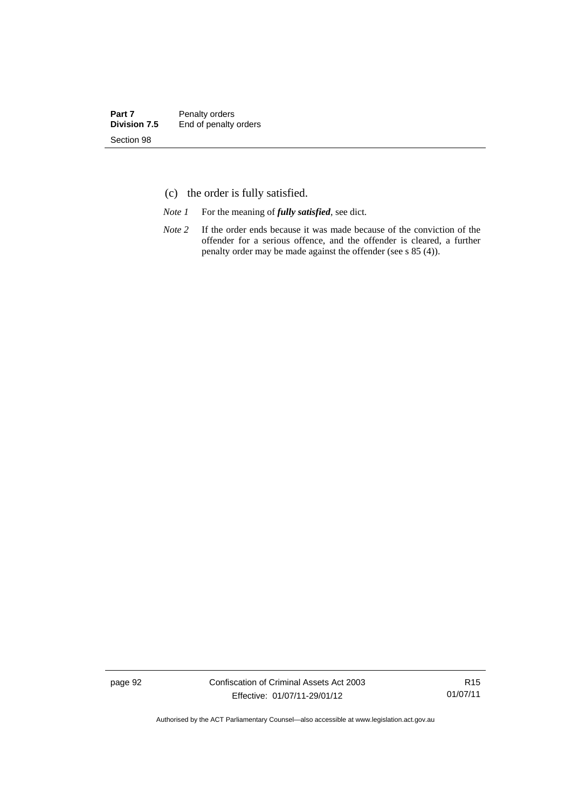- (c) the order is fully satisfied.
- *Note 1* For the meaning of *fully satisfied*, see dict.
- *Note* 2 If the order ends because it was made because of the conviction of the offender for a serious offence, and the offender is cleared, a further penalty order may be made against the offender (see s 85 (4)).

page 92 Confiscation of Criminal Assets Act 2003 Effective: 01/07/11-29/01/12

R15 01/07/11

Authorised by the ACT Parliamentary Counsel—also accessible at www.legislation.act.gov.au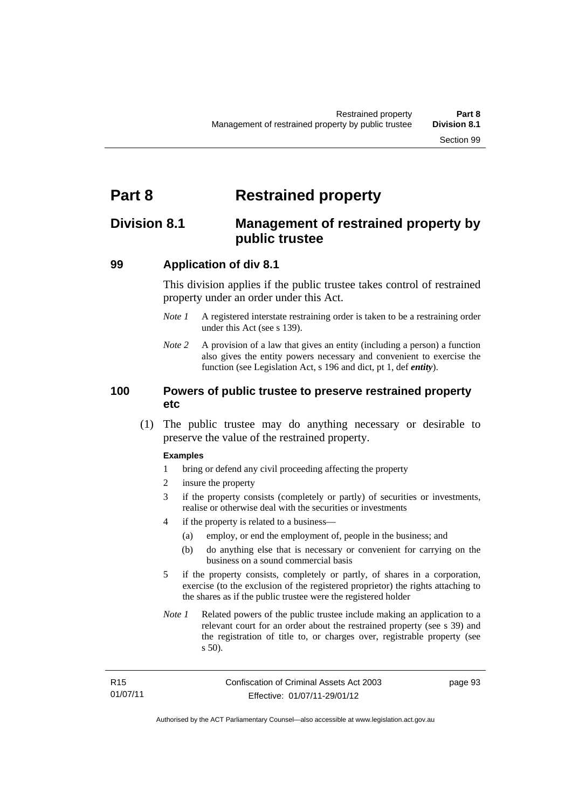# **Part 8 Restrained property**

## **Division 8.1 Management of restrained property by public trustee**

## **99 Application of div 8.1**

This division applies if the public trustee takes control of restrained property under an order under this Act.

- *Note 1* A registered interstate restraining order is taken to be a restraining order under this Act (see s 139).
- *Note 2* A provision of a law that gives an entity (including a person) a function also gives the entity powers necessary and convenient to exercise the function (see Legislation Act, s 196 and dict, pt 1, def *entity*).

## **100 Powers of public trustee to preserve restrained property etc**

 (1) The public trustee may do anything necessary or desirable to preserve the value of the restrained property.

### **Examples**

- 1 bring or defend any civil proceeding affecting the property
- 2 insure the property
- 3 if the property consists (completely or partly) of securities or investments, realise or otherwise deal with the securities or investments
- 4 if the property is related to a business—
	- (a) employ, or end the employment of, people in the business; and
	- (b) do anything else that is necessary or convenient for carrying on the business on a sound commercial basis
- 5 if the property consists, completely or partly, of shares in a corporation, exercise (to the exclusion of the registered proprietor) the rights attaching to the shares as if the public trustee were the registered holder
- *Note 1* Related powers of the public trustee include making an application to a relevant court for an order about the restrained property (see s 39) and the registration of title to, or charges over, registrable property (see s 50).

| R15      | Confiscation of Criminal Assets Act 2003 | page 93 |
|----------|------------------------------------------|---------|
| 01/07/11 | Effective: 01/07/11-29/01/12             |         |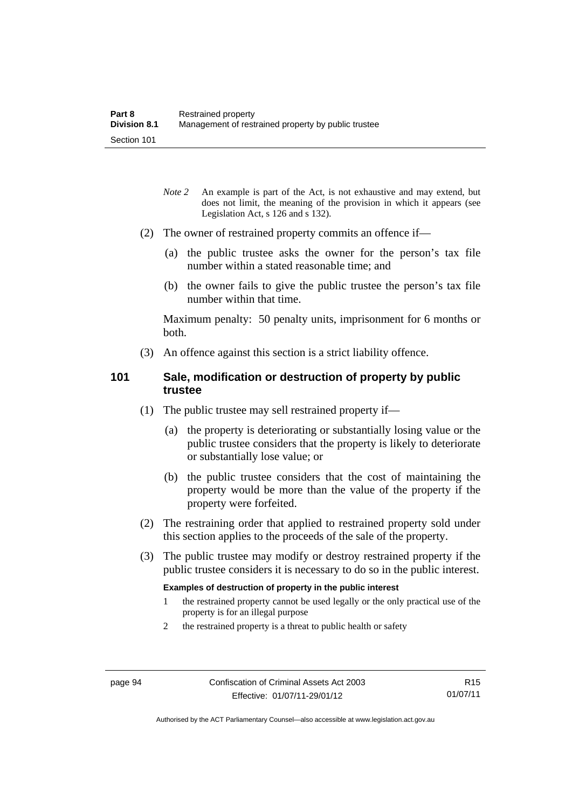- *Note* 2 An example is part of the Act, is not exhaustive and may extend, but does not limit, the meaning of the provision in which it appears (see Legislation Act, s 126 and s 132).
- (2) The owner of restrained property commits an offence if—
	- (a) the public trustee asks the owner for the person's tax file number within a stated reasonable time; and
	- (b) the owner fails to give the public trustee the person's tax file number within that time.

Maximum penalty: 50 penalty units, imprisonment for 6 months or both.

(3) An offence against this section is a strict liability offence.

## **101 Sale, modification or destruction of property by public trustee**

- (1) The public trustee may sell restrained property if—
	- (a) the property is deteriorating or substantially losing value or the public trustee considers that the property is likely to deteriorate or substantially lose value; or
	- (b) the public trustee considers that the cost of maintaining the property would be more than the value of the property if the property were forfeited.
- (2) The restraining order that applied to restrained property sold under this section applies to the proceeds of the sale of the property.
- (3) The public trustee may modify or destroy restrained property if the public trustee considers it is necessary to do so in the public interest.

#### **Examples of destruction of property in the public interest**

- 1 the restrained property cannot be used legally or the only practical use of the property is for an illegal purpose
- 2 the restrained property is a threat to public health or safety

Authorised by the ACT Parliamentary Counsel—also accessible at www.legislation.act.gov.au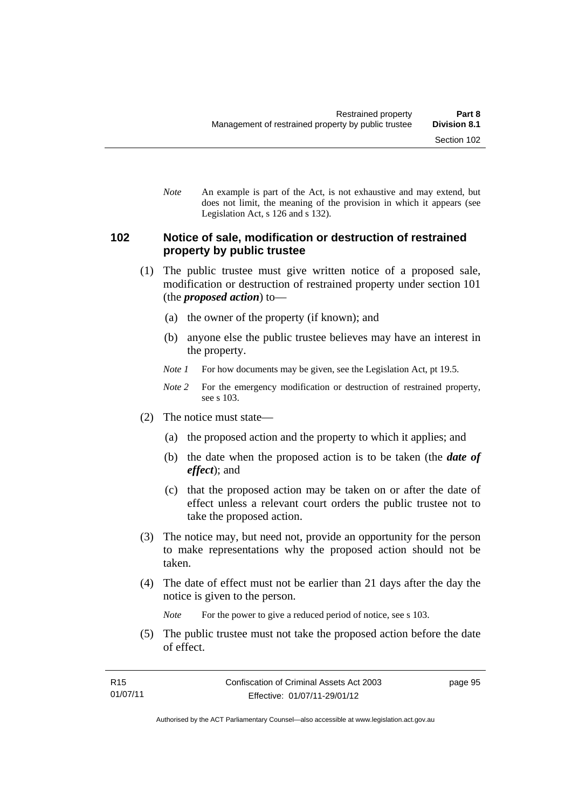*Note* An example is part of the Act, is not exhaustive and may extend, but does not limit, the meaning of the provision in which it appears (see Legislation Act, s 126 and s 132).

#### **102 Notice of sale, modification or destruction of restrained property by public trustee**

- (1) The public trustee must give written notice of a proposed sale, modification or destruction of restrained property under section 101 (the *proposed action*) to—
	- (a) the owner of the property (if known); and
	- (b) anyone else the public trustee believes may have an interest in the property.
	- *Note 1* For how documents may be given, see the Legislation Act, pt 19.5.
	- *Note 2* For the emergency modification or destruction of restrained property, see s 103.
- (2) The notice must state—
	- (a) the proposed action and the property to which it applies; and
	- (b) the date when the proposed action is to be taken (the *date of effect*); and
	- (c) that the proposed action may be taken on or after the date of effect unless a relevant court orders the public trustee not to take the proposed action.
- (3) The notice may, but need not, provide an opportunity for the person to make representations why the proposed action should not be taken.
- (4) The date of effect must not be earlier than 21 days after the day the notice is given to the person.

*Note* For the power to give a reduced period of notice, see s 103.

 (5) The public trustee must not take the proposed action before the date of effect.

page 95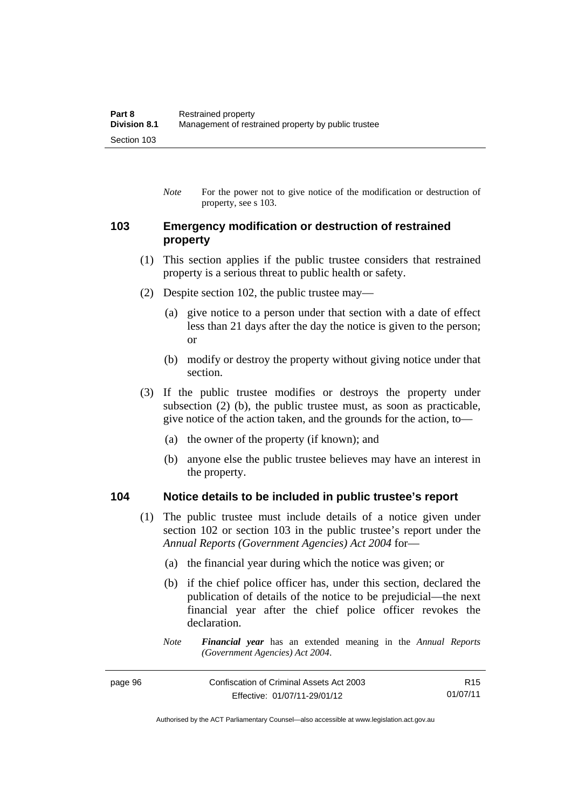*Note* For the power not to give notice of the modification or destruction of property, see s 103.

#### **103 Emergency modification or destruction of restrained property**

- (1) This section applies if the public trustee considers that restrained property is a serious threat to public health or safety.
- (2) Despite section 102, the public trustee may—
	- (a) give notice to a person under that section with a date of effect less than 21 days after the day the notice is given to the person; or
	- (b) modify or destroy the property without giving notice under that section.
- (3) If the public trustee modifies or destroys the property under subsection (2) (b), the public trustee must, as soon as practicable, give notice of the action taken, and the grounds for the action, to—
	- (a) the owner of the property (if known); and
	- (b) anyone else the public trustee believes may have an interest in the property.

#### **104 Notice details to be included in public trustee's report**

- (1) The public trustee must include details of a notice given under section 102 or section 103 in the public trustee's report under the *Annual Reports (Government Agencies) Act 2004* for—
	- (a) the financial year during which the notice was given; or
	- (b) if the chief police officer has, under this section, declared the publication of details of the notice to be prejudicial—the next financial year after the chief police officer revokes the declaration.
	- *Note Financial year* has an extended meaning in the *Annual Reports (Government Agencies) Act 2004*.

| page 96 | Confiscation of Criminal Assets Act 2003 | R <sub>15</sub> |
|---------|------------------------------------------|-----------------|
|         | Effective: 01/07/11-29/01/12             | 01/07/11        |

Authorised by the ACT Parliamentary Counsel—also accessible at www.legislation.act.gov.au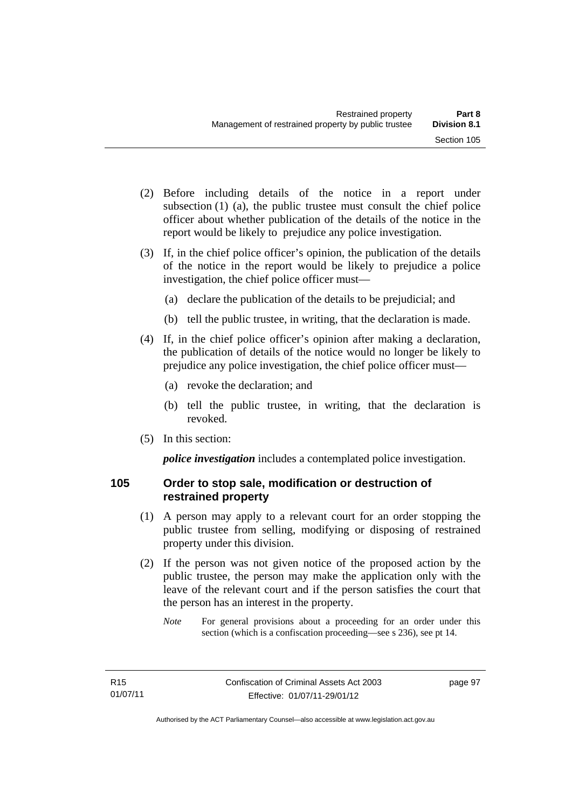- (2) Before including details of the notice in a report under subsection (1) (a), the public trustee must consult the chief police officer about whether publication of the details of the notice in the report would be likely to prejudice any police investigation.
- (3) If, in the chief police officer's opinion, the publication of the details of the notice in the report would be likely to prejudice a police investigation, the chief police officer must—
	- (a) declare the publication of the details to be prejudicial; and
	- (b) tell the public trustee, in writing, that the declaration is made.
- (4) If, in the chief police officer's opinion after making a declaration, the publication of details of the notice would no longer be likely to prejudice any police investigation, the chief police officer must—
	- (a) revoke the declaration; and
	- (b) tell the public trustee, in writing, that the declaration is revoked.
- (5) In this section:

*police investigation* includes a contemplated police investigation.

## **105 Order to stop sale, modification or destruction of restrained property**

- (1) A person may apply to a relevant court for an order stopping the public trustee from selling, modifying or disposing of restrained property under this division.
- (2) If the person was not given notice of the proposed action by the public trustee, the person may make the application only with the leave of the relevant court and if the person satisfies the court that the person has an interest in the property.
	- *Note* For general provisions about a proceeding for an order under this section (which is a confiscation proceeding—see s 236), see pt 14.

page 97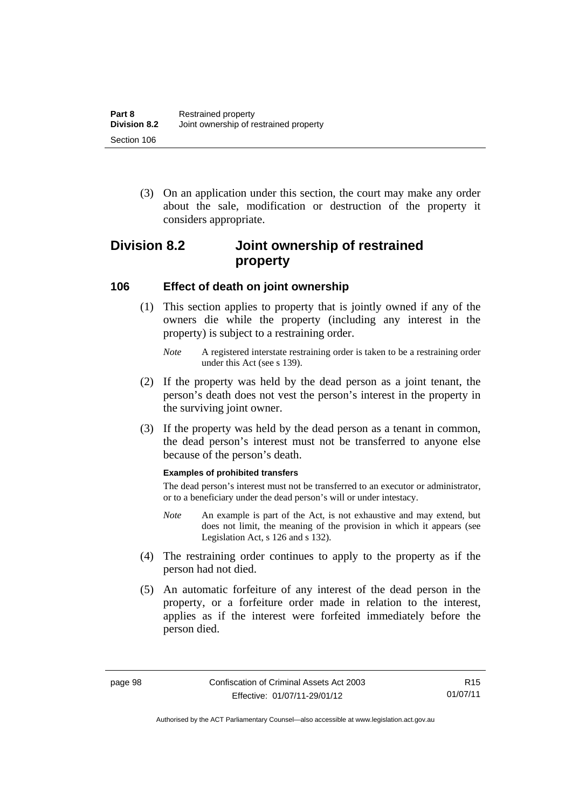(3) On an application under this section, the court may make any order about the sale, modification or destruction of the property it considers appropriate.

# **Division 8.2 Joint ownership of restrained property**

#### **106 Effect of death on joint ownership**

- (1) This section applies to property that is jointly owned if any of the owners die while the property (including any interest in the property) is subject to a restraining order.
	- *Note* A registered interstate restraining order is taken to be a restraining order under this Act (see s 139).
- (2) If the property was held by the dead person as a joint tenant, the person's death does not vest the person's interest in the property in the surviving joint owner.
- (3) If the property was held by the dead person as a tenant in common, the dead person's interest must not be transferred to anyone else because of the person's death.

#### **Examples of prohibited transfers**

The dead person's interest must not be transferred to an executor or administrator, or to a beneficiary under the dead person's will or under intestacy.

- *Note* An example is part of the Act, is not exhaustive and may extend, but does not limit, the meaning of the provision in which it appears (see Legislation Act, s 126 and s 132).
- (4) The restraining order continues to apply to the property as if the person had not died.
- (5) An automatic forfeiture of any interest of the dead person in the property, or a forfeiture order made in relation to the interest, applies as if the interest were forfeited immediately before the person died.

Authorised by the ACT Parliamentary Counsel—also accessible at www.legislation.act.gov.au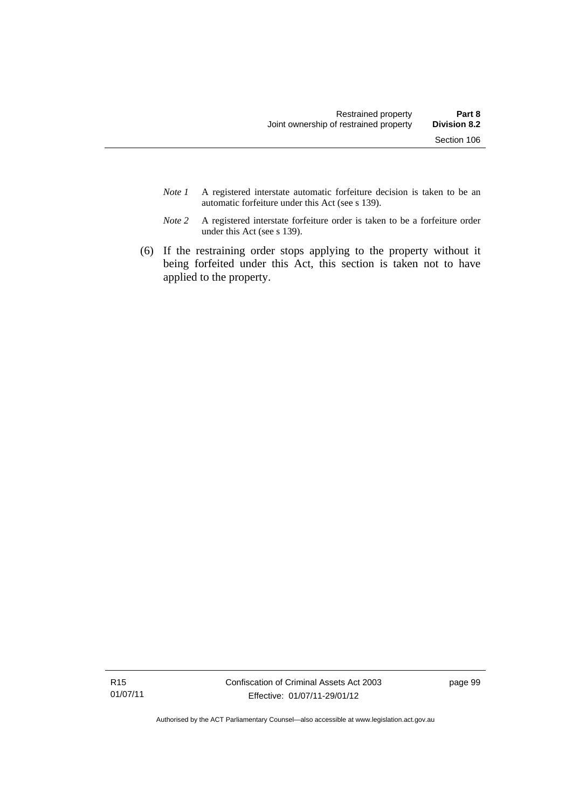- *Note 1* A registered interstate automatic forfeiture decision is taken to be an automatic forfeiture under this Act (see s 139).
- *Note 2* A registered interstate forfeiture order is taken to be a forfeiture order under this Act (see s 139).
- (6) If the restraining order stops applying to the property without it being forfeited under this Act, this section is taken not to have applied to the property.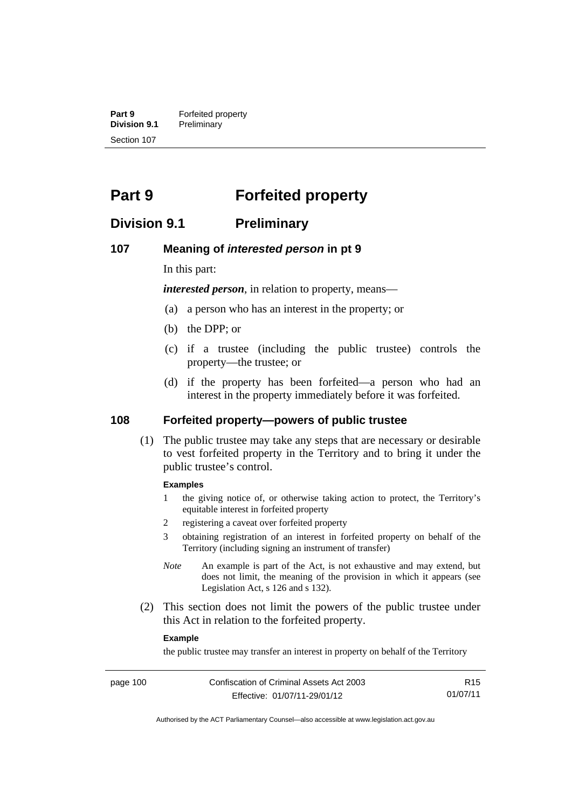**Part 9 Forfeited property**<br>**Division 9.1 Preliminary Division 9.1** Preliminary Section 107

# **Part 9 Forfeited property**

## **Division 9.1 Preliminary**

#### **107 Meaning of** *interested person* **in pt 9**

In this part:

*interested person*, in relation to property, means—

- (a) a person who has an interest in the property; or
- (b) the DPP; or
- (c) if a trustee (including the public trustee) controls the property—the trustee; or
- (d) if the property has been forfeited—a person who had an interest in the property immediately before it was forfeited.

#### **108 Forfeited property—powers of public trustee**

(1) The public trustee may take any steps that are necessary or desirable to vest forfeited property in the Territory and to bring it under the public trustee's control.

#### **Examples**

- 1 the giving notice of, or otherwise taking action to protect, the Territory's equitable interest in forfeited property
- 2 registering a caveat over forfeited property
- 3 obtaining registration of an interest in forfeited property on behalf of the Territory (including signing an instrument of transfer)
- *Note* An example is part of the Act, is not exhaustive and may extend, but does not limit, the meaning of the provision in which it appears (see Legislation Act, s 126 and s 132).
- (2) This section does not limit the powers of the public trustee under this Act in relation to the forfeited property.

#### **Example**

the public trustee may transfer an interest in property on behalf of the Territory

R15 01/07/11

Authorised by the ACT Parliamentary Counsel—also accessible at www.legislation.act.gov.au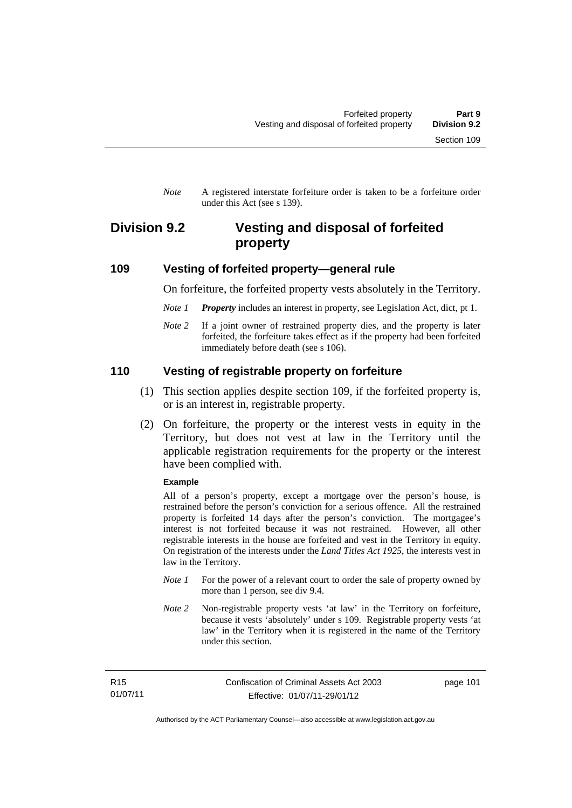*Note* A registered interstate forfeiture order is taken to be a forfeiture order under this Act (see s 139).

# **Division 9.2 Vesting and disposal of forfeited property**

#### **109 Vesting of forfeited property—general rule**

On forfeiture, the forfeited property vests absolutely in the Territory.

- *Note 1 Property* includes an interest in property, see Legislation Act, dict, pt 1.
- *Note* 2 If a joint owner of restrained property dies, and the property is later forfeited, the forfeiture takes effect as if the property had been forfeited immediately before death (see s 106).

#### **110 Vesting of registrable property on forfeiture**

- (1) This section applies despite section 109, if the forfeited property is, or is an interest in, registrable property.
- (2) On forfeiture, the property or the interest vests in equity in the Territory, but does not vest at law in the Territory until the applicable registration requirements for the property or the interest have been complied with.

#### **Example**

All of a person's property, except a mortgage over the person's house, is restrained before the person's conviction for a serious offence. All the restrained property is forfeited 14 days after the person's conviction. The mortgagee's interest is not forfeited because it was not restrained. However, all other registrable interests in the house are forfeited and vest in the Territory in equity. On registration of the interests under the *Land Titles Act 1925*, the interests vest in law in the Territory.

- *Note 1* For the power of a relevant court to order the sale of property owned by more than 1 person, see div 9.4.
- *Note 2* Non-registrable property vests 'at law' in the Territory on forfeiture, because it vests 'absolutely' under s 109. Registrable property vests 'at law' in the Territory when it is registered in the name of the Territory under this section.

page 101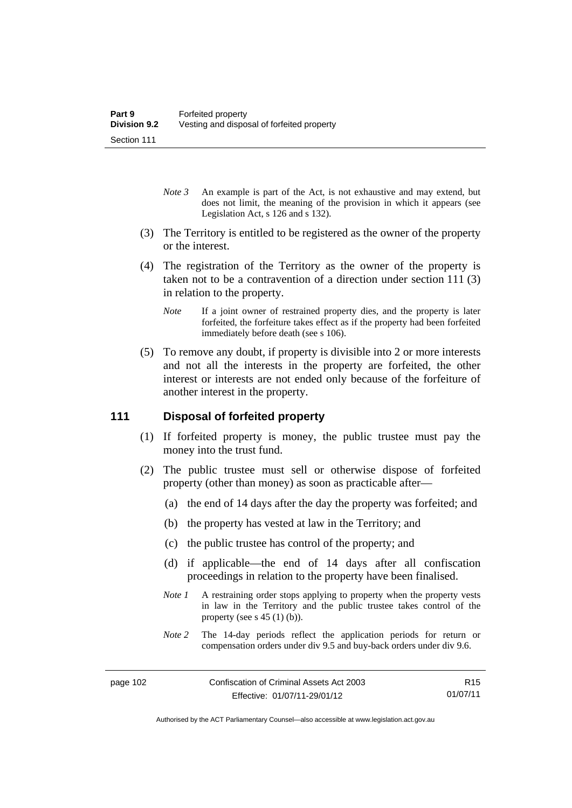- *Note 3* An example is part of the Act, is not exhaustive and may extend, but does not limit, the meaning of the provision in which it appears (see Legislation Act, s 126 and s 132).
- (3) The Territory is entitled to be registered as the owner of the property or the interest.
- (4) The registration of the Territory as the owner of the property is taken not to be a contravention of a direction under section 111 (3) in relation to the property.
	- *Note* If a joint owner of restrained property dies, and the property is later forfeited, the forfeiture takes effect as if the property had been forfeited immediately before death (see s 106).
- (5) To remove any doubt, if property is divisible into 2 or more interests and not all the interests in the property are forfeited, the other interest or interests are not ended only because of the forfeiture of another interest in the property.

#### **111 Disposal of forfeited property**

- (1) If forfeited property is money, the public trustee must pay the money into the trust fund.
- (2) The public trustee must sell or otherwise dispose of forfeited property (other than money) as soon as practicable after—
	- (a) the end of 14 days after the day the property was forfeited; and
	- (b) the property has vested at law in the Territory; and
	- (c) the public trustee has control of the property; and
	- (d) if applicable—the end of 14 days after all confiscation proceedings in relation to the property have been finalised.
	- *Note 1* A restraining order stops applying to property when the property vests in law in the Territory and the public trustee takes control of the property (see s  $45(1)(b)$ ).
	- *Note 2* The 14-day periods reflect the application periods for return or compensation orders under div 9.5 and buy-back orders under div 9.6.

R15 01/07/11

Authorised by the ACT Parliamentary Counsel—also accessible at www.legislation.act.gov.au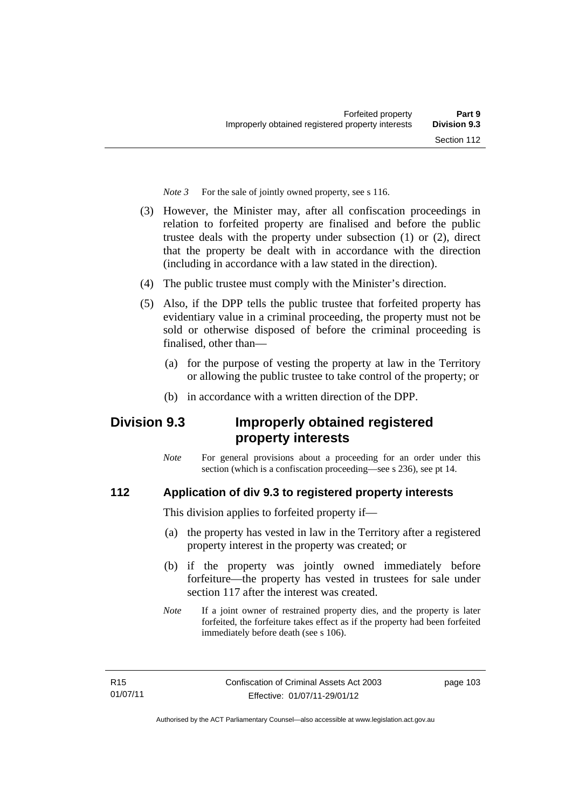*Note 3* For the sale of jointly owned property, see s 116.

- (3) However, the Minister may, after all confiscation proceedings in relation to forfeited property are finalised and before the public trustee deals with the property under subsection (1) or (2), direct that the property be dealt with in accordance with the direction (including in accordance with a law stated in the direction).
- (4) The public trustee must comply with the Minister's direction.
- (5) Also, if the DPP tells the public trustee that forfeited property has evidentiary value in a criminal proceeding, the property must not be sold or otherwise disposed of before the criminal proceeding is finalised, other than-
	- (a) for the purpose of vesting the property at law in the Territory or allowing the public trustee to take control of the property; or
	- (b) in accordance with a written direction of the DPP.

# **Division 9.3 Improperly obtained registered property interests**

*Note* For general provisions about a proceeding for an order under this section (which is a confiscation proceeding—see s 236), see pt 14.

## **112 Application of div 9.3 to registered property interests**

This division applies to forfeited property if—

- (a) the property has vested in law in the Territory after a registered property interest in the property was created; or
- (b) if the property was jointly owned immediately before forfeiture—the property has vested in trustees for sale under section 117 after the interest was created.
- *Note* If a joint owner of restrained property dies, and the property is later forfeited, the forfeiture takes effect as if the property had been forfeited immediately before death (see s 106).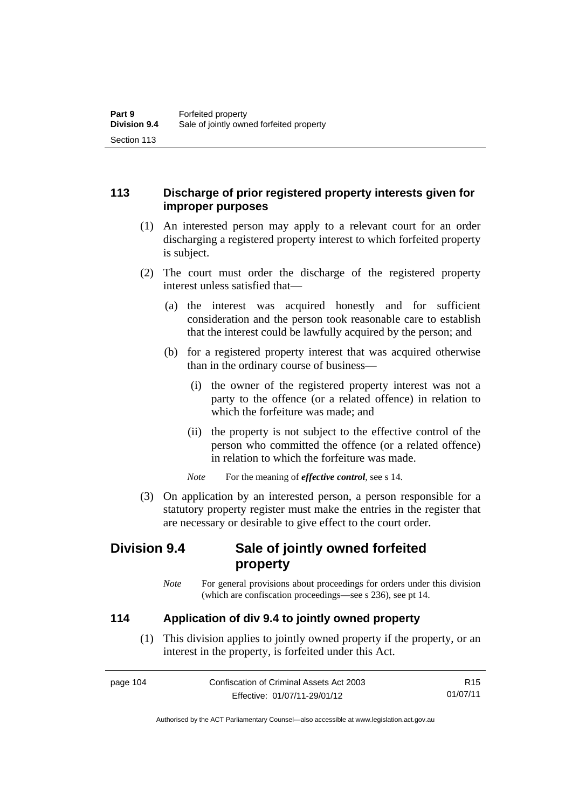## **113 Discharge of prior registered property interests given for improper purposes**

- (1) An interested person may apply to a relevant court for an order discharging a registered property interest to which forfeited property is subject.
- (2) The court must order the discharge of the registered property interest unless satisfied that—
	- (a) the interest was acquired honestly and for sufficient consideration and the person took reasonable care to establish that the interest could be lawfully acquired by the person; and
	- (b) for a registered property interest that was acquired otherwise than in the ordinary course of business—
		- (i) the owner of the registered property interest was not a party to the offence (or a related offence) in relation to which the forfeiture was made; and
		- (ii) the property is not subject to the effective control of the person who committed the offence (or a related offence) in relation to which the forfeiture was made.

*Note* For the meaning of *effective control*, see s 14.

 (3) On application by an interested person, a person responsible for a statutory property register must make the entries in the register that are necessary or desirable to give effect to the court order.

# **Division 9.4 Sale of jointly owned forfeited property**

*Note* For general provisions about proceedings for orders under this division (which are confiscation proceedings—see s 236), see pt 14.

## **114 Application of div 9.4 to jointly owned property**

 (1) This division applies to jointly owned property if the property, or an interest in the property, is forfeited under this Act.

| page 104 | Confiscation of Criminal Assets Act 2003 | R <sub>15</sub> |
|----------|------------------------------------------|-----------------|
|          | Effective: 01/07/11-29/01/12             | 01/07/11        |

Authorised by the ACT Parliamentary Counsel—also accessible at www.legislation.act.gov.au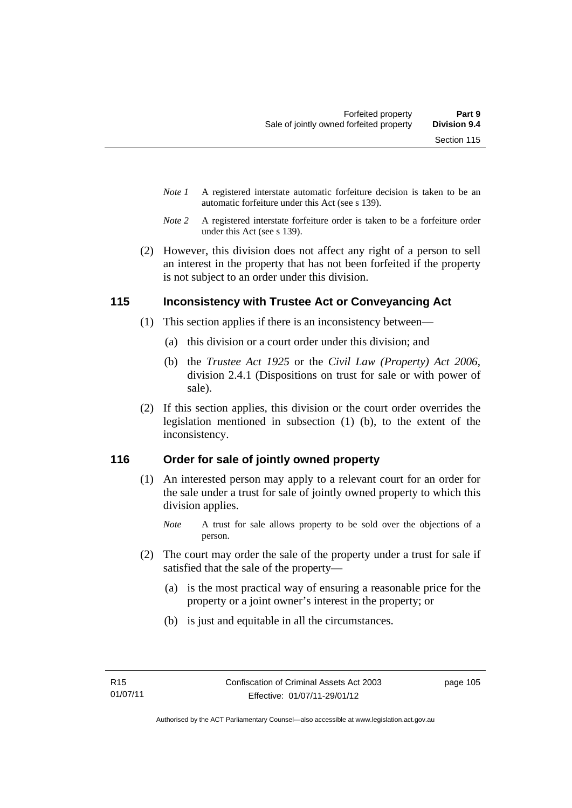- *Note 1* A registered interstate automatic forfeiture decision is taken to be an automatic forfeiture under this Act (see s 139).
- *Note 2* A registered interstate forfeiture order is taken to be a forfeiture order under this Act (see s 139).
- (2) However, this division does not affect any right of a person to sell an interest in the property that has not been forfeited if the property is not subject to an order under this division.

## **115 Inconsistency with Trustee Act or Conveyancing Act**

- (1) This section applies if there is an inconsistency between—
	- (a) this division or a court order under this division; and
	- (b) the *Trustee Act 1925* or the *Civil Law (Property) Act 2006*, division 2.4.1 (Dispositions on trust for sale or with power of sale).
- (2) If this section applies, this division or the court order overrides the legislation mentioned in subsection (1) (b), to the extent of the inconsistency.

## **116 Order for sale of jointly owned property**

(1) An interested person may apply to a relevant court for an order for the sale under a trust for sale of jointly owned property to which this division applies.

- (2) The court may order the sale of the property under a trust for sale if satisfied that the sale of the property—
	- (a) is the most practical way of ensuring a reasonable price for the property or a joint owner's interest in the property; or
	- (b) is just and equitable in all the circumstances.

*Note* A trust for sale allows property to be sold over the objections of a person.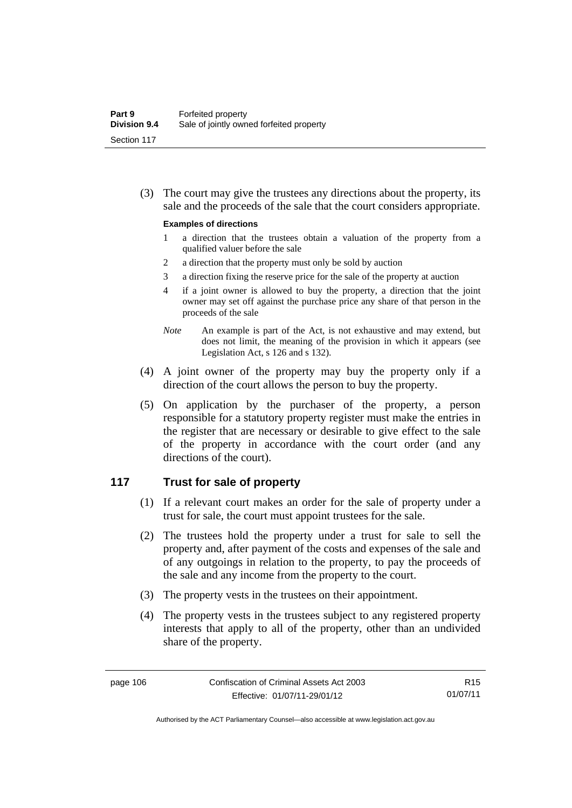(3) The court may give the trustees any directions about the property, its sale and the proceeds of the sale that the court considers appropriate.

#### **Examples of directions**

- 1 a direction that the trustees obtain a valuation of the property from a qualified valuer before the sale
- 2 a direction that the property must only be sold by auction
- 3 a direction fixing the reserve price for the sale of the property at auction
- 4 if a joint owner is allowed to buy the property, a direction that the joint owner may set off against the purchase price any share of that person in the proceeds of the sale
- *Note* An example is part of the Act, is not exhaustive and may extend, but does not limit, the meaning of the provision in which it appears (see Legislation Act, s 126 and s 132).
- (4) A joint owner of the property may buy the property only if a direction of the court allows the person to buy the property.
- (5) On application by the purchaser of the property, a person responsible for a statutory property register must make the entries in the register that are necessary or desirable to give effect to the sale of the property in accordance with the court order (and any directions of the court).

#### **117 Trust for sale of property**

- (1) If a relevant court makes an order for the sale of property under a trust for sale, the court must appoint trustees for the sale.
- (2) The trustees hold the property under a trust for sale to sell the property and, after payment of the costs and expenses of the sale and of any outgoings in relation to the property, to pay the proceeds of the sale and any income from the property to the court.
- (3) The property vests in the trustees on their appointment.
- (4) The property vests in the trustees subject to any registered property interests that apply to all of the property, other than an undivided share of the property.

R15 01/07/11

Authorised by the ACT Parliamentary Counsel—also accessible at www.legislation.act.gov.au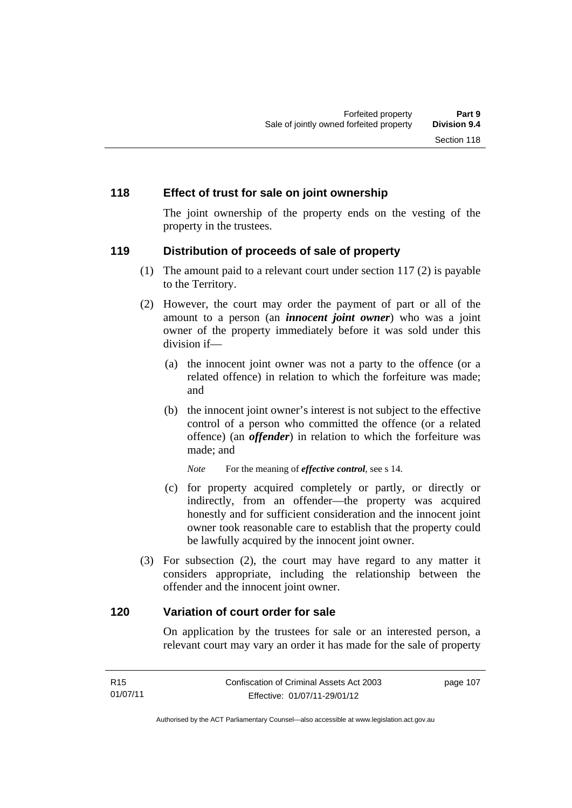#### **118 Effect of trust for sale on joint ownership**

The joint ownership of the property ends on the vesting of the property in the trustees.

#### **119 Distribution of proceeds of sale of property**

- (1) The amount paid to a relevant court under section 117 (2) is payable to the Territory.
- (2) However, the court may order the payment of part or all of the amount to a person (an *innocent joint owner*) who was a joint owner of the property immediately before it was sold under this division if—
	- (a) the innocent joint owner was not a party to the offence (or a related offence) in relation to which the forfeiture was made; and
	- (b) the innocent joint owner's interest is not subject to the effective control of a person who committed the offence (or a related offence) (an *offender*) in relation to which the forfeiture was made; and

*Note* For the meaning of *effective control*, see s 14.

- (c) for property acquired completely or partly, or directly or indirectly, from an offender—the property was acquired honestly and for sufficient consideration and the innocent joint owner took reasonable care to establish that the property could be lawfully acquired by the innocent joint owner.
- (3) For subsection (2), the court may have regard to any matter it considers appropriate, including the relationship between the offender and the innocent joint owner.

#### **120 Variation of court order for sale**

On application by the trustees for sale or an interested person, a relevant court may vary an order it has made for the sale of property

| R15      | Confiscation of Criminal Assets Act 2003 | page 107 |
|----------|------------------------------------------|----------|
| 01/07/11 | Effective: 01/07/11-29/01/12             |          |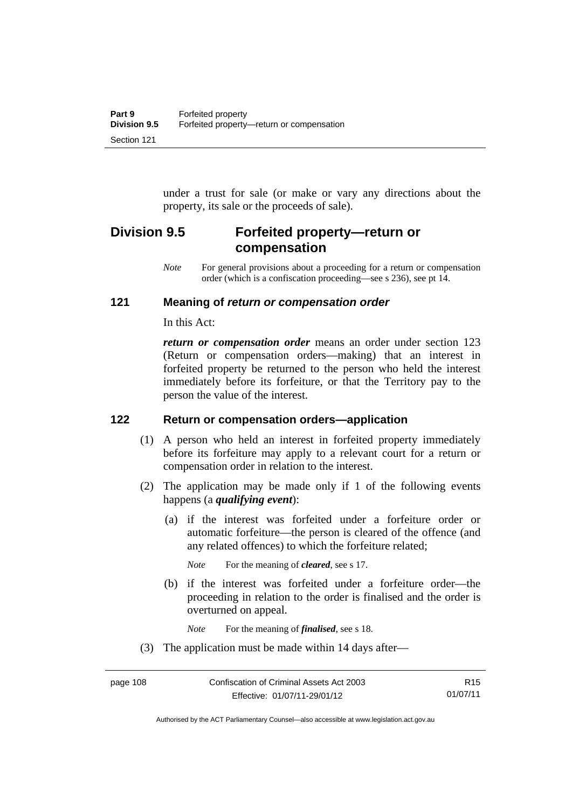under a trust for sale (or make or vary any directions about the property, its sale or the proceeds of sale).

# **Division 9.5 Forfeited property—return or compensation**

*Note* For general provisions about a proceeding for a return or compensation order (which is a confiscation proceeding—see s 236), see pt 14.

#### **121 Meaning of** *return or compensation order*

In this Act:

*return or compensation order* means an order under section 123 (Return or compensation orders—making) that an interest in forfeited property be returned to the person who held the interest immediately before its forfeiture, or that the Territory pay to the person the value of the interest.

#### **122 Return or compensation orders—application**

- (1) A person who held an interest in forfeited property immediately before its forfeiture may apply to a relevant court for a return or compensation order in relation to the interest.
- (2) The application may be made only if 1 of the following events happens (a *qualifying event*):
	- (a) if the interest was forfeited under a forfeiture order or automatic forfeiture—the person is cleared of the offence (and any related offences) to which the forfeiture related;

*Note* For the meaning of *cleared*, see s 17.

 (b) if the interest was forfeited under a forfeiture order—the proceeding in relation to the order is finalised and the order is overturned on appeal.

*Note* For the meaning of *finalised*, see s 18.

(3) The application must be made within 14 days after—

Authorised by the ACT Parliamentary Counsel—also accessible at www.legislation.act.gov.au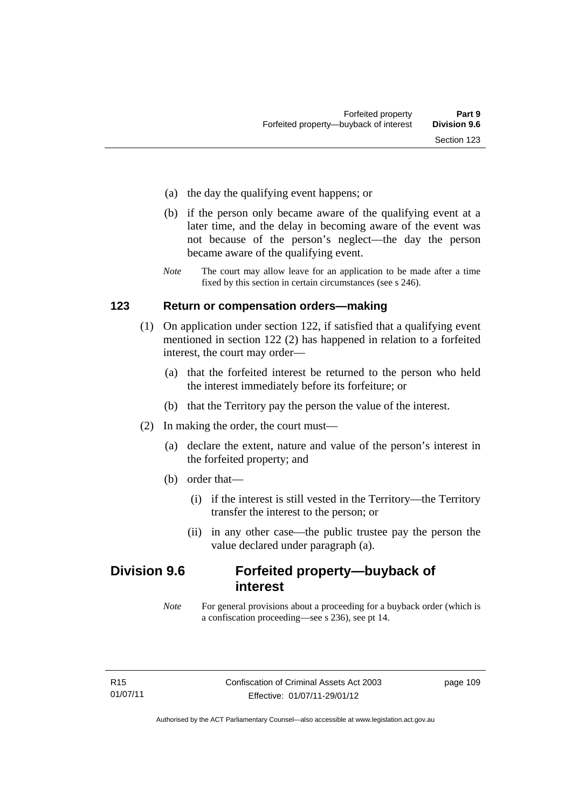- (a) the day the qualifying event happens; or
- (b) if the person only became aware of the qualifying event at a later time, and the delay in becoming aware of the event was not because of the person's neglect—the day the person became aware of the qualifying event.
- *Note* The court may allow leave for an application to be made after a time fixed by this section in certain circumstances (see s 246).

#### **123 Return or compensation orders—making**

- (1) On application under section 122, if satisfied that a qualifying event mentioned in section 122 (2) has happened in relation to a forfeited interest, the court may order—
	- (a) that the forfeited interest be returned to the person who held the interest immediately before its forfeiture; or
	- (b) that the Territory pay the person the value of the interest.
- (2) In making the order, the court must—
	- (a) declare the extent, nature and value of the person's interest in the forfeited property; and
	- (b) order that—
		- (i) if the interest is still vested in the Territory—the Territory transfer the interest to the person; or
		- (ii) in any other case—the public trustee pay the person the value declared under paragraph (a).

# **Division 9.6 Forfeited property—buyback of interest**

*Note* For general provisions about a proceeding for a buyback order (which is a confiscation proceeding—see s 236), see pt 14.

page 109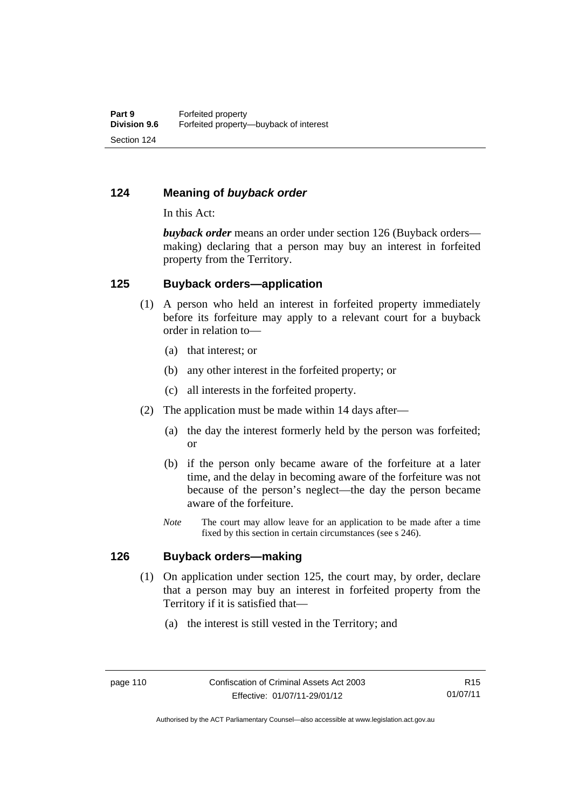#### **124 Meaning of** *buyback order*

In this Act:

*buyback order* means an order under section 126 (Buyback orders making) declaring that a person may buy an interest in forfeited property from the Territory.

#### **125 Buyback orders—application**

- (1) A person who held an interest in forfeited property immediately before its forfeiture may apply to a relevant court for a buyback order in relation to—
	- (a) that interest; or
	- (b) any other interest in the forfeited property; or
	- (c) all interests in the forfeited property.
- (2) The application must be made within 14 days after—
	- (a) the day the interest formerly held by the person was forfeited; or
	- (b) if the person only became aware of the forfeiture at a later time, and the delay in becoming aware of the forfeiture was not because of the person's neglect—the day the person became aware of the forfeiture.
	- *Note* The court may allow leave for an application to be made after a time fixed by this section in certain circumstances (see s 246).

#### **126 Buyback orders—making**

- (1) On application under section 125, the court may, by order, declare that a person may buy an interest in forfeited property from the Territory if it is satisfied that—
	- (a) the interest is still vested in the Territory; and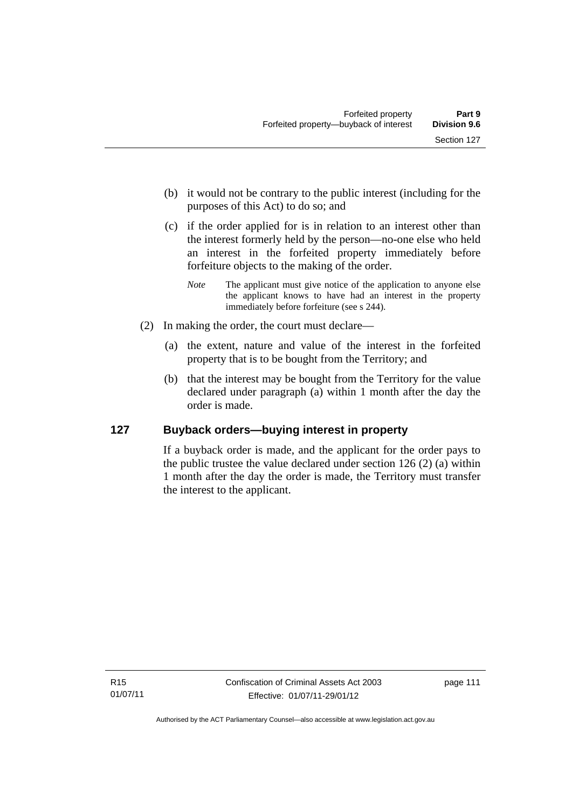- (b) it would not be contrary to the public interest (including for the purposes of this Act) to do so; and
- (c) if the order applied for is in relation to an interest other than the interest formerly held by the person—no-one else who held an interest in the forfeited property immediately before forfeiture objects to the making of the order.
	- *Note* The applicant must give notice of the application to anyone else the applicant knows to have had an interest in the property immediately before forfeiture (see s 244).
- (2) In making the order, the court must declare—
	- (a) the extent, nature and value of the interest in the forfeited property that is to be bought from the Territory; and
	- (b) that the interest may be bought from the Territory for the value declared under paragraph (a) within 1 month after the day the order is made.

## **127 Buyback orders—buying interest in property**

If a buyback order is made, and the applicant for the order pays to the public trustee the value declared under section 126 (2) (a) within 1 month after the day the order is made, the Territory must transfer the interest to the applicant.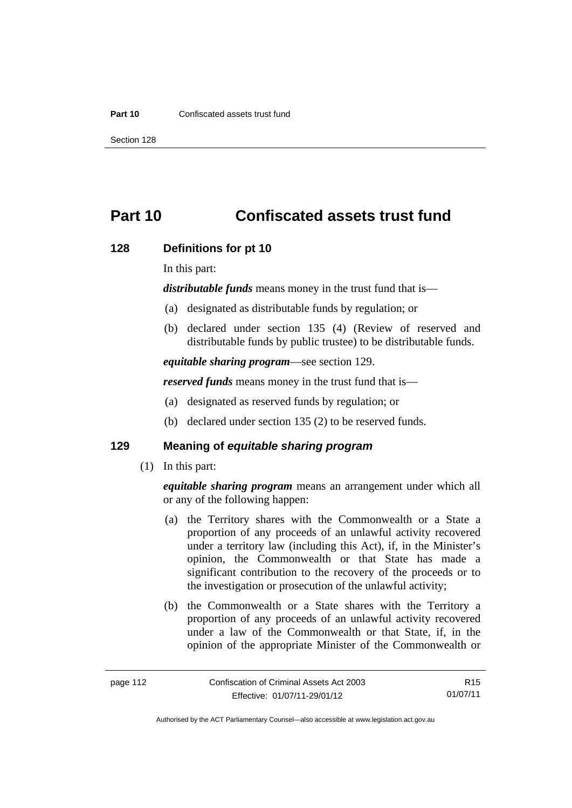#### **Part 10** Confiscated assets trust fund

Section 128

# **Part 10 Confiscated assets trust fund**

#### **128 Definitions for pt 10**

In this part:

*distributable funds* means money in the trust fund that is—

- (a) designated as distributable funds by regulation; or
- (b) declared under section 135 (4) (Review of reserved and distributable funds by public trustee) to be distributable funds.

*equitable sharing program*—see section 129.

*reserved funds* means money in the trust fund that is—

- (a) designated as reserved funds by regulation; or
- (b) declared under section 135 (2) to be reserved funds.

#### **129 Meaning of** *equitable sharing program*

(1) In this part:

*equitable sharing program* means an arrangement under which all or any of the following happen:

- (a) the Territory shares with the Commonwealth or a State a proportion of any proceeds of an unlawful activity recovered under a territory law (including this Act), if, in the Minister's opinion, the Commonwealth or that State has made a significant contribution to the recovery of the proceeds or to the investigation or prosecution of the unlawful activity;
- (b) the Commonwealth or a State shares with the Territory a proportion of any proceeds of an unlawful activity recovered under a law of the Commonwealth or that State, if, in the opinion of the appropriate Minister of the Commonwealth or

R15 01/07/11

Authorised by the ACT Parliamentary Counsel—also accessible at www.legislation.act.gov.au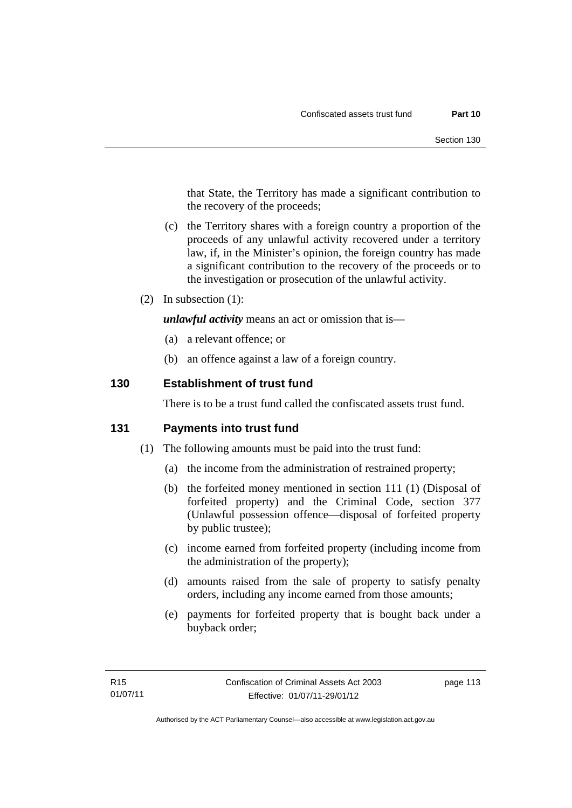that State, the Territory has made a significant contribution to the recovery of the proceeds;

- (c) the Territory shares with a foreign country a proportion of the proceeds of any unlawful activity recovered under a territory law, if, in the Minister's opinion, the foreign country has made a significant contribution to the recovery of the proceeds or to the investigation or prosecution of the unlawful activity.
- (2) In subsection (1):

*unlawful activity* means an act or omission that is—

- (a) a relevant offence; or
- (b) an offence against a law of a foreign country.

#### **130 Establishment of trust fund**

There is to be a trust fund called the confiscated assets trust fund.

#### **131 Payments into trust fund**

- (1) The following amounts must be paid into the trust fund:
	- (a) the income from the administration of restrained property;
	- (b) the forfeited money mentioned in section 111 (1) (Disposal of forfeited property) and the Criminal Code, section 377 (Unlawful possession offence—disposal of forfeited property by public trustee);
	- (c) income earned from forfeited property (including income from the administration of the property);
	- (d) amounts raised from the sale of property to satisfy penalty orders, including any income earned from those amounts;
	- (e) payments for forfeited property that is bought back under a buyback order;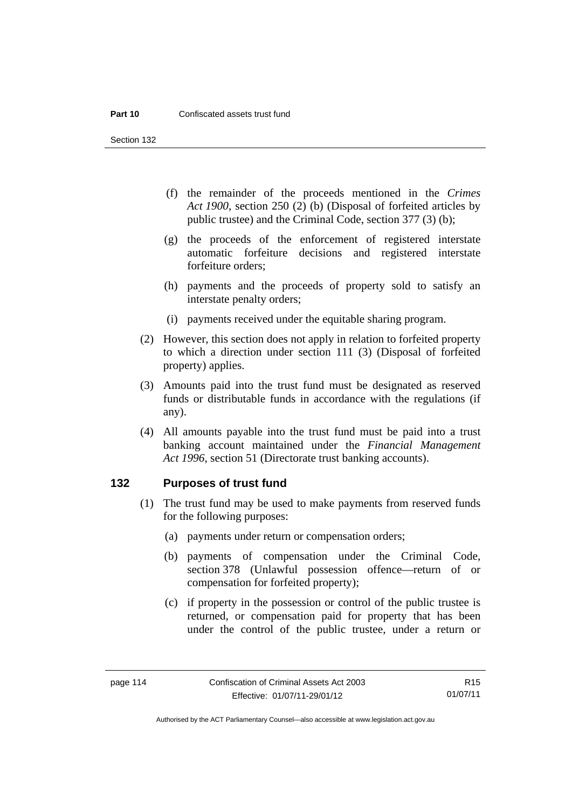Section 132

- (f) the remainder of the proceeds mentioned in the *Crimes Act 1900*, section 250 (2) (b) (Disposal of forfeited articles by public trustee) and the Criminal Code, section 377 (3) (b);
- (g) the proceeds of the enforcement of registered interstate automatic forfeiture decisions and registered interstate forfeiture orders;
- (h) payments and the proceeds of property sold to satisfy an interstate penalty orders;
- (i) payments received under the equitable sharing program.
- (2) However, this section does not apply in relation to forfeited property to which a direction under section 111 (3) (Disposal of forfeited property) applies.
- (3) Amounts paid into the trust fund must be designated as reserved funds or distributable funds in accordance with the regulations (if any).
- (4) All amounts payable into the trust fund must be paid into a trust banking account maintained under the *Financial Management Act 1996*, section 51 (Directorate trust banking accounts).

#### **132 Purposes of trust fund**

- (1) The trust fund may be used to make payments from reserved funds for the following purposes:
	- (a) payments under return or compensation orders;
	- (b) payments of compensation under the Criminal Code, section 378 (Unlawful possession offence—return of or compensation for forfeited property);
	- (c) if property in the possession or control of the public trustee is returned, or compensation paid for property that has been under the control of the public trustee, under a return or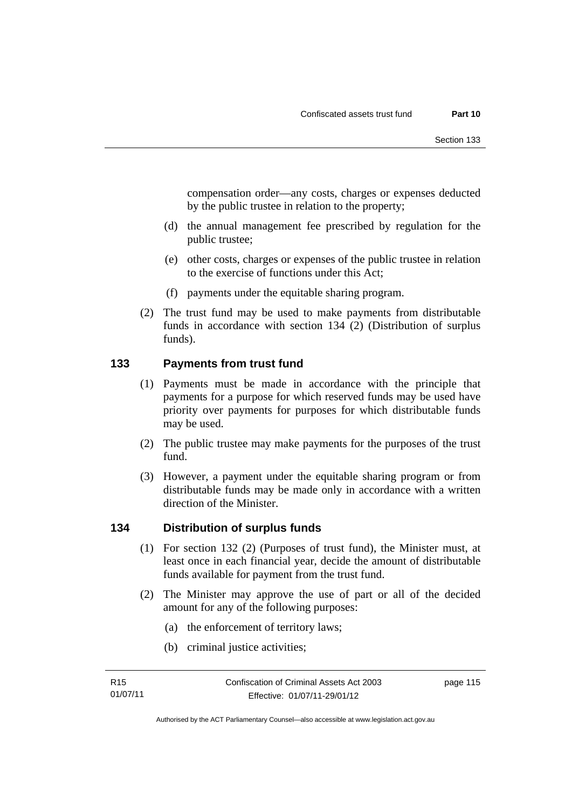compensation order—any costs, charges or expenses deducted by the public trustee in relation to the property;

- (d) the annual management fee prescribed by regulation for the public trustee;
- (e) other costs, charges or expenses of the public trustee in relation to the exercise of functions under this Act;
- (f) payments under the equitable sharing program.
- (2) The trust fund may be used to make payments from distributable funds in accordance with section 134 (2) (Distribution of surplus funds).

#### **133 Payments from trust fund**

- (1) Payments must be made in accordance with the principle that payments for a purpose for which reserved funds may be used have priority over payments for purposes for which distributable funds may be used.
- (2) The public trustee may make payments for the purposes of the trust fund.
- (3) However, a payment under the equitable sharing program or from distributable funds may be made only in accordance with a written direction of the Minister.

## **134 Distribution of surplus funds**

- (1) For section 132 (2) (Purposes of trust fund), the Minister must, at least once in each financial year, decide the amount of distributable funds available for payment from the trust fund.
- (2) The Minister may approve the use of part or all of the decided amount for any of the following purposes:
	- (a) the enforcement of territory laws;
	- (b) criminal justice activities;

page 115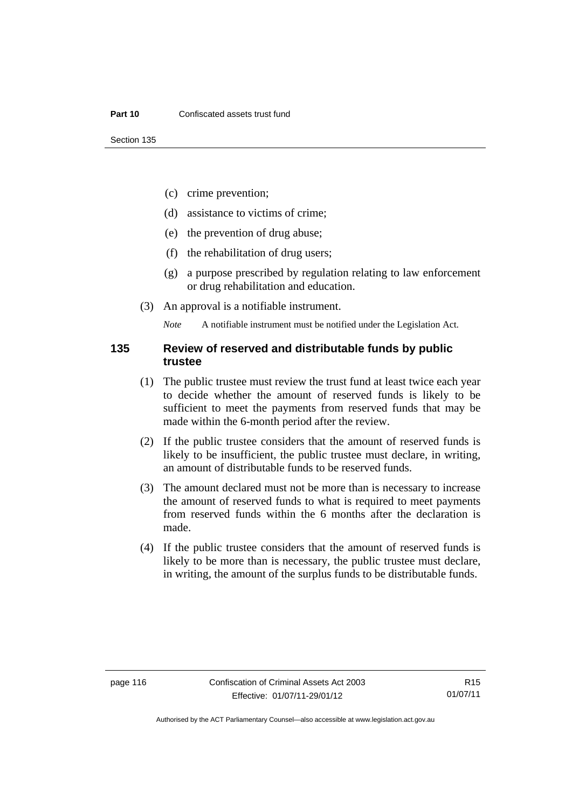- (c) crime prevention;
- (d) assistance to victims of crime;
- (e) the prevention of drug abuse;
- (f) the rehabilitation of drug users;
- (g) a purpose prescribed by regulation relating to law enforcement or drug rehabilitation and education.
- (3) An approval is a notifiable instrument.

*Note* A notifiable instrument must be notified under the Legislation Act.

#### **135 Review of reserved and distributable funds by public trustee**

- (1) The public trustee must review the trust fund at least twice each year to decide whether the amount of reserved funds is likely to be sufficient to meet the payments from reserved funds that may be made within the 6-month period after the review.
- (2) If the public trustee considers that the amount of reserved funds is likely to be insufficient, the public trustee must declare, in writing, an amount of distributable funds to be reserved funds.
- (3) The amount declared must not be more than is necessary to increase the amount of reserved funds to what is required to meet payments from reserved funds within the 6 months after the declaration is made.
- (4) If the public trustee considers that the amount of reserved funds is likely to be more than is necessary, the public trustee must declare, in writing, the amount of the surplus funds to be distributable funds.

R15 01/07/11

Authorised by the ACT Parliamentary Counsel—also accessible at www.legislation.act.gov.au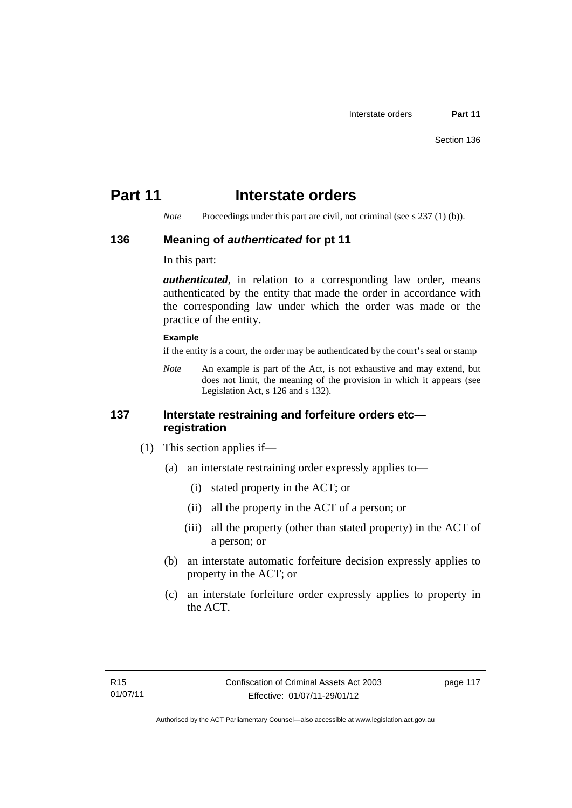# **Part 11** Interstate orders

*Note* Proceedings under this part are civil, not criminal (see s 237 (1) (b)).

#### **136 Meaning of** *authenticated* **for pt 11**

In this part:

*authenticated*, in relation to a corresponding law order, means authenticated by the entity that made the order in accordance with the corresponding law under which the order was made or the practice of the entity.

#### **Example**

if the entity is a court, the order may be authenticated by the court's seal or stamp

*Note* An example is part of the Act, is not exhaustive and may extend, but does not limit, the meaning of the provision in which it appears (see Legislation Act, s 126 and s 132).

#### **137 Interstate restraining and forfeiture orders etc registration**

- (1) This section applies if—
	- (a) an interstate restraining order expressly applies to—
		- (i) stated property in the ACT; or
		- (ii) all the property in the ACT of a person; or
		- (iii) all the property (other than stated property) in the ACT of a person; or
	- (b) an interstate automatic forfeiture decision expressly applies to property in the ACT; or
	- (c) an interstate forfeiture order expressly applies to property in the ACT.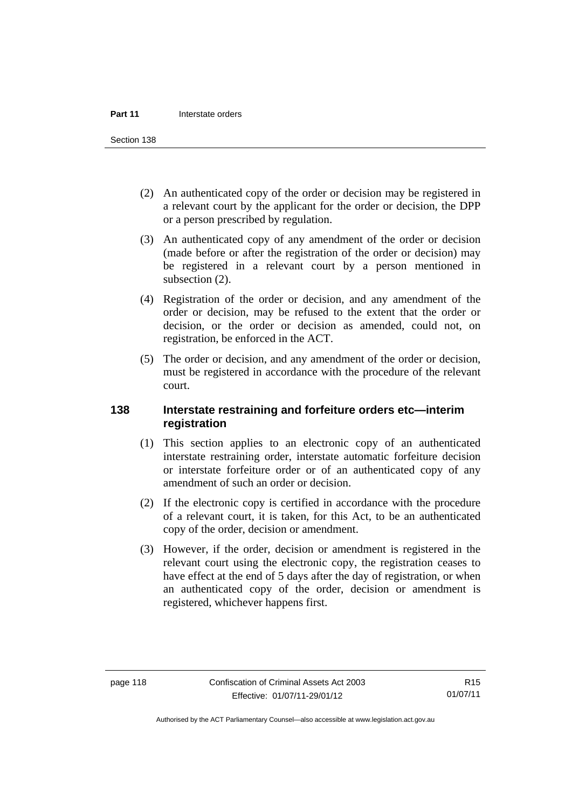Section 138

- (2) An authenticated copy of the order or decision may be registered in a relevant court by the applicant for the order or decision, the DPP or a person prescribed by regulation.
- (3) An authenticated copy of any amendment of the order or decision (made before or after the registration of the order or decision) may be registered in a relevant court by a person mentioned in subsection  $(2)$ .
- (4) Registration of the order or decision, and any amendment of the order or decision, may be refused to the extent that the order or decision, or the order or decision as amended, could not, on registration, be enforced in the ACT.
- (5) The order or decision, and any amendment of the order or decision, must be registered in accordance with the procedure of the relevant court.

#### **138 Interstate restraining and forfeiture orders etc—interim registration**

- (1) This section applies to an electronic copy of an authenticated interstate restraining order, interstate automatic forfeiture decision or interstate forfeiture order or of an authenticated copy of any amendment of such an order or decision.
- (2) If the electronic copy is certified in accordance with the procedure of a relevant court, it is taken, for this Act, to be an authenticated copy of the order, decision or amendment.
- (3) However, if the order, decision or amendment is registered in the relevant court using the electronic copy, the registration ceases to have effect at the end of 5 days after the day of registration, or when an authenticated copy of the order, decision or amendment is registered, whichever happens first.

R15 01/07/11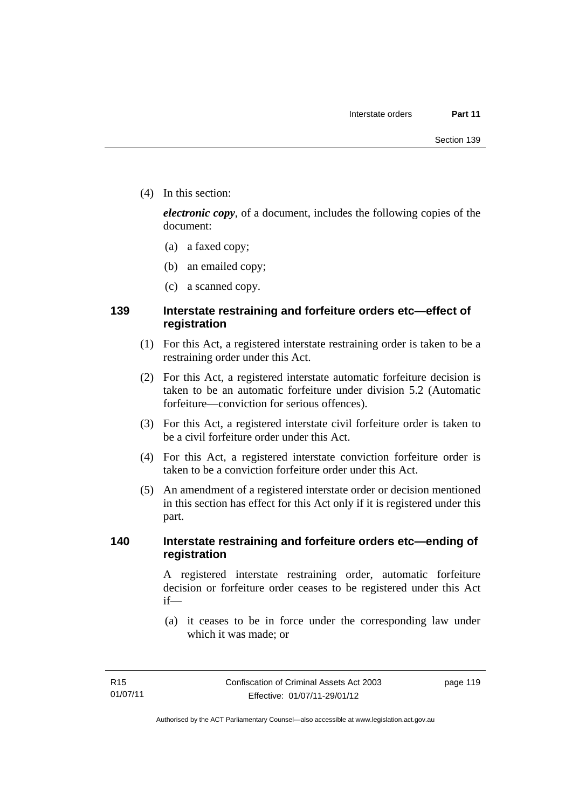(4) In this section:

*electronic copy*, of a document, includes the following copies of the document:

- (a) a faxed copy;
- (b) an emailed copy;
- (c) a scanned copy.

## **139 Interstate restraining and forfeiture orders etc—effect of registration**

- (1) For this Act, a registered interstate restraining order is taken to be a restraining order under this Act.
- (2) For this Act, a registered interstate automatic forfeiture decision is taken to be an automatic forfeiture under division 5.2 (Automatic forfeiture—conviction for serious offences).
- (3) For this Act, a registered interstate civil forfeiture order is taken to be a civil forfeiture order under this Act.
- (4) For this Act, a registered interstate conviction forfeiture order is taken to be a conviction forfeiture order under this Act.
- (5) An amendment of a registered interstate order or decision mentioned in this section has effect for this Act only if it is registered under this part.

#### **140 Interstate restraining and forfeiture orders etc—ending of registration**

A registered interstate restraining order, automatic forfeiture decision or forfeiture order ceases to be registered under this Act if—

 (a) it ceases to be in force under the corresponding law under which it was made; or

page 119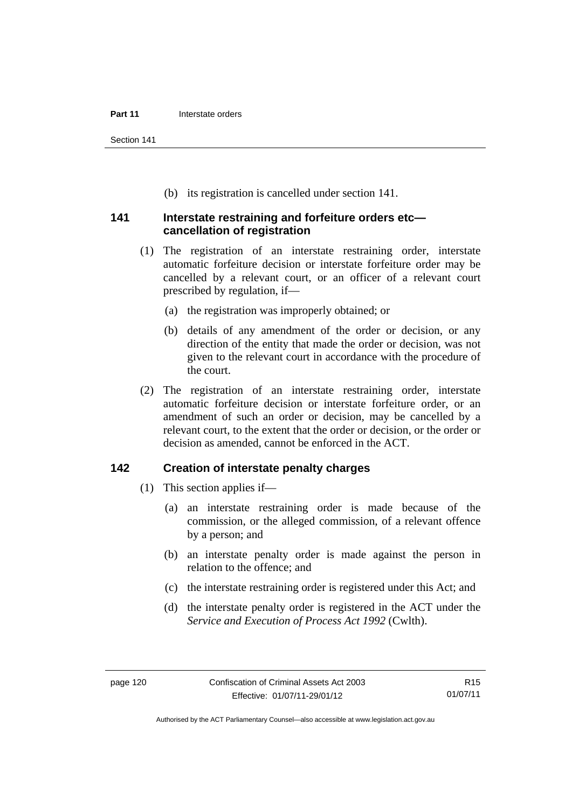Section 141

(b) its registration is cancelled under section 141.

#### **141 Interstate restraining and forfeiture orders etc cancellation of registration**

- (1) The registration of an interstate restraining order, interstate automatic forfeiture decision or interstate forfeiture order may be cancelled by a relevant court, or an officer of a relevant court prescribed by regulation, if—
	- (a) the registration was improperly obtained; or
	- (b) details of any amendment of the order or decision, or any direction of the entity that made the order or decision, was not given to the relevant court in accordance with the procedure of the court.
- (2) The registration of an interstate restraining order, interstate automatic forfeiture decision or interstate forfeiture order, or an amendment of such an order or decision, may be cancelled by a relevant court, to the extent that the order or decision, or the order or decision as amended, cannot be enforced in the ACT.

#### **142 Creation of interstate penalty charges**

- (1) This section applies if—
	- (a) an interstate restraining order is made because of the commission, or the alleged commission, of a relevant offence by a person; and
	- (b) an interstate penalty order is made against the person in relation to the offence; and
	- (c) the interstate restraining order is registered under this Act; and
	- (d) the interstate penalty order is registered in the ACT under the *Service and Execution of Process Act 1992* (Cwlth).

Authorised by the ACT Parliamentary Counsel—also accessible at www.legislation.act.gov.au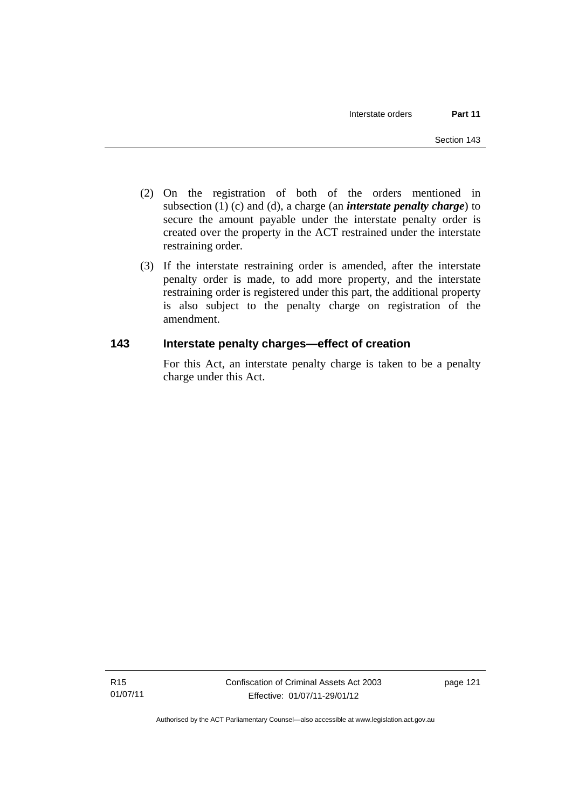- (2) On the registration of both of the orders mentioned in subsection (1) (c) and (d), a charge (an *interstate penalty charge*) to secure the amount payable under the interstate penalty order is created over the property in the ACT restrained under the interstate restraining order.
- (3) If the interstate restraining order is amended, after the interstate penalty order is made, to add more property, and the interstate restraining order is registered under this part, the additional property is also subject to the penalty charge on registration of the amendment.

## **143 Interstate penalty charges—effect of creation**

For this Act, an interstate penalty charge is taken to be a penalty charge under this Act.

Authorised by the ACT Parliamentary Counsel—also accessible at www.legislation.act.gov.au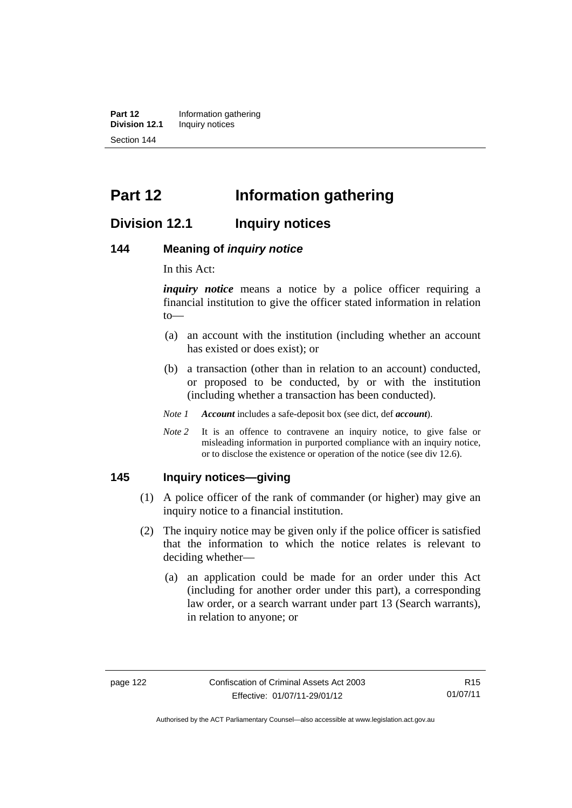**Part 12** Information gathering<br>**Division 12.1** Inquiry notices **Inquiry notices** Section 144

# **Part 12 Information gathering**

## **Division 12.1 Inquiry notices**

#### **144 Meaning of** *inquiry notice*

In this Act:

*inquiry notice* means a notice by a police officer requiring a financial institution to give the officer stated information in relation to—

- (a) an account with the institution (including whether an account has existed or does exist); or
- (b) a transaction (other than in relation to an account) conducted, or proposed to be conducted, by or with the institution (including whether a transaction has been conducted).
- *Note 1 Account* includes a safe-deposit box (see dict, def *account*).
- *Note* 2 It is an offence to contravene an inquiry notice, to give false or misleading information in purported compliance with an inquiry notice, or to disclose the existence or operation of the notice (see div 12.6).

#### **145 Inquiry notices—giving**

- (1) A police officer of the rank of commander (or higher) may give an inquiry notice to a financial institution.
- (2) The inquiry notice may be given only if the police officer is satisfied that the information to which the notice relates is relevant to deciding whether—
	- (a) an application could be made for an order under this Act (including for another order under this part), a corresponding law order, or a search warrant under part 13 (Search warrants), in relation to anyone; or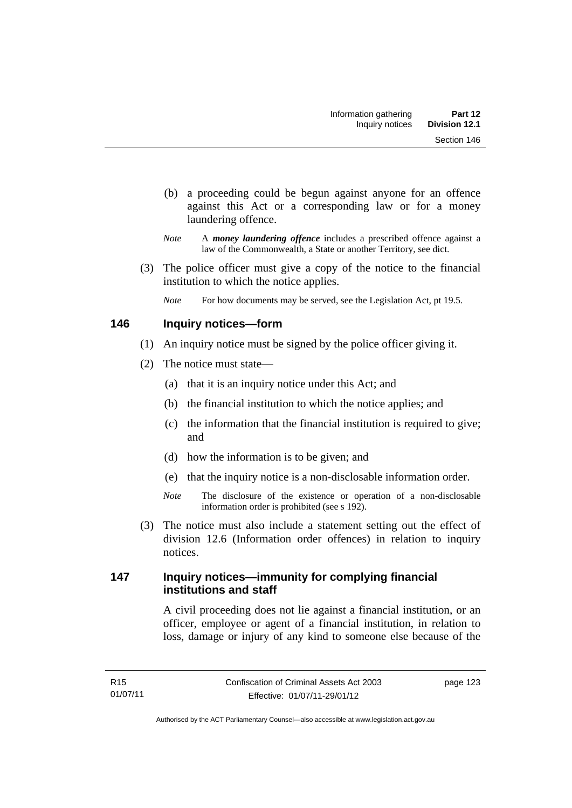- (b) a proceeding could be begun against anyone for an offence against this Act or a corresponding law or for a money laundering offence.
- *Note* A *money laundering offence* includes a prescribed offence against a law of the Commonwealth, a State or another Territory, see dict.
- (3) The police officer must give a copy of the notice to the financial institution to which the notice applies.
	- *Note* For how documents may be served, see the Legislation Act, pt 19.5.

## **146 Inquiry notices—form**

- (1) An inquiry notice must be signed by the police officer giving it.
- (2) The notice must state—
	- (a) that it is an inquiry notice under this Act; and
	- (b) the financial institution to which the notice applies; and
	- (c) the information that the financial institution is required to give; and
	- (d) how the information is to be given; and
	- (e) that the inquiry notice is a non-disclosable information order.
	- *Note* The disclosure of the existence or operation of a non-disclosable information order is prohibited (see s 192).
- (3) The notice must also include a statement setting out the effect of division 12.6 (Information order offences) in relation to inquiry notices.

## **147 Inquiry notices—immunity for complying financial institutions and staff**

A civil proceeding does not lie against a financial institution, or an officer, employee or agent of a financial institution, in relation to loss, damage or injury of any kind to someone else because of the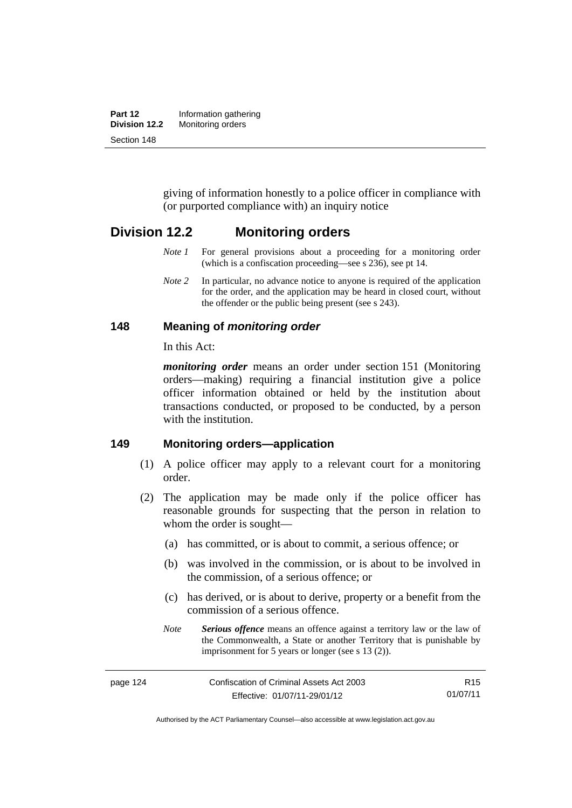| Part 12       | Information gathering |  |
|---------------|-----------------------|--|
| Division 12.2 | Monitoring orders     |  |
| Section 148   |                       |  |

giving of information honestly to a police officer in compliance with (or purported compliance with) an inquiry notice

## **Division 12.2 Monitoring orders**

- *Note 1* For general provisions about a proceeding for a monitoring order (which is a confiscation proceeding—see s 236), see pt 14.
- *Note 2* In particular, no advance notice to anyone is required of the application for the order, and the application may be heard in closed court, without the offender or the public being present (see s 243).

#### **148 Meaning of** *monitoring order*

In this Act:

*monitoring order* means an order under section 151 (Monitoring orders—making) requiring a financial institution give a police officer information obtained or held by the institution about transactions conducted, or proposed to be conducted, by a person with the institution.

#### **149 Monitoring orders—application**

- (1) A police officer may apply to a relevant court for a monitoring order.
- (2) The application may be made only if the police officer has reasonable grounds for suspecting that the person in relation to whom the order is sought—
	- (a) has committed, or is about to commit, a serious offence; or
	- (b) was involved in the commission, or is about to be involved in the commission, of a serious offence; or
	- (c) has derived, or is about to derive, property or a benefit from the commission of a serious offence.
	- *Note Serious offence* means an offence against a territory law or the law of the Commonwealth, a State or another Territory that is punishable by imprisonment for 5 years or longer (see s 13 (2)).

page 124 Confiscation of Criminal Assets Act 2003 Effective: 01/07/11-29/01/12 R15 01/07/11

Authorised by the ACT Parliamentary Counsel—also accessible at www.legislation.act.gov.au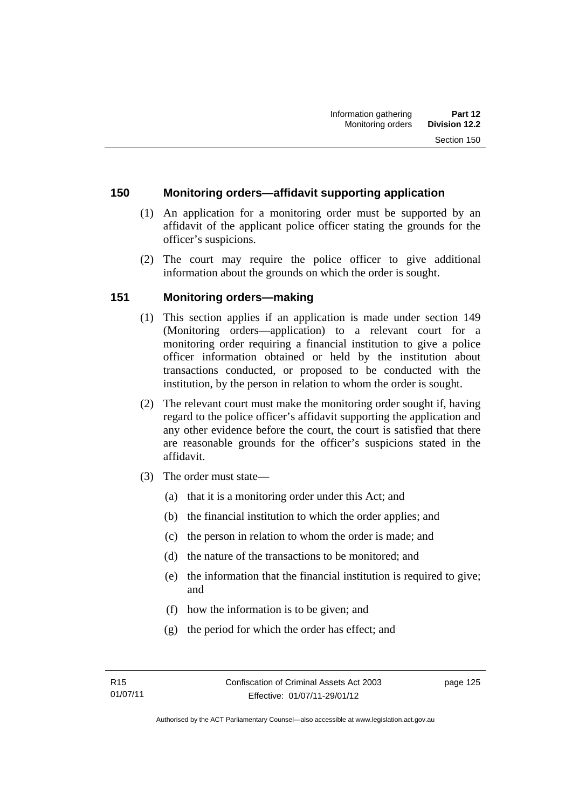#### **150 Monitoring orders—affidavit supporting application**

- (1) An application for a monitoring order must be supported by an affidavit of the applicant police officer stating the grounds for the officer's suspicions.
- (2) The court may require the police officer to give additional information about the grounds on which the order is sought.

## **151 Monitoring orders—making**

- (1) This section applies if an application is made under section 149 (Monitoring orders—application) to a relevant court for a monitoring order requiring a financial institution to give a police officer information obtained or held by the institution about transactions conducted, or proposed to be conducted with the institution, by the person in relation to whom the order is sought.
- (2) The relevant court must make the monitoring order sought if, having regard to the police officer's affidavit supporting the application and any other evidence before the court, the court is satisfied that there are reasonable grounds for the officer's suspicions stated in the affidavit.
- (3) The order must state—
	- (a) that it is a monitoring order under this Act; and
	- (b) the financial institution to which the order applies; and
	- (c) the person in relation to whom the order is made; and
	- (d) the nature of the transactions to be monitored; and
	- (e) the information that the financial institution is required to give; and
	- (f) how the information is to be given; and
	- (g) the period for which the order has effect; and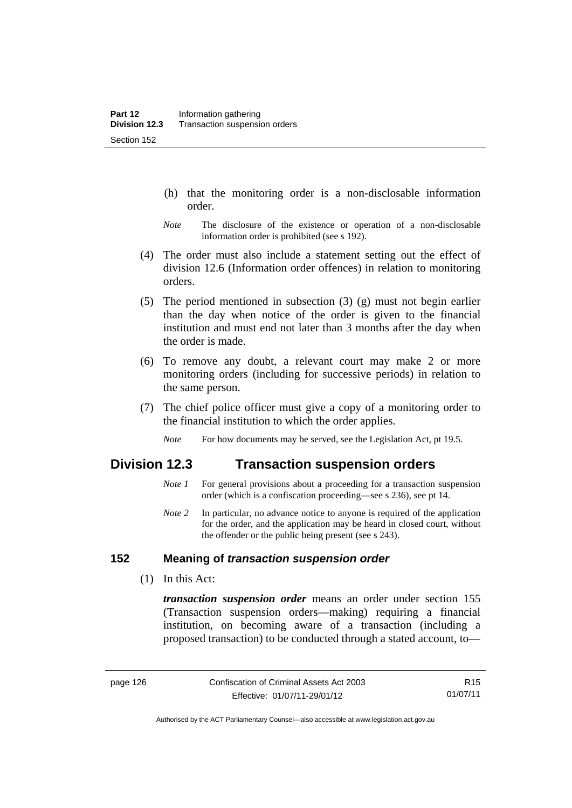- (h) that the monitoring order is a non-disclosable information order.
- *Note* The disclosure of the existence or operation of a non-disclosable information order is prohibited (see s 192).
- (4) The order must also include a statement setting out the effect of division 12.6 (Information order offences) in relation to monitoring orders.
- (5) The period mentioned in subsection (3) (g) must not begin earlier than the day when notice of the order is given to the financial institution and must end not later than 3 months after the day when the order is made.
- (6) To remove any doubt, a relevant court may make 2 or more monitoring orders (including for successive periods) in relation to the same person.
- (7) The chief police officer must give a copy of a monitoring order to the financial institution to which the order applies.
	- *Note* For how documents may be served, see the Legislation Act, pt 19.5.

## **Division 12.3 Transaction suspension orders**

- *Note 1* For general provisions about a proceeding for a transaction suspension order (which is a confiscation proceeding—see s 236), see pt 14.
- *Note 2* In particular, no advance notice to anyone is required of the application for the order, and the application may be heard in closed court, without the offender or the public being present (see s 243).

#### **152 Meaning of** *transaction suspension order*

(1) In this Act:

*transaction suspension order* means an order under section 155 (Transaction suspension orders—making) requiring a financial institution, on becoming aware of a transaction (including a proposed transaction) to be conducted through a stated account, to—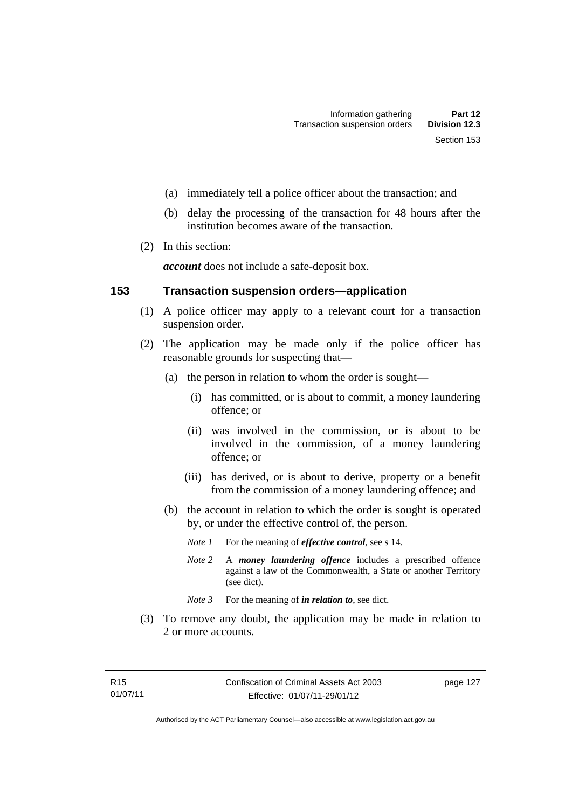- (a) immediately tell a police officer about the transaction; and
- (b) delay the processing of the transaction for 48 hours after the institution becomes aware of the transaction.
- (2) In this section:

*account* does not include a safe-deposit box.

#### **153 Transaction suspension orders—application**

- (1) A police officer may apply to a relevant court for a transaction suspension order.
- (2) The application may be made only if the police officer has reasonable grounds for suspecting that—
	- (a) the person in relation to whom the order is sought—
		- (i) has committed, or is about to commit, a money laundering offence; or
		- (ii) was involved in the commission, or is about to be involved in the commission, of a money laundering offence; or
		- (iii) has derived, or is about to derive, property or a benefit from the commission of a money laundering offence; and
	- (b) the account in relation to which the order is sought is operated by, or under the effective control of, the person.
		- *Note 1* For the meaning of *effective control*, see s 14.
		- *Note 2* A *money laundering offence* includes a prescribed offence against a law of the Commonwealth, a State or another Territory (see dict).
		- *Note* 3 For the meaning of *in relation to*, see dict.
- (3) To remove any doubt, the application may be made in relation to 2 or more accounts.

page 127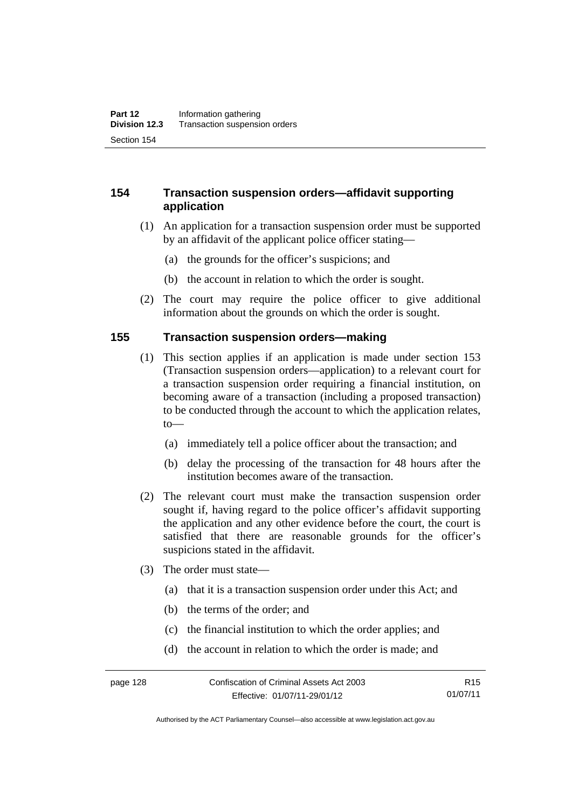## **154 Transaction suspension orders—affidavit supporting application**

- (1) An application for a transaction suspension order must be supported by an affidavit of the applicant police officer stating—
	- (a) the grounds for the officer's suspicions; and
	- (b) the account in relation to which the order is sought.
- (2) The court may require the police officer to give additional information about the grounds on which the order is sought.

#### **155 Transaction suspension orders—making**

- (1) This section applies if an application is made under section 153 (Transaction suspension orders—application) to a relevant court for a transaction suspension order requiring a financial institution, on becoming aware of a transaction (including a proposed transaction) to be conducted through the account to which the application relates, to—
	- (a) immediately tell a police officer about the transaction; and
	- (b) delay the processing of the transaction for 48 hours after the institution becomes aware of the transaction.
- (2) The relevant court must make the transaction suspension order sought if, having regard to the police officer's affidavit supporting the application and any other evidence before the court, the court is satisfied that there are reasonable grounds for the officer's suspicions stated in the affidavit.
- (3) The order must state—
	- (a) that it is a transaction suspension order under this Act; and
	- (b) the terms of the order; and
	- (c) the financial institution to which the order applies; and
	- (d) the account in relation to which the order is made; and

Authorised by the ACT Parliamentary Counsel—also accessible at www.legislation.act.gov.au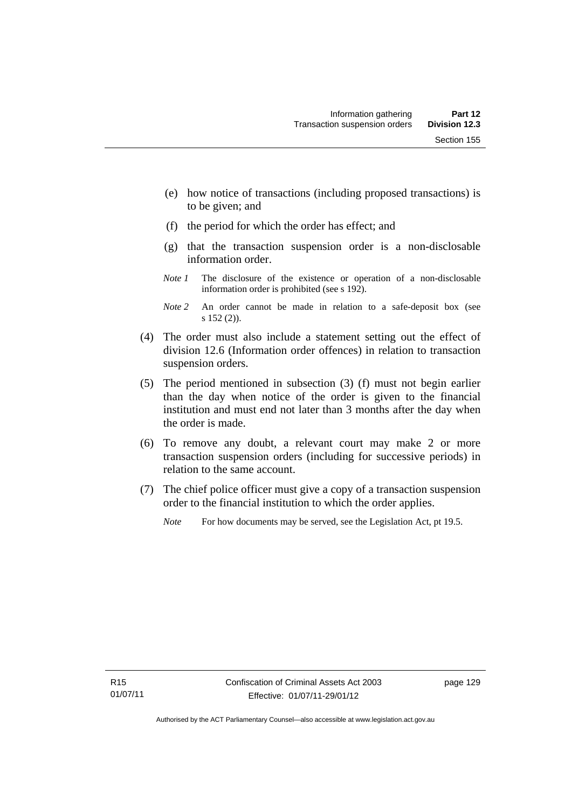- (e) how notice of transactions (including proposed transactions) is to be given; and
- (f) the period for which the order has effect; and
- (g) that the transaction suspension order is a non-disclosable information order.
- *Note 1* The disclosure of the existence or operation of a non-disclosable information order is prohibited (see s 192).
- *Note 2* An order cannot be made in relation to a safe-deposit box (see s 152 (2)).
- (4) The order must also include a statement setting out the effect of division 12.6 (Information order offences) in relation to transaction suspension orders.
- (5) The period mentioned in subsection (3) (f) must not begin earlier than the day when notice of the order is given to the financial institution and must end not later than 3 months after the day when the order is made.
- (6) To remove any doubt, a relevant court may make 2 or more transaction suspension orders (including for successive periods) in relation to the same account.
- (7) The chief police officer must give a copy of a transaction suspension order to the financial institution to which the order applies.
	- *Note* For how documents may be served, see the Legislation Act, pt 19.5.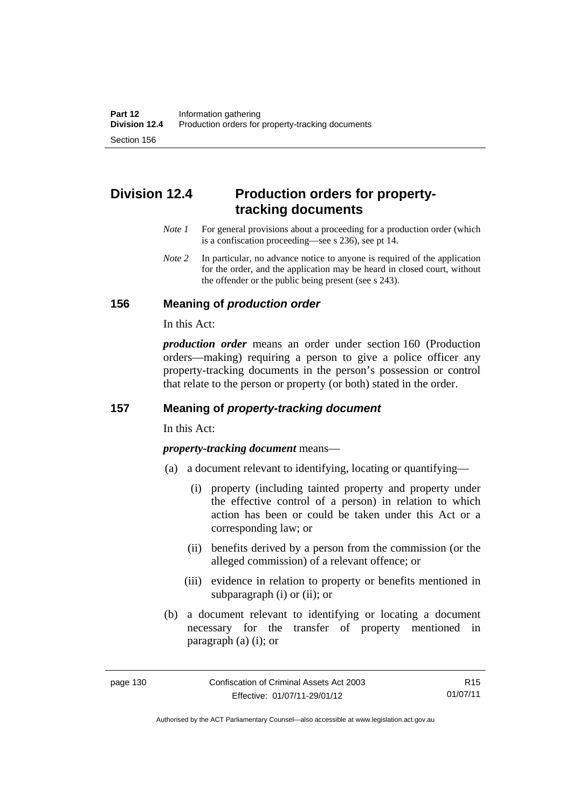# **Division 12.4 Production orders for propertytracking documents**

- *Note 1* For general provisions about a proceeding for a production order (which is a confiscation proceeding—see s 236), see pt 14.
- *Note 2* In particular, no advance notice to anyone is required of the application for the order, and the application may be heard in closed court, without the offender or the public being present (see s 243).

#### **156 Meaning of** *production order*

In this Act:

*production order* means an order under section 160 (Production orders—making) requiring a person to give a police officer any property-tracking documents in the person's possession or control that relate to the person or property (or both) stated in the order.

## **157 Meaning of** *property-tracking document*

In this Act:

*property-tracking document* means—

- (a) a document relevant to identifying, locating or quantifying—
	- (i) property (including tainted property and property under the effective control of a person) in relation to which action has been or could be taken under this Act or a corresponding law; or
	- (ii) benefits derived by a person from the commission (or the alleged commission) of a relevant offence; or
	- (iii) evidence in relation to property or benefits mentioned in subparagraph (i) or (ii); or
- (b) a document relevant to identifying or locating a document necessary for the transfer of property mentioned in paragraph (a) (i); or

R15 01/07/11

Authorised by the ACT Parliamentary Counsel—also accessible at www.legislation.act.gov.au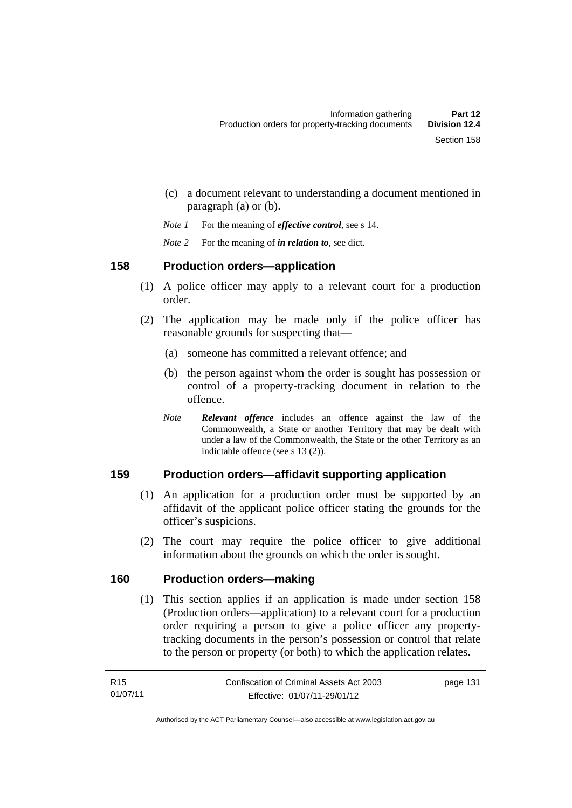- (c) a document relevant to understanding a document mentioned in paragraph (a) or (b).
- *Note 1* For the meaning of *effective control*, see s 14.
- *Note 2* For the meaning of *in relation to*, see dict.

# **158 Production orders—application**

- (1) A police officer may apply to a relevant court for a production order.
- (2) The application may be made only if the police officer has reasonable grounds for suspecting that—
	- (a) someone has committed a relevant offence; and
	- (b) the person against whom the order is sought has possession or control of a property-tracking document in relation to the offence.
	- *Note Relevant offence* includes an offence against the law of the Commonwealth, a State or another Territory that may be dealt with under a law of the Commonwealth, the State or the other Territory as an indictable offence (see s 13 (2)).

# **159 Production orders—affidavit supporting application**

- (1) An application for a production order must be supported by an affidavit of the applicant police officer stating the grounds for the officer's suspicions.
- (2) The court may require the police officer to give additional information about the grounds on which the order is sought.

# **160 Production orders—making**

(1) This section applies if an application is made under section 158 (Production orders—application) to a relevant court for a production order requiring a person to give a police officer any propertytracking documents in the person's possession or control that relate to the person or property (or both) to which the application relates.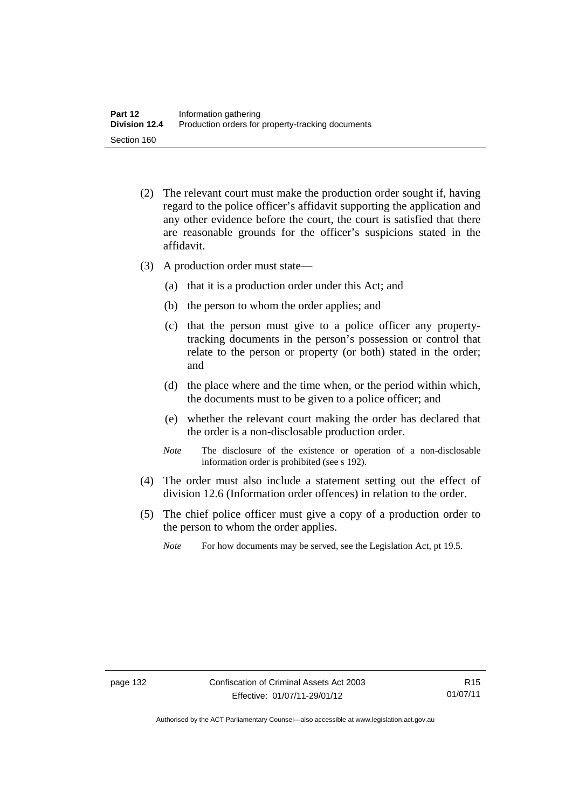- (2) The relevant court must make the production order sought if, having regard to the police officer's affidavit supporting the application and any other evidence before the court, the court is satisfied that there are reasonable grounds for the officer's suspicions stated in the affidavit.
- (3) A production order must state—
	- (a) that it is a production order under this Act; and
	- (b) the person to whom the order applies; and
	- (c) that the person must give to a police officer any propertytracking documents in the person's possession or control that relate to the person or property (or both) stated in the order; and
	- (d) the place where and the time when, or the period within which, the documents must to be given to a police officer; and
	- (e) whether the relevant court making the order has declared that the order is a non-disclosable production order.
	- *Note* The disclosure of the existence or operation of a non-disclosable information order is prohibited (see s 192).
- (4) The order must also include a statement setting out the effect of division 12.6 (Information order offences) in relation to the order.
- (5) The chief police officer must give a copy of a production order to the person to whom the order applies.
	- *Note* For how documents may be served, see the Legislation Act, pt 19.5.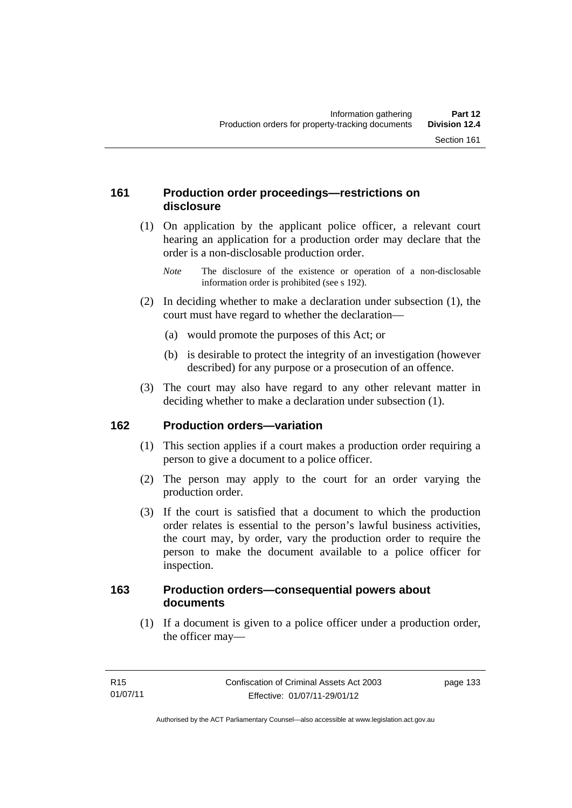# **161 Production order proceedings—restrictions on disclosure**

 (1) On application by the applicant police officer, a relevant court hearing an application for a production order may declare that the order is a non-disclosable production order.

- (2) In deciding whether to make a declaration under subsection (1), the court must have regard to whether the declaration—
	- (a) would promote the purposes of this Act; or
	- (b) is desirable to protect the integrity of an investigation (however described) for any purpose or a prosecution of an offence.
- (3) The court may also have regard to any other relevant matter in deciding whether to make a declaration under subsection (1).

# **162 Production orders—variation**

- (1) This section applies if a court makes a production order requiring a person to give a document to a police officer.
- (2) The person may apply to the court for an order varying the production order.
- (3) If the court is satisfied that a document to which the production order relates is essential to the person's lawful business activities, the court may, by order, vary the production order to require the person to make the document available to a police officer for inspection.

### **163 Production orders—consequential powers about documents**

 (1) If a document is given to a police officer under a production order, the officer may—

*Note* The disclosure of the existence or operation of a non-disclosable information order is prohibited (see s 192).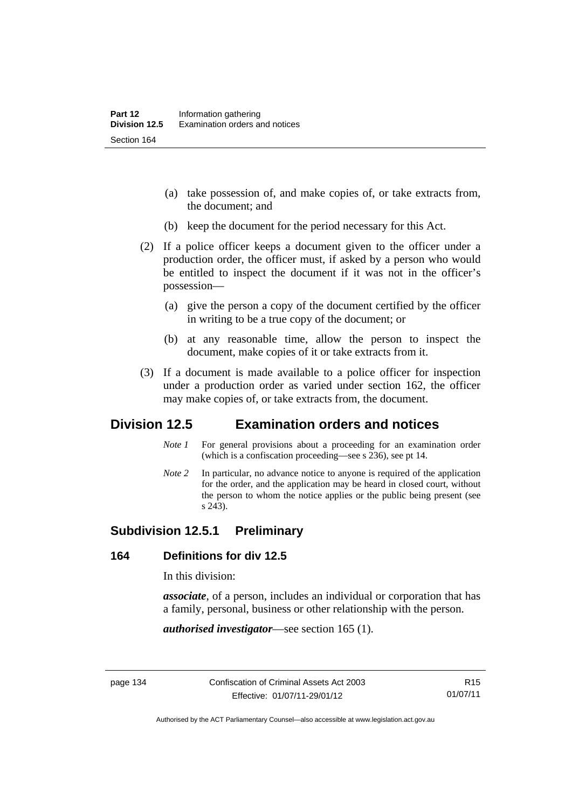- (a) take possession of, and make copies of, or take extracts from, the document; and
- (b) keep the document for the period necessary for this Act.
- (2) If a police officer keeps a document given to the officer under a production order, the officer must, if asked by a person who would be entitled to inspect the document if it was not in the officer's possession—
	- (a) give the person a copy of the document certified by the officer in writing to be a true copy of the document; or
	- (b) at any reasonable time, allow the person to inspect the document, make copies of it or take extracts from it.
- (3) If a document is made available to a police officer for inspection under a production order as varied under section 162, the officer may make copies of, or take extracts from, the document.

# **Division 12.5 Examination orders and notices**

- *Note 1* For general provisions about a proceeding for an examination order (which is a confiscation proceeding—see s 236), see pt 14.
- *Note 2* In particular, no advance notice to anyone is required of the application for the order, and the application may be heard in closed court, without the person to whom the notice applies or the public being present (see s 243).

# **Subdivision 12.5.1 Preliminary**

#### **164 Definitions for div 12.5**

In this division:

*associate*, of a person, includes an individual or corporation that has a family, personal, business or other relationship with the person.

*authorised investigator*—see section 165 (1).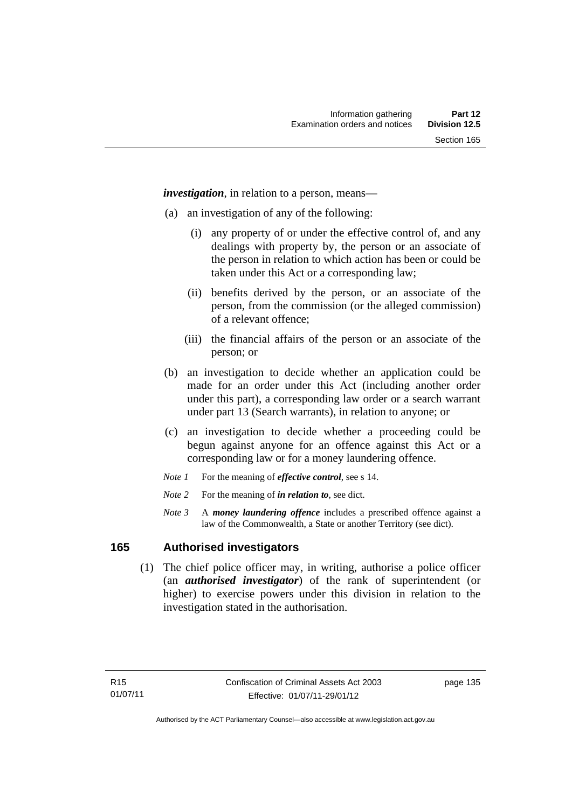*investigation*, in relation to a person, means—

- (a) an investigation of any of the following:
	- (i) any property of or under the effective control of, and any dealings with property by, the person or an associate of the person in relation to which action has been or could be taken under this Act or a corresponding law;
	- (ii) benefits derived by the person, or an associate of the person, from the commission (or the alleged commission) of a relevant offence;
	- (iii) the financial affairs of the person or an associate of the person; or
- (b) an investigation to decide whether an application could be made for an order under this Act (including another order under this part), a corresponding law order or a search warrant under part 13 (Search warrants), in relation to anyone; or
- (c) an investigation to decide whether a proceeding could be begun against anyone for an offence against this Act or a corresponding law or for a money laundering offence.
- *Note 1* For the meaning of *effective control*, see s 14.
- *Note* 2 For the meaning of *in relation to*, see dict.
- *Note 3* A *money laundering offence* includes a prescribed offence against a law of the Commonwealth, a State or another Territory (see dict).

#### **165 Authorised investigators**

 (1) The chief police officer may, in writing, authorise a police officer (an *authorised investigator*) of the rank of superintendent (or higher) to exercise powers under this division in relation to the investigation stated in the authorisation.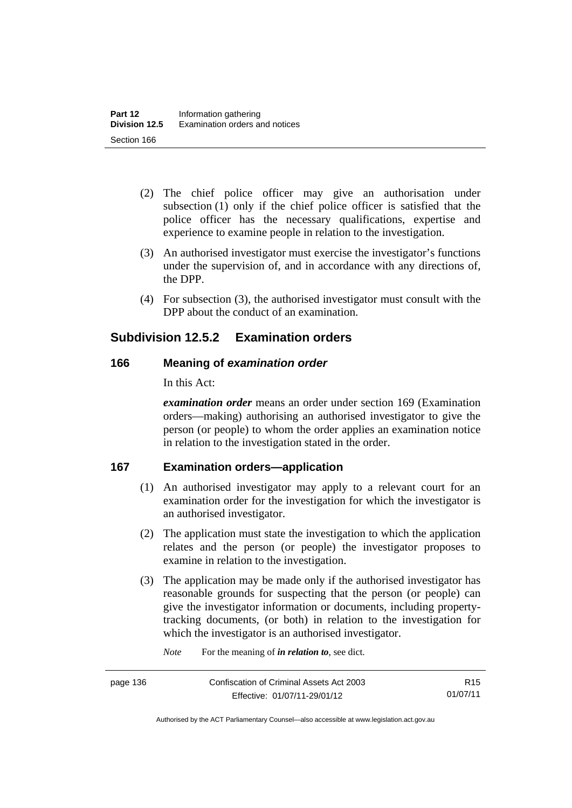- (2) The chief police officer may give an authorisation under subsection (1) only if the chief police officer is satisfied that the police officer has the necessary qualifications, expertise and experience to examine people in relation to the investigation.
- (3) An authorised investigator must exercise the investigator's functions under the supervision of, and in accordance with any directions of, the DPP.
- (4) For subsection (3), the authorised investigator must consult with the DPP about the conduct of an examination.

# **Subdivision 12.5.2 Examination orders**

# **166 Meaning of** *examination order*

In this Act:

*examination order* means an order under section 169 (Examination orders—making) authorising an authorised investigator to give the person (or people) to whom the order applies an examination notice in relation to the investigation stated in the order.

# **167 Examination orders—application**

- (1) An authorised investigator may apply to a relevant court for an examination order for the investigation for which the investigator is an authorised investigator.
- (2) The application must state the investigation to which the application relates and the person (or people) the investigator proposes to examine in relation to the investigation.
- (3) The application may be made only if the authorised investigator has reasonable grounds for suspecting that the person (or people) can give the investigator information or documents, including propertytracking documents, (or both) in relation to the investigation for which the investigator is an authorised investigator.

*Note* For the meaning of *in relation to*, see dict.

page 136 Confiscation of Criminal Assets Act 2003 Effective: 01/07/11-29/01/12

R15 01/07/11

Authorised by the ACT Parliamentary Counsel—also accessible at www.legislation.act.gov.au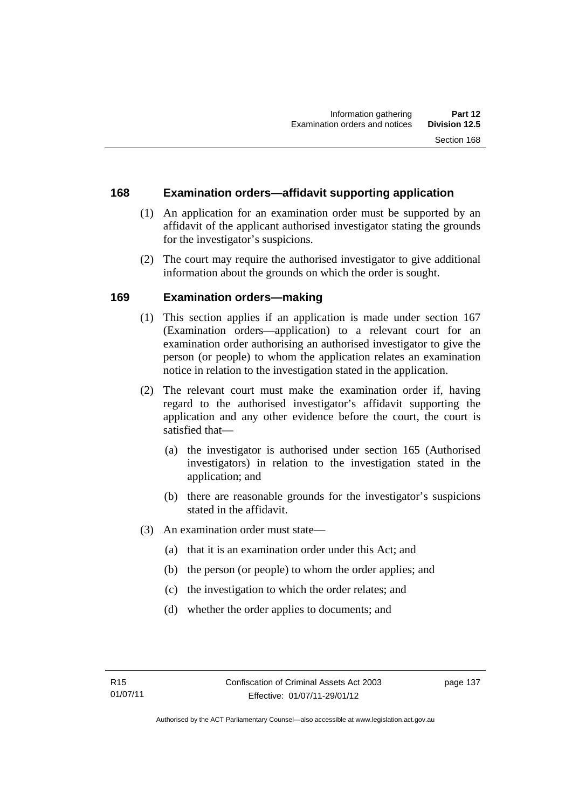# **168 Examination orders—affidavit supporting application**

- (1) An application for an examination order must be supported by an affidavit of the applicant authorised investigator stating the grounds for the investigator's suspicions.
- (2) The court may require the authorised investigator to give additional information about the grounds on which the order is sought.

# **169 Examination orders—making**

- (1) This section applies if an application is made under section 167 (Examination orders—application) to a relevant court for an examination order authorising an authorised investigator to give the person (or people) to whom the application relates an examination notice in relation to the investigation stated in the application.
- (2) The relevant court must make the examination order if, having regard to the authorised investigator's affidavit supporting the application and any other evidence before the court, the court is satisfied that—
	- (a) the investigator is authorised under section 165 (Authorised investigators) in relation to the investigation stated in the application; and
	- (b) there are reasonable grounds for the investigator's suspicions stated in the affidavit.
- (3) An examination order must state—
	- (a) that it is an examination order under this Act; and
	- (b) the person (or people) to whom the order applies; and
	- (c) the investigation to which the order relates; and
	- (d) whether the order applies to documents; and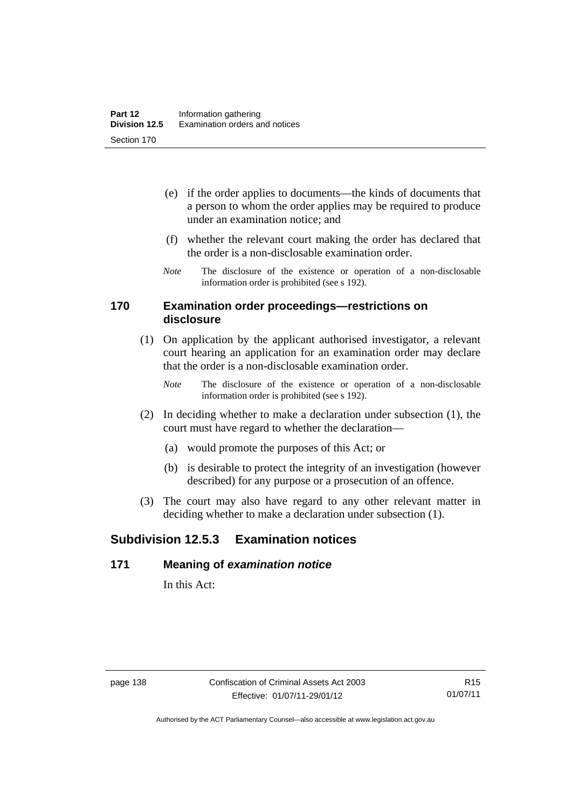- (e) if the order applies to documents—the kinds of documents that a person to whom the order applies may be required to produce under an examination notice; and
- (f) whether the relevant court making the order has declared that the order is a non-disclosable examination order.
- *Note* The disclosure of the existence or operation of a non-disclosable information order is prohibited (see s 192).

#### **170 Examination order proceedings—restrictions on disclosure**

- (1) On application by the applicant authorised investigator, a relevant court hearing an application for an examination order may declare that the order is a non-disclosable examination order.
	- *Note* The disclosure of the existence or operation of a non-disclosable information order is prohibited (see s 192).
- (2) In deciding whether to make a declaration under subsection (1), the court must have regard to whether the declaration—
	- (a) would promote the purposes of this Act; or
	- (b) is desirable to protect the integrity of an investigation (however described) for any purpose or a prosecution of an offence.
- (3) The court may also have regard to any other relevant matter in deciding whether to make a declaration under subsection (1).

# **Subdivision 12.5.3 Examination notices**

#### **171 Meaning of** *examination notice*

In this Act: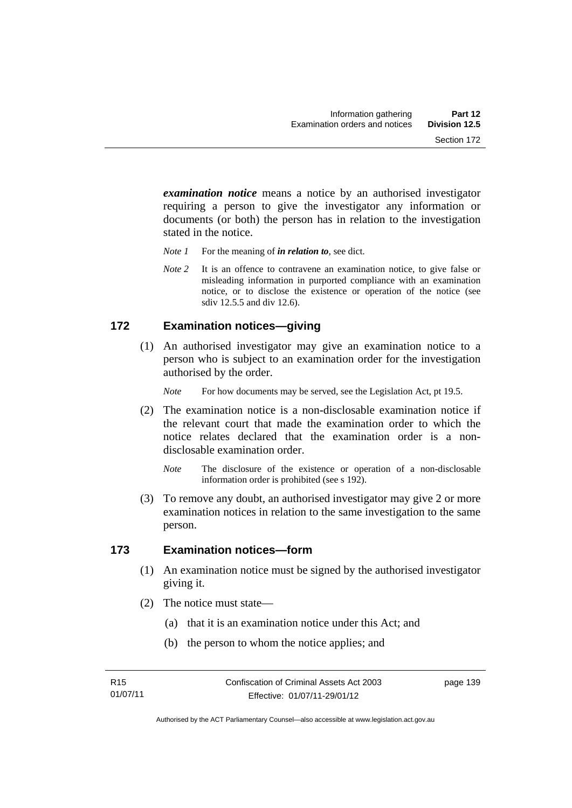*examination notice* means a notice by an authorised investigator requiring a person to give the investigator any information or documents (or both) the person has in relation to the investigation stated in the notice.

- *Note 1* For the meaning of *in relation to*, see dict.
- *Note* 2 It is an offence to contravene an examination notice, to give false or misleading information in purported compliance with an examination notice, or to disclose the existence or operation of the notice (see sdiv 12.5.5 and div 12.6).

### **172 Examination notices—giving**

 (1) An authorised investigator may give an examination notice to a person who is subject to an examination order for the investigation authorised by the order.

*Note* For how documents may be served, see the Legislation Act, pt 19.5.

- (2) The examination notice is a non-disclosable examination notice if the relevant court that made the examination order to which the notice relates declared that the examination order is a nondisclosable examination order.
	- *Note* The disclosure of the existence or operation of a non-disclosable information order is prohibited (see s 192).
- (3) To remove any doubt, an authorised investigator may give 2 or more examination notices in relation to the same investigation to the same person.

#### **173 Examination notices—form**

- (1) An examination notice must be signed by the authorised investigator giving it.
- (2) The notice must state—
	- (a) that it is an examination notice under this Act; and
	- (b) the person to whom the notice applies; and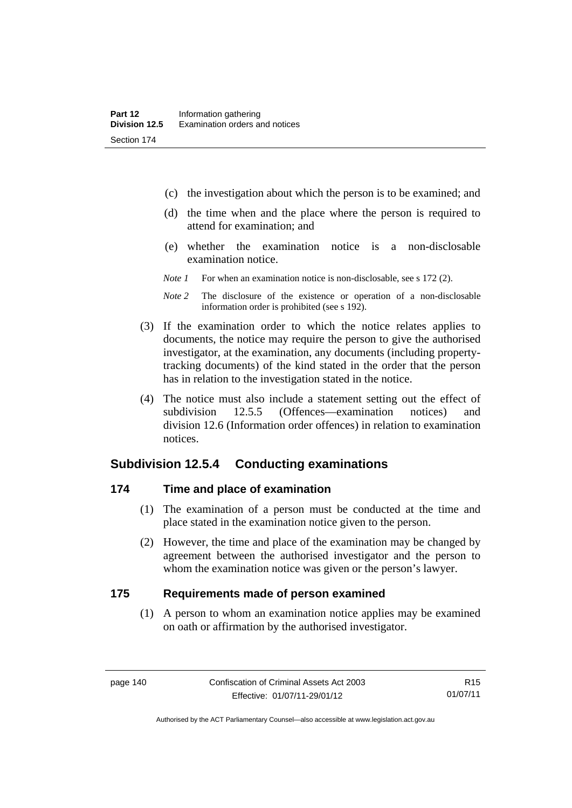- (c) the investigation about which the person is to be examined; and
- (d) the time when and the place where the person is required to attend for examination; and
- (e) whether the examination notice is a non-disclosable examination notice.
- *Note 1* For when an examination notice is non-disclosable, see s 172 (2).
- *Note 2* The disclosure of the existence or operation of a non-disclosable information order is prohibited (see s 192).
- (3) If the examination order to which the notice relates applies to documents, the notice may require the person to give the authorised investigator, at the examination, any documents (including propertytracking documents) of the kind stated in the order that the person has in relation to the investigation stated in the notice.
- (4) The notice must also include a statement setting out the effect of subdivision 12.5.5 (Offences—examination notices) and division 12.6 (Information order offences) in relation to examination notices.

#### **Subdivision 12.5.4 Conducting examinations**

#### **174 Time and place of examination**

- (1) The examination of a person must be conducted at the time and place stated in the examination notice given to the person.
- (2) However, the time and place of the examination may be changed by agreement between the authorised investigator and the person to whom the examination notice was given or the person's lawyer.

#### **175 Requirements made of person examined**

(1) A person to whom an examination notice applies may be examined on oath or affirmation by the authorised investigator.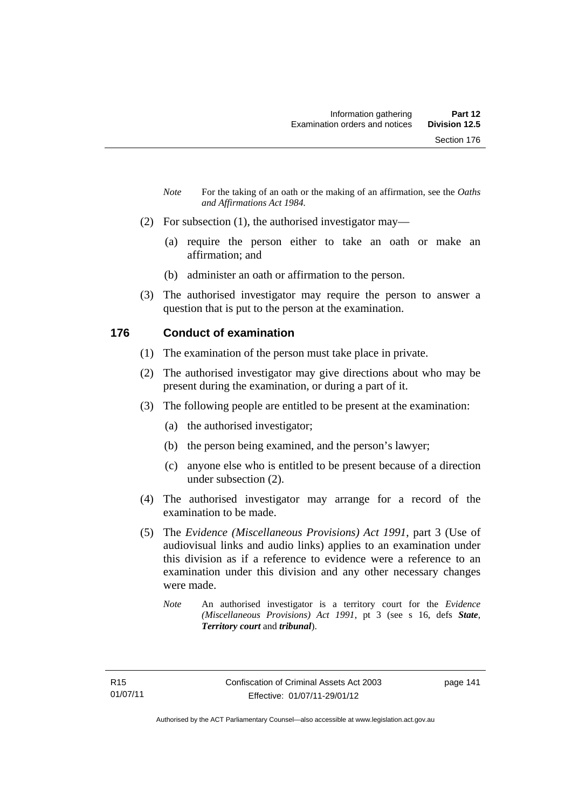- *Note* For the taking of an oath or the making of an affirmation, see the *Oaths and Affirmations Act 1984.*
- (2) For subsection (1), the authorised investigator may—
	- (a) require the person either to take an oath or make an affirmation; and
	- (b) administer an oath or affirmation to the person.
- (3) The authorised investigator may require the person to answer a question that is put to the person at the examination.

## **176 Conduct of examination**

- (1) The examination of the person must take place in private.
- (2) The authorised investigator may give directions about who may be present during the examination, or during a part of it.
- (3) The following people are entitled to be present at the examination:
	- (a) the authorised investigator;
	- (b) the person being examined, and the person's lawyer;
	- (c) anyone else who is entitled to be present because of a direction under subsection (2).
- (4) The authorised investigator may arrange for a record of the examination to be made.
- (5) The *Evidence (Miscellaneous Provisions) Act 1991*, part 3 (Use of audiovisual links and audio links) applies to an examination under this division as if a reference to evidence were a reference to an examination under this division and any other necessary changes were made.
	- *Note* An authorised investigator is a territory court for the *Evidence (Miscellaneous Provisions) Act 1991*, pt 3 (see s 16, defs *State*, *Territory court* and *tribunal*).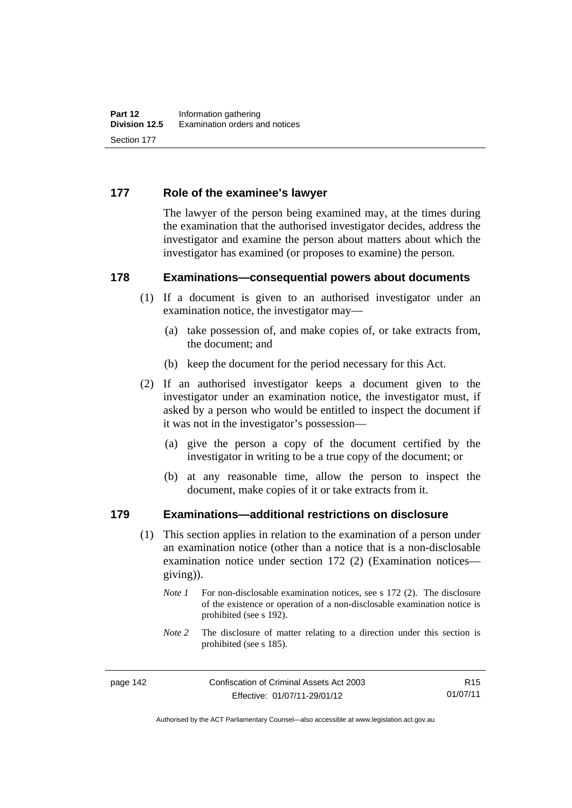### **177 Role of the examinee's lawyer**

The lawyer of the person being examined may, at the times during the examination that the authorised investigator decides, address the investigator and examine the person about matters about which the investigator has examined (or proposes to examine) the person.

#### **178 Examinations—consequential powers about documents**

- (1) If a document is given to an authorised investigator under an examination notice, the investigator may—
	- (a) take possession of, and make copies of, or take extracts from, the document; and
	- (b) keep the document for the period necessary for this Act.
- (2) If an authorised investigator keeps a document given to the investigator under an examination notice, the investigator must, if asked by a person who would be entitled to inspect the document if it was not in the investigator's possession—
	- (a) give the person a copy of the document certified by the investigator in writing to be a true copy of the document; or
	- (b) at any reasonable time, allow the person to inspect the document, make copies of it or take extracts from it.

#### **179 Examinations—additional restrictions on disclosure**

- (1) This section applies in relation to the examination of a person under an examination notice (other than a notice that is a non-disclosable examination notice under section 172 (2) (Examination notices giving)).
	- *Note 1* For non-disclosable examination notices, see s 172 (2). The disclosure of the existence or operation of a non-disclosable examination notice is prohibited (see s 192).
	- *Note* 2 The disclosure of matter relating to a direction under this section is prohibited (see s 185).

R15 01/07/11

Authorised by the ACT Parliamentary Counsel—also accessible at www.legislation.act.gov.au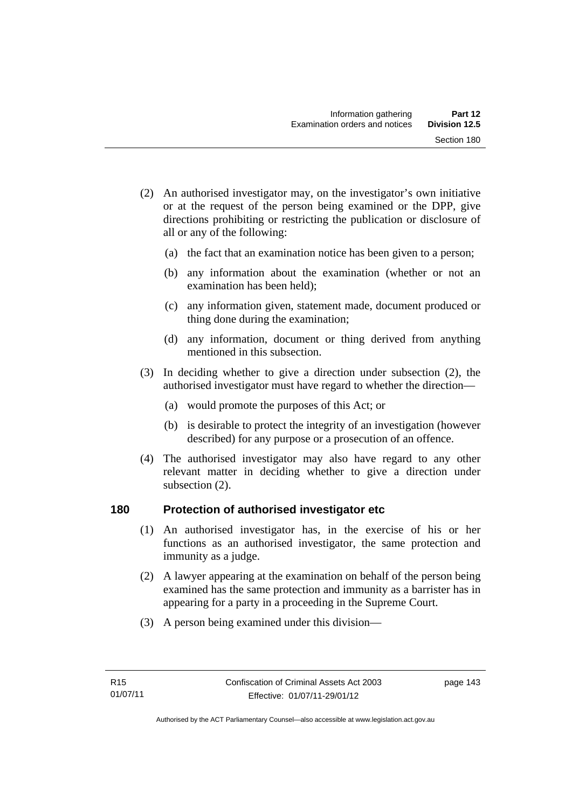- (2) An authorised investigator may, on the investigator's own initiative or at the request of the person being examined or the DPP, give directions prohibiting or restricting the publication or disclosure of all or any of the following:
	- (a) the fact that an examination notice has been given to a person;
	- (b) any information about the examination (whether or not an examination has been held);
	- (c) any information given, statement made, document produced or thing done during the examination;
	- (d) any information, document or thing derived from anything mentioned in this subsection.
- (3) In deciding whether to give a direction under subsection (2), the authorised investigator must have regard to whether the direction—
	- (a) would promote the purposes of this Act; or
	- (b) is desirable to protect the integrity of an investigation (however described) for any purpose or a prosecution of an offence.
- (4) The authorised investigator may also have regard to any other relevant matter in deciding whether to give a direction under subsection (2).

#### **180 Protection of authorised investigator etc**

- (1) An authorised investigator has, in the exercise of his or her functions as an authorised investigator, the same protection and immunity as a judge.
- (2) A lawyer appearing at the examination on behalf of the person being examined has the same protection and immunity as a barrister has in appearing for a party in a proceeding in the Supreme Court.
- (3) A person being examined under this division—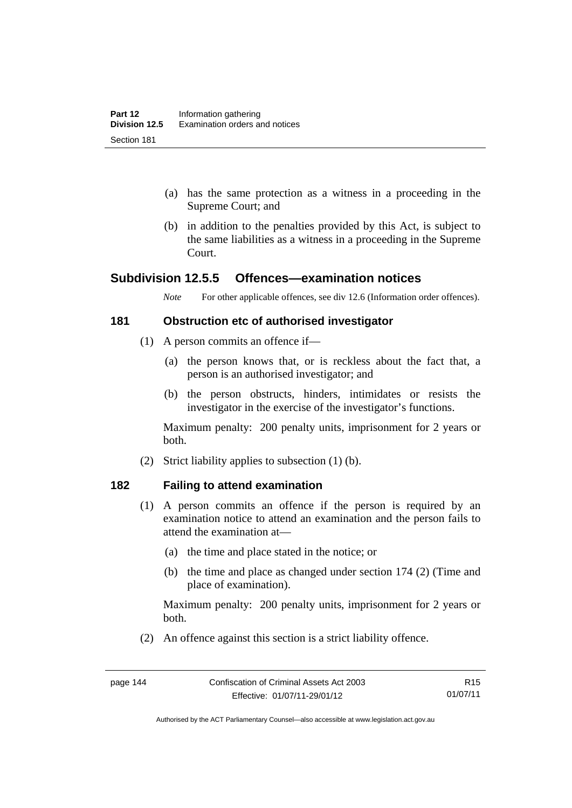- (a) has the same protection as a witness in a proceeding in the Supreme Court; and
- (b) in addition to the penalties provided by this Act, is subject to the same liabilities as a witness in a proceeding in the Supreme Court.

# **Subdivision 12.5.5 Offences—examination notices**

*Note* For other applicable offences, see div 12.6 (Information order offences).

#### **181 Obstruction etc of authorised investigator**

- (1) A person commits an offence if—
	- (a) the person knows that, or is reckless about the fact that, a person is an authorised investigator; and
	- (b) the person obstructs, hinders, intimidates or resists the investigator in the exercise of the investigator's functions.

Maximum penalty: 200 penalty units, imprisonment for 2 years or both.

(2) Strict liability applies to subsection (1) (b).

#### **182 Failing to attend examination**

- (1) A person commits an offence if the person is required by an examination notice to attend an examination and the person fails to attend the examination at—
	- (a) the time and place stated in the notice; or
	- (b) the time and place as changed under section 174 (2) (Time and place of examination).

Maximum penalty: 200 penalty units, imprisonment for 2 years or both.

(2) An offence against this section is a strict liability offence.

Authorised by the ACT Parliamentary Counsel—also accessible at www.legislation.act.gov.au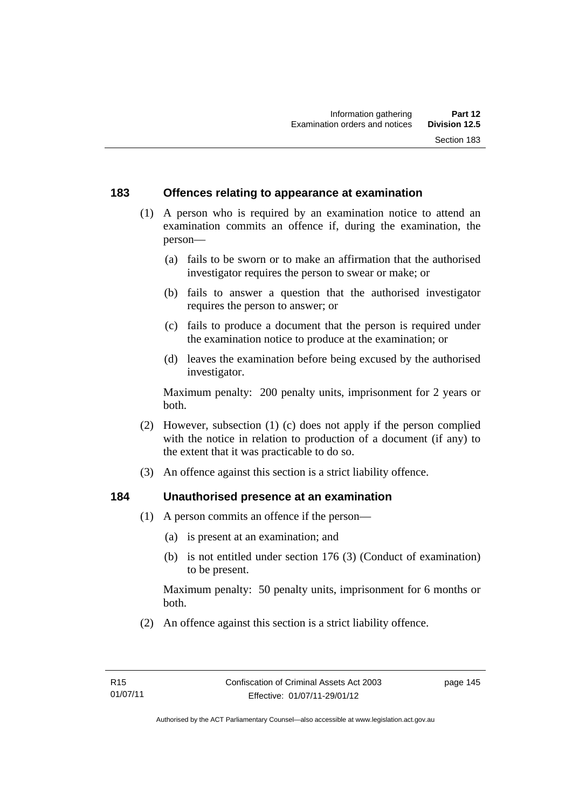### **183 Offences relating to appearance at examination**

- (1) A person who is required by an examination notice to attend an examination commits an offence if, during the examination, the person—
	- (a) fails to be sworn or to make an affirmation that the authorised investigator requires the person to swear or make; or
	- (b) fails to answer a question that the authorised investigator requires the person to answer; or
	- (c) fails to produce a document that the person is required under the examination notice to produce at the examination; or
	- (d) leaves the examination before being excused by the authorised investigator.

Maximum penalty: 200 penalty units, imprisonment for 2 years or both.

- (2) However, subsection (1) (c) does not apply if the person complied with the notice in relation to production of a document (if any) to the extent that it was practicable to do so.
- (3) An offence against this section is a strict liability offence.

# **184 Unauthorised presence at an examination**

- (1) A person commits an offence if the person—
	- (a) is present at an examination; and
	- (b) is not entitled under section 176 (3) (Conduct of examination) to be present.

Maximum penalty: 50 penalty units, imprisonment for 6 months or both.

(2) An offence against this section is a strict liability offence.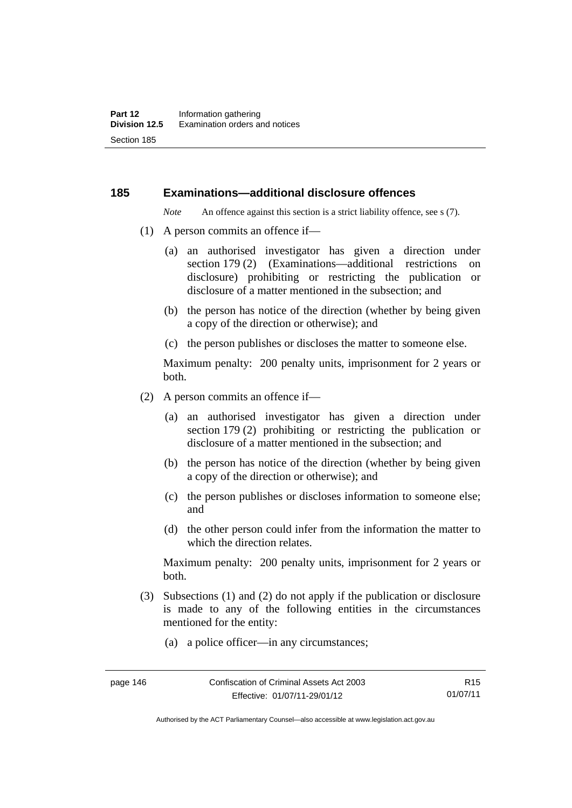#### **185 Examinations—additional disclosure offences**

*Note* An offence against this section is a strict liability offence, see s (7).

- (1) A person commits an offence if—
	- (a) an authorised investigator has given a direction under section 179 (2) (Examinations—additional restrictions on disclosure) prohibiting or restricting the publication or disclosure of a matter mentioned in the subsection; and
	- (b) the person has notice of the direction (whether by being given a copy of the direction or otherwise); and
	- (c) the person publishes or discloses the matter to someone else.

Maximum penalty: 200 penalty units, imprisonment for 2 years or both.

- (2) A person commits an offence if—
	- (a) an authorised investigator has given a direction under section 179 (2) prohibiting or restricting the publication or disclosure of a matter mentioned in the subsection; and
	- (b) the person has notice of the direction (whether by being given a copy of the direction or otherwise); and
	- (c) the person publishes or discloses information to someone else; and
	- (d) the other person could infer from the information the matter to which the direction relates.

Maximum penalty: 200 penalty units, imprisonment for 2 years or both.

- (3) Subsections (1) and (2) do not apply if the publication or disclosure is made to any of the following entities in the circumstances mentioned for the entity:
	- (a) a police officer—in any circumstances;

Authorised by the ACT Parliamentary Counsel—also accessible at www.legislation.act.gov.au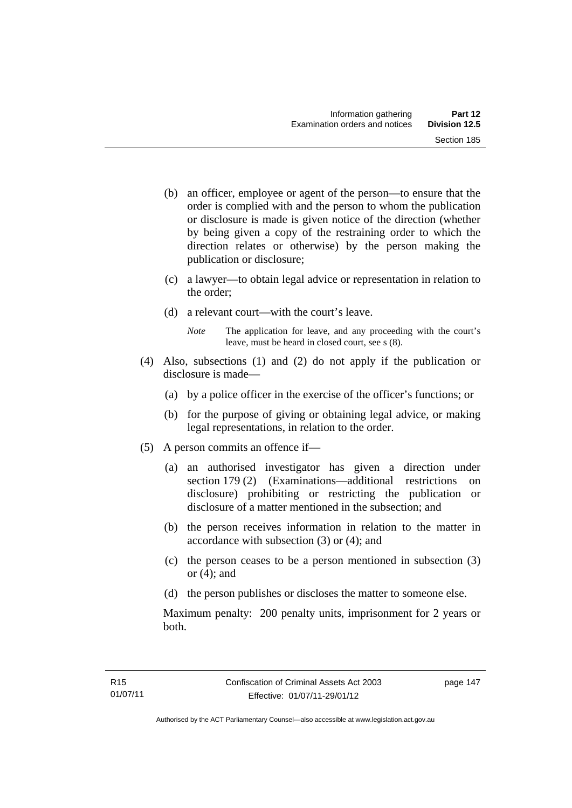- (b) an officer, employee or agent of the person—to ensure that the order is complied with and the person to whom the publication or disclosure is made is given notice of the direction (whether by being given a copy of the restraining order to which the direction relates or otherwise) by the person making the publication or disclosure;
- (c) a lawyer—to obtain legal advice or representation in relation to the order;
- (d) a relevant court—with the court's leave.
	- *Note* The application for leave, and any proceeding with the court's leave, must be heard in closed court, see s (8).
- (4) Also, subsections (1) and (2) do not apply if the publication or disclosure is made—
	- (a) by a police officer in the exercise of the officer's functions; or
	- (b) for the purpose of giving or obtaining legal advice, or making legal representations, in relation to the order.
- (5) A person commits an offence if—
	- (a) an authorised investigator has given a direction under section 179 (2) (Examinations—additional restrictions on disclosure) prohibiting or restricting the publication or disclosure of a matter mentioned in the subsection; and
	- (b) the person receives information in relation to the matter in accordance with subsection (3) or (4); and
	- (c) the person ceases to be a person mentioned in subsection (3) or  $(4)$ ; and
	- (d) the person publishes or discloses the matter to someone else.

Maximum penalty: 200 penalty units, imprisonment for 2 years or both.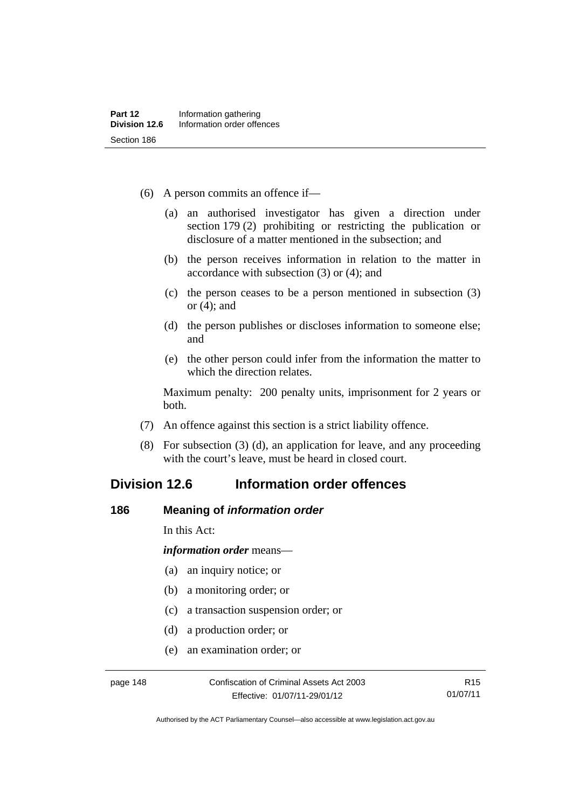- (6) A person commits an offence if—
	- (a) an authorised investigator has given a direction under section 179 (2) prohibiting or restricting the publication or disclosure of a matter mentioned in the subsection; and
	- (b) the person receives information in relation to the matter in accordance with subsection (3) or (4); and
	- (c) the person ceases to be a person mentioned in subsection (3) or (4); and
	- (d) the person publishes or discloses information to someone else; and
	- (e) the other person could infer from the information the matter to which the direction relates.

Maximum penalty: 200 penalty units, imprisonment for 2 years or both.

- (7) An offence against this section is a strict liability offence.
- (8) For subsection (3) (d), an application for leave, and any proceeding with the court's leave, must be heard in closed court.

# **Division 12.6 Information order offences**

#### **186 Meaning of** *information order*

In this Act:

*information order* means—

- (a) an inquiry notice; or
- (b) a monitoring order; or
- (c) a transaction suspension order; or
- (d) a production order; or
- (e) an examination order; or

Authorised by the ACT Parliamentary Counsel—also accessible at www.legislation.act.gov.au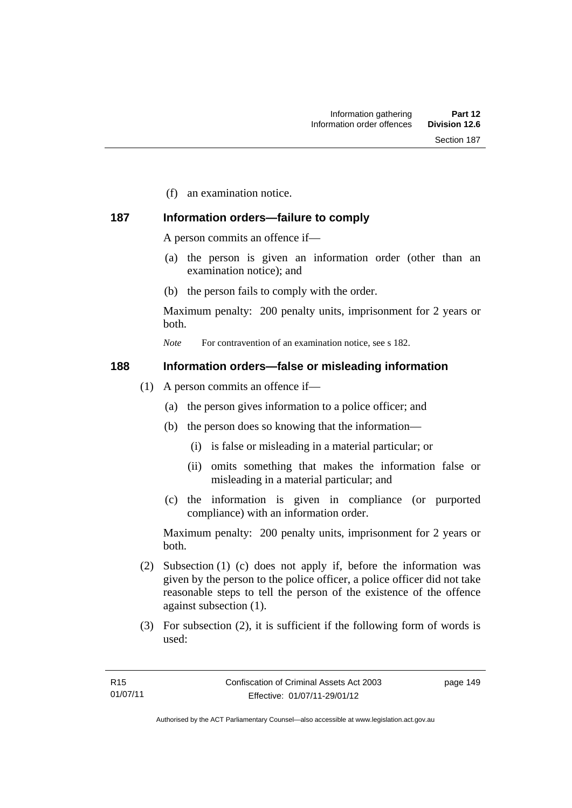(f) an examination notice.

# **187 Information orders—failure to comply**

A person commits an offence if—

- (a) the person is given an information order (other than an examination notice); and
- (b) the person fails to comply with the order.

Maximum penalty: 200 penalty units, imprisonment for 2 years or both.

*Note* For contravention of an examination notice, see s 182.

#### **188 Information orders—false or misleading information**

- (1) A person commits an offence if—
	- (a) the person gives information to a police officer; and
	- (b) the person does so knowing that the information—
		- (i) is false or misleading in a material particular; or
		- (ii) omits something that makes the information false or misleading in a material particular; and
	- (c) the information is given in compliance (or purported compliance) with an information order.

Maximum penalty: 200 penalty units, imprisonment for 2 years or both.

- (2) Subsection (1) (c) does not apply if, before the information was given by the person to the police officer, a police officer did not take reasonable steps to tell the person of the existence of the offence against subsection (1).
- (3) For subsection (2), it is sufficient if the following form of words is used: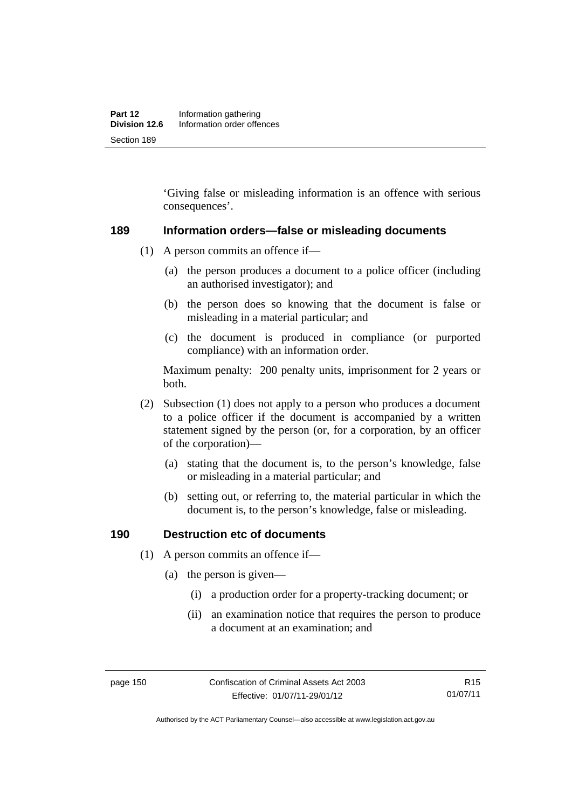'Giving false or misleading information is an offence with serious consequences'.

#### **189 Information orders—false or misleading documents**

- (1) A person commits an offence if—
	- (a) the person produces a document to a police officer (including an authorised investigator); and
	- (b) the person does so knowing that the document is false or misleading in a material particular; and
	- (c) the document is produced in compliance (or purported compliance) with an information order.

Maximum penalty: 200 penalty units, imprisonment for 2 years or both.

- (2) Subsection (1) does not apply to a person who produces a document to a police officer if the document is accompanied by a written statement signed by the person (or, for a corporation, by an officer of the corporation)—
	- (a) stating that the document is, to the person's knowledge, false or misleading in a material particular; and
	- (b) setting out, or referring to, the material particular in which the document is, to the person's knowledge, false or misleading.

#### **190 Destruction etc of documents**

- (1) A person commits an offence if—
	- (a) the person is given—
		- (i) a production order for a property-tracking document; or
		- (ii) an examination notice that requires the person to produce a document at an examination; and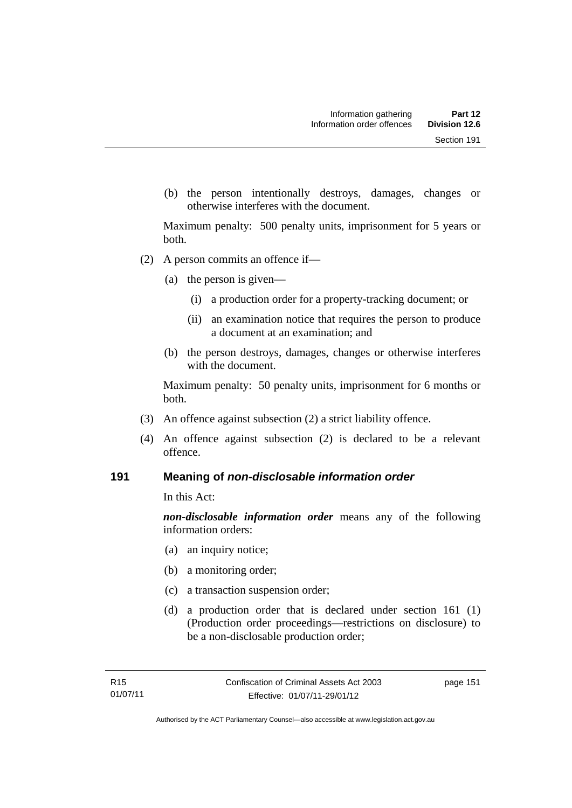(b) the person intentionally destroys, damages, changes or otherwise interferes with the document.

Maximum penalty: 500 penalty units, imprisonment for 5 years or both.

- (2) A person commits an offence if—
	- (a) the person is given—
		- (i) a production order for a property-tracking document; or
		- (ii) an examination notice that requires the person to produce a document at an examination; and
	- (b) the person destroys, damages, changes or otherwise interferes with the document.

Maximum penalty: 50 penalty units, imprisonment for 6 months or both.

- (3) An offence against subsection (2) a strict liability offence.
- (4) An offence against subsection (2) is declared to be a relevant offence.

#### **191 Meaning of** *non-disclosable information order*

In this Act:

*non-disclosable information order* means any of the following information orders:

- (a) an inquiry notice;
- (b) a monitoring order;
- (c) a transaction suspension order;
- (d) a production order that is declared under section 161 (1) (Production order proceedings—restrictions on disclosure) to be a non-disclosable production order;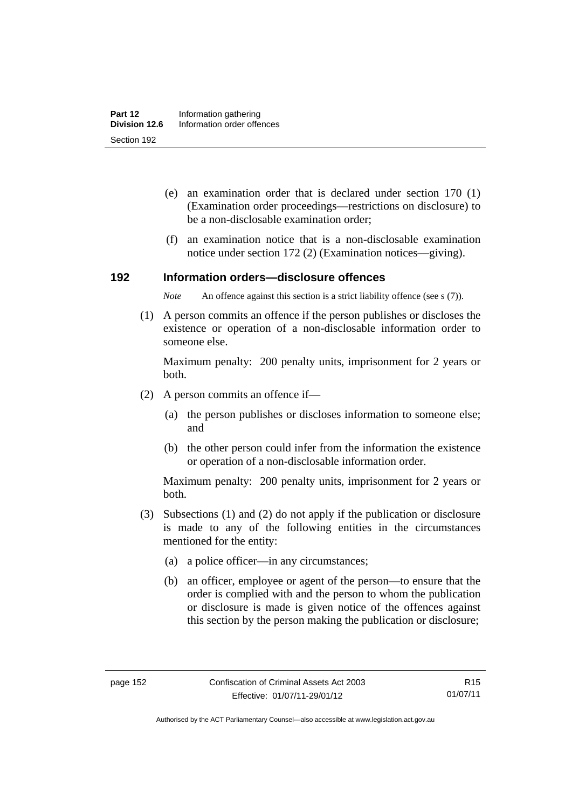- (e) an examination order that is declared under section 170 (1) (Examination order proceedings—restrictions on disclosure) to be a non-disclosable examination order;
- (f) an examination notice that is a non-disclosable examination notice under section 172 (2) (Examination notices—giving).

#### **192 Information orders—disclosure offences**

*Note* An offence against this section is a strict liability offence (see s (7)).

 (1) A person commits an offence if the person publishes or discloses the existence or operation of a non-disclosable information order to someone else.

Maximum penalty: 200 penalty units, imprisonment for 2 years or both.

- (2) A person commits an offence if—
	- (a) the person publishes or discloses information to someone else; and
	- (b) the other person could infer from the information the existence or operation of a non-disclosable information order.

Maximum penalty: 200 penalty units, imprisonment for 2 years or both.

- (3) Subsections (1) and (2) do not apply if the publication or disclosure is made to any of the following entities in the circumstances mentioned for the entity:
	- (a) a police officer—in any circumstances;
	- (b) an officer, employee or agent of the person—to ensure that the order is complied with and the person to whom the publication or disclosure is made is given notice of the offences against this section by the person making the publication or disclosure;

R15 01/07/11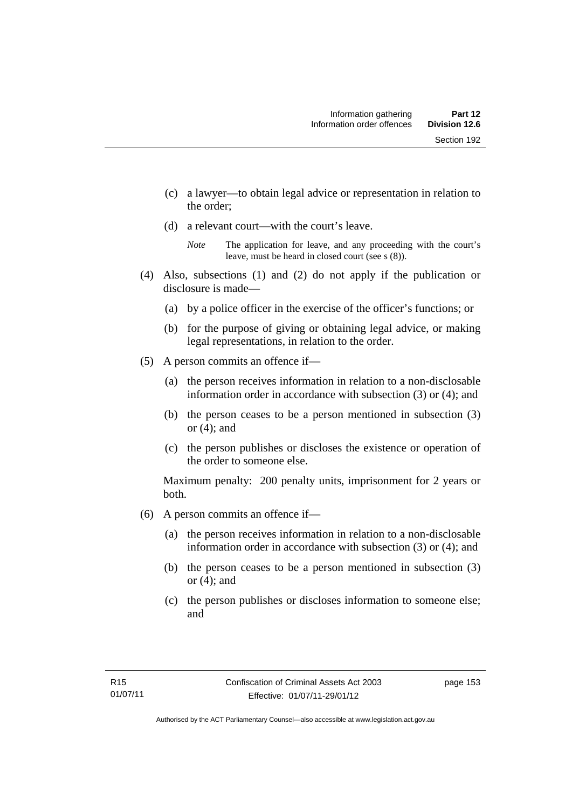- (c) a lawyer—to obtain legal advice or representation in relation to
- the order;
- (d) a relevant court—with the court's leave.

- (4) Also, subsections (1) and (2) do not apply if the publication or disclosure is made—
	- (a) by a police officer in the exercise of the officer's functions; or
	- (b) for the purpose of giving or obtaining legal advice, or making legal representations, in relation to the order.
- (5) A person commits an offence if—
	- (a) the person receives information in relation to a non-disclosable information order in accordance with subsection (3) or (4); and
	- (b) the person ceases to be a person mentioned in subsection (3) or  $(4)$ ; and
	- (c) the person publishes or discloses the existence or operation of the order to someone else.

Maximum penalty: 200 penalty units, imprisonment for 2 years or both.

- (6) A person commits an offence if—
	- (a) the person receives information in relation to a non-disclosable information order in accordance with subsection (3) or (4); and
	- (b) the person ceases to be a person mentioned in subsection (3) or  $(4)$ ; and
	- (c) the person publishes or discloses information to someone else; and

*Note* The application for leave, and any proceeding with the court's leave, must be heard in closed court (see s (8)).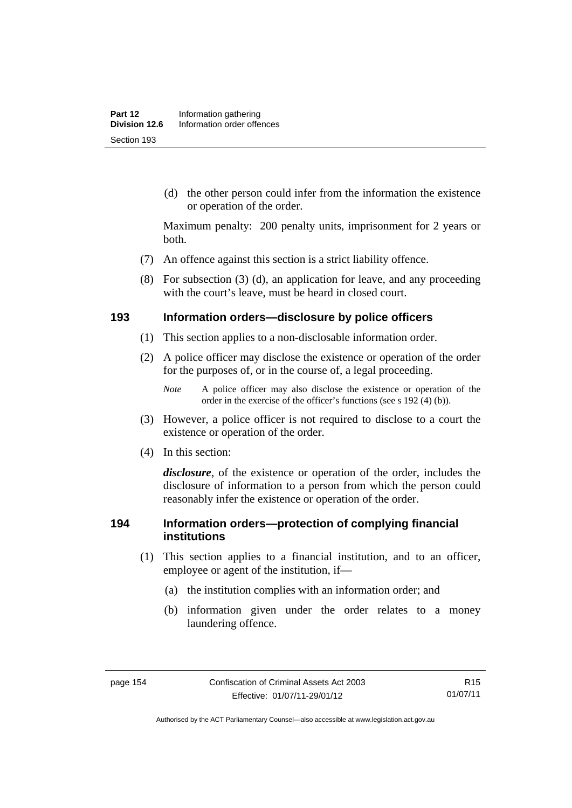(d) the other person could infer from the information the existence or operation of the order.

Maximum penalty: 200 penalty units, imprisonment for 2 years or both.

- (7) An offence against this section is a strict liability offence.
- (8) For subsection (3) (d), an application for leave, and any proceeding with the court's leave, must be heard in closed court.

#### **193 Information orders—disclosure by police officers**

- (1) This section applies to a non-disclosable information order.
- (2) A police officer may disclose the existence or operation of the order for the purposes of, or in the course of, a legal proceeding.

- (3) However, a police officer is not required to disclose to a court the existence or operation of the order.
- (4) In this section:

*disclosure*, of the existence or operation of the order, includes the disclosure of information to a person from which the person could reasonably infer the existence or operation of the order.

#### **194 Information orders—protection of complying financial institutions**

- (1) This section applies to a financial institution, and to an officer, employee or agent of the institution, if—
	- (a) the institution complies with an information order; and
	- (b) information given under the order relates to a money laundering offence.

*Note* A police officer may also disclose the existence or operation of the order in the exercise of the officer's functions (see s 192 (4) (b)).

Authorised by the ACT Parliamentary Counsel—also accessible at www.legislation.act.gov.au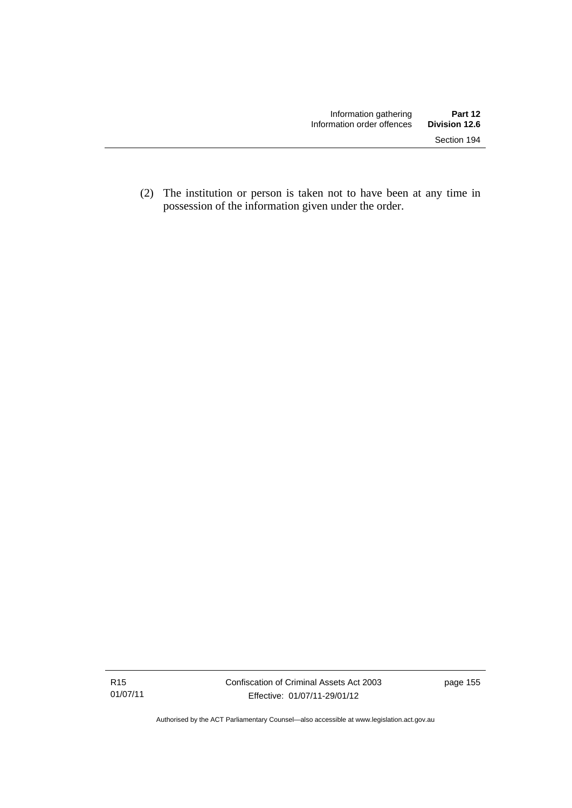(2) The institution or person is taken not to have been at any time in possession of the information given under the order.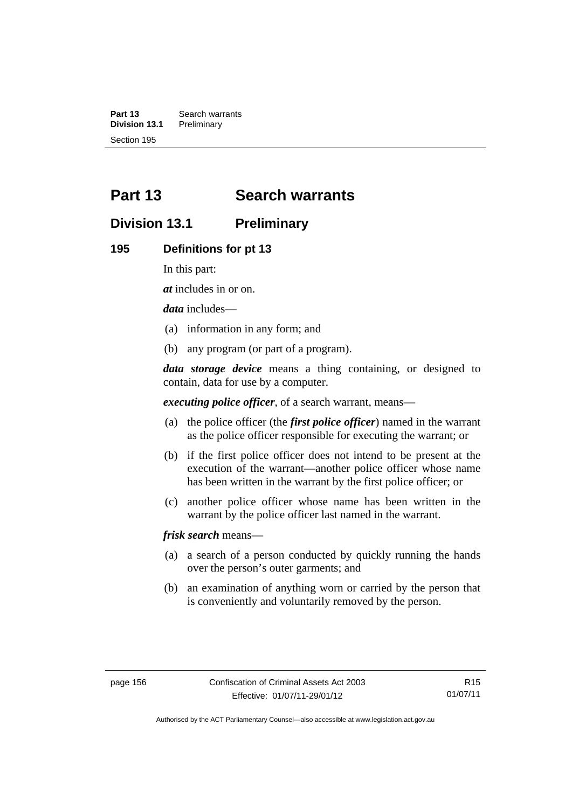**Part 13 Search warrants**<br>**Division 13.1 Preliminary Division 13.1** Section 195

# **Part 13 Search warrants**

# **Division 13.1 Preliminary**

#### **195 Definitions for pt 13**

In this part:

*at* includes in or on.

*data* includes—

- (a) information in any form; and
- (b) any program (or part of a program).

*data storage device* means a thing containing, or designed to contain, data for use by a computer.

*executing police officer*, of a search warrant, means—

- (a) the police officer (the *first police officer*) named in the warrant as the police officer responsible for executing the warrant; or
- (b) if the first police officer does not intend to be present at the execution of the warrant—another police officer whose name has been written in the warrant by the first police officer; or
- (c) another police officer whose name has been written in the warrant by the police officer last named in the warrant.

*frisk search* means—

- (a) a search of a person conducted by quickly running the hands over the person's outer garments; and
- (b) an examination of anything worn or carried by the person that is conveniently and voluntarily removed by the person.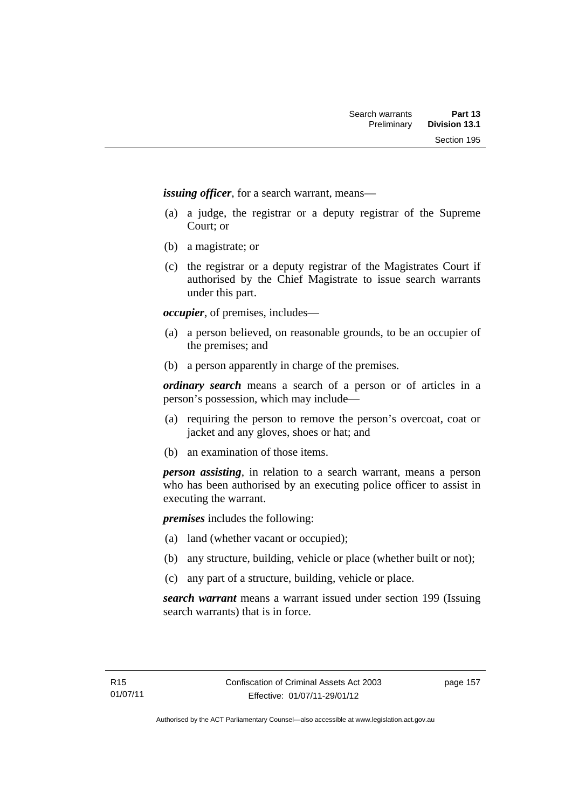*issuing officer*, for a search warrant, means—

- (a) a judge, the registrar or a deputy registrar of the Supreme Court; or
- (b) a magistrate; or
- (c) the registrar or a deputy registrar of the Magistrates Court if authorised by the Chief Magistrate to issue search warrants under this part.

*occupier*, of premises, includes—

- (a) a person believed, on reasonable grounds, to be an occupier of the premises; and
- (b) a person apparently in charge of the premises.

*ordinary search* means a search of a person or of articles in a person's possession, which may include—

- (a) requiring the person to remove the person's overcoat, coat or jacket and any gloves, shoes or hat; and
- (b) an examination of those items.

*person assisting*, in relation to a search warrant, means a person who has been authorised by an executing police officer to assist in executing the warrant.

*premises* includes the following:

- (a) land (whether vacant or occupied);
- (b) any structure, building, vehicle or place (whether built or not);
- (c) any part of a structure, building, vehicle or place.

*search warrant* means a warrant issued under section 199 (Issuing search warrants) that is in force.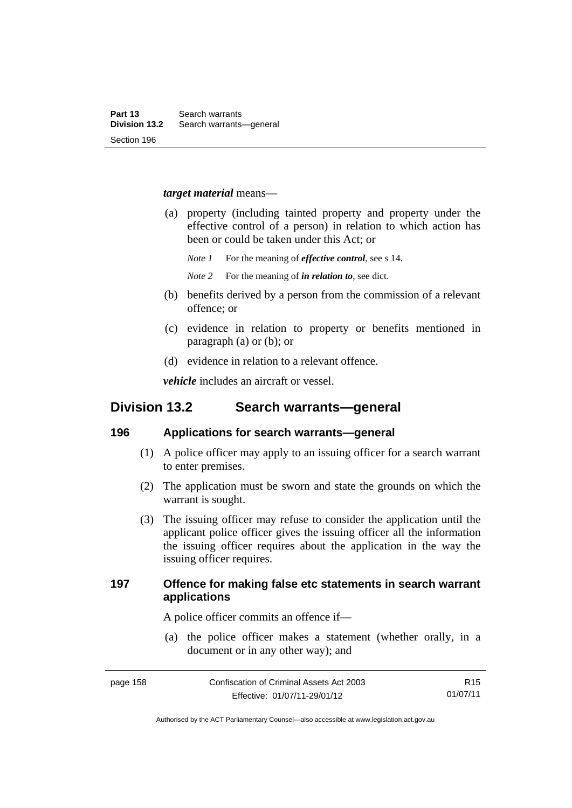#### *target material* means—

- (a) property (including tainted property and property under the effective control of a person) in relation to which action has been or could be taken under this Act; or
	- *Note 1* For the meaning of *effective control*, see s 14.
	- *Note 2* For the meaning of *in relation to*, see dict.
- (b) benefits derived by a person from the commission of a relevant offence; or
- (c) evidence in relation to property or benefits mentioned in paragraph (a) or (b); or
- (d) evidence in relation to a relevant offence.

*vehicle* includes an aircraft or vessel.

# **Division 13.2 Search warrants—general**

#### **196 Applications for search warrants—general**

- (1) A police officer may apply to an issuing officer for a search warrant to enter premises.
- (2) The application must be sworn and state the grounds on which the warrant is sought.
- (3) The issuing officer may refuse to consider the application until the applicant police officer gives the issuing officer all the information the issuing officer requires about the application in the way the issuing officer requires.

# **197 Offence for making false etc statements in search warrant applications**

A police officer commits an offence if—

 (a) the police officer makes a statement (whether orally, in a document or in any other way); and

page 158 Confiscation of Criminal Assets Act 2003 Effective: 01/07/11-29/01/12 R15 01/07/11

Authorised by the ACT Parliamentary Counsel—also accessible at www.legislation.act.gov.au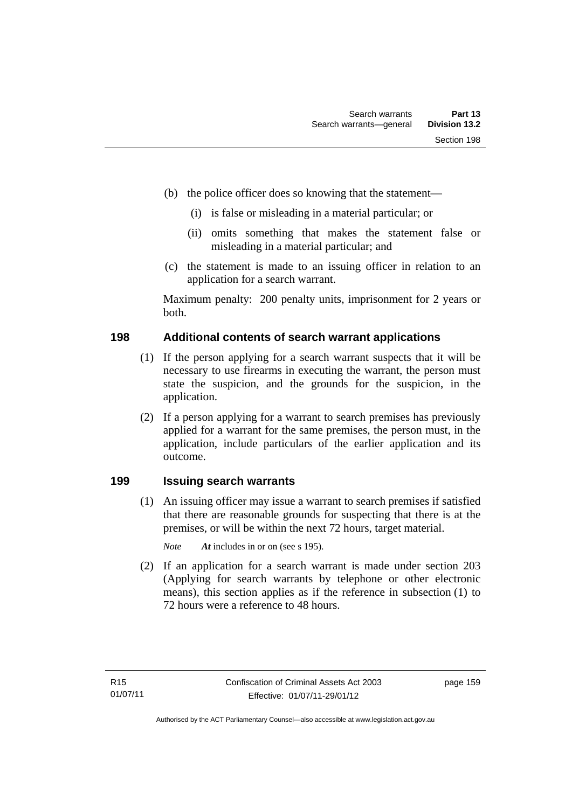- (b) the police officer does so knowing that the statement—
	- (i) is false or misleading in a material particular; or
	- (ii) omits something that makes the statement false or misleading in a material particular; and
- (c) the statement is made to an issuing officer in relation to an application for a search warrant.

Maximum penalty: 200 penalty units, imprisonment for 2 years or both.

# **198 Additional contents of search warrant applications**

- (1) If the person applying for a search warrant suspects that it will be necessary to use firearms in executing the warrant, the person must state the suspicion, and the grounds for the suspicion, in the application.
- (2) If a person applying for a warrant to search premises has previously applied for a warrant for the same premises, the person must, in the application, include particulars of the earlier application and its outcome.

# **199 Issuing search warrants**

(1) An issuing officer may issue a warrant to search premises if satisfied that there are reasonable grounds for suspecting that there is at the premises, or will be within the next 72 hours, target material.

*Note At* includes in or on (see s 195).

 (2) If an application for a search warrant is made under section 203 (Applying for search warrants by telephone or other electronic means), this section applies as if the reference in subsection (1) to 72 hours were a reference to 48 hours.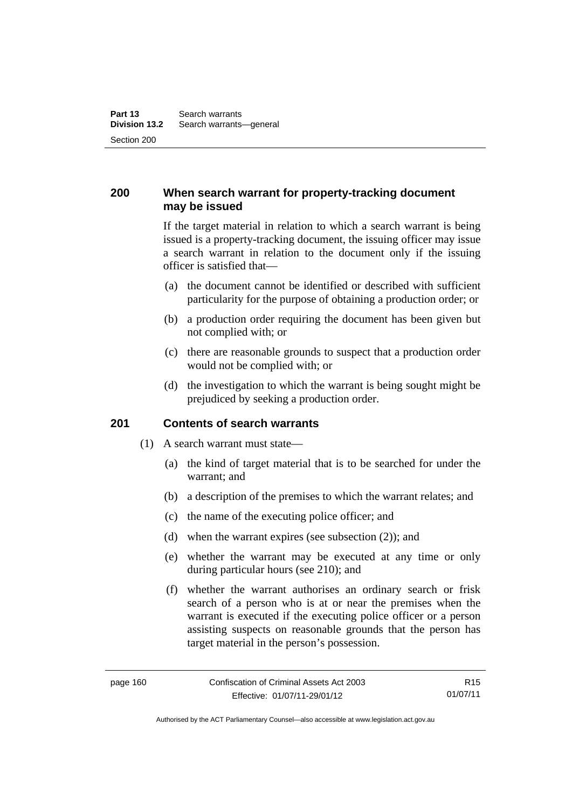# **200 When search warrant for property-tracking document may be issued**

If the target material in relation to which a search warrant is being issued is a property-tracking document, the issuing officer may issue a search warrant in relation to the document only if the issuing officer is satisfied that—

- (a) the document cannot be identified or described with sufficient particularity for the purpose of obtaining a production order; or
- (b) a production order requiring the document has been given but not complied with; or
- (c) there are reasonable grounds to suspect that a production order would not be complied with; or
- (d) the investigation to which the warrant is being sought might be prejudiced by seeking a production order.

#### **201 Contents of search warrants**

- (1) A search warrant must state—
	- (a) the kind of target material that is to be searched for under the warrant; and
	- (b) a description of the premises to which the warrant relates; and
	- (c) the name of the executing police officer; and
	- (d) when the warrant expires (see subsection (2)); and
	- (e) whether the warrant may be executed at any time or only during particular hours (see 210); and
	- (f) whether the warrant authorises an ordinary search or frisk search of a person who is at or near the premises when the warrant is executed if the executing police officer or a person assisting suspects on reasonable grounds that the person has target material in the person's possession.

R15 01/07/11

Authorised by the ACT Parliamentary Counsel—also accessible at www.legislation.act.gov.au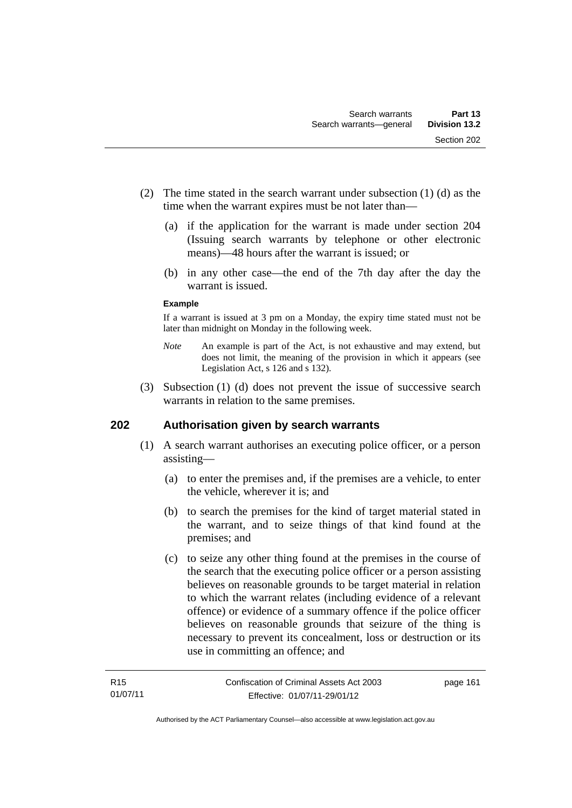- (2) The time stated in the search warrant under subsection (1) (d) as the time when the warrant expires must be not later than—
	- (a) if the application for the warrant is made under section 204 (Issuing search warrants by telephone or other electronic means)—48 hours after the warrant is issued; or
	- (b) in any other case—the end of the 7th day after the day the warrant is issued.

#### **Example**

If a warrant is issued at 3 pm on a Monday, the expiry time stated must not be later than midnight on Monday in the following week.

- *Note* An example is part of the Act, is not exhaustive and may extend, but does not limit, the meaning of the provision in which it appears (see Legislation Act, s 126 and s 132).
- (3) Subsection (1) (d) does not prevent the issue of successive search warrants in relation to the same premises.

# **202 Authorisation given by search warrants**

- (1) A search warrant authorises an executing police officer, or a person assisting—
	- (a) to enter the premises and, if the premises are a vehicle, to enter the vehicle, wherever it is; and
	- (b) to search the premises for the kind of target material stated in the warrant, and to seize things of that kind found at the premises; and
	- (c) to seize any other thing found at the premises in the course of the search that the executing police officer or a person assisting believes on reasonable grounds to be target material in relation to which the warrant relates (including evidence of a relevant offence) or evidence of a summary offence if the police officer believes on reasonable grounds that seizure of the thing is necessary to prevent its concealment, loss or destruction or its use in committing an offence; and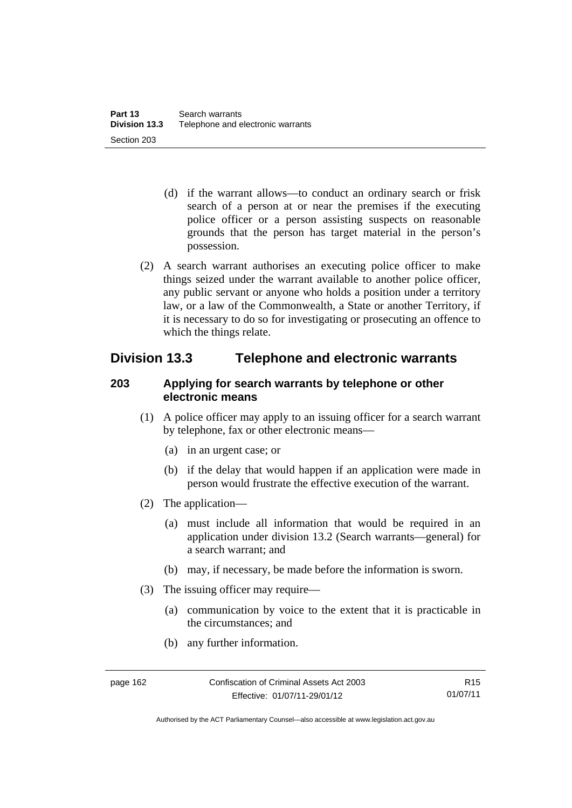- (d) if the warrant allows—to conduct an ordinary search or frisk search of a person at or near the premises if the executing police officer or a person assisting suspects on reasonable grounds that the person has target material in the person's possession.
- (2) A search warrant authorises an executing police officer to make things seized under the warrant available to another police officer, any public servant or anyone who holds a position under a territory law, or a law of the Commonwealth, a State or another Territory, if it is necessary to do so for investigating or prosecuting an offence to which the things relate.

# **Division 13.3 Telephone and electronic warrants**

# **203 Applying for search warrants by telephone or other electronic means**

- (1) A police officer may apply to an issuing officer for a search warrant by telephone, fax or other electronic means—
	- (a) in an urgent case; or
	- (b) if the delay that would happen if an application were made in person would frustrate the effective execution of the warrant.
- (2) The application—
	- (a) must include all information that would be required in an application under division 13.2 (Search warrants—general) for a search warrant; and
	- (b) may, if necessary, be made before the information is sworn.
- (3) The issuing officer may require—
	- (a) communication by voice to the extent that it is practicable in the circumstances; and
	- (b) any further information.

Authorised by the ACT Parliamentary Counsel—also accessible at www.legislation.act.gov.au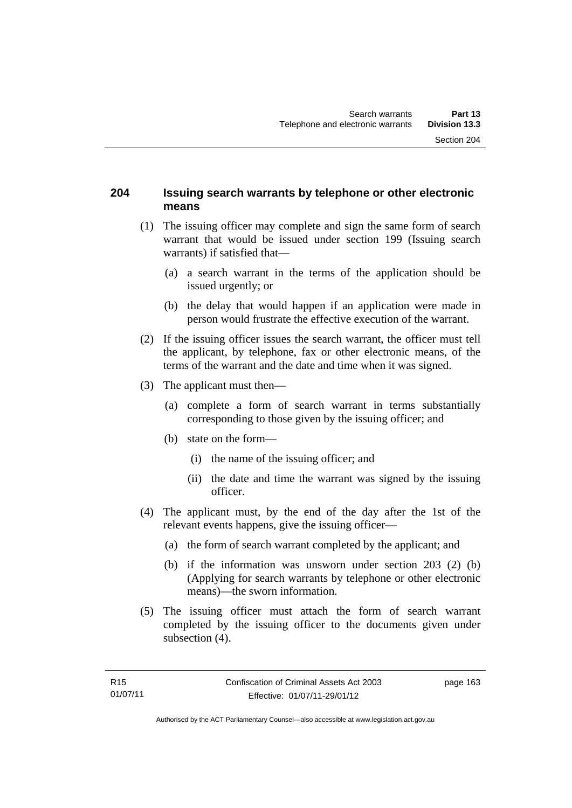### **204 Issuing search warrants by telephone or other electronic means**

- (1) The issuing officer may complete and sign the same form of search warrant that would be issued under section 199 (Issuing search warrants) if satisfied that—
	- (a) a search warrant in the terms of the application should be issued urgently; or
	- (b) the delay that would happen if an application were made in person would frustrate the effective execution of the warrant.
- (2) If the issuing officer issues the search warrant, the officer must tell the applicant, by telephone, fax or other electronic means, of the terms of the warrant and the date and time when it was signed.
- (3) The applicant must then—
	- (a) complete a form of search warrant in terms substantially corresponding to those given by the issuing officer; and
	- (b) state on the form—
		- (i) the name of the issuing officer; and
		- (ii) the date and time the warrant was signed by the issuing officer.
- (4) The applicant must, by the end of the day after the 1st of the relevant events happens, give the issuing officer—
	- (a) the form of search warrant completed by the applicant; and
	- (b) if the information was unsworn under section 203 (2) (b) (Applying for search warrants by telephone or other electronic means)—the sworn information.
- (5) The issuing officer must attach the form of search warrant completed by the issuing officer to the documents given under subsection  $(4)$ .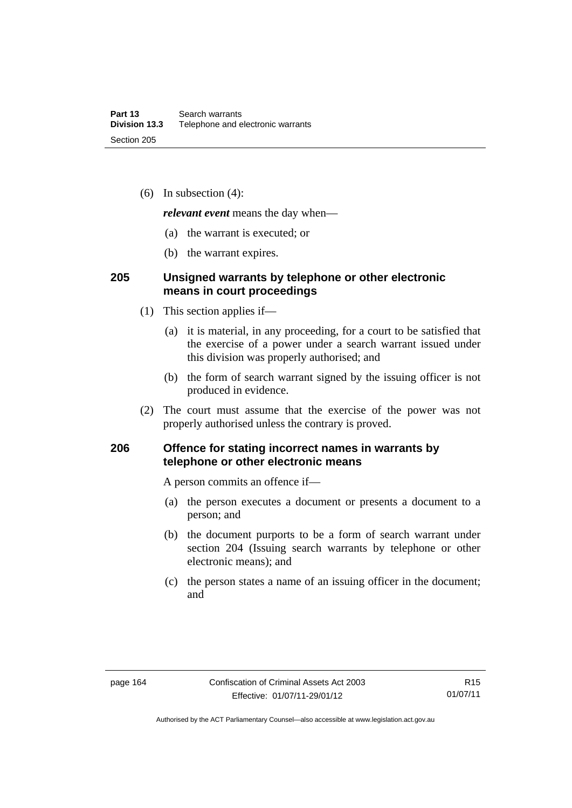(6) In subsection (4):

*relevant event* means the day when—

- (a) the warrant is executed; or
- (b) the warrant expires.

### **205 Unsigned warrants by telephone or other electronic means in court proceedings**

- (1) This section applies if—
	- (a) it is material, in any proceeding, for a court to be satisfied that the exercise of a power under a search warrant issued under this division was properly authorised; and
	- (b) the form of search warrant signed by the issuing officer is not produced in evidence.
- (2) The court must assume that the exercise of the power was not properly authorised unless the contrary is proved.

# **206 Offence for stating incorrect names in warrants by telephone or other electronic means**

A person commits an offence if—

- (a) the person executes a document or presents a document to a person; and
- (b) the document purports to be a form of search warrant under section 204 (Issuing search warrants by telephone or other electronic means); and
- (c) the person states a name of an issuing officer in the document; and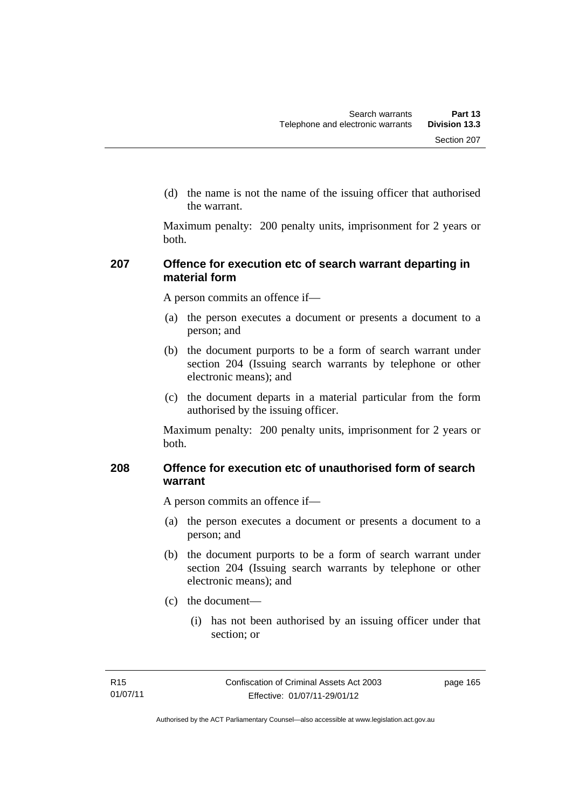(d) the name is not the name of the issuing officer that authorised the warrant.

Maximum penalty: 200 penalty units, imprisonment for 2 years or both.

# **207 Offence for execution etc of search warrant departing in material form**

A person commits an offence if—

- (a) the person executes a document or presents a document to a person; and
- (b) the document purports to be a form of search warrant under section 204 (Issuing search warrants by telephone or other electronic means); and
- (c) the document departs in a material particular from the form authorised by the issuing officer.

Maximum penalty: 200 penalty units, imprisonment for 2 years or both.

# **208 Offence for execution etc of unauthorised form of search warrant**

A person commits an offence if—

- (a) the person executes a document or presents a document to a person; and
- (b) the document purports to be a form of search warrant under section 204 (Issuing search warrants by telephone or other electronic means); and
- (c) the document—
	- (i) has not been authorised by an issuing officer under that section; or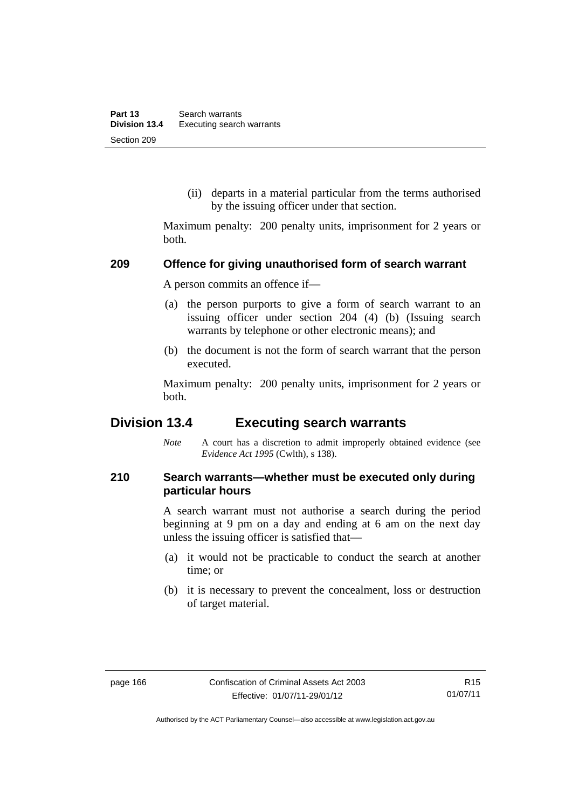(ii) departs in a material particular from the terms authorised by the issuing officer under that section.

Maximum penalty: 200 penalty units, imprisonment for 2 years or both.

#### **209 Offence for giving unauthorised form of search warrant**

A person commits an offence if—

- (a) the person purports to give a form of search warrant to an issuing officer under section 204 (4) (b) (Issuing search warrants by telephone or other electronic means); and
- (b) the document is not the form of search warrant that the person executed.

Maximum penalty: 200 penalty units, imprisonment for 2 years or both.

# **Division 13.4 Executing search warrants**

*Note* A court has a discretion to admit improperly obtained evidence (see *Evidence Act 1995* (Cwlth), s 138).

## **210 Search warrants—whether must be executed only during particular hours**

A search warrant must not authorise a search during the period beginning at 9 pm on a day and ending at 6 am on the next day unless the issuing officer is satisfied that—

- (a) it would not be practicable to conduct the search at another time; or
- (b) it is necessary to prevent the concealment, loss or destruction of target material.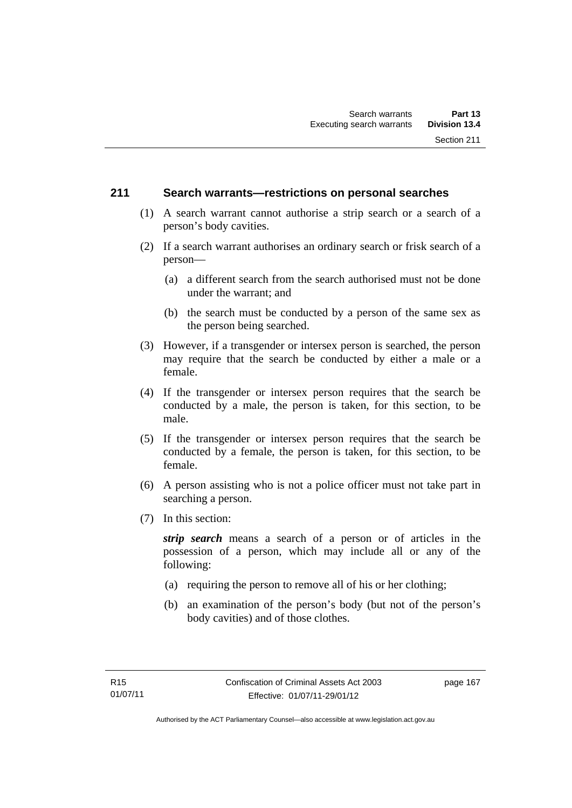### **211 Search warrants—restrictions on personal searches**

- (1) A search warrant cannot authorise a strip search or a search of a person's body cavities.
- (2) If a search warrant authorises an ordinary search or frisk search of a person—
	- (a) a different search from the search authorised must not be done under the warrant; and
	- (b) the search must be conducted by a person of the same sex as the person being searched.
- (3) However, if a transgender or intersex person is searched, the person may require that the search be conducted by either a male or a female.
- (4) If the transgender or intersex person requires that the search be conducted by a male, the person is taken, for this section, to be male.
- (5) If the transgender or intersex person requires that the search be conducted by a female, the person is taken, for this section, to be female.
- (6) A person assisting who is not a police officer must not take part in searching a person.
- (7) In this section:

*strip search* means a search of a person or of articles in the possession of a person, which may include all or any of the following:

- (a) requiring the person to remove all of his or her clothing;
- (b) an examination of the person's body (but not of the person's body cavities) and of those clothes.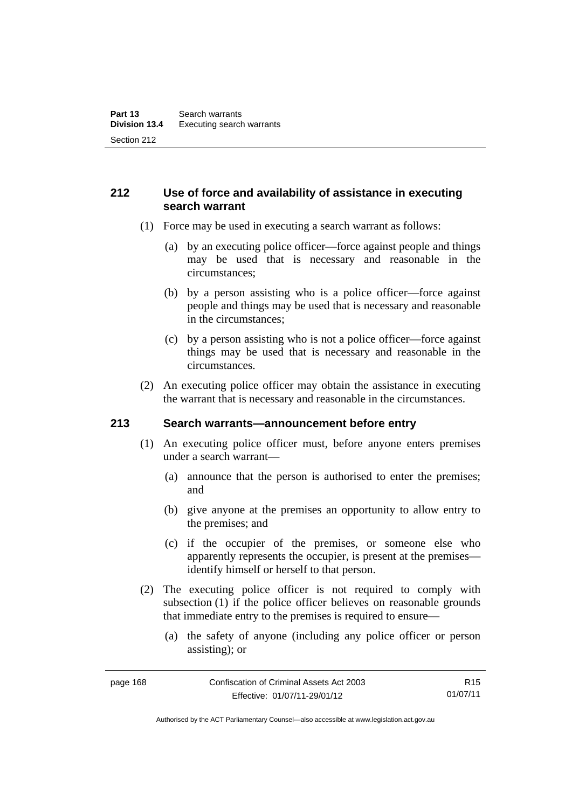# **212 Use of force and availability of assistance in executing search warrant**

- (1) Force may be used in executing a search warrant as follows:
	- (a) by an executing police officer—force against people and things may be used that is necessary and reasonable in the circumstances;
	- (b) by a person assisting who is a police officer—force against people and things may be used that is necessary and reasonable in the circumstances;
	- (c) by a person assisting who is not a police officer—force against things may be used that is necessary and reasonable in the circumstances.
- (2) An executing police officer may obtain the assistance in executing the warrant that is necessary and reasonable in the circumstances.

### **213 Search warrants—announcement before entry**

- (1) An executing police officer must, before anyone enters premises under a search warrant—
	- (a) announce that the person is authorised to enter the premises; and
	- (b) give anyone at the premises an opportunity to allow entry to the premises; and
	- (c) if the occupier of the premises, or someone else who apparently represents the occupier, is present at the premises identify himself or herself to that person.
- (2) The executing police officer is not required to comply with subsection (1) if the police officer believes on reasonable grounds that immediate entry to the premises is required to ensure—
	- (a) the safety of anyone (including any police officer or person assisting); or

Authorised by the ACT Parliamentary Counsel—also accessible at www.legislation.act.gov.au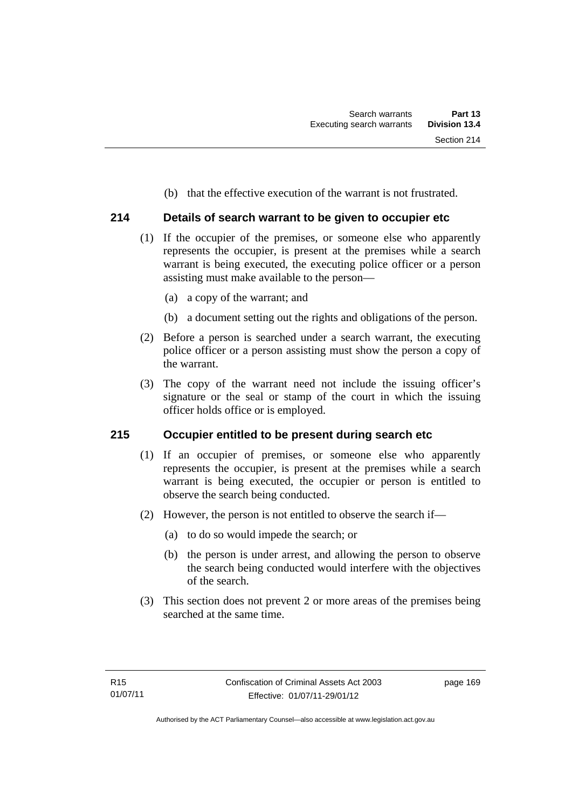(b) that the effective execution of the warrant is not frustrated.

## **214 Details of search warrant to be given to occupier etc**

- (1) If the occupier of the premises, or someone else who apparently represents the occupier, is present at the premises while a search warrant is being executed, the executing police officer or a person assisting must make available to the person—
	- (a) a copy of the warrant; and
	- (b) a document setting out the rights and obligations of the person.
- (2) Before a person is searched under a search warrant, the executing police officer or a person assisting must show the person a copy of the warrant.
- (3) The copy of the warrant need not include the issuing officer's signature or the seal or stamp of the court in which the issuing officer holds office or is employed.

### **215 Occupier entitled to be present during search etc**

- (1) If an occupier of premises, or someone else who apparently represents the occupier, is present at the premises while a search warrant is being executed, the occupier or person is entitled to observe the search being conducted.
- (2) However, the person is not entitled to observe the search if—
	- (a) to do so would impede the search; or
	- (b) the person is under arrest, and allowing the person to observe the search being conducted would interfere with the objectives of the search.
- (3) This section does not prevent 2 or more areas of the premises being searched at the same time.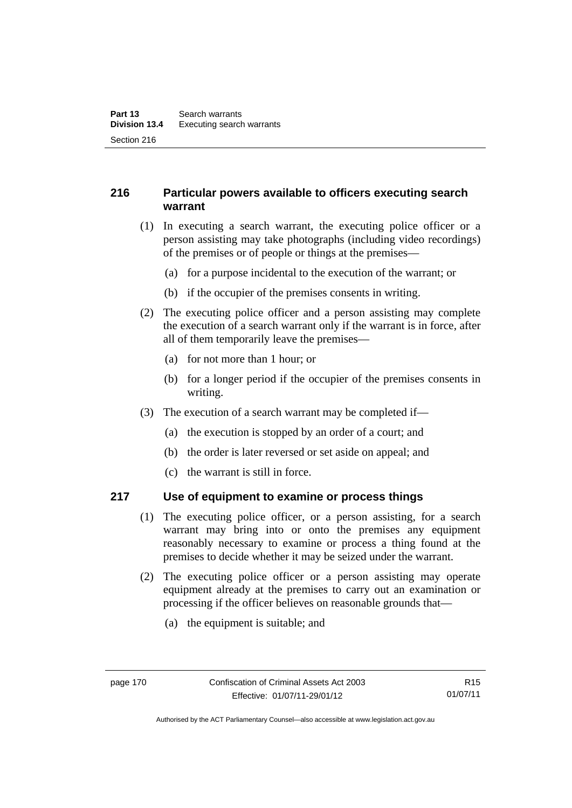# **216 Particular powers available to officers executing search warrant**

- (1) In executing a search warrant, the executing police officer or a person assisting may take photographs (including video recordings) of the premises or of people or things at the premises—
	- (a) for a purpose incidental to the execution of the warrant; or
	- (b) if the occupier of the premises consents in writing.
- (2) The executing police officer and a person assisting may complete the execution of a search warrant only if the warrant is in force, after all of them temporarily leave the premises—
	- (a) for not more than 1 hour; or
	- (b) for a longer period if the occupier of the premises consents in writing.
- (3) The execution of a search warrant may be completed if—
	- (a) the execution is stopped by an order of a court; and
	- (b) the order is later reversed or set aside on appeal; and
	- (c) the warrant is still in force.

### **217 Use of equipment to examine or process things**

- (1) The executing police officer, or a person assisting, for a search warrant may bring into or onto the premises any equipment reasonably necessary to examine or process a thing found at the premises to decide whether it may be seized under the warrant.
- (2) The executing police officer or a person assisting may operate equipment already at the premises to carry out an examination or processing if the officer believes on reasonable grounds that—
	- (a) the equipment is suitable; and

Authorised by the ACT Parliamentary Counsel—also accessible at www.legislation.act.gov.au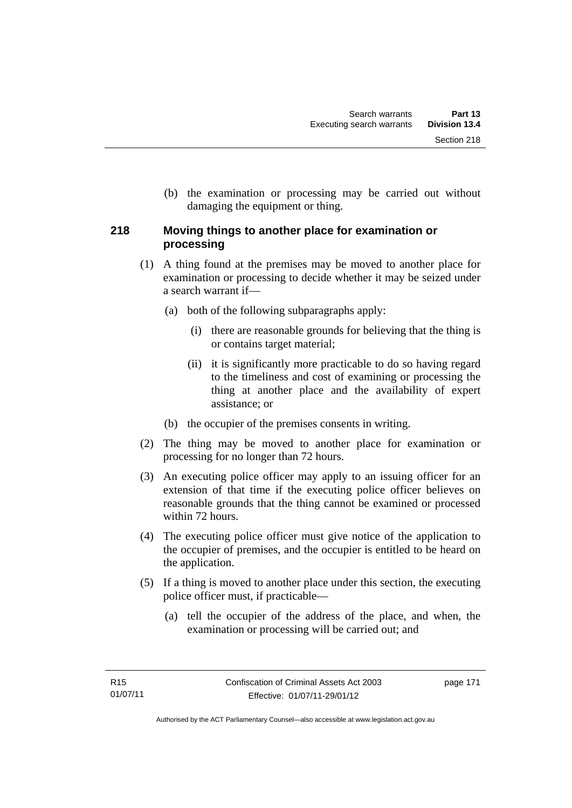(b) the examination or processing may be carried out without damaging the equipment or thing.

# **218 Moving things to another place for examination or processing**

- (1) A thing found at the premises may be moved to another place for examination or processing to decide whether it may be seized under a search warrant if—
	- (a) both of the following subparagraphs apply:
		- (i) there are reasonable grounds for believing that the thing is or contains target material;
		- (ii) it is significantly more practicable to do so having regard to the timeliness and cost of examining or processing the thing at another place and the availability of expert assistance; or
	- (b) the occupier of the premises consents in writing.
- (2) The thing may be moved to another place for examination or processing for no longer than 72 hours.
- (3) An executing police officer may apply to an issuing officer for an extension of that time if the executing police officer believes on reasonable grounds that the thing cannot be examined or processed within 72 hours.
- (4) The executing police officer must give notice of the application to the occupier of premises, and the occupier is entitled to be heard on the application.
- (5) If a thing is moved to another place under this section, the executing police officer must, if practicable—
	- (a) tell the occupier of the address of the place, and when, the examination or processing will be carried out; and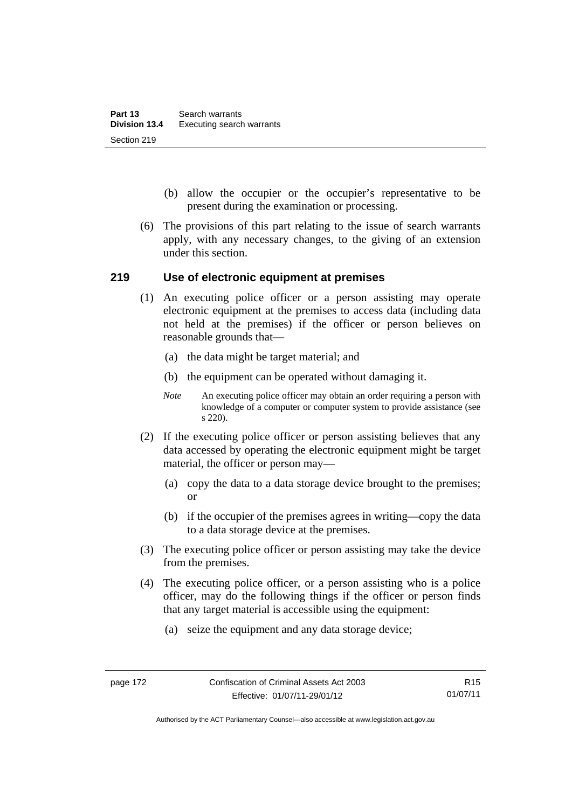- (b) allow the occupier or the occupier's representative to be present during the examination or processing.
- (6) The provisions of this part relating to the issue of search warrants apply, with any necessary changes, to the giving of an extension under this section.

### **219 Use of electronic equipment at premises**

- (1) An executing police officer or a person assisting may operate electronic equipment at the premises to access data (including data not held at the premises) if the officer or person believes on reasonable grounds that—
	- (a) the data might be target material; and
	- (b) the equipment can be operated without damaging it.
	- *Note* An executing police officer may obtain an order requiring a person with knowledge of a computer or computer system to provide assistance (see s 220).
- (2) If the executing police officer or person assisting believes that any data accessed by operating the electronic equipment might be target material, the officer or person may—
	- (a) copy the data to a data storage device brought to the premises; or
	- (b) if the occupier of the premises agrees in writing—copy the data to a data storage device at the premises.
- (3) The executing police officer or person assisting may take the device from the premises.
- (4) The executing police officer, or a person assisting who is a police officer, may do the following things if the officer or person finds that any target material is accessible using the equipment:
	- (a) seize the equipment and any data storage device;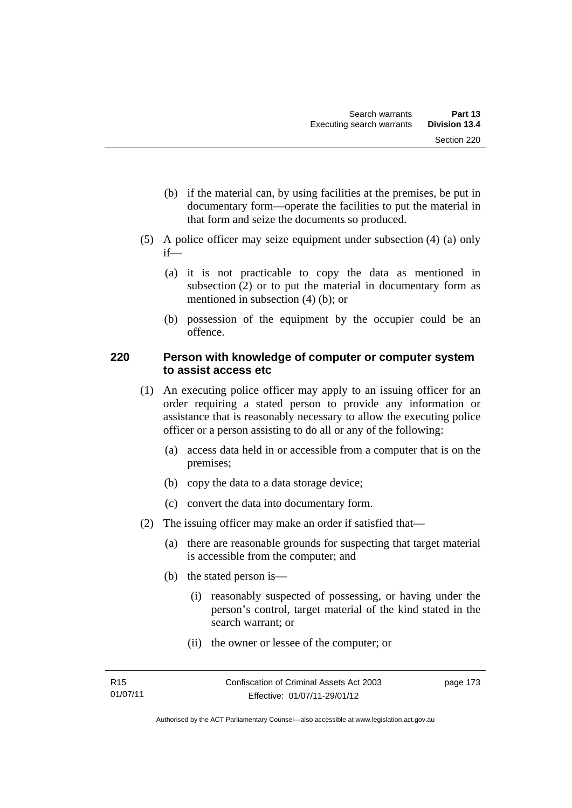- (b) if the material can, by using facilities at the premises, be put in documentary form—operate the facilities to put the material in that form and seize the documents so produced.
- (5) A police officer may seize equipment under subsection (4) (a) only if—
	- (a) it is not practicable to copy the data as mentioned in subsection (2) or to put the material in documentary form as mentioned in subsection (4) (b); or
	- (b) possession of the equipment by the occupier could be an offence.

### **220 Person with knowledge of computer or computer system to assist access etc**

- (1) An executing police officer may apply to an issuing officer for an order requiring a stated person to provide any information or assistance that is reasonably necessary to allow the executing police officer or a person assisting to do all or any of the following:
	- (a) access data held in or accessible from a computer that is on the premises;
	- (b) copy the data to a data storage device;
	- (c) convert the data into documentary form.
- (2) The issuing officer may make an order if satisfied that—
	- (a) there are reasonable grounds for suspecting that target material is accessible from the computer; and
	- (b) the stated person is—
		- (i) reasonably suspected of possessing, or having under the person's control, target material of the kind stated in the search warrant; or
		- (ii) the owner or lessee of the computer; or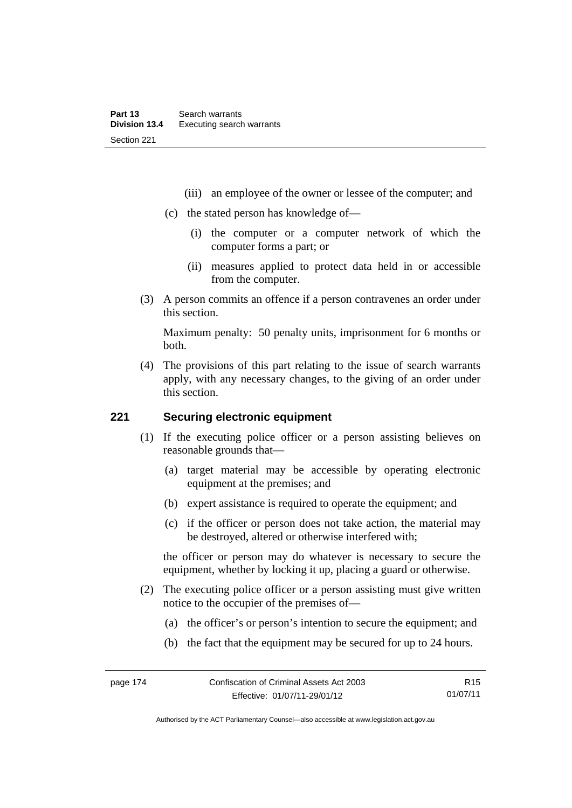- (iii) an employee of the owner or lessee of the computer; and
- (c) the stated person has knowledge of—
	- (i) the computer or a computer network of which the computer forms a part; or
	- (ii) measures applied to protect data held in or accessible from the computer.
- (3) A person commits an offence if a person contravenes an order under this section.

Maximum penalty: 50 penalty units, imprisonment for 6 months or both.

 (4) The provisions of this part relating to the issue of search warrants apply, with any necessary changes, to the giving of an order under this section.

### **221 Securing electronic equipment**

- (1) If the executing police officer or a person assisting believes on reasonable grounds that—
	- (a) target material may be accessible by operating electronic equipment at the premises; and
	- (b) expert assistance is required to operate the equipment; and
	- (c) if the officer or person does not take action, the material may be destroyed, altered or otherwise interfered with;

the officer or person may do whatever is necessary to secure the equipment, whether by locking it up, placing a guard or otherwise.

- (2) The executing police officer or a person assisting must give written notice to the occupier of the premises of—
	- (a) the officer's or person's intention to secure the equipment; and
	- (b) the fact that the equipment may be secured for up to 24 hours.

R15 01/07/11

Authorised by the ACT Parliamentary Counsel—also accessible at www.legislation.act.gov.au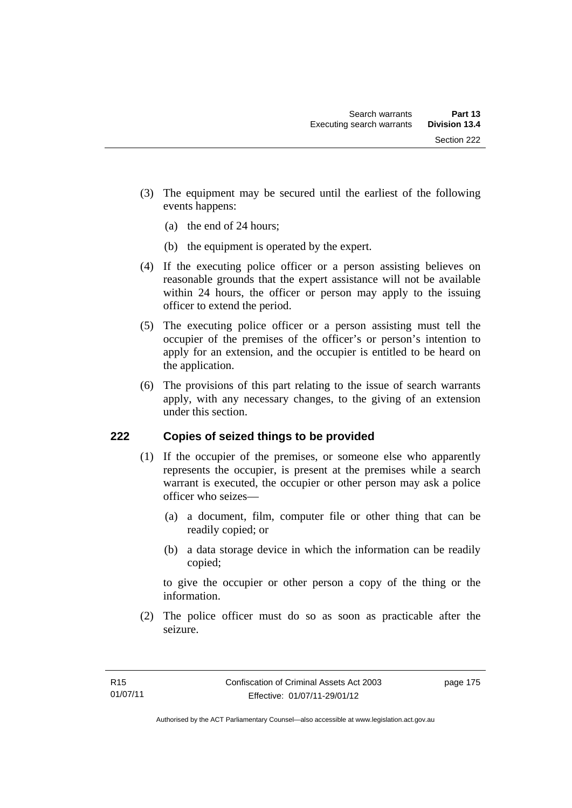- (3) The equipment may be secured until the earliest of the following events happens:
	- (a) the end of 24 hours;
	- (b) the equipment is operated by the expert.
- (4) If the executing police officer or a person assisting believes on reasonable grounds that the expert assistance will not be available within 24 hours, the officer or person may apply to the issuing officer to extend the period.
- (5) The executing police officer or a person assisting must tell the occupier of the premises of the officer's or person's intention to apply for an extension, and the occupier is entitled to be heard on the application.
- (6) The provisions of this part relating to the issue of search warrants apply, with any necessary changes, to the giving of an extension under this section.

# **222 Copies of seized things to be provided**

- (1) If the occupier of the premises, or someone else who apparently represents the occupier, is present at the premises while a search warrant is executed, the occupier or other person may ask a police officer who seizes—
	- (a) a document, film, computer file or other thing that can be readily copied; or
	- (b) a data storage device in which the information can be readily copied;

to give the occupier or other person a copy of the thing or the information.

 (2) The police officer must do so as soon as practicable after the seizure.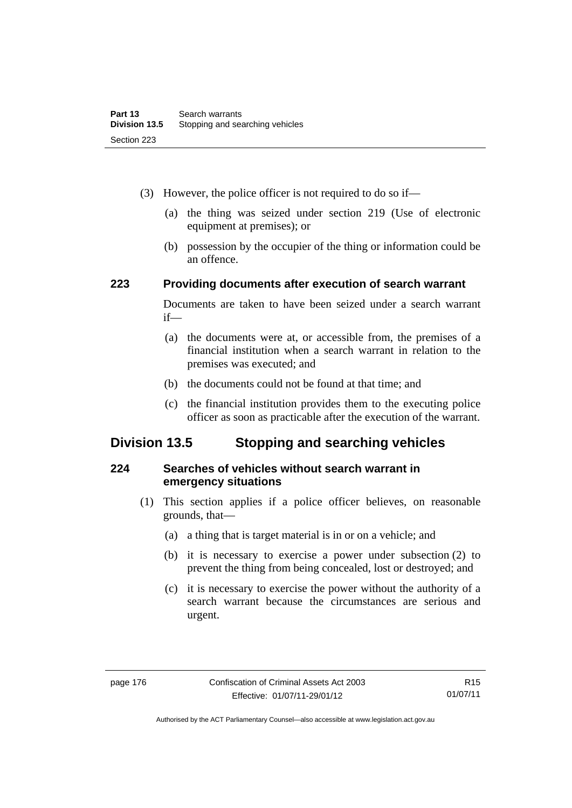- (3) However, the police officer is not required to do so if—
	- (a) the thing was seized under section 219 (Use of electronic equipment at premises); or
	- (b) possession by the occupier of the thing or information could be an offence.

### **223 Providing documents after execution of search warrant**

Documents are taken to have been seized under a search warrant if—

- (a) the documents were at, or accessible from, the premises of a financial institution when a search warrant in relation to the premises was executed; and
- (b) the documents could not be found at that time; and
- (c) the financial institution provides them to the executing police officer as soon as practicable after the execution of the warrant.

# **Division 13.5 Stopping and searching vehicles**

### **224 Searches of vehicles without search warrant in emergency situations**

- (1) This section applies if a police officer believes, on reasonable grounds, that—
	- (a) a thing that is target material is in or on a vehicle; and
	- (b) it is necessary to exercise a power under subsection (2) to prevent the thing from being concealed, lost or destroyed; and
	- (c) it is necessary to exercise the power without the authority of a search warrant because the circumstances are serious and urgent.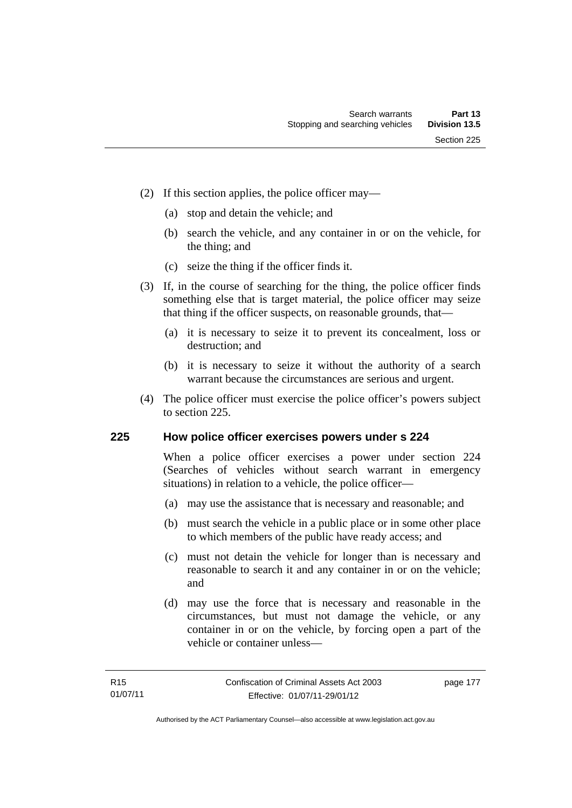- (2) If this section applies, the police officer may—
	- (a) stop and detain the vehicle; and
	- (b) search the vehicle, and any container in or on the vehicle, for the thing; and
	- (c) seize the thing if the officer finds it.
- (3) If, in the course of searching for the thing, the police officer finds something else that is target material, the police officer may seize that thing if the officer suspects, on reasonable grounds, that—
	- (a) it is necessary to seize it to prevent its concealment, loss or destruction; and
	- (b) it is necessary to seize it without the authority of a search warrant because the circumstances are serious and urgent.
- (4) The police officer must exercise the police officer's powers subject to section 225.

### **225 How police officer exercises powers under s 224**

When a police officer exercises a power under section 224 (Searches of vehicles without search warrant in emergency situations) in relation to a vehicle, the police officer—

- (a) may use the assistance that is necessary and reasonable; and
- (b) must search the vehicle in a public place or in some other place to which members of the public have ready access; and
- (c) must not detain the vehicle for longer than is necessary and reasonable to search it and any container in or on the vehicle; and
- (d) may use the force that is necessary and reasonable in the circumstances, but must not damage the vehicle, or any container in or on the vehicle, by forcing open a part of the vehicle or container unless—

page 177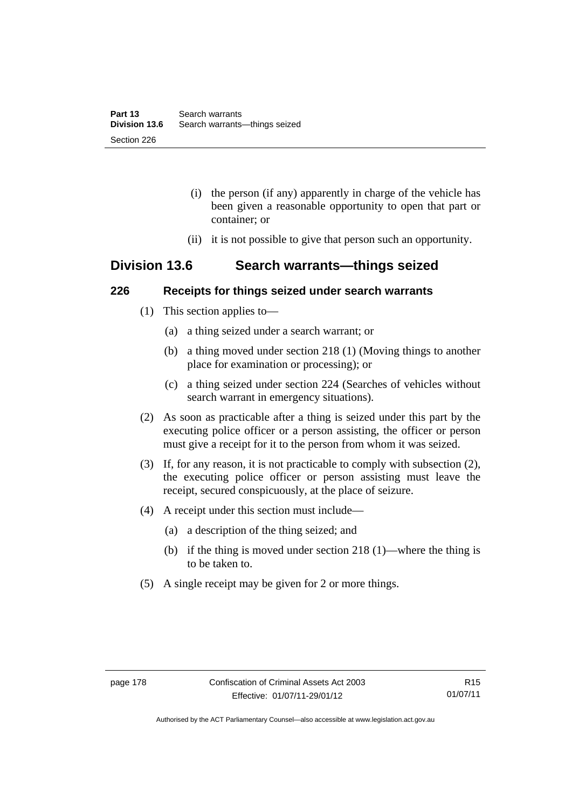- (i) the person (if any) apparently in charge of the vehicle has been given a reasonable opportunity to open that part or container; or
- (ii) it is not possible to give that person such an opportunity.

# **Division 13.6 Search warrants—things seized**

### **226 Receipts for things seized under search warrants**

- (1) This section applies to—
	- (a) a thing seized under a search warrant; or
	- (b) a thing moved under section 218 (1) (Moving things to another place for examination or processing); or
	- (c) a thing seized under section 224 (Searches of vehicles without search warrant in emergency situations).
- (2) As soon as practicable after a thing is seized under this part by the executing police officer or a person assisting, the officer or person must give a receipt for it to the person from whom it was seized.
- (3) If, for any reason, it is not practicable to comply with subsection (2), the executing police officer or person assisting must leave the receipt, secured conspicuously, at the place of seizure.
- (4) A receipt under this section must include—
	- (a) a description of the thing seized; and
	- (b) if the thing is moved under section 218 (1)—where the thing is to be taken to.
- (5) A single receipt may be given for 2 or more things.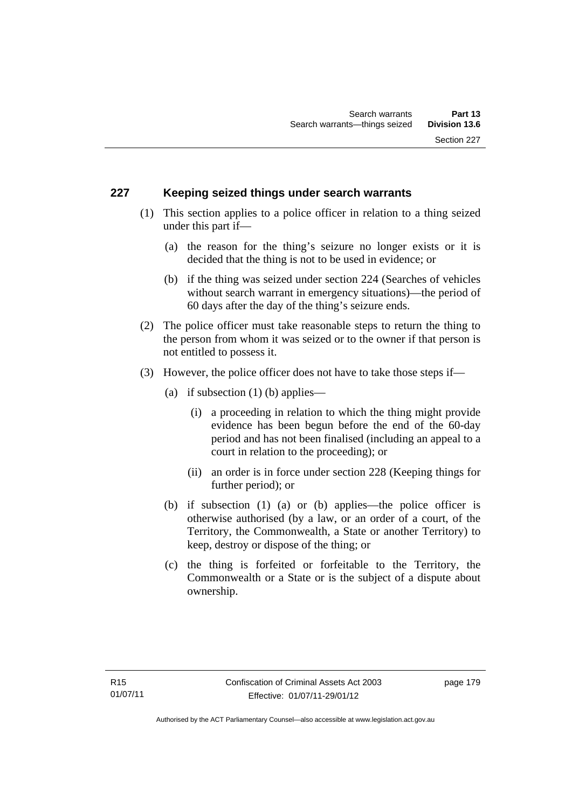### **227 Keeping seized things under search warrants**

- (1) This section applies to a police officer in relation to a thing seized under this part if—
	- (a) the reason for the thing's seizure no longer exists or it is decided that the thing is not to be used in evidence; or
	- (b) if the thing was seized under section 224 (Searches of vehicles without search warrant in emergency situations)—the period of 60 days after the day of the thing's seizure ends.
- (2) The police officer must take reasonable steps to return the thing to the person from whom it was seized or to the owner if that person is not entitled to possess it.
- (3) However, the police officer does not have to take those steps if—
	- (a) if subsection  $(1)$  (b) applies—
		- (i) a proceeding in relation to which the thing might provide evidence has been begun before the end of the 60-day period and has not been finalised (including an appeal to a court in relation to the proceeding); or
		- (ii) an order is in force under section 228 (Keeping things for further period); or
	- (b) if subsection (1) (a) or (b) applies—the police officer is otherwise authorised (by a law, or an order of a court, of the Territory, the Commonwealth, a State or another Territory) to keep, destroy or dispose of the thing; or
	- (c) the thing is forfeited or forfeitable to the Territory, the Commonwealth or a State or is the subject of a dispute about ownership.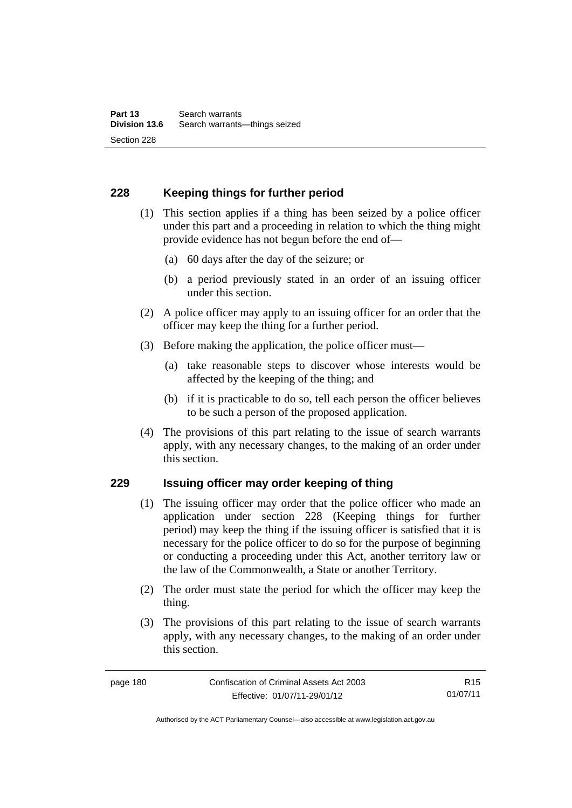# **228 Keeping things for further period**

- (1) This section applies if a thing has been seized by a police officer under this part and a proceeding in relation to which the thing might provide evidence has not begun before the end of—
	- (a) 60 days after the day of the seizure; or
	- (b) a period previously stated in an order of an issuing officer under this section.
- (2) A police officer may apply to an issuing officer for an order that the officer may keep the thing for a further period.
- (3) Before making the application, the police officer must—
	- (a) take reasonable steps to discover whose interests would be affected by the keeping of the thing; and
	- (b) if it is practicable to do so, tell each person the officer believes to be such a person of the proposed application.
- (4) The provisions of this part relating to the issue of search warrants apply, with any necessary changes, to the making of an order under this section.

### **229 Issuing officer may order keeping of thing**

- (1) The issuing officer may order that the police officer who made an application under section 228 (Keeping things for further period) may keep the thing if the issuing officer is satisfied that it is necessary for the police officer to do so for the purpose of beginning or conducting a proceeding under this Act, another territory law or the law of the Commonwealth, a State or another Territory.
- (2) The order must state the period for which the officer may keep the thing.
- (3) The provisions of this part relating to the issue of search warrants apply, with any necessary changes, to the making of an order under this section.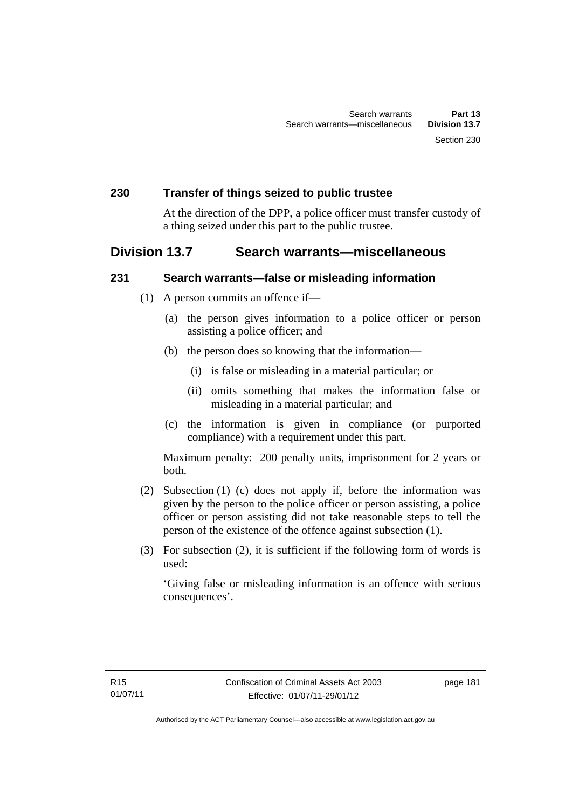### **230 Transfer of things seized to public trustee**

At the direction of the DPP, a police officer must transfer custody of a thing seized under this part to the public trustee.

# **Division 13.7 Search warrants—miscellaneous**

### **231 Search warrants—false or misleading information**

- (1) A person commits an offence if—
	- (a) the person gives information to a police officer or person assisting a police officer; and
	- (b) the person does so knowing that the information—
		- (i) is false or misleading in a material particular; or
		- (ii) omits something that makes the information false or misleading in a material particular; and
	- (c) the information is given in compliance (or purported compliance) with a requirement under this part.

Maximum penalty: 200 penalty units, imprisonment for 2 years or both.

- (2) Subsection (1) (c) does not apply if, before the information was given by the person to the police officer or person assisting, a police officer or person assisting did not take reasonable steps to tell the person of the existence of the offence against subsection (1).
- (3) For subsection (2), it is sufficient if the following form of words is used:

'Giving false or misleading information is an offence with serious consequences'.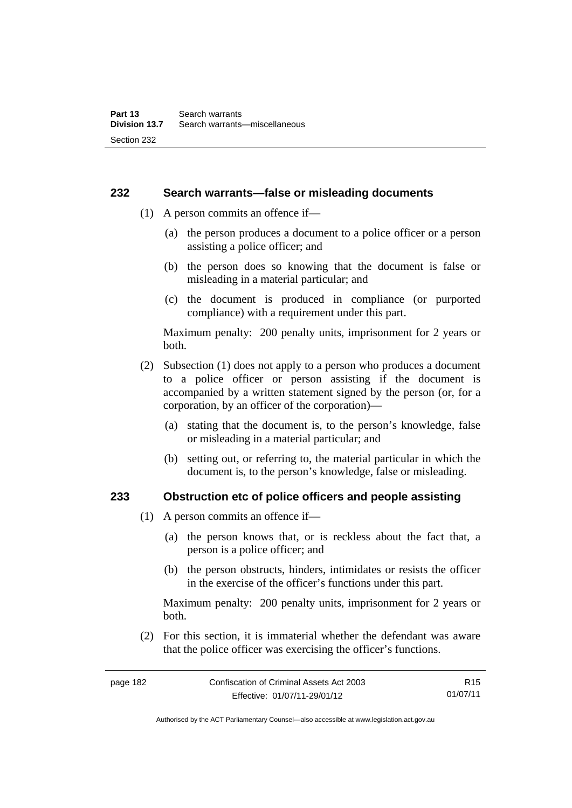### **232 Search warrants—false or misleading documents**

- (1) A person commits an offence if—
	- (a) the person produces a document to a police officer or a person assisting a police officer; and
	- (b) the person does so knowing that the document is false or misleading in a material particular; and
	- (c) the document is produced in compliance (or purported compliance) with a requirement under this part.

Maximum penalty: 200 penalty units, imprisonment for 2 years or both.

- (2) Subsection (1) does not apply to a person who produces a document to a police officer or person assisting if the document is accompanied by a written statement signed by the person (or, for a corporation, by an officer of the corporation)—
	- (a) stating that the document is, to the person's knowledge, false or misleading in a material particular; and
	- (b) setting out, or referring to, the material particular in which the document is, to the person's knowledge, false or misleading.

### **233 Obstruction etc of police officers and people assisting**

- (1) A person commits an offence if—
	- (a) the person knows that, or is reckless about the fact that, a person is a police officer; and
	- (b) the person obstructs, hinders, intimidates or resists the officer in the exercise of the officer's functions under this part.

Maximum penalty: 200 penalty units, imprisonment for 2 years or both.

 (2) For this section, it is immaterial whether the defendant was aware that the police officer was exercising the officer's functions.

page 182 Confiscation of Criminal Assets Act 2003 Effective: 01/07/11-29/01/12 R15 01/07/11

Authorised by the ACT Parliamentary Counsel—also accessible at www.legislation.act.gov.au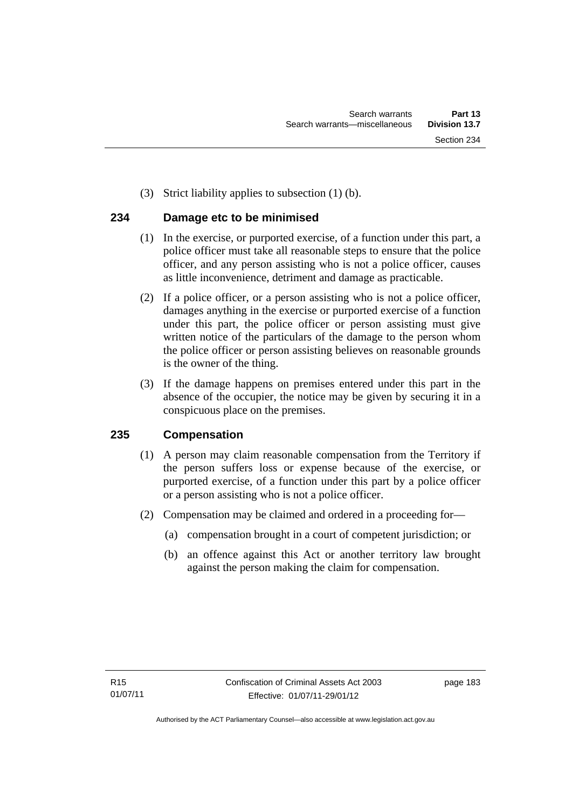(3) Strict liability applies to subsection (1) (b).

# **234 Damage etc to be minimised**

- (1) In the exercise, or purported exercise, of a function under this part, a police officer must take all reasonable steps to ensure that the police officer, and any person assisting who is not a police officer, causes as little inconvenience, detriment and damage as practicable.
- (2) If a police officer, or a person assisting who is not a police officer, damages anything in the exercise or purported exercise of a function under this part, the police officer or person assisting must give written notice of the particulars of the damage to the person whom the police officer or person assisting believes on reasonable grounds is the owner of the thing.
- (3) If the damage happens on premises entered under this part in the absence of the occupier, the notice may be given by securing it in a conspicuous place on the premises.

# **235 Compensation**

- (1) A person may claim reasonable compensation from the Territory if the person suffers loss or expense because of the exercise, or purported exercise, of a function under this part by a police officer or a person assisting who is not a police officer.
- (2) Compensation may be claimed and ordered in a proceeding for—
	- (a) compensation brought in a court of competent jurisdiction; or
	- (b) an offence against this Act or another territory law brought against the person making the claim for compensation.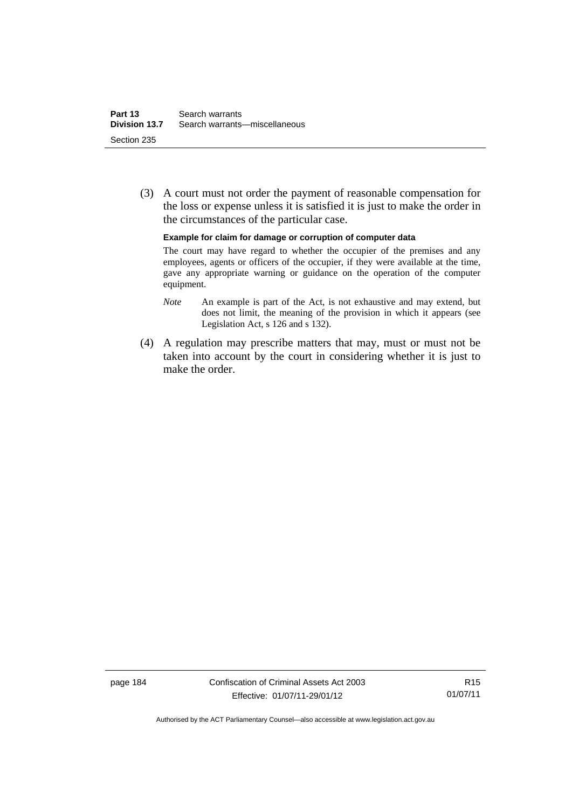(3) A court must not order the payment of reasonable compensation for the loss or expense unless it is satisfied it is just to make the order in the circumstances of the particular case.

**Example for claim for damage or corruption of computer data** 

The court may have regard to whether the occupier of the premises and any employees, agents or officers of the occupier, if they were available at the time, gave any appropriate warning or guidance on the operation of the computer equipment.

- *Note* An example is part of the Act, is not exhaustive and may extend, but does not limit, the meaning of the provision in which it appears (see Legislation Act, s 126 and s 132).
- (4) A regulation may prescribe matters that may, must or must not be taken into account by the court in considering whether it is just to make the order.

page 184 Confiscation of Criminal Assets Act 2003 Effective: 01/07/11-29/01/12

Authorised by the ACT Parliamentary Counsel—also accessible at www.legislation.act.gov.au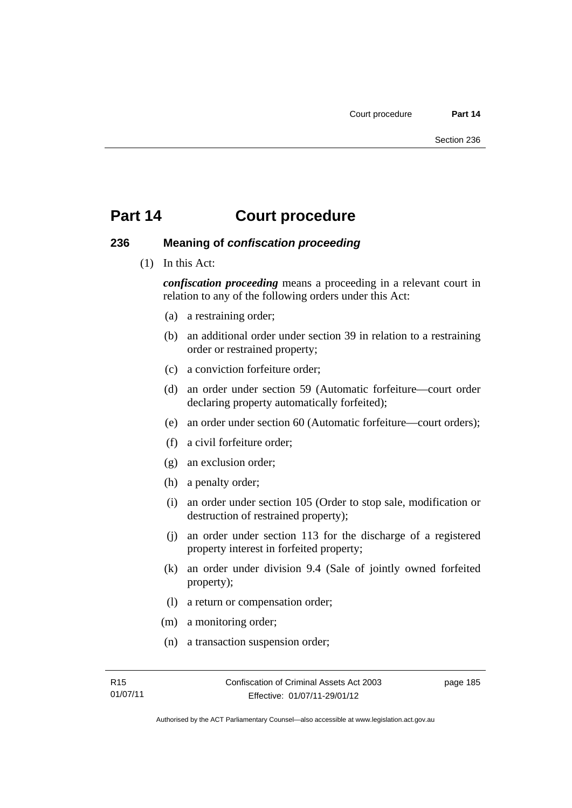### **236 Meaning of** *confiscation proceeding*

(1) In this Act:

*confiscation proceeding* means a proceeding in a relevant court in relation to any of the following orders under this Act:

- (a) a restraining order;
- (b) an additional order under section 39 in relation to a restraining order or restrained property;
- (c) a conviction forfeiture order;
- (d) an order under section 59 (Automatic forfeiture—court order declaring property automatically forfeited);
- (e) an order under section 60 (Automatic forfeiture—court orders);
- (f) a civil forfeiture order;
- (g) an exclusion order;
- (h) a penalty order;
- (i) an order under section 105 (Order to stop sale, modification or destruction of restrained property);
- (j) an order under section 113 for the discharge of a registered property interest in forfeited property;
- (k) an order under division 9.4 (Sale of jointly owned forfeited property);
- (l) a return or compensation order;
- (m) a monitoring order;
- (n) a transaction suspension order;

page 185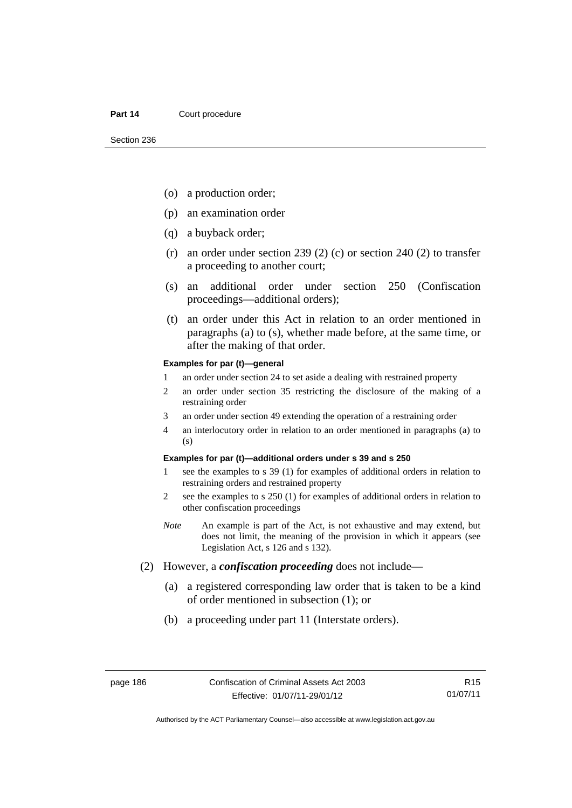- (o) a production order;
- (p) an examination order
- (q) a buyback order;
- (r) an order under section 239 (2) (c) or section 240 (2) to transfer a proceeding to another court;
- (s) an additional order under section 250 (Confiscation proceedings—additional orders);
- (t) an order under this Act in relation to an order mentioned in paragraphs (a) to (s), whether made before, at the same time, or after the making of that order.

#### **Examples for par (t)—general**

- 1 an order under section 24 to set aside a dealing with restrained property
- 2 an order under section 35 restricting the disclosure of the making of a restraining order
- 3 an order under section 49 extending the operation of a restraining order
- 4 an interlocutory order in relation to an order mentioned in paragraphs (a) to (s)

#### **Examples for par (t)—additional orders under s 39 and s 250**

- 1 see the examples to s 39 (1) for examples of additional orders in relation to restraining orders and restrained property
- 2 see the examples to s 250 (1) for examples of additional orders in relation to other confiscation proceedings
- *Note* An example is part of the Act, is not exhaustive and may extend, but does not limit, the meaning of the provision in which it appears (see Legislation Act, s 126 and s 132).
- (2) However, a *confiscation proceeding* does not include—
	- (a) a registered corresponding law order that is taken to be a kind of order mentioned in subsection (1); or
	- (b) a proceeding under part 11 (Interstate orders).

R15 01/07/11

Authorised by the ACT Parliamentary Counsel—also accessible at www.legislation.act.gov.au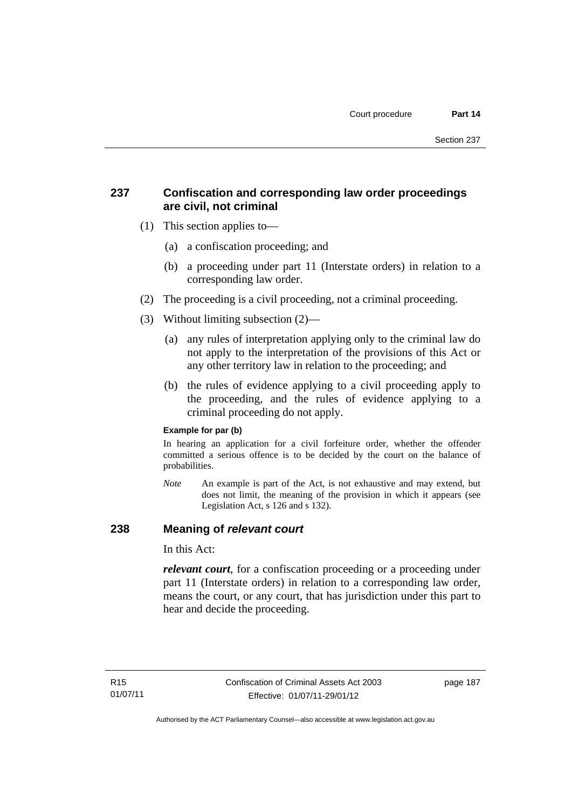# **237 Confiscation and corresponding law order proceedings are civil, not criminal**

- (1) This section applies to—
	- (a) a confiscation proceeding; and
	- (b) a proceeding under part 11 (Interstate orders) in relation to a corresponding law order.
- (2) The proceeding is a civil proceeding, not a criminal proceeding.
- (3) Without limiting subsection (2)—
	- (a) any rules of interpretation applying only to the criminal law do not apply to the interpretation of the provisions of this Act or any other territory law in relation to the proceeding; and
	- (b) the rules of evidence applying to a civil proceeding apply to the proceeding, and the rules of evidence applying to a criminal proceeding do not apply.

### **Example for par (b)**

In hearing an application for a civil forfeiture order, whether the offender committed a serious offence is to be decided by the court on the balance of probabilities.

*Note* An example is part of the Act, is not exhaustive and may extend, but does not limit, the meaning of the provision in which it appears (see Legislation Act, s 126 and s 132).

### **238 Meaning of** *relevant court*

In this Act:

*relevant court*, for a confiscation proceeding or a proceeding under part 11 (Interstate orders) in relation to a corresponding law order, means the court, or any court, that has jurisdiction under this part to hear and decide the proceeding.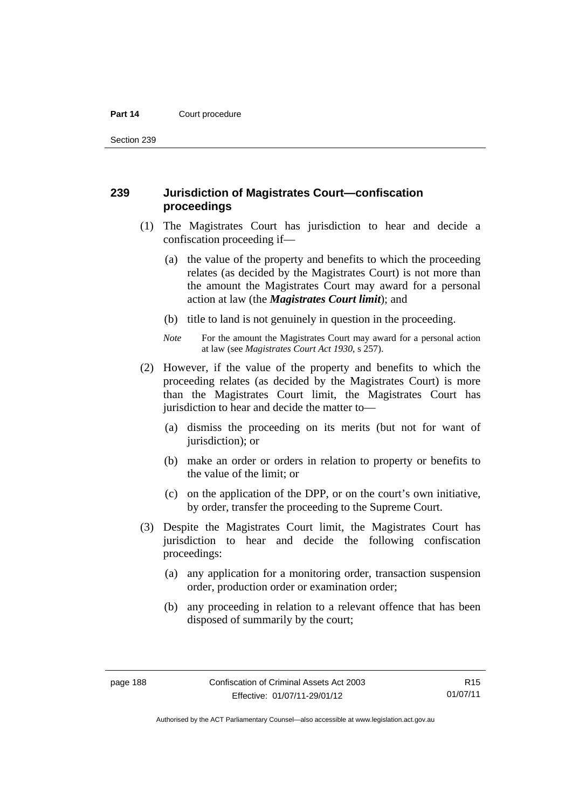Section 239

### **239 Jurisdiction of Magistrates Court—confiscation proceedings**

- (1) The Magistrates Court has jurisdiction to hear and decide a confiscation proceeding if—
	- (a) the value of the property and benefits to which the proceeding relates (as decided by the Magistrates Court) is not more than the amount the Magistrates Court may award for a personal action at law (the *Magistrates Court limit*); and
	- (b) title to land is not genuinely in question in the proceeding.
	- *Note* For the amount the Magistrates Court may award for a personal action at law (see *Magistrates Court Act 1930*, s 257).
- (2) However, if the value of the property and benefits to which the proceeding relates (as decided by the Magistrates Court) is more than the Magistrates Court limit, the Magistrates Court has jurisdiction to hear and decide the matter to—
	- (a) dismiss the proceeding on its merits (but not for want of jurisdiction); or
	- (b) make an order or orders in relation to property or benefits to the value of the limit; or
	- (c) on the application of the DPP, or on the court's own initiative, by order, transfer the proceeding to the Supreme Court.
- (3) Despite the Magistrates Court limit, the Magistrates Court has jurisdiction to hear and decide the following confiscation proceedings:
	- (a) any application for a monitoring order, transaction suspension order, production order or examination order;
	- (b) any proceeding in relation to a relevant offence that has been disposed of summarily by the court;

R15 01/07/11

Authorised by the ACT Parliamentary Counsel—also accessible at www.legislation.act.gov.au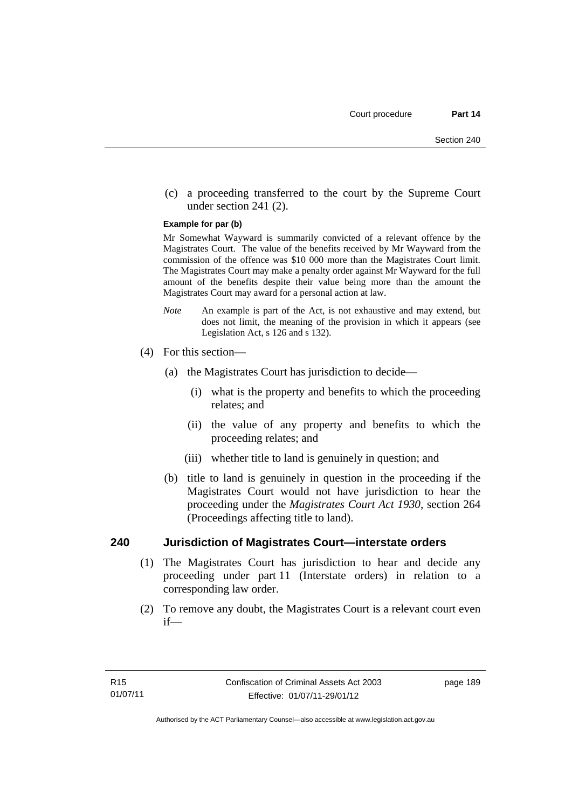(c) a proceeding transferred to the court by the Supreme Court under section 241 (2).

#### **Example for par (b)**

Mr Somewhat Wayward is summarily convicted of a relevant offence by the Magistrates Court. The value of the benefits received by Mr Wayward from the commission of the offence was \$10 000 more than the Magistrates Court limit. The Magistrates Court may make a penalty order against Mr Wayward for the full amount of the benefits despite their value being more than the amount the Magistrates Court may award for a personal action at law.

- *Note* An example is part of the Act, is not exhaustive and may extend, but does not limit, the meaning of the provision in which it appears (see Legislation Act, s 126 and s 132).
- (4) For this section—
	- (a) the Magistrates Court has jurisdiction to decide—
		- (i) what is the property and benefits to which the proceeding relates; and
		- (ii) the value of any property and benefits to which the proceeding relates; and
		- (iii) whether title to land is genuinely in question; and
	- (b) title to land is genuinely in question in the proceeding if the Magistrates Court would not have jurisdiction to hear the proceeding under the *Magistrates Court Act 1930*, section 264 (Proceedings affecting title to land).

### **240 Jurisdiction of Magistrates Court—interstate orders**

- (1) The Magistrates Court has jurisdiction to hear and decide any proceeding under part 11 (Interstate orders) in relation to a corresponding law order.
- (2) To remove any doubt, the Magistrates Court is a relevant court even if—

page 189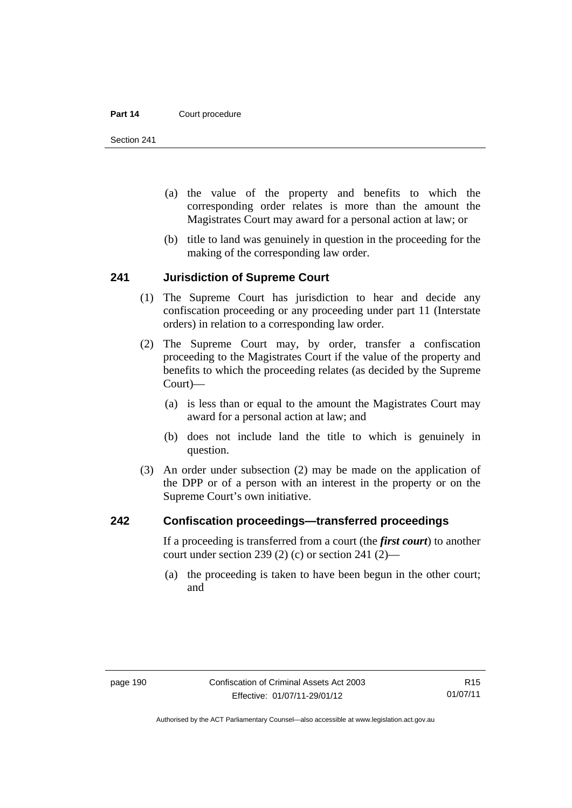Section 241

- (a) the value of the property and benefits to which the corresponding order relates is more than the amount the Magistrates Court may award for a personal action at law; or
- (b) title to land was genuinely in question in the proceeding for the making of the corresponding law order.

### **241 Jurisdiction of Supreme Court**

- (1) The Supreme Court has jurisdiction to hear and decide any confiscation proceeding or any proceeding under part 11 (Interstate orders) in relation to a corresponding law order.
- (2) The Supreme Court may, by order, transfer a confiscation proceeding to the Magistrates Court if the value of the property and benefits to which the proceeding relates (as decided by the Supreme Court)—
	- (a) is less than or equal to the amount the Magistrates Court may award for a personal action at law; and
	- (b) does not include land the title to which is genuinely in question.
- (3) An order under subsection (2) may be made on the application of the DPP or of a person with an interest in the property or on the Supreme Court's own initiative.

### **242 Confiscation proceedings—transferred proceedings**

If a proceeding is transferred from a court (the *first court*) to another court under section 239 (2) (c) or section 241 (2)—

 (a) the proceeding is taken to have been begun in the other court; and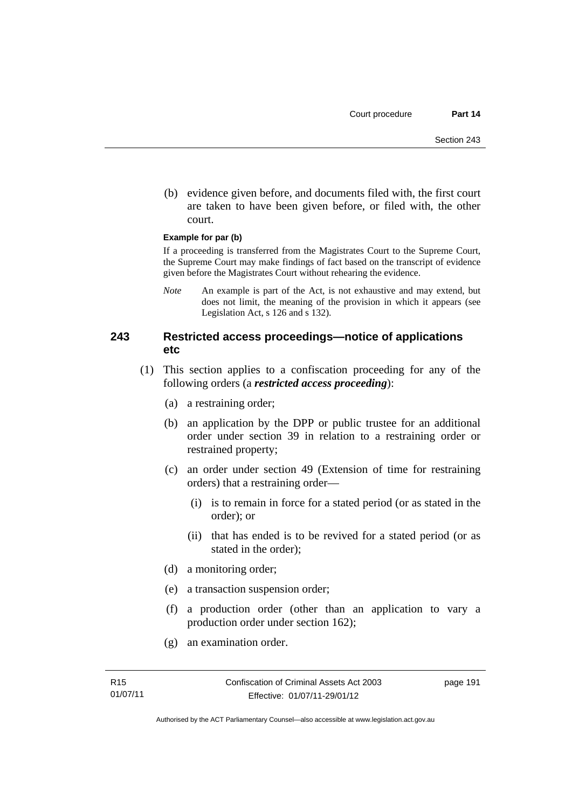(b) evidence given before, and documents filed with, the first court are taken to have been given before, or filed with, the other court.

#### **Example for par (b)**

If a proceeding is transferred from the Magistrates Court to the Supreme Court, the Supreme Court may make findings of fact based on the transcript of evidence given before the Magistrates Court without rehearing the evidence.

*Note* An example is part of the Act, is not exhaustive and may extend, but does not limit, the meaning of the provision in which it appears (see Legislation Act, s 126 and s 132).

### **243 Restricted access proceedings—notice of applications etc**

- (1) This section applies to a confiscation proceeding for any of the following orders (a *restricted access proceeding*):
	- (a) a restraining order;
	- (b) an application by the DPP or public trustee for an additional order under section 39 in relation to a restraining order or restrained property;
	- (c) an order under section 49 (Extension of time for restraining orders) that a restraining order—
		- (i) is to remain in force for a stated period (or as stated in the order); or
		- (ii) that has ended is to be revived for a stated period (or as stated in the order);
	- (d) a monitoring order;
	- (e) a transaction suspension order;
	- (f) a production order (other than an application to vary a production order under section 162);
	- (g) an examination order.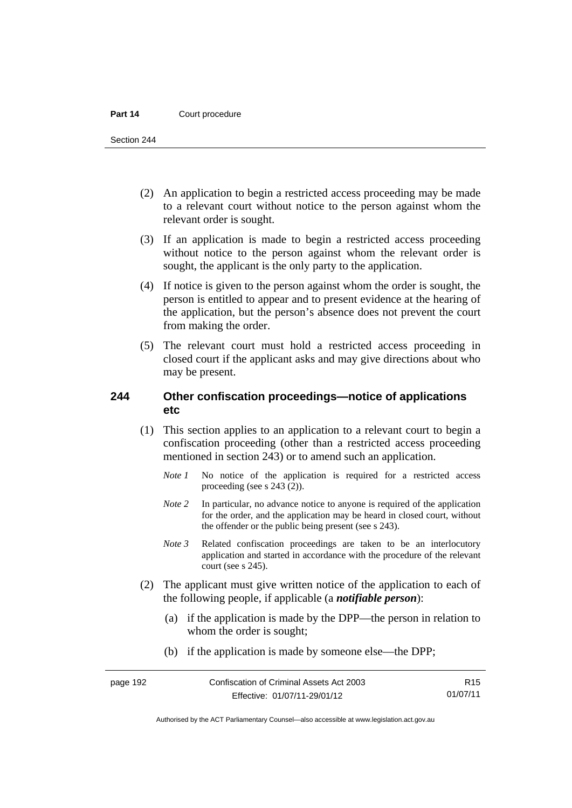Section 244

- (2) An application to begin a restricted access proceeding may be made to a relevant court without notice to the person against whom the relevant order is sought.
- (3) If an application is made to begin a restricted access proceeding without notice to the person against whom the relevant order is sought, the applicant is the only party to the application.
- (4) If notice is given to the person against whom the order is sought, the person is entitled to appear and to present evidence at the hearing of the application, but the person's absence does not prevent the court from making the order.
- (5) The relevant court must hold a restricted access proceeding in closed court if the applicant asks and may give directions about who may be present.

### **244 Other confiscation proceedings—notice of applications etc**

- (1) This section applies to an application to a relevant court to begin a confiscation proceeding (other than a restricted access proceeding mentioned in section 243) or to amend such an application.
	- *Note 1* No notice of the application is required for a restricted access proceeding (see s 243 (2)).
	- *Note 2* In particular, no advance notice to anyone is required of the application for the order, and the application may be heard in closed court, without the offender or the public being present (see s 243).
	- *Note 3* Related confiscation proceedings are taken to be an interlocutory application and started in accordance with the procedure of the relevant court (see s 245).
- (2) The applicant must give written notice of the application to each of the following people, if applicable (a *notifiable person*):
	- (a) if the application is made by the DPP—the person in relation to whom the order is sought;
	- (b) if the application is made by someone else—the DPP;

R15 01/07/11

Authorised by the ACT Parliamentary Counsel—also accessible at www.legislation.act.gov.au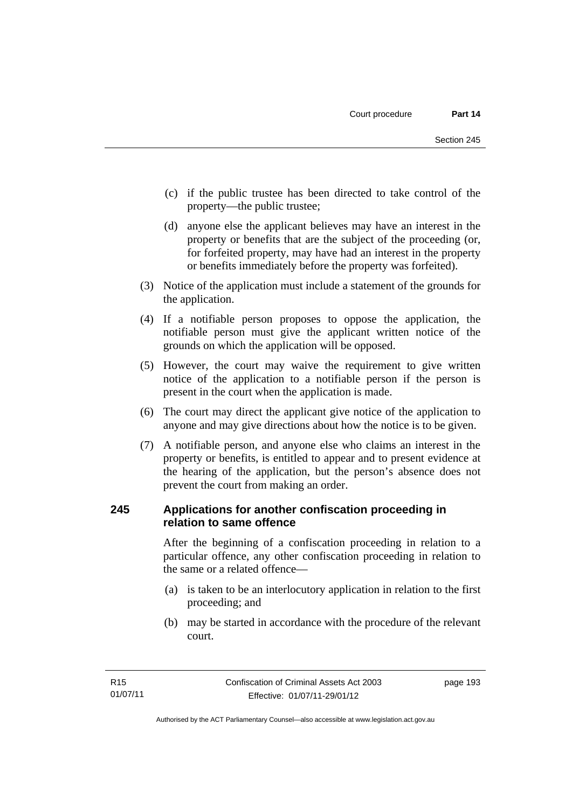- (c) if the public trustee has been directed to take control of the property—the public trustee;
- (d) anyone else the applicant believes may have an interest in the property or benefits that are the subject of the proceeding (or, for forfeited property, may have had an interest in the property or benefits immediately before the property was forfeited).
- (3) Notice of the application must include a statement of the grounds for the application.
- (4) If a notifiable person proposes to oppose the application, the notifiable person must give the applicant written notice of the grounds on which the application will be opposed.
- (5) However, the court may waive the requirement to give written notice of the application to a notifiable person if the person is present in the court when the application is made.
- (6) The court may direct the applicant give notice of the application to anyone and may give directions about how the notice is to be given.
- (7) A notifiable person, and anyone else who claims an interest in the property or benefits, is entitled to appear and to present evidence at the hearing of the application, but the person's absence does not prevent the court from making an order.

## **245 Applications for another confiscation proceeding in relation to same offence**

After the beginning of a confiscation proceeding in relation to a particular offence, any other confiscation proceeding in relation to the same or a related offence—

- (a) is taken to be an interlocutory application in relation to the first proceeding; and
- (b) may be started in accordance with the procedure of the relevant court.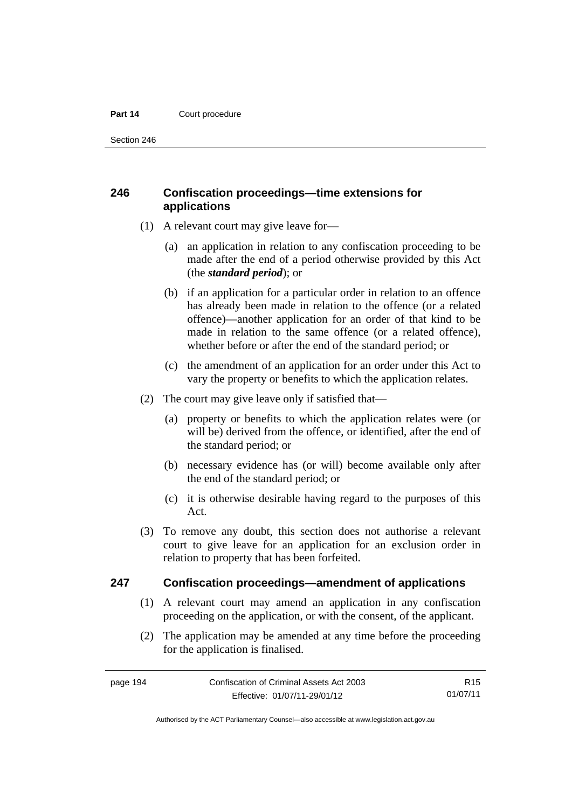Section 246

# **246 Confiscation proceedings—time extensions for applications**

- (1) A relevant court may give leave for—
	- (a) an application in relation to any confiscation proceeding to be made after the end of a period otherwise provided by this Act (the *standard period*); or
	- (b) if an application for a particular order in relation to an offence has already been made in relation to the offence (or a related offence)—another application for an order of that kind to be made in relation to the same offence (or a related offence), whether before or after the end of the standard period; or
	- (c) the amendment of an application for an order under this Act to vary the property or benefits to which the application relates.
- (2) The court may give leave only if satisfied that—
	- (a) property or benefits to which the application relates were (or will be) derived from the offence, or identified, after the end of the standard period; or
	- (b) necessary evidence has (or will) become available only after the end of the standard period; or
	- (c) it is otherwise desirable having regard to the purposes of this Act.
- (3) To remove any doubt, this section does not authorise a relevant court to give leave for an application for an exclusion order in relation to property that has been forfeited.

### **247 Confiscation proceedings—amendment of applications**

- (1) A relevant court may amend an application in any confiscation proceeding on the application, or with the consent, of the applicant.
- (2) The application may be amended at any time before the proceeding for the application is finalised.

Authorised by the ACT Parliamentary Counsel—also accessible at www.legislation.act.gov.au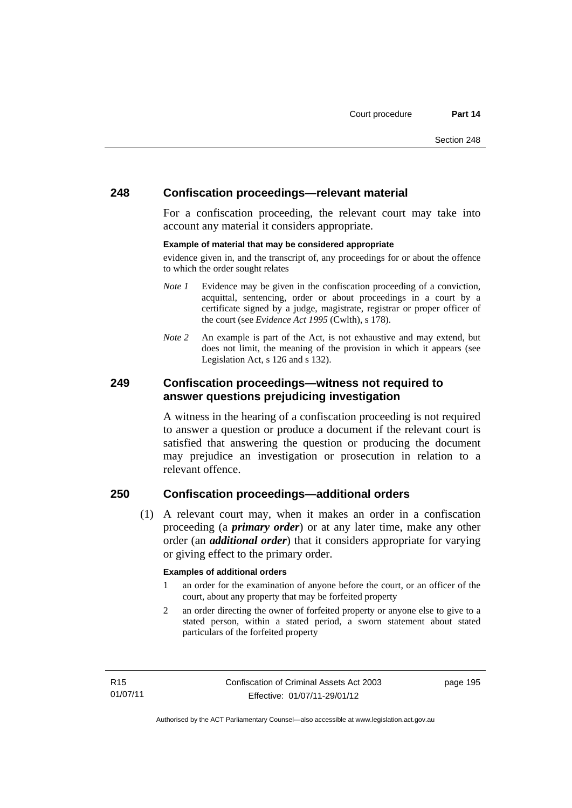### **248 Confiscation proceedings—relevant material**

For a confiscation proceeding, the relevant court may take into account any material it considers appropriate.

#### **Example of material that may be considered appropriate**

evidence given in, and the transcript of, any proceedings for or about the offence to which the order sought relates

- *Note 1* Evidence may be given in the confiscation proceeding of a conviction, acquittal, sentencing, order or about proceedings in a court by a certificate signed by a judge, magistrate, registrar or proper officer of the court (see *Evidence Act 1995* (Cwlth), s 178).
- *Note* 2 An example is part of the Act, is not exhaustive and may extend, but does not limit, the meaning of the provision in which it appears (see Legislation Act, s 126 and s 132).

### **249 Confiscation proceedings—witness not required to answer questions prejudicing investigation**

A witness in the hearing of a confiscation proceeding is not required to answer a question or produce a document if the relevant court is satisfied that answering the question or producing the document may prejudice an investigation or prosecution in relation to a relevant offence.

## **250 Confiscation proceedings—additional orders**

 (1) A relevant court may, when it makes an order in a confiscation proceeding (a *primary order*) or at any later time, make any other order (an *additional order*) that it considers appropriate for varying or giving effect to the primary order.

### **Examples of additional orders**

- 1 an order for the examination of anyone before the court, or an officer of the court, about any property that may be forfeited property
- 2 an order directing the owner of forfeited property or anyone else to give to a stated person, within a stated period, a sworn statement about stated particulars of the forfeited property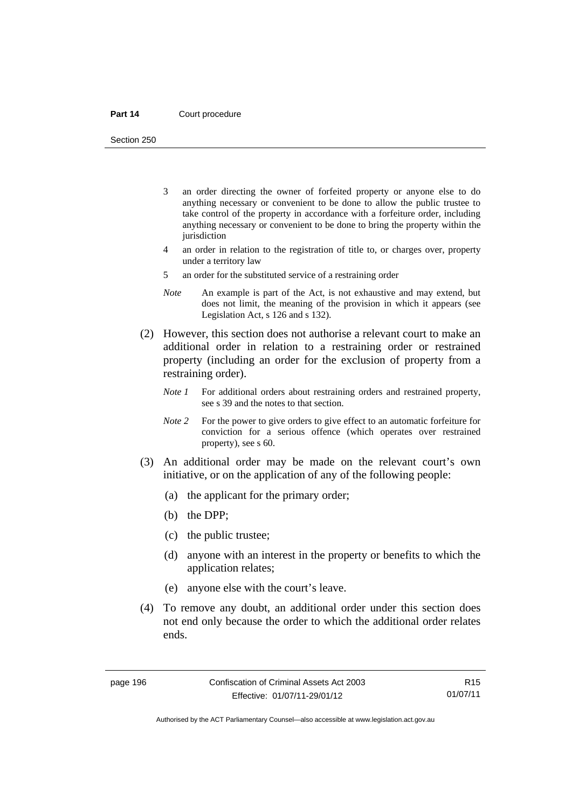Section 250

- 3 an order directing the owner of forfeited property or anyone else to do anything necessary or convenient to be done to allow the public trustee to take control of the property in accordance with a forfeiture order, including anything necessary or convenient to be done to bring the property within the jurisdiction
- 4 an order in relation to the registration of title to, or charges over, property under a territory law
- 5 an order for the substituted service of a restraining order
- *Note* An example is part of the Act, is not exhaustive and may extend, but does not limit, the meaning of the provision in which it appears (see Legislation Act, s 126 and s 132).
- (2) However, this section does not authorise a relevant court to make an additional order in relation to a restraining order or restrained property (including an order for the exclusion of property from a restraining order).
	- *Note 1* For additional orders about restraining orders and restrained property, see s 39 and the notes to that section.
	- *Note 2* For the power to give orders to give effect to an automatic forfeiture for conviction for a serious offence (which operates over restrained property), see s 60.
- (3) An additional order may be made on the relevant court's own initiative, or on the application of any of the following people:
	- (a) the applicant for the primary order;
	- (b) the DPP;
	- (c) the public trustee;
	- (d) anyone with an interest in the property or benefits to which the application relates;
	- (e) anyone else with the court's leave.
- (4) To remove any doubt, an additional order under this section does not end only because the order to which the additional order relates ends.

R15 01/07/11

Authorised by the ACT Parliamentary Counsel—also accessible at www.legislation.act.gov.au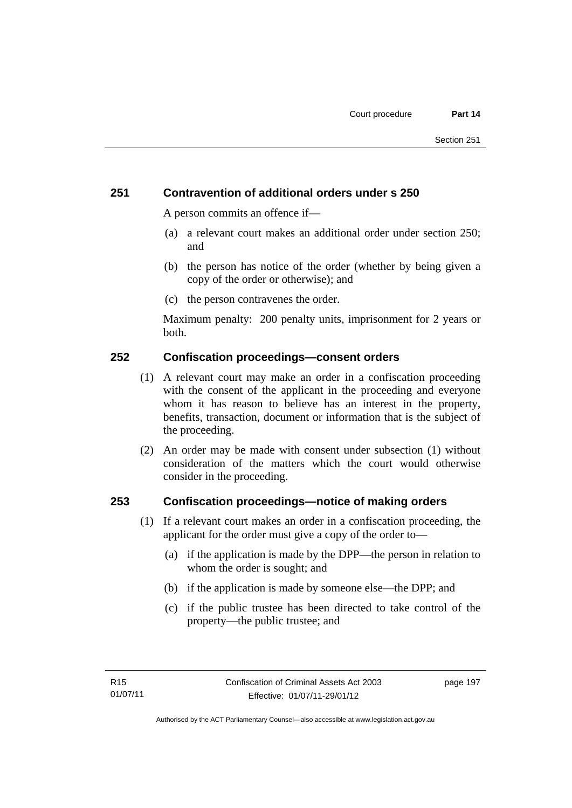# **251 Contravention of additional orders under s 250**

A person commits an offence if—

- (a) a relevant court makes an additional order under section 250; and
- (b) the person has notice of the order (whether by being given a copy of the order or otherwise); and
- (c) the person contravenes the order.

Maximum penalty: 200 penalty units, imprisonment for 2 years or both.

## **252 Confiscation proceedings—consent orders**

- (1) A relevant court may make an order in a confiscation proceeding with the consent of the applicant in the proceeding and everyone whom it has reason to believe has an interest in the property, benefits, transaction, document or information that is the subject of the proceeding.
- (2) An order may be made with consent under subsection (1) without consideration of the matters which the court would otherwise consider in the proceeding.

### **253 Confiscation proceedings—notice of making orders**

- (1) If a relevant court makes an order in a confiscation proceeding, the applicant for the order must give a copy of the order to—
	- (a) if the application is made by the DPP—the person in relation to whom the order is sought; and
	- (b) if the application is made by someone else—the DPP; and
	- (c) if the public trustee has been directed to take control of the property—the public trustee; and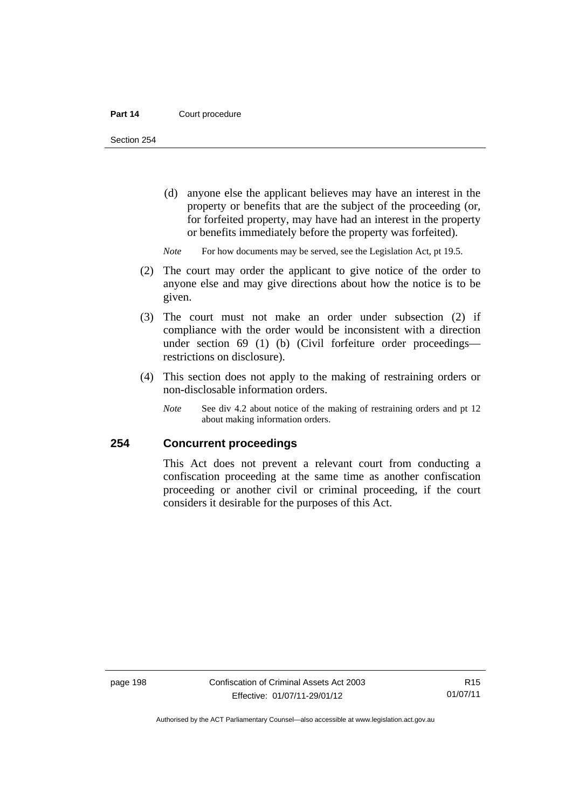Section 254

- (d) anyone else the applicant believes may have an interest in the property or benefits that are the subject of the proceeding (or, for forfeited property, may have had an interest in the property or benefits immediately before the property was forfeited).
- *Note* For how documents may be served, see the Legislation Act, pt 19.5.
- (2) The court may order the applicant to give notice of the order to anyone else and may give directions about how the notice is to be given.
- (3) The court must not make an order under subsection (2) if compliance with the order would be inconsistent with a direction under section 69 (1) (b) (Civil forfeiture order proceedings restrictions on disclosure).
- (4) This section does not apply to the making of restraining orders or non-disclosable information orders.
	- *Note* See div 4.2 about notice of the making of restraining orders and pt 12 about making information orders.

### **254 Concurrent proceedings**

This Act does not prevent a relevant court from conducting a confiscation proceeding at the same time as another confiscation proceeding or another civil or criminal proceeding, if the court considers it desirable for the purposes of this Act.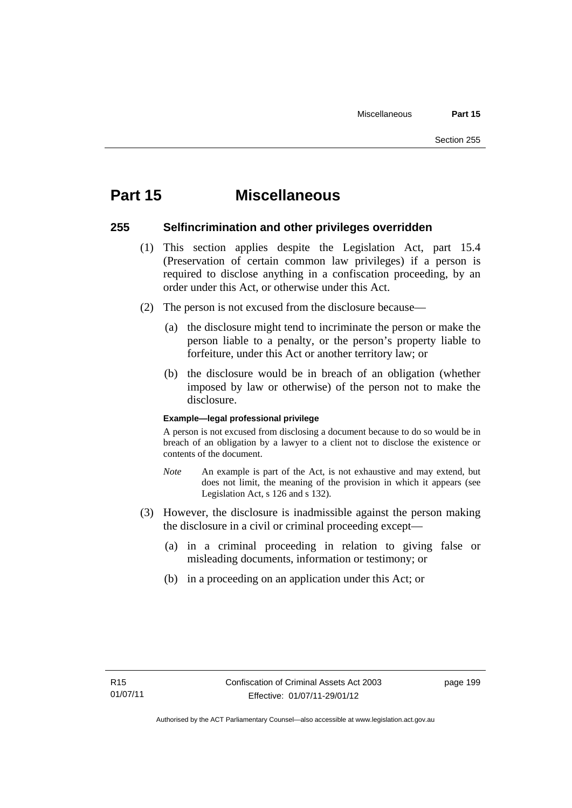# **Part 15 Miscellaneous**

### **255 Selfincrimination and other privileges overridden**

- (1) This section applies despite the Legislation Act, part 15.4 (Preservation of certain common law privileges) if a person is required to disclose anything in a confiscation proceeding, by an order under this Act, or otherwise under this Act.
- (2) The person is not excused from the disclosure because—
	- (a) the disclosure might tend to incriminate the person or make the person liable to a penalty, or the person's property liable to forfeiture, under this Act or another territory law; or
	- (b) the disclosure would be in breach of an obligation (whether imposed by law or otherwise) of the person not to make the disclosure.

#### **Example—legal professional privilege**

A person is not excused from disclosing a document because to do so would be in breach of an obligation by a lawyer to a client not to disclose the existence or contents of the document.

- *Note* An example is part of the Act, is not exhaustive and may extend, but does not limit, the meaning of the provision in which it appears (see Legislation Act, s 126 and s 132).
- (3) However, the disclosure is inadmissible against the person making the disclosure in a civil or criminal proceeding except—
	- (a) in a criminal proceeding in relation to giving false or misleading documents, information or testimony; or
	- (b) in a proceeding on an application under this Act; or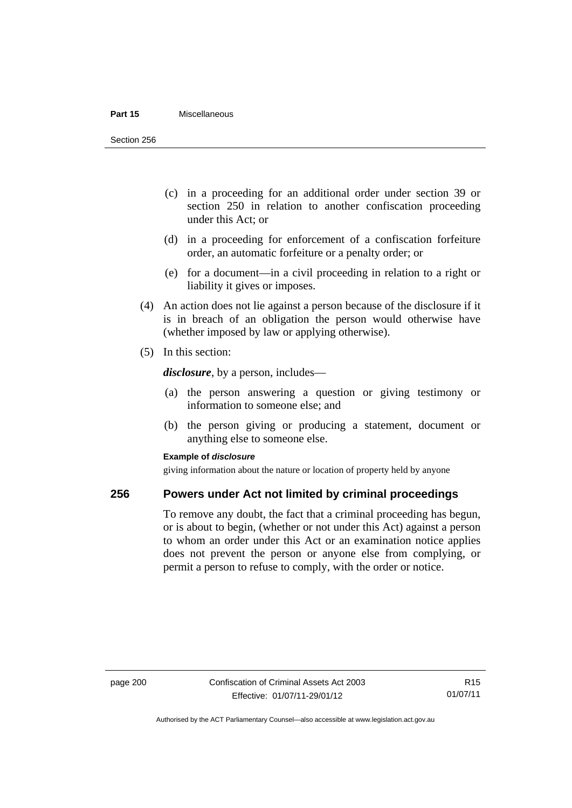#### **Part 15** Miscellaneous

Section 256

- (c) in a proceeding for an additional order under section 39 or section 250 in relation to another confiscation proceeding under this Act; or
- (d) in a proceeding for enforcement of a confiscation forfeiture order, an automatic forfeiture or a penalty order; or
- (e) for a document—in a civil proceeding in relation to a right or liability it gives or imposes.
- (4) An action does not lie against a person because of the disclosure if it is in breach of an obligation the person would otherwise have (whether imposed by law or applying otherwise).
- (5) In this section:

*disclosure*, by a person, includes—

- (a) the person answering a question or giving testimony or information to someone else; and
- (b) the person giving or producing a statement, document or anything else to someone else.

#### **Example of** *disclosure*

giving information about the nature or location of property held by anyone

### **256 Powers under Act not limited by criminal proceedings**

To remove any doubt, the fact that a criminal proceeding has begun, or is about to begin, (whether or not under this Act) against a person to whom an order under this Act or an examination notice applies does not prevent the person or anyone else from complying, or permit a person to refuse to comply, with the order or notice.

R15 01/07/11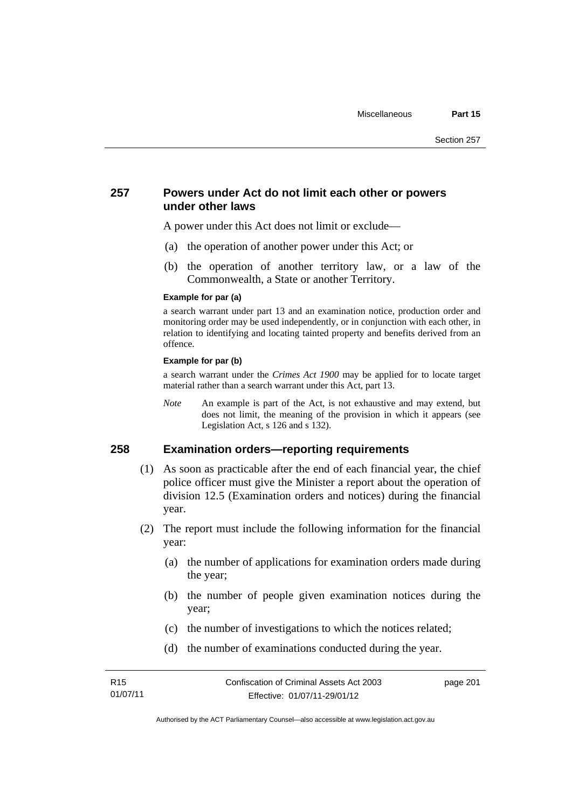### **257 Powers under Act do not limit each other or powers under other laws**

A power under this Act does not limit or exclude—

- (a) the operation of another power under this Act; or
- (b) the operation of another territory law, or a law of the Commonwealth, a State or another Territory.

#### **Example for par (a)**

a search warrant under part 13 and an examination notice, production order and monitoring order may be used independently, or in conjunction with each other, in relation to identifying and locating tainted property and benefits derived from an offence.

#### **Example for par (b)**

a search warrant under the *Crimes Act 1900* may be applied for to locate target material rather than a search warrant under this Act, part 13.

*Note* An example is part of the Act, is not exhaustive and may extend, but does not limit, the meaning of the provision in which it appears (see Legislation Act, s 126 and s 132).

### **258 Examination orders—reporting requirements**

- (1) As soon as practicable after the end of each financial year, the chief police officer must give the Minister a report about the operation of division 12.5 (Examination orders and notices) during the financial year.
- (2) The report must include the following information for the financial year:
	- (a) the number of applications for examination orders made during the year;
	- (b) the number of people given examination notices during the year;
	- (c) the number of investigations to which the notices related;
	- (d) the number of examinations conducted during the year.

page 201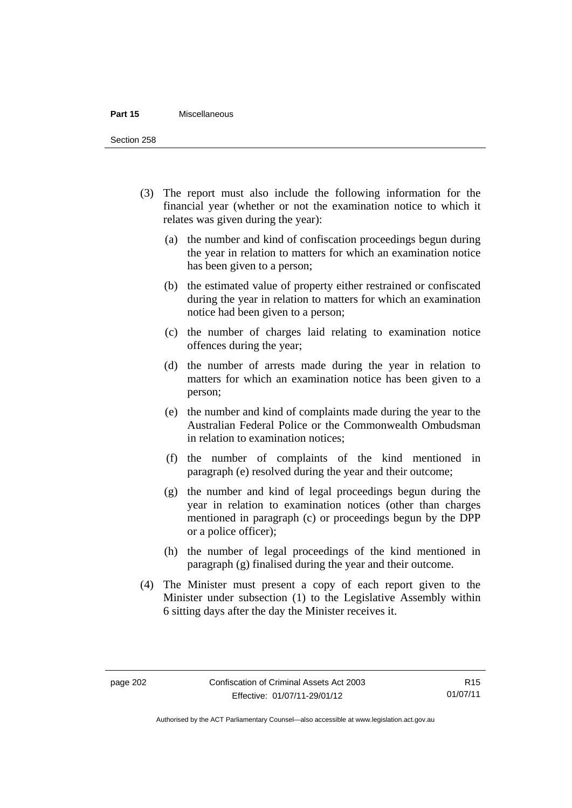#### **Part 15** Miscellaneous

Section 258

- (3) The report must also include the following information for the financial year (whether or not the examination notice to which it relates was given during the year):
	- (a) the number and kind of confiscation proceedings begun during the year in relation to matters for which an examination notice has been given to a person;
	- (b) the estimated value of property either restrained or confiscated during the year in relation to matters for which an examination notice had been given to a person;
	- (c) the number of charges laid relating to examination notice offences during the year;
	- (d) the number of arrests made during the year in relation to matters for which an examination notice has been given to a person;
	- (e) the number and kind of complaints made during the year to the Australian Federal Police or the Commonwealth Ombudsman in relation to examination notices;
	- (f) the number of complaints of the kind mentioned in paragraph (e) resolved during the year and their outcome;
	- (g) the number and kind of legal proceedings begun during the year in relation to examination notices (other than charges mentioned in paragraph (c) or proceedings begun by the DPP or a police officer);
	- (h) the number of legal proceedings of the kind mentioned in paragraph (g) finalised during the year and their outcome.
- (4) The Minister must present a copy of each report given to the Minister under subsection (1) to the Legislative Assembly within 6 sitting days after the day the Minister receives it.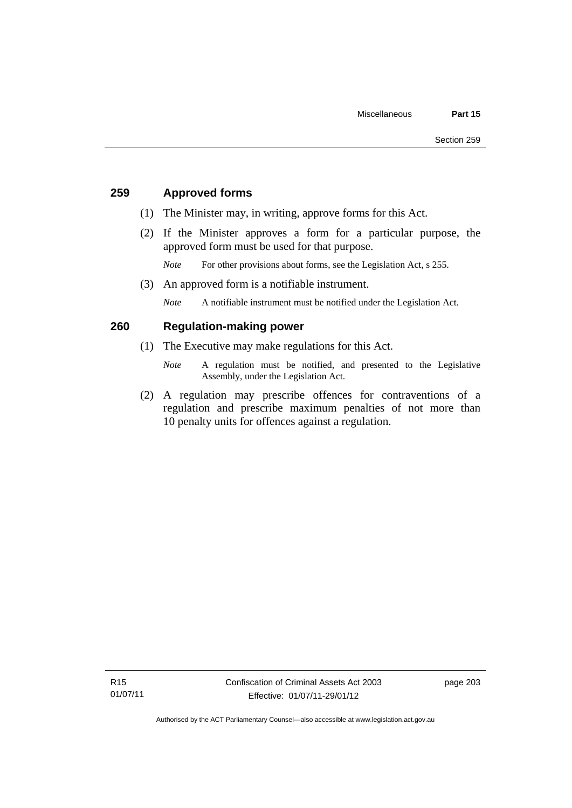# **259 Approved forms**

- (1) The Minister may, in writing, approve forms for this Act.
- (2) If the Minister approves a form for a particular purpose, the approved form must be used for that purpose.

*Note* For other provisions about forms, see the Legislation Act, s 255.

(3) An approved form is a notifiable instrument.

*Note* A notifiable instrument must be notified under the Legislation Act.

# **260 Regulation-making power**

- (1) The Executive may make regulations for this Act.
	- *Note* A regulation must be notified, and presented to the Legislative Assembly, under the Legislation Act.
- (2) A regulation may prescribe offences for contraventions of a regulation and prescribe maximum penalties of not more than 10 penalty units for offences against a regulation.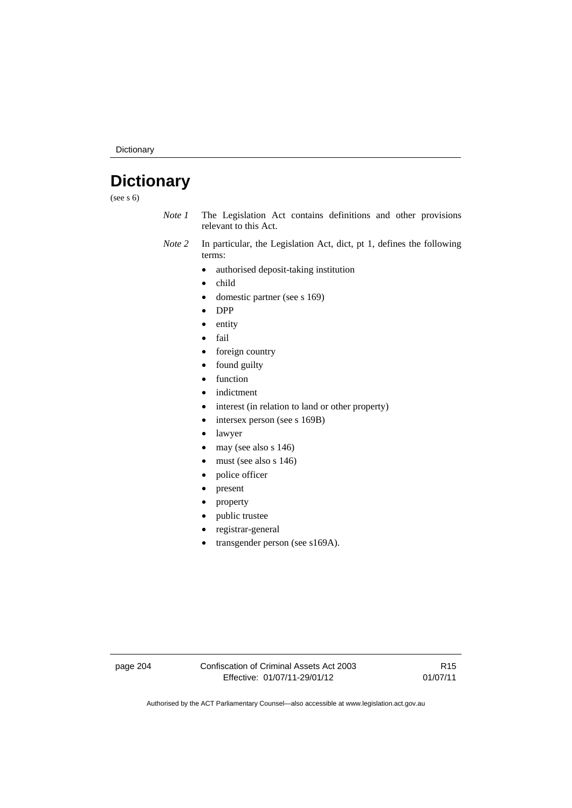Dictionary

# **Dictionary**

(see s 6)

- *Note 1* The Legislation Act contains definitions and other provisions relevant to this Act.
- *Note 2* In particular, the Legislation Act, dict, pt 1, defines the following terms:
	- authorised deposit-taking institution
	- child
	- domestic partner (see s 169)
	- DPP
	- entity
	- fail
	- foreign country
	- found guilty
	- function
	- indictment
	- interest (in relation to land or other property)
	- intersex person (see s 169B)
	- lawyer
	- $\bullet$  may (see also s 146)
	- must (see also s 146)
	- police officer
	- present
	- property
	- public trustee
	- registrar-general
	- transgender person (see s169A).

page 204 Confiscation of Criminal Assets Act 2003 Effective: 01/07/11-29/01/12

R15 01/07/11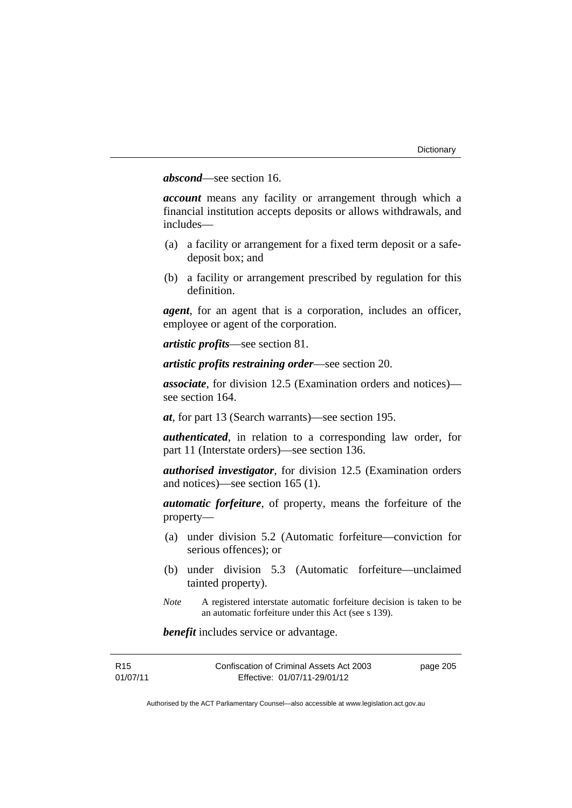# *abscond*—see section 16.

*account* means any facility or arrangement through which a financial institution accepts deposits or allows withdrawals, and includes—

- (a) a facility or arrangement for a fixed term deposit or a safedeposit box; and
- (b) a facility or arrangement prescribed by regulation for this definition.

*agent*, for an agent that is a corporation, includes an officer, employee or agent of the corporation.

*artistic profits*—see section 81.

*artistic profits restraining order*—see section 20.

*associate*, for division 12.5 (Examination orders and notices) see section 164.

*at*, for part 13 (Search warrants)—see section 195.

*authenticated*, in relation to a corresponding law order, for part 11 (Interstate orders)—see section 136.

*authorised investigator*, for division 12.5 (Examination orders and notices)—see section 165 (1).

*automatic forfeiture*, of property, means the forfeiture of the property—

- (a) under division 5.2 (Automatic forfeiture—conviction for serious offences); or
- (b) under division 5.3 (Automatic forfeiture—unclaimed tainted property).
- *Note* A registered interstate automatic forfeiture decision is taken to be an automatic forfeiture under this Act (see s 139).

*benefit* includes service or advantage.

| R <sub>15</sub> | Confiscation of Criminal Assets Act 2003 | page 205 |
|-----------------|------------------------------------------|----------|
| 01/07/11        | Effective: 01/07/11-29/01/12             |          |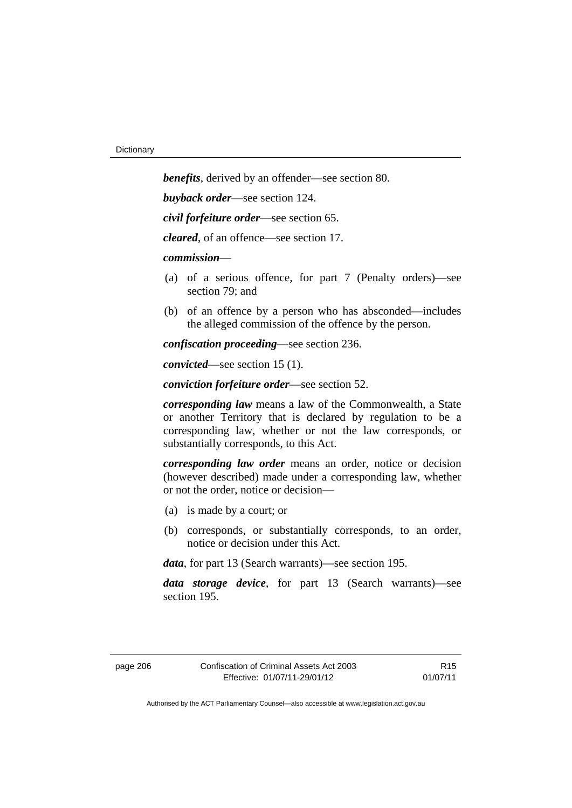*benefits*, derived by an offender—see section 80. *buyback order*—see section 124. *civil forfeiture order*—see section 65. *cleared*, of an offence—see section 17. *commission*— (a) of a serious offence, for part 7 (Penalty orders)—see section 79; and (b) of an offence by a person who has absconded—includes the alleged commission of the offence by the person. *confiscation proceeding*—see section 236.

*convicted*—see section 15 (1).

*conviction forfeiture order*—see section 52.

*corresponding law* means a law of the Commonwealth, a State or another Territory that is declared by regulation to be a corresponding law, whether or not the law corresponds, or substantially corresponds, to this Act.

*corresponding law order* means an order, notice or decision (however described) made under a corresponding law, whether or not the order, notice or decision—

- (a) is made by a court; or
- (b) corresponds, or substantially corresponds, to an order, notice or decision under this Act.

*data*, for part 13 (Search warrants)—see section 195.

*data storage device*, for part 13 (Search warrants)—see section 195.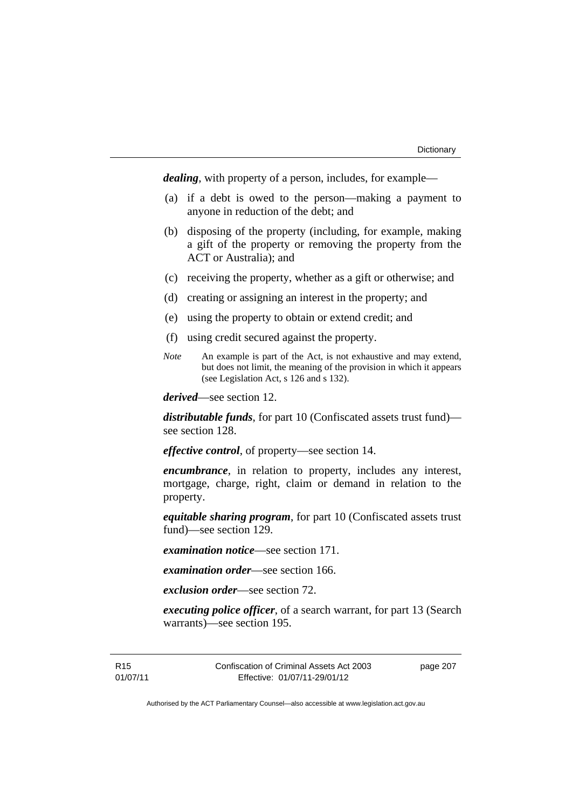*dealing*, with property of a person, includes, for example—

- (a) if a debt is owed to the person—making a payment to anyone in reduction of the debt; and
- (b) disposing of the property (including, for example, making a gift of the property or removing the property from the ACT or Australia); and
- (c) receiving the property, whether as a gift or otherwise; and
- (d) creating or assigning an interest in the property; and
- (e) using the property to obtain or extend credit; and
- (f) using credit secured against the property.
- *Note* An example is part of the Act, is not exhaustive and may extend, but does not limit, the meaning of the provision in which it appears (see Legislation Act, s 126 and s 132).

*derived*—see section 12.

*distributable funds*, for part 10 (Confiscated assets trust fund) see section 128.

*effective control*, of property—see section 14.

*encumbrance*, in relation to property, includes any interest, mortgage, charge, right, claim or demand in relation to the property.

*equitable sharing program*, for part 10 (Confiscated assets trust fund)—see section 129.

*examination notice*—see section 171.

*examination order*—see section 166.

*exclusion order*—see section 72.

*executing police officer*, of a search warrant, for part 13 (Search warrants)—see section 195.

R15 01/07/11 Confiscation of Criminal Assets Act 2003 Effective: 01/07/11-29/01/12

page 207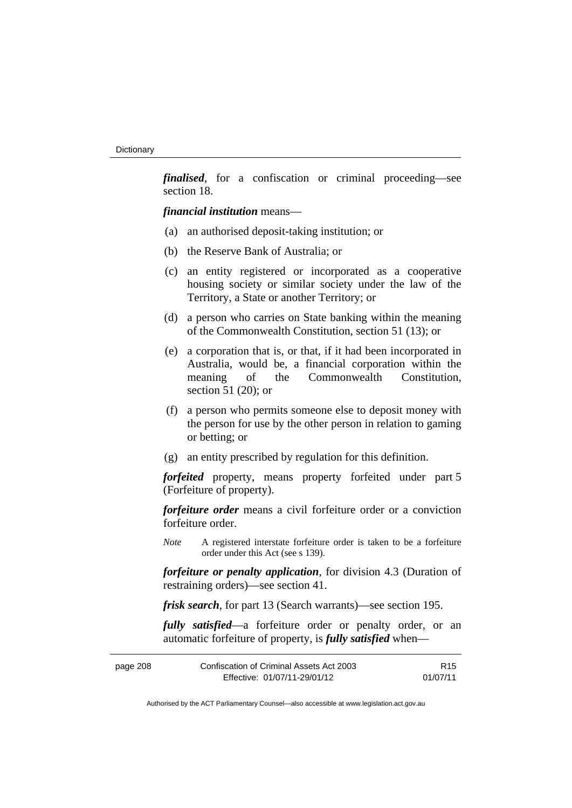*finalised*, for a confiscation or criminal proceeding—see section 18.

*financial institution* means—

- (a) an authorised deposit-taking institution; or
- (b) the Reserve Bank of Australia; or
- (c) an entity registered or incorporated as a cooperative housing society or similar society under the law of the Territory, a State or another Territory; or
- (d) a person who carries on State banking within the meaning of the Commonwealth Constitution, section 51 (13); or
- (e) a corporation that is, or that, if it had been incorporated in Australia, would be, a financial corporation within the meaning of the Commonwealth Constitution, section 51 (20); or
- (f) a person who permits someone else to deposit money with the person for use by the other person in relation to gaming or betting; or
- (g) an entity prescribed by regulation for this definition.

*forfeited* property, means property forfeited under part 5 (Forfeiture of property).

*forfeiture order* means a civil forfeiture order or a conviction forfeiture order.

*Note* A registered interstate forfeiture order is taken to be a forfeiture order under this Act (see s 139).

*forfeiture or penalty application*, for division 4.3 (Duration of restraining orders)—see section 41.

*frisk search*, for part 13 (Search warrants)—see section 195.

*fully satisfied*—a forfeiture order or penalty order, or an automatic forfeiture of property, is *fully satisfied* when—

| page 208 | Confiscation of Criminal Assets Act 2003 | R <sub>15</sub> |
|----------|------------------------------------------|-----------------|
|          | Effective: 01/07/11-29/01/12             | 01/07/11        |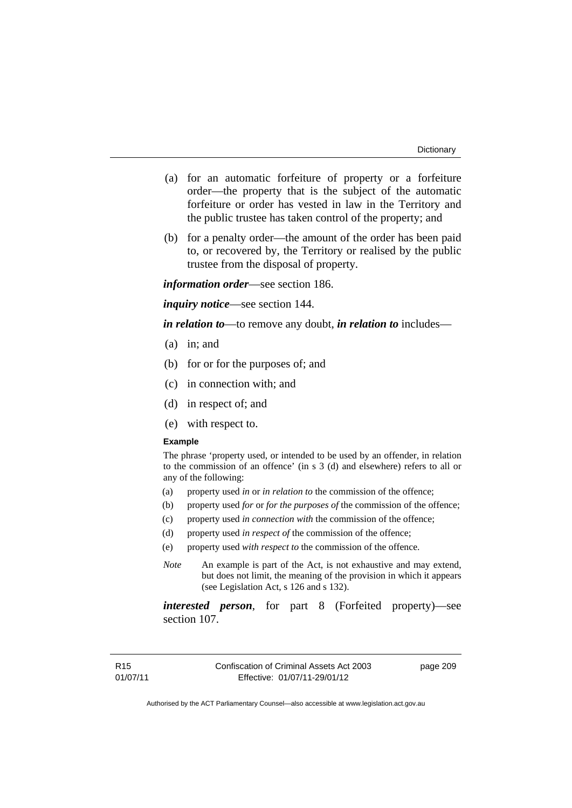- (a) for an automatic forfeiture of property or a forfeiture order—the property that is the subject of the automatic forfeiture or order has vested in law in the Territory and the public trustee has taken control of the property; and
- (b) for a penalty order—the amount of the order has been paid to, or recovered by, the Territory or realised by the public trustee from the disposal of property.

*information order*—see section 186.

*inquiry notice*—see section 144.

*in relation to*—to remove any doubt, *in relation to* includes—

- (a) in; and
- (b) for or for the purposes of; and
- (c) in connection with; and
- (d) in respect of; and
- (e) with respect to.

#### **Example**

The phrase 'property used, or intended to be used by an offender, in relation to the commission of an offence' (in s 3 (d) and elsewhere) refers to all or any of the following:

- (a) property used *in* or *in relation to* the commission of the offence;
- (b) property used *for* or *for the purposes of* the commission of the offence;
- (c) property used *in connection with* the commission of the offence;
- (d) property used *in respect of* the commission of the offence;
- (e) property used *with respect to* the commission of the offence.
- *Note* An example is part of the Act, is not exhaustive and may extend, but does not limit, the meaning of the provision in which it appears (see Legislation Act, s 126 and s 132).

*interested person*, for part 8 (Forfeited property)—see section 107.

page 209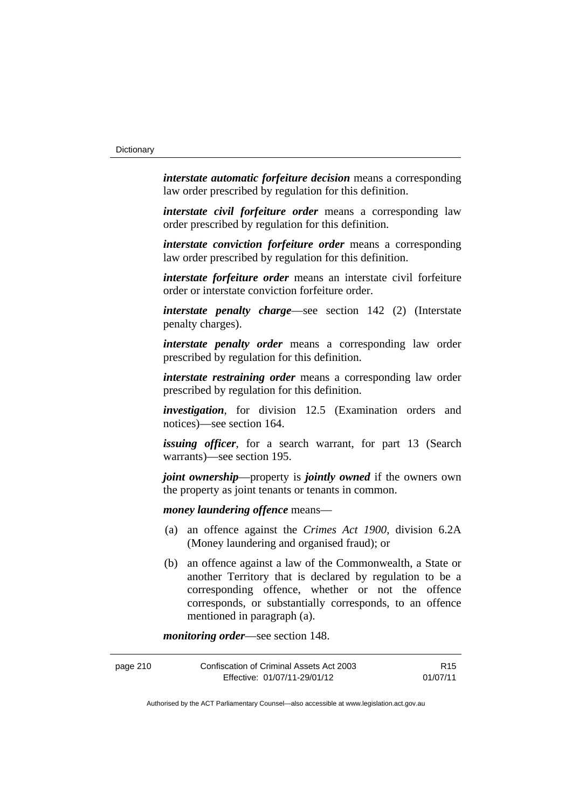*interstate automatic forfeiture decision* means a corresponding law order prescribed by regulation for this definition.

*interstate civil forfeiture order* means a corresponding law order prescribed by regulation for this definition.

*interstate conviction forfeiture order* means a corresponding law order prescribed by regulation for this definition.

*interstate forfeiture order* means an interstate civil forfeiture order or interstate conviction forfeiture order.

*interstate penalty charge*—see section 142 (2) (Interstate penalty charges).

*interstate penalty order* means a corresponding law order prescribed by regulation for this definition.

*interstate restraining order* means a corresponding law order prescribed by regulation for this definition.

*investigation*, for division 12.5 (Examination orders and notices)—see section 164.

*issuing officer*, for a search warrant, for part 13 (Search warrants)—see section 195.

*joint ownership*—property is *jointly owned* if the owners own the property as joint tenants or tenants in common.

*money laundering offence* means—

- (a) an offence against the *Crimes Act 1900*, division 6.2A (Money laundering and organised fraud); or
- (b) an offence against a law of the Commonwealth, a State or another Territory that is declared by regulation to be a corresponding offence, whether or not the offence corresponds, or substantially corresponds, to an offence mentioned in paragraph (a).

*monitoring order*—see section 148.

| page 210 | Confiscation of Criminal Assets Act 2003 | R15      |
|----------|------------------------------------------|----------|
|          | Effective: 01/07/11-29/01/12             | 01/07/11 |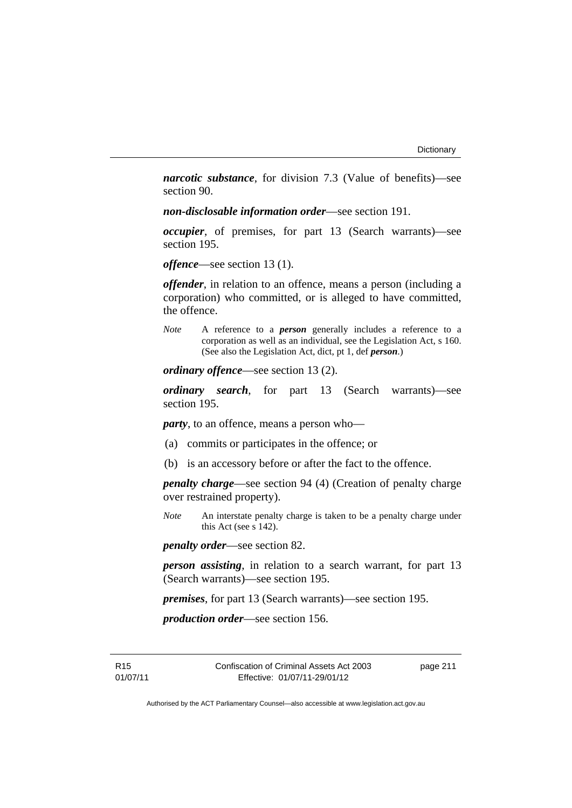*narcotic substance*, for division 7.3 (Value of benefits)—see section 90.

*non-disclosable information order*—see section 191.

*occupier*, of premises, for part 13 (Search warrants)—see section 195.

*offence*—see section 13 (1).

*offender*, in relation to an offence, means a person (including a corporation) who committed, or is alleged to have committed, the offence.

*Note* A reference to a *person* generally includes a reference to a corporation as well as an individual, see the Legislation Act, s 160. (See also the Legislation Act, dict, pt 1, def *person*.)

*ordinary offence*—see section 13 (2).

*ordinary search*, for part 13 (Search warrants)—see section 195.

*party*, to an offence, means a person who—

- (a) commits or participates in the offence; or
- (b) is an accessory before or after the fact to the offence.

*penalty charge*—see section 94 (4) (Creation of penalty charge over restrained property).

*Note* An interstate penalty charge is taken to be a penalty charge under this Act (see s 142).

*penalty order*—see section 82.

*person assisting*, in relation to a search warrant, for part 13 (Search warrants)—see section 195.

*premises*, for part 13 (Search warrants)—see section 195.

*production order*—see section 156.

R15 01/07/11 Confiscation of Criminal Assets Act 2003 Effective: 01/07/11-29/01/12

page 211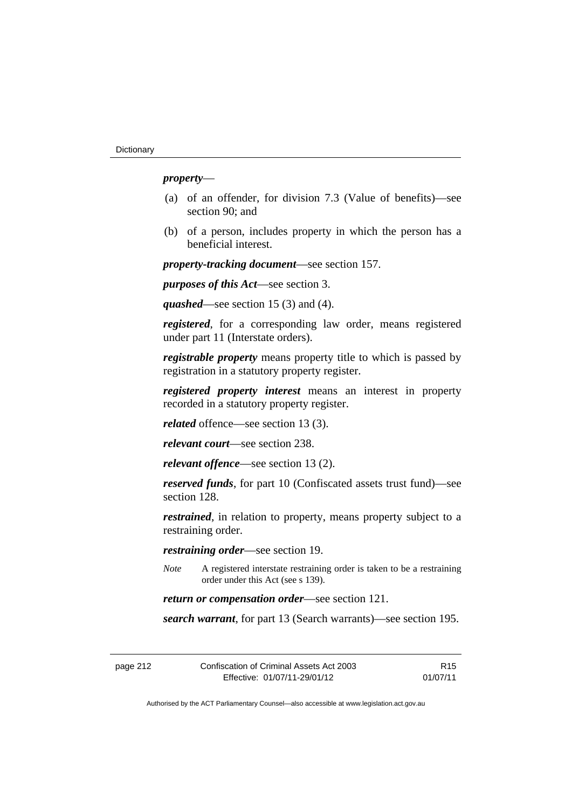# *property*—

- (a) of an offender, for division 7.3 (Value of benefits)—see section 90; and
- (b) of a person, includes property in which the person has a beneficial interest.

*property-tracking document*—see section 157.

*purposes of this Act*—see section 3.

*quashed*—see section 15 (3) and (4).

*registered*, for a corresponding law order, means registered under part 11 (Interstate orders).

*registrable property* means property title to which is passed by registration in a statutory property register.

*registered property interest* means an interest in property recorded in a statutory property register.

*related* offence—see section 13 (3).

*relevant court*—see section 238.

*relevant offence*—see section 13 (2).

*reserved funds*, for part 10 (Confiscated assets trust fund)—see section 128.

*restrained*, in relation to property, means property subject to a restraining order.

*restraining order*—see section 19.

*Note* A registered interstate restraining order is taken to be a restraining order under this Act (see s 139).

*return or compensation order*—see section 121.

*search warrant*, for part 13 (Search warrants)—see section 195.

| page 212 | Confiscation of Criminal Assets Act 2003 | R <sub>15</sub> |
|----------|------------------------------------------|-----------------|
|          | Effective: 01/07/11-29/01/12             | 01/07/11        |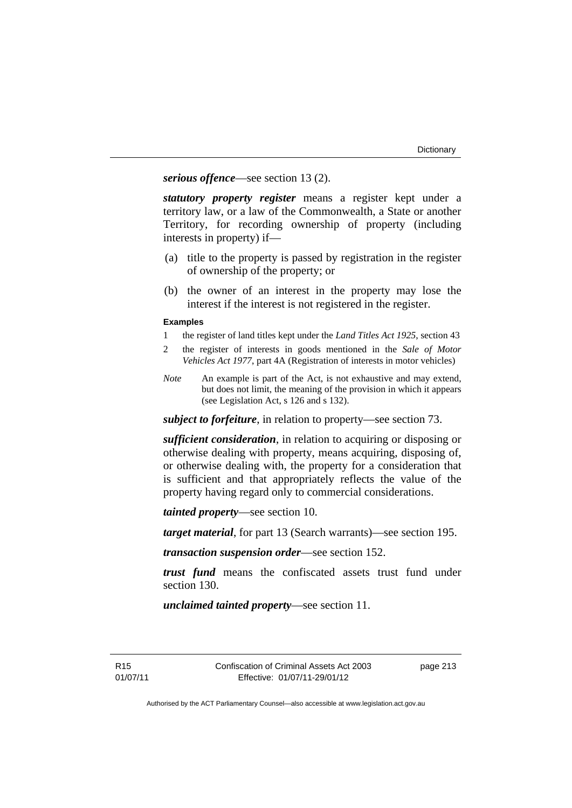*serious offence*—see section 13 (2).

*statutory property register* means a register kept under a territory law, or a law of the Commonwealth, a State or another Territory, for recording ownership of property (including interests in property) if—

- (a) title to the property is passed by registration in the register of ownership of the property; or
- (b) the owner of an interest in the property may lose the interest if the interest is not registered in the register.

#### **Examples**

- 1 the register of land titles kept under the *Land Titles Act 1925*, section 43
- 2 the register of interests in goods mentioned in the *Sale of Motor Vehicles Act 1977*, part 4A (Registration of interests in motor vehicles)
- *Note* An example is part of the Act, is not exhaustive and may extend, but does not limit, the meaning of the provision in which it appears (see Legislation Act, s 126 and s 132).

*subject to forfeiture*, in relation to property—see section 73.

*sufficient consideration*, in relation to acquiring or disposing or otherwise dealing with property, means acquiring, disposing of, or otherwise dealing with, the property for a consideration that is sufficient and that appropriately reflects the value of the property having regard only to commercial considerations.

*tainted property*—see section 10.

*target material*, for part 13 (Search warrants)—see section 195.

*transaction suspension order*—see section 152.

*trust fund* means the confiscated assets trust fund under section 130.

*unclaimed tainted property*—see section 11.

R15 01/07/11 page 213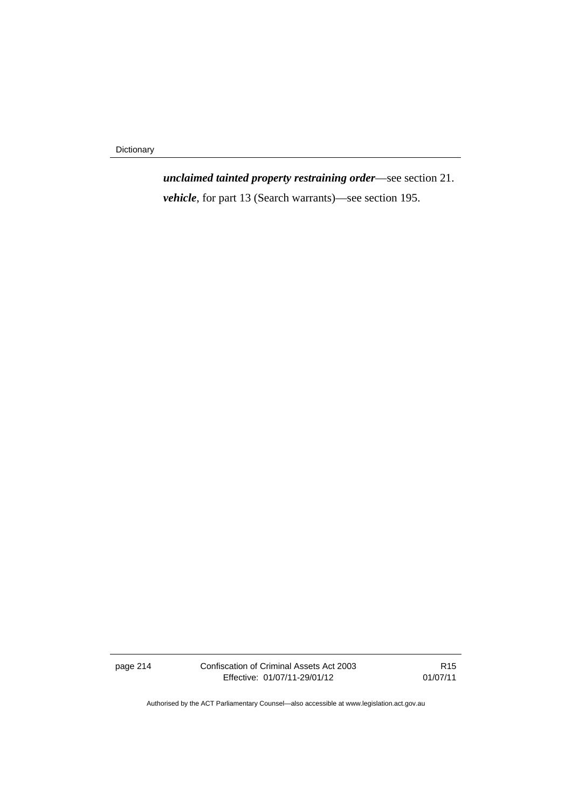Dictionary

*unclaimed tainted property restraining order*—see section 21. *vehicle*, for part 13 (Search warrants)—see section 195.

page 214 Confiscation of Criminal Assets Act 2003 Effective: 01/07/11-29/01/12

R15 01/07/11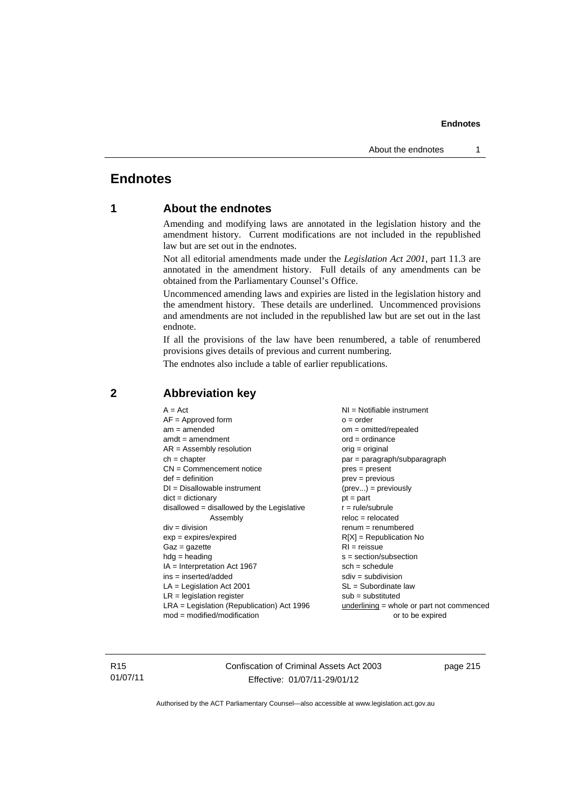# **Endnotes**

# **1 About the endnotes**

Amending and modifying laws are annotated in the legislation history and the amendment history. Current modifications are not included in the republished law but are set out in the endnotes.

Not all editorial amendments made under the *Legislation Act 2001*, part 11.3 are annotated in the amendment history. Full details of any amendments can be obtained from the Parliamentary Counsel's Office.

Uncommenced amending laws and expiries are listed in the legislation history and the amendment history. These details are underlined. Uncommenced provisions and amendments are not included in the republished law but are set out in the last endnote.

If all the provisions of the law have been renumbered, a table of renumbered provisions gives details of previous and current numbering.

The endnotes also include a table of earlier republications.

| $SL = Subordinate$ law<br>$LA =$ Legislation Act 2001<br>$LR =$ legislation register<br>$sub =$ substituted<br>$LRA =$ Legislation (Republication) Act 1996 | $A = Act$<br>$AF =$ Approved form<br>$am = amended$<br>$amdt = amendment$<br>$AR = Assembly resolution$<br>$ch = chapter$<br>$CN =$ Commencement notice<br>$def = definition$<br>$DI = Disallowable instrument$<br>$dict = dictionary$<br>$disallowed = disallowed by the Legislative$<br>Assembly<br>$div = division$<br>$exp = expires/expired$<br>$Gaz = gazette$<br>$hdg = heading$<br>$IA = Interpretation Act 1967$<br>$ins = inserted/added$ | $NI = Notifiable$ instrument<br>$Q = Qd$<br>$om = omitted/repealed$<br>$ord = ordinance$<br>$orig = original$<br>par = paragraph/subparagraph<br>$pres = present$<br>$prev = previous$<br>$(\text{prev}) = \text{previously}$<br>$pt = part$<br>$r = rule/subrule$<br>$reloc = relocated$<br>$renum = renumbered$<br>$R[X]$ = Republication No<br>$RI = reissue$<br>$s = section/subsection$<br>$sch = schedule$<br>$sdiv = subdivision$<br>underlining = whole or part not commenced |
|-------------------------------------------------------------------------------------------------------------------------------------------------------------|-----------------------------------------------------------------------------------------------------------------------------------------------------------------------------------------------------------------------------------------------------------------------------------------------------------------------------------------------------------------------------------------------------------------------------------------------------|---------------------------------------------------------------------------------------------------------------------------------------------------------------------------------------------------------------------------------------------------------------------------------------------------------------------------------------------------------------------------------------------------------------------------------------------------------------------------------------|
| $mod = modified/modification$<br>or to be expired                                                                                                           |                                                                                                                                                                                                                                                                                                                                                                                                                                                     |                                                                                                                                                                                                                                                                                                                                                                                                                                                                                       |

# **2 Abbreviation key**

R15 01/07/11 Confiscation of Criminal Assets Act 2003 Effective: 01/07/11-29/01/12

page 215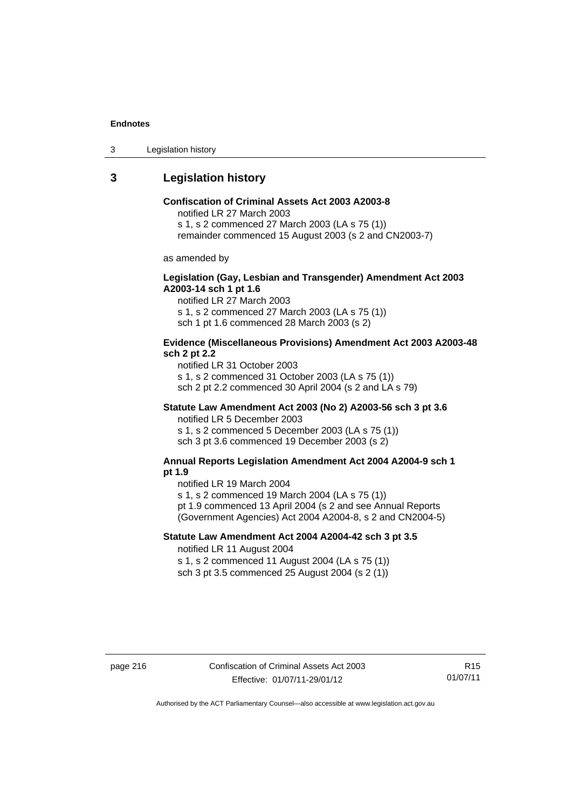3 Legislation history

# **3 Legislation history**

# **Confiscation of Criminal Assets Act 2003 A2003-8**

notified LR 27 March 2003

s 1, s 2 commenced 27 March 2003 (LA s 75 (1))

remainder commenced 15 August 2003 (s 2 and CN2003-7)

as amended by

## **Legislation (Gay, Lesbian and Transgender) Amendment Act 2003 A2003-14 sch 1 pt 1.6**

notified LR 27 March 2003 s 1, s 2 commenced 27 March 2003 (LA s 75 (1)) sch 1 pt 1.6 commenced 28 March 2003 (s 2)

#### **Evidence (Miscellaneous Provisions) Amendment Act 2003 A2003-48 sch 2 pt 2.2**

notified LR 31 October 2003 s 1, s 2 commenced 31 October 2003 (LA s 75 (1)) sch 2 pt 2.2 commenced 30 April 2004 (s 2 and LA s 79)

# **Statute Law Amendment Act 2003 (No 2) A2003-56 sch 3 pt 3.6**

notified LR 5 December 2003 s 1, s 2 commenced 5 December 2003 (LA s 75 (1)) sch 3 pt 3.6 commenced 19 December 2003 (s 2)

#### **Annual Reports Legislation Amendment Act 2004 A2004-9 sch 1 pt 1.9**

notified LR 19 March 2004

s 1, s 2 commenced 19 March 2004 (LA s 75 (1))

pt 1.9 commenced 13 April 2004 (s 2 and see Annual Reports (Government Agencies) Act 2004 A2004-8, s 2 and CN2004-5)

# **Statute Law Amendment Act 2004 A2004-42 sch 3 pt 3.5**  notified LR 11 August 2004

s 1, s 2 commenced 11 August 2004 (LA s 75 (1)) sch 3 pt 3.5 commenced 25 August 2004 (s 2 (1))

page 216 Confiscation of Criminal Assets Act 2003 Effective: 01/07/11-29/01/12

R15 01/07/11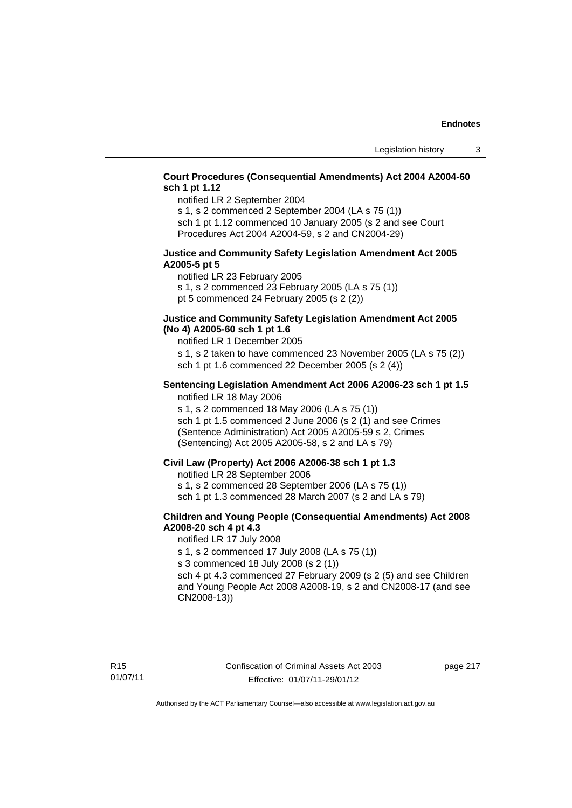# **Court Procedures (Consequential Amendments) Act 2004 A2004-60 sch 1 pt 1.12**

notified LR 2 September 2004

s 1, s 2 commenced 2 September 2004 (LA s 75 (1)) sch 1 pt 1.12 commenced 10 January 2005 (s 2 and see Court Procedures Act 2004 A2004-59, s 2 and CN2004-29)

#### **Justice and Community Safety Legislation Amendment Act 2005 A2005-5 pt 5**

notified LR 23 February 2005 s 1, s 2 commenced 23 February 2005 (LA s 75 (1)) pt 5 commenced 24 February 2005 (s 2 (2))

### **Justice and Community Safety Legislation Amendment Act 2005 (No 4) A2005-60 sch 1 pt 1.6**

notified LR 1 December 2005

s 1, s 2 taken to have commenced 23 November 2005 (LA s 75 (2)) sch 1 pt 1.6 commenced 22 December 2005 (s 2 (4))

#### **Sentencing Legislation Amendment Act 2006 A2006-23 sch 1 pt 1.5**  notified LR 18 May 2006

s 1, s 2 commenced 18 May 2006 (LA s 75 (1)) sch 1 pt 1.5 commenced 2 June 2006 (s 2 (1) and see Crimes (Sentence Administration) Act 2005 A2005-59 s 2, Crimes (Sentencing) Act 2005 A2005-58, s 2 and LA s 79)

### **Civil Law (Property) Act 2006 A2006-38 sch 1 pt 1.3**

notified LR 28 September 2006

s 1, s 2 commenced 28 September 2006 (LA s 75 (1))

sch 1 pt 1.3 commenced 28 March 2007 (s 2 and LA s 79)

# **Children and Young People (Consequential Amendments) Act 2008 A2008-20 sch 4 pt 4.3**

notified LR 17 July 2008

s 1, s 2 commenced 17 July 2008 (LA s 75 (1))

s 3 commenced 18 July 2008 (s 2 (1))

sch 4 pt 4.3 commenced 27 February 2009 (s 2 (5) and see Children and Young People Act 2008 A2008-19, s 2 and CN2008-17 (and see CN2008-13))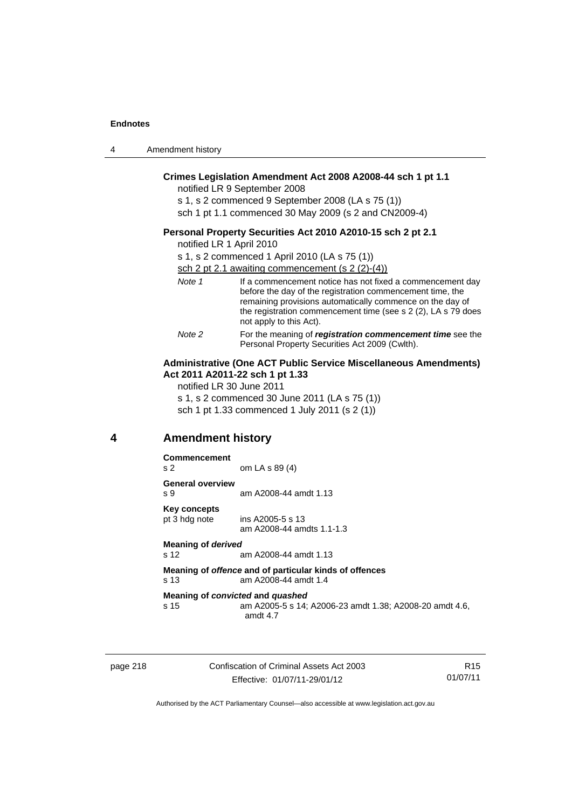| 4 | Amendment history |
|---|-------------------|
|---|-------------------|

# **Crimes Legislation Amendment Act 2008 A2008-44 sch 1 pt 1.1**

notified LR 9 September 2008

s 1, s 2 commenced 9 September 2008 (LA s 75 (1)) sch 1 pt 1.1 commenced 30 May 2009 (s 2 and CN2009-4)

#### **Personal Property Securities Act 2010 A2010-15 sch 2 pt 2.1**

notified LR 1 April 2010

s 1, s 2 commenced 1 April 2010 (LA s 75 (1))

sch 2 pt 2.1 awaiting commencement (s 2 (2)-(4))

| Note 1 | If a commencement notice has not fixed a commencement day<br>before the day of the registration commencement time, the<br>remaining provisions automatically commence on the day of<br>the registration commencement time (see s 2 (2), LA s 79 does<br>not apply to this Act). |
|--------|---------------------------------------------------------------------------------------------------------------------------------------------------------------------------------------------------------------------------------------------------------------------------------|
| Note 2 | For the meaning of registration commencement time see the<br>Personal Property Securities Act 2009 (Cwlth).                                                                                                                                                                     |

### **Administrative (One ACT Public Service Miscellaneous Amendments) Act 2011 A2011-22 sch 1 pt 1.33**

notified LR 30 June 2011

s 1, s 2 commenced 30 June 2011 (LA s 75 (1)) sch 1 pt 1.33 commenced 1 July 2011 (s 2 (1))

# **4 Amendment history**

#### **Commencement**

s 2 om LA s 89 (4) **General overview**  s 9 am A2008-44 amdt 1.13 **Key concepts**  pt 3 hdg note ins A2005-5 s 13 am A2008-44 amdts 1.1-1.3 **Meaning of** *derived*  s 12 am A2008-44 amdt 1.13 **Meaning of** *offence* **and of particular kinds of offences**  s 13 am A2008-44 amdt 1.4 **Meaning of** *convicted* **and** *quashed* s 15 am A2005-5 s 14; A2006-23 amdt 1.38; A2008-20 amdt 4.6, amdt 4.7

page 218 Confiscation of Criminal Assets Act 2003 Effective: 01/07/11-29/01/12

R15 01/07/11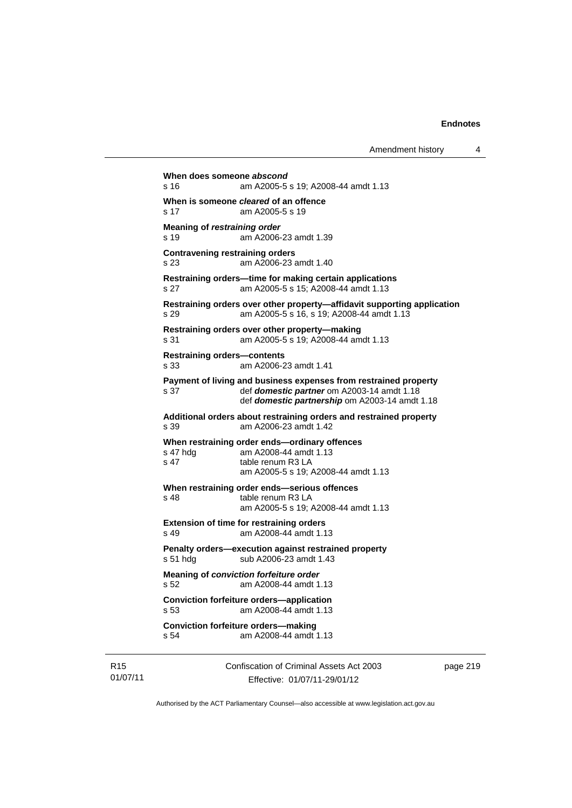```
When does someone abscond
s 16 am A2005-5 s 19; A2008-44 amdt 1.13 
When is someone cleared of an offence 
s 17 am A2005-5 s 19 
Meaning of restraining order 
s 19 am A2006-23 amdt 1.39 
Contravening restraining orders 
s 23 am A2006-23 amdt 1.40 
Restraining orders—time for making certain applications 
s 27 am A2005-5 s 15; A2008-44 amdt 1.13 
Restraining orders over other property—affidavit supporting application 
s 29 am A2005-5 s 16, s 19; A2008-44 amdt 1.13 
Restraining orders over other property—making 
s 31 am A2005-5 s 19; A2008-44 amdt 1.13 
Restraining orders—contents 
s 33 am A2006-23 amdt 1.41 
Payment of living and business expenses from restrained property 
s 37 def domestic partner om A2003-14 amdt 1.18 
                 def domestic partnership om A2003-14 amdt 1.18 
Additional orders about restraining orders and restrained property 
s 39 am A2006-23 amdt 1.42 
When restraining order ends—ordinary offences 
s 47 hdg am A2008-44 amdt 1.13 
s 47 table renum R3 LA
               am A2005-5 s 19; A2008-44 amdt 1.13 
When restraining order ends—serious offences 
s 48 table renum R3 LA
               am A2005-5 s 19; A2008-44 amdt 1.13 
Extension of time for restraining orders 
s 49 am A2008-44 amdt 1.13 
Penalty orders—execution against restrained property 
s 51 hdg sub A2006-23 amdt 1.43
Meaning of conviction forfeiture order 
s 52 am A2008-44 amdt 1.13 
Conviction forfeiture orders—application
s 53 am A2008-44 amdt 1.13 
Conviction forfeiture orders—making
s 54 am A2008-44 amdt 1.13
```
R15 01/07/11 Confiscation of Criminal Assets Act 2003 Effective: 01/07/11-29/01/12

page 219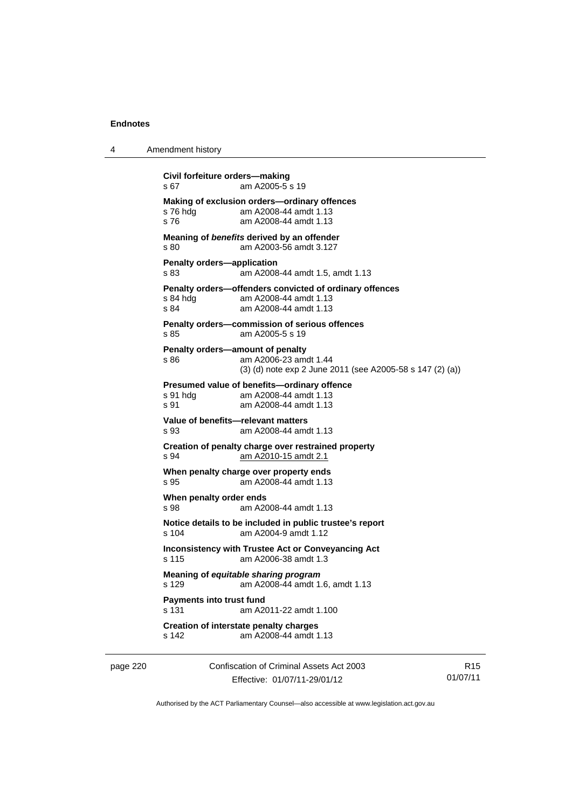```
4 Amendment history 
           Civil forfeiture orders—making 
           s 67 am A2005-5 s 19 
           Making of exclusion orders—ordinary offences 
           s 76 hdg am A2008-44 amdt 1.13 
           s 76 am A2008-44 amdt 1.13 
           Meaning of benefits derived by an offender 
           s 80 am A2003-56 amdt 3.127 
           Penalty orders—application 
           s 83 am A2008-44 amdt 1.5, amdt 1.13 
           Penalty orders—offenders convicted of ordinary offences 
           s 84 hdg am A2008-44 amdt 1.13<br>s 84 am A2008-44 amdt 1.13
                           am A2008-44 amdt 1.13
           Penalty orders—commission of serious offences 
           s 85 am A2005-5 s 19 
           Penalty orders—amount of penalty 
           s 86 am A2006-23 amdt 1.44 
                            (3) (d) note exp 2 June 2011 (see A2005-58 s 147 (2) (a)) 
           Presumed value of benefits—ordinary offence 
           s 91 hdg am A2008-44 amdt 1.13<br>s 91 am A2008-44 amdt 1.13
                           am A2008-44 amdt 1.13
           Value of benefits—relevant matters 
           s 93 am A2008-44 amdt 1.13 
           Creation of penalty charge over restrained property 
           s 94 am A2010-15 amdt 2.1
           When penalty charge over property ends 
           s 95 am A2008-44 amdt 1.13 
           When penalty order ends 
           s 98 am A2008-44 amdt 1.13 
           Notice details to be included in public trustee's report 
           s 104 am A2004-9 amdt 1.12 
           Inconsistency with Trustee Act or Conveyancing Act 
           s 115 am A2006-38 amdt 1.3 
           Meaning of equitable sharing program 
           s 129 am A2008-44 amdt 1.6, amdt 1.13 
           Payments into trust fund 
           s 131 am A2011-22 amdt 1.100 
           Creation of interstate penalty charges 
           s 142 am A2008-44 amdt 1.13
```
page 220 Confiscation of Criminal Assets Act 2003 Effective: 01/07/11-29/01/12

R15 01/07/11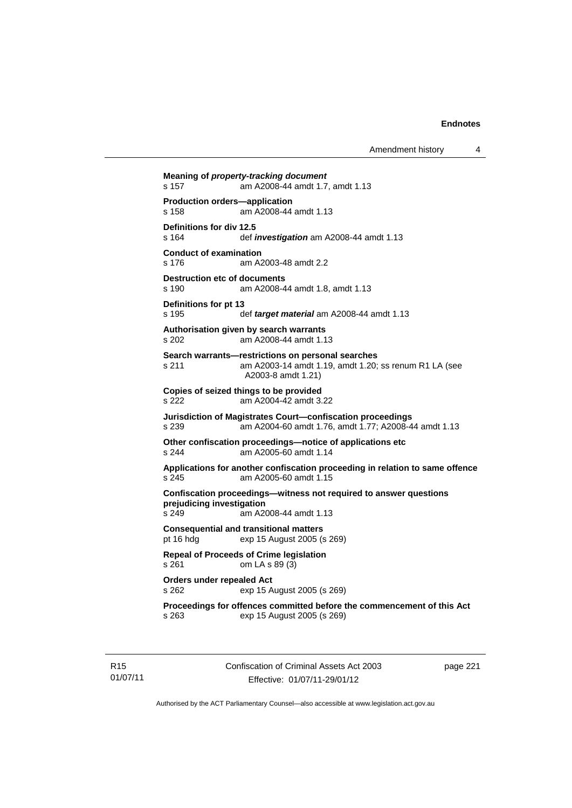```
Meaning of property-tracking document 
s 157 am A2008-44 amdt 1.7, amdt 1.13 
Production orders—application 
s 158 am A2008-44 amdt 1.13 
Definitions for div 12.5 
s 164 def investigation am A2008-44 amdt 1.13 
Conduct of examination 
s 176 am A2003-48 amdt 2.2 
Destruction etc of documents
s 190 am A2008-44 amdt 1.8, amdt 1.13 
Definitions for pt 13 
s 195 def target material am A2008-44 amdt 1.13 
Authorisation given by search warrants 
s 202 am A2008-44 amdt 1.13 
Search warrants—restrictions on personal searches 
s 211 am A2003-14 amdt 1.19, amdt 1.20; ss renum R1 LA (see 
                 A2003-8 amdt 1.21) 
Copies of seized things to be provided 
s 222 am A2004-42 amdt 3.22 
Jurisdiction of Magistrates Court—confiscation proceedings 
s 239 am A2004-60 amdt 1.76, amdt 1.77; A2008-44 amdt 1.13 
Other confiscation proceedings—notice of applications etc 
s 244 am A2005-60 amdt 1.14 
Applications for another confiscation proceeding in relation to same offence 
                am A2005-60 amdt 1.15
Confiscation proceedings—witness not required to answer questions 
prejudicing investigation 
s 249 am A2008-44 amdt 1.13 
Consequential and transitional matters 
pt 16 hdg exp 15 August 2005 (s 269) 
Repeal of Proceeds of Crime legislation 
s 261 om LA s 89 (3) 
Orders under repealed Act 
s 262 exp 15 August 2005 (s 269) 
Proceedings for offences committed before the commencement of this Act 
s 263 exp 15 August 2005 (s 269)
```
R15 01/07/11 Confiscation of Criminal Assets Act 2003 Effective: 01/07/11-29/01/12

page 221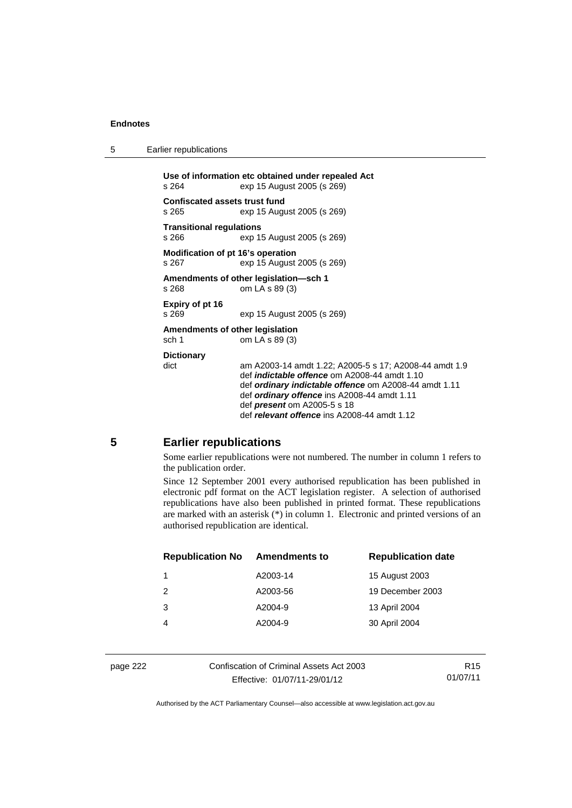5 Earlier republications

**Use of information etc obtained under repealed Act**  s 264 exp 15 August 2005 (s 269) **Confiscated assets trust fund**  s 265 exp 15 August 2005 (s 269) **Transitional regulations**  s 266 exp 15 August 2005 (s 269) **Modification of pt 16's operation**  s 267 exp 15 August 2005 (s 269) **Amendments of other legislation—sch 1**  s 268 om LA s 89 (3) **Expiry of pt 16**  s 269 exp 15 August 2005 (s 269) **Amendments of other legislation**  sch 1 om LA s 89 (3) **Dictionary**  dict am A2003-14 amdt 1.22; A2005-5 s 17; A2008-44 amdt 1.9 def *indictable offence* om A2008-44 amdt 1.10 def *ordinary indictable offence* om A2008-44 amdt 1.11 def *ordinary offence* ins A2008-44 amdt 1.11 def *present* om A2005-5 s 18 def *relevant offence* ins A2008-44 amdt 1.12

# **5 Earlier republications**

Some earlier republications were not numbered. The number in column 1 refers to the publication order.

Since 12 September 2001 every authorised republication has been published in electronic pdf format on the ACT legislation register. A selection of authorised republications have also been published in printed format. These republications are marked with an asterisk (\*) in column 1. Electronic and printed versions of an authorised republication are identical.

| <b>Republication No</b> | <b>Amendments to</b> | <b>Republication date</b> |
|-------------------------|----------------------|---------------------------|
| 1                       | A2003-14             | 15 August 2003            |
| $\mathcal{P}$           | A2003-56             | 19 December 2003          |
| 3                       | A2004-9              | 13 April 2004             |
| 4                       | A2004-9              | 30 April 2004             |
|                         |                      |                           |

page 222 Confiscation of Criminal Assets Act 2003 Effective: 01/07/11-29/01/12

R15 01/07/11